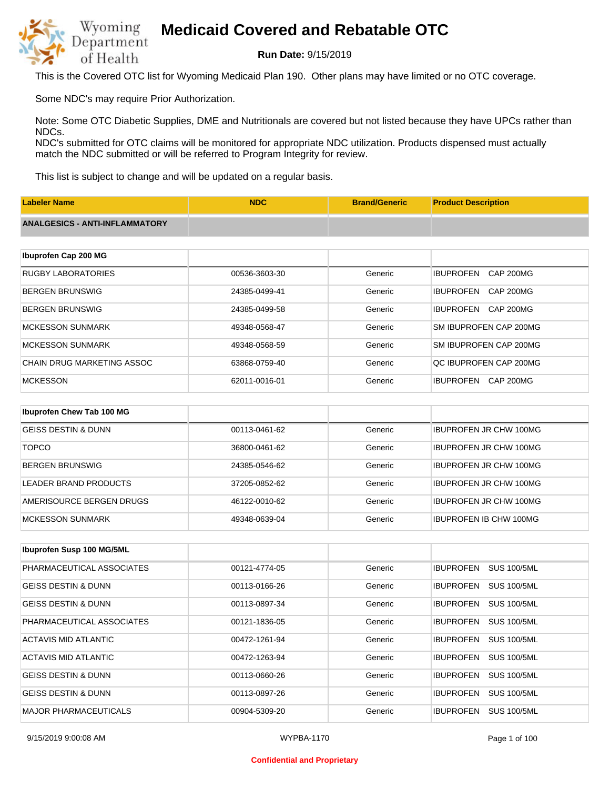

**Run Date:** 9/15/2019

This is the Covered OTC list for Wyoming Medicaid Plan 190. Other plans may have limited or no OTC coverage.

Some NDC's may require Prior Authorization.

Note: Some OTC Diabetic Supplies, DME and Nutritionals are covered but not listed because they have UPCs rather than NDCs.

NDC's submitted for OTC claims will be monitored for appropriate NDC utilization. Products dispensed must actually match the NDC submitted or will be referred to Program Integrity for review.

This list is subject to change and will be updated on a regular basis.

| <b>Labeler Name</b>                   | <b>NDC</b>    | <b>Brand/Generic</b> | <b>Product Description</b>           |
|---------------------------------------|---------------|----------------------|--------------------------------------|
| <b>ANALGESICS - ANTI-INFLAMMATORY</b> |               |                      |                                      |
|                                       |               |                      |                                      |
| Ibuprofen Cap 200 MG                  |               |                      |                                      |
| <b>RUGBY LABORATORIES</b>             | 00536-3603-30 | Generic              | <b>IBUPROFEN</b><br><b>CAP 200MG</b> |
| <b>BERGEN BRUNSWIG</b>                | 24385-0499-41 | Generic              | <b>IBUPROFEN</b><br>CAP 200MG        |
| <b>BERGEN BRUNSWIG</b>                | 24385-0499-58 | Generic              | <b>IBUPROFEN</b><br>CAP 200MG        |
| <b>MCKESSON SUNMARK</b>               | 49348-0568-47 | Generic              | SM IBUPROFEN CAP 200MG               |
| <b>MCKESSON SUNMARK</b>               | 49348-0568-59 | Generic              | SM IBUPROFEN CAP 200MG               |
| <b>CHAIN DRUG MARKETING ASSOC</b>     | 63868-0759-40 | Generic              | QC IBUPROFEN CAP 200MG               |
| <b>MCKESSON</b>                       | 62011-0016-01 | Generic              | <b>IBUPROFEN</b><br>CAP 200MG        |
|                                       |               |                      |                                      |
| Ibuprofen Chew Tab 100 MG             |               |                      |                                      |
| <b>GEISS DESTIN &amp; DUNN</b>        | 00113-0461-62 | Generic              | <b>IBUPROFEN JR CHW 100MG</b>        |
| <b>TOPCO</b>                          | 36800-0461-62 | Generic              | <b>IBUPROFEN JR CHW 100MG</b>        |

| BERGEN BRUNSWIG          | 24385-0546-62 | Generic | <b>IBUPROFEN JR CHW 100MG</b> |
|--------------------------|---------------|---------|-------------------------------|
| LEADER BRAND PRODUCTS    | 37205-0852-62 | Generic | <b>IBUPROFEN JR CHW 100MG</b> |
| AMERISOURCE BERGEN DRUGS | 46122-0010-62 | Generic | <b>IBUPROFEN JR CHW 100MG</b> |
| <b>IMCKESSON SUNMARK</b> | 49348-0639-04 | Generic | <b>IBUPROFEN IB CHW 100MG</b> |

| Ibuprofen Susp 100 MG/5ML      |               |         |                                        |
|--------------------------------|---------------|---------|----------------------------------------|
| PHARMACEUTICAL ASSOCIATES      | 00121-4774-05 | Generic | <b>IBUPROFEN</b><br><b>SUS 100/5ML</b> |
| <b>GEISS DESTIN &amp; DUNN</b> | 00113-0166-26 | Generic | <b>IBUPROFEN</b><br><b>SUS 100/5ML</b> |
| <b>GEISS DESTIN &amp; DUNN</b> | 00113-0897-34 | Generic | <b>SUS 100/5ML</b><br><b>IBUPROFEN</b> |
| PHARMACEUTICAL ASSOCIATES      | 00121-1836-05 | Generic | <b>SUS 100/5ML</b><br><b>IBUPROFEN</b> |
| ACTAVIS MID ATLANTIC           | 00472-1261-94 | Generic | <b>IBUPROFEN</b><br><b>SUS 100/5ML</b> |
| ACTAVIS MID ATLANTIC           | 00472-1263-94 | Generic | <b>SUS 100/5ML</b><br><b>IBUPROFEN</b> |
| <b>GEISS DESTIN &amp; DUNN</b> | 00113-0660-26 | Generic | <b>IBUPROFEN</b><br><b>SUS 100/5ML</b> |
| <b>GEISS DESTIN &amp; DUNN</b> | 00113-0897-26 | Generic | <b>SUS 100/5ML</b><br><b>IBUPROFEN</b> |
| <b>MAJOR PHARMACEUTICALS</b>   | 00904-5309-20 | Generic | <b>IBUPROFEN</b><br><b>SUS 100/5ML</b> |

#### **Confidential and Proprietary**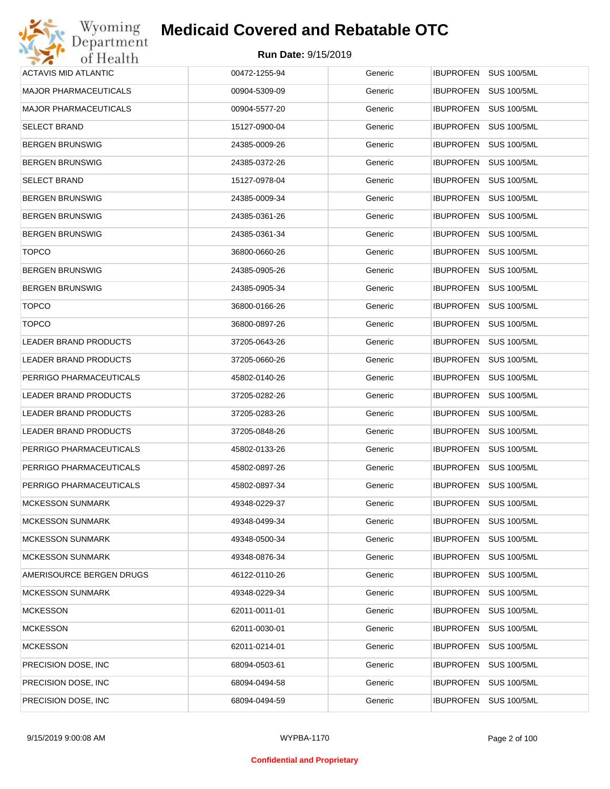| Wyoming                      | <b>Medicaid Covered and Rebatable OTC</b> |         |                                        |
|------------------------------|-------------------------------------------|---------|----------------------------------------|
| Department<br>of Health      | Run Date: 9/15/2019                       |         |                                        |
| ACTAVIS MID ATLANTIC         | 00472-1255-94                             | Generic | <b>IBUPROFEN</b><br><b>SUS 100/5ML</b> |
| <b>MAJOR PHARMACEUTICALS</b> | 00904-5309-09                             | Generic | <b>IBUPROFEN</b><br><b>SUS 100/5ML</b> |
| <b>MAJOR PHARMACEUTICALS</b> | 00904-5577-20                             | Generic | <b>SUS 100/5ML</b><br><b>IBUPROFEN</b> |
| <b>SELECT BRAND</b>          | 15127-0900-04                             | Generic | <b>IBUPROFEN</b><br><b>SUS 100/5ML</b> |
| <b>BERGEN BRUNSWIG</b>       | 24385-0009-26                             | Generic | <b>SUS 100/5ML</b><br><b>IBUPROFEN</b> |
| <b>BERGEN BRUNSWIG</b>       | 24385-0372-26                             | Generic | <b>IBUPROFEN</b><br><b>SUS 100/5ML</b> |
| <b>SELECT BRAND</b>          | 15127-0978-04                             | Generic | <b>IBUPROFEN</b><br><b>SUS 100/5ML</b> |
| <b>BERGEN BRUNSWIG</b>       | 24385-0009-34                             | Generic | <b>IBUPROFEN</b><br><b>SUS 100/5ML</b> |
| <b>BERGEN BRUNSWIG</b>       | 24385-0361-26                             | Generic | <b>IBUPROFEN</b><br><b>SUS 100/5ML</b> |
| <b>BERGEN BRUNSWIG</b>       | 24385-0361-34                             | Generic | <b>IBUPROFEN</b><br><b>SUS 100/5ML</b> |
| <b>TOPCO</b>                 | 36800-0660-26                             | Generic | <b>IBUPROFEN</b><br><b>SUS 100/5ML</b> |
| <b>BERGEN BRUNSWIG</b>       | 24385-0905-26                             | Generic | <b>IBUPROFEN</b><br><b>SUS 100/5ML</b> |
| <b>BERGEN BRUNSWIG</b>       | 24385-0905-34                             | Generic | <b>IBUPROFEN</b><br><b>SUS 100/5ML</b> |
| <b>TOPCO</b>                 | 36800-0166-26                             | Generic | <b>IBUPROFEN</b><br><b>SUS 100/5ML</b> |
| <b>TOPCO</b>                 | 36800-0897-26                             | Generic | <b>SUS 100/5ML</b><br><b>IBUPROFEN</b> |
| <b>LEADER BRAND PRODUCTS</b> | 37205-0643-26                             | Generic | <b>IBUPROFEN</b><br><b>SUS 100/5ML</b> |
| LEADER BRAND PRODUCTS        | 37205-0660-26                             | Generic | <b>IBUPROFEN</b><br><b>SUS 100/5ML</b> |
| PERRIGO PHARMACEUTICALS      | 45802-0140-26                             | Generic | <b>IBUPROFEN</b><br><b>SUS 100/5ML</b> |
| LEADER BRAND PRODUCTS        | 37205-0282-26                             | Generic | <b>IBUPROFEN</b><br><b>SUS 100/5ML</b> |
| LEADER BRAND PRODUCTS        | 37205-0283-26                             | Generic | <b>IBUPROFEN</b><br><b>SUS 100/5ML</b> |
| LEADER BRAND PRODUCTS        | 37205-0848-26                             | Generic | <b>IBUPROFEN</b><br><b>SUS 100/5ML</b> |
| PERRIGO PHARMACEUTICALS      | 45802-0133-26                             | Generic | IBUPROFEN SUS 100/5ML                  |
| PERRIGO PHARMACEUTICALS      | 45802-0897-26                             | Generic | IBUPROFEN SUS 100/5ML                  |
| PERRIGO PHARMACEUTICALS      | 45802-0897-34                             | Generic | <b>IBUPROFEN</b><br><b>SUS 100/5ML</b> |
| <b>MCKESSON SUNMARK</b>      | 49348-0229-37                             | Generic | <b>IBUPROFEN</b><br><b>SUS 100/5ML</b> |
| <b>MCKESSON SUNMARK</b>      | 49348-0499-34                             | Generic | <b>SUS 100/5ML</b><br><b>IBUPROFEN</b> |
| <b>MCKESSON SUNMARK</b>      | 49348-0500-34                             | Generic | <b>IBUPROFEN</b><br><b>SUS 100/5ML</b> |
| <b>MCKESSON SUNMARK</b>      | 49348-0876-34                             | Generic | <b>SUS 100/5ML</b><br><b>IBUPROFEN</b> |
| AMERISOURCE BERGEN DRUGS     | 46122-0110-26                             | Generic | <b>IBUPROFEN</b><br><b>SUS 100/5ML</b> |
| <b>MCKESSON SUNMARK</b>      | 49348-0229-34                             | Generic | <b>SUS 100/5ML</b><br><b>IBUPROFEN</b> |
| <b>MCKESSON</b>              | 62011-0011-01                             | Generic | <b>IBUPROFEN</b><br><b>SUS 100/5ML</b> |
| <b>MCKESSON</b>              | 62011-0030-01                             | Generic | <b>IBUPROFEN</b><br><b>SUS 100/5ML</b> |
| <b>MCKESSON</b>              | 62011-0214-01                             | Generic | <b>IBUPROFEN</b><br><b>SUS 100/5ML</b> |
| PRECISION DOSE, INC          | 68094-0503-61                             | Generic | <b>IBUPROFEN</b><br><b>SUS 100/5ML</b> |
| PRECISION DOSE, INC          | 68094-0494-58                             | Generic | <b>SUS 100/5ML</b><br><b>IBUPROFEN</b> |
| PRECISION DOSE, INC          | 68094-0494-59                             | Generic | <b>SUS 100/5ML</b><br><b>IBUPROFEN</b> |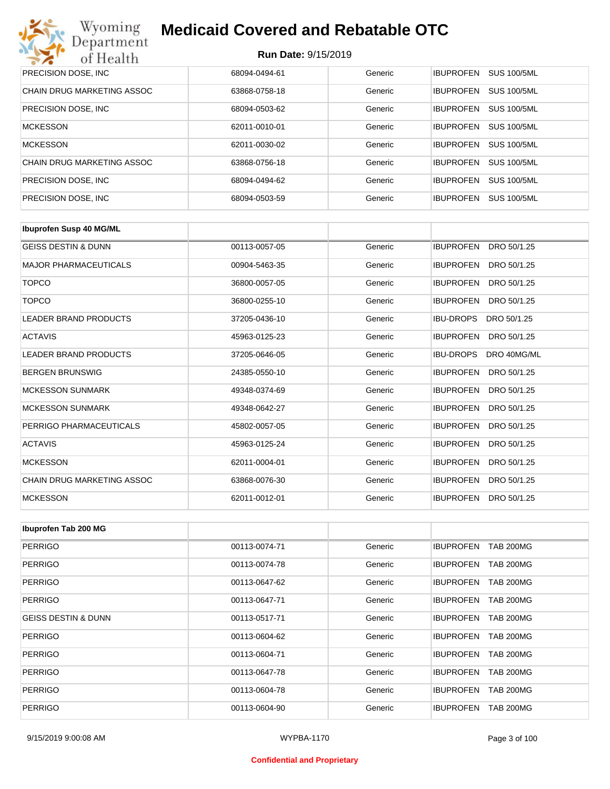| Wyoming<br><b>Medicaid Covered and Rebatable OTC</b><br>Department |                            |         |                  |                    |  |
|--------------------------------------------------------------------|----------------------------|---------|------------------|--------------------|--|
| of Health                                                          | <b>Run Date: 9/15/2019</b> |         |                  |                    |  |
| PRECISION DOSE, INC.                                               | 68094-0494-61              | Generic | <b>IBUPROFEN</b> | <b>SUS 100/5ML</b> |  |
| CHAIN DRUG MARKETING ASSOC                                         | 63868-0758-18              | Generic | <b>IBUPROFEN</b> | <b>SUS 100/5ML</b> |  |
| PRECISION DOSE, INC.                                               | 68094-0503-62              | Generic | <b>IBUPROFEN</b> | <b>SUS 100/5ML</b> |  |
| <b>MCKESSON</b>                                                    | 62011-0010-01              | Generic | <b>IBUPROFEN</b> | <b>SUS 100/5ML</b> |  |
| <b>MCKESSON</b>                                                    | 62011-0030-02              | Generic | <b>IBUPROFEN</b> | <b>SUS 100/5ML</b> |  |
| CHAIN DRUG MARKETING ASSOC                                         | 63868-0756-18              | Generic | <b>IBUPROFEN</b> | <b>SUS 100/5ML</b> |  |
| PRECISION DOSE, INC.                                               | 68094-0494-62              | Generic | <b>IBUPROFEN</b> | <b>SUS 100/5ML</b> |  |
| PRECISION DOSE, INC.                                               | 68094-0503-59              | Generic | <b>IBUPROFEN</b> | <b>SUS 100/5ML</b> |  |

| <b>Ibuprofen Susp 40 MG/ML</b>    |               |         |                                 |
|-----------------------------------|---------------|---------|---------------------------------|
| <b>GEISS DESTIN &amp; DUNN</b>    | 00113-0057-05 | Generic | <b>IBUPROFEN</b><br>DRO 50/1.25 |
| <b>MAJOR PHARMACEUTICALS</b>      | 00904-5463-35 | Generic | <b>IBUPROFEN</b><br>DRO 50/1.25 |
| <b>TOPCO</b>                      | 36800-0057-05 | Generic | <b>IBUPROFEN</b><br>DRO 50/1.25 |
| <b>TOPCO</b>                      | 36800-0255-10 | Generic | <b>IBUPROFEN</b><br>DRO 50/1.25 |
| <b>LEADER BRAND PRODUCTS</b>      | 37205-0436-10 | Generic | <b>IBU-DROPS</b><br>DRO 50/1.25 |
| <b>ACTAVIS</b>                    | 45963-0125-23 | Generic | <b>IBUPROFEN</b><br>DRO 50/1.25 |
| <b>LEADER BRAND PRODUCTS</b>      | 37205-0646-05 | Generic | <b>IBU-DROPS</b><br>DRO 40MG/ML |
| <b>BERGEN BRUNSWIG</b>            | 24385-0550-10 | Generic | <b>IBUPROFEN</b><br>DRO 50/1.25 |
| <b>MCKESSON SUNMARK</b>           | 49348-0374-69 | Generic | <b>IBUPROFEN</b><br>DRO 50/1.25 |
| <b>MCKESSON SUNMARK</b>           | 49348-0642-27 | Generic | <b>IBUPROFEN</b><br>DRO 50/1.25 |
| PERRIGO PHARMACEUTICALS           | 45802-0057-05 | Generic | <b>IBUPROFEN</b><br>DRO 50/1.25 |
| <b>ACTAVIS</b>                    | 45963-0125-24 | Generic | <b>IBUPROFEN</b><br>DRO 50/1.25 |
| <b>MCKESSON</b>                   | 62011-0004-01 | Generic | <b>IBUPROFEN</b><br>DRO 50/1.25 |
| <b>CHAIN DRUG MARKETING ASSOC</b> | 63868-0076-30 | Generic | <b>IBUPROFEN</b><br>DRO 50/1.25 |
| <b>MCKESSON</b>                   | 62011-0012-01 | Generic | <b>IBUPROFEN</b><br>DRO 50/1.25 |

| Ibuprofen Tab 200 MG           |               |         |                                      |
|--------------------------------|---------------|---------|--------------------------------------|
| <b>PERRIGO</b>                 | 00113-0074-71 | Generic | <b>IBUPROFEN</b><br><b>TAB 200MG</b> |
| PERRIGO                        | 00113-0074-78 | Generic | <b>TAB 200MG</b><br><b>IBUPROFEN</b> |
| <b>PERRIGO</b>                 | 00113-0647-62 | Generic | <b>IBUPROFEN</b><br><b>TAB 200MG</b> |
| <b>PERRIGO</b>                 | 00113-0647-71 | Generic | <b>IBUPROFEN</b><br><b>TAB 200MG</b> |
| <b>GEISS DESTIN &amp; DUNN</b> | 00113-0517-71 | Generic | <b>IBUPROFEN</b><br><b>TAB 200MG</b> |
| PERRIGO                        | 00113-0604-62 | Generic | <b>IBUPROFEN</b><br><b>TAB 200MG</b> |
| PERRIGO                        | 00113-0604-71 | Generic | <b>IBUPROFEN</b><br><b>TAB 200MG</b> |
| <b>PERRIGO</b>                 | 00113-0647-78 | Generic | <b>TAB 200MG</b><br><b>IBUPROFEN</b> |
| <b>PERRIGO</b>                 | 00113-0604-78 | Generic | <b>IBUPROFEN</b><br><b>TAB 200MG</b> |
| <b>PERRIGO</b>                 | 00113-0604-90 | Generic | <b>IBUPROFEN</b><br><b>TAB 200MG</b> |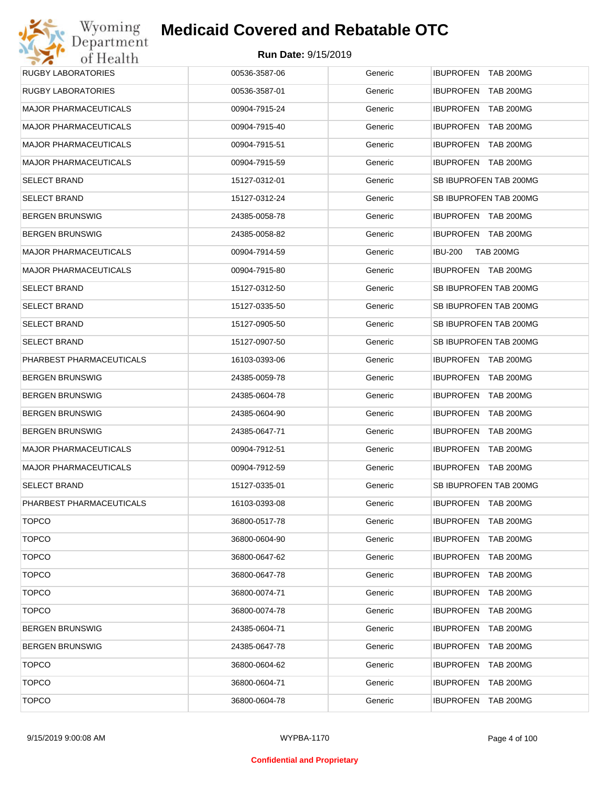| Wyoming                      | <b>Medicaid Covered and Rebatable OTC</b> |         |                                      |
|------------------------------|-------------------------------------------|---------|--------------------------------------|
| Department<br>of Health      | Run Date: 9/15/2019                       |         |                                      |
| <b>RUGBY LABORATORIES</b>    | 00536-3587-06                             | Generic | IBUPROFEN TAB 200MG                  |
| <b>RUGBY LABORATORIES</b>    | 00536-3587-01                             | Generic | <b>IBUPROFEN</b><br><b>TAB 200MG</b> |
| <b>MAJOR PHARMACEUTICALS</b> | 00904-7915-24                             | Generic | <b>IBUPROFEN</b><br><b>TAB 200MG</b> |
| <b>MAJOR PHARMACEUTICALS</b> | 00904-7915-40                             | Generic | <b>IBUPROFEN</b><br><b>TAB 200MG</b> |
| <b>MAJOR PHARMACEUTICALS</b> | 00904-7915-51                             | Generic | <b>IBUPROFEN</b><br><b>TAB 200MG</b> |
| <b>MAJOR PHARMACEUTICALS</b> | 00904-7915-59                             | Generic | <b>IBUPROFEN</b><br>TAB 200MG        |
| <b>SELECT BRAND</b>          | 15127-0312-01                             | Generic | SB IBUPROFEN TAB 200MG               |
| <b>SELECT BRAND</b>          | 15127-0312-24                             | Generic | SB IBUPROFEN TAB 200MG               |
| <b>BERGEN BRUNSWIG</b>       | 24385-0058-78                             | Generic | <b>IBUPROFEN TAB 200MG</b>           |
| <b>BERGEN BRUNSWIG</b>       | 24385-0058-82                             | Generic | IBUPROFEN TAB 200MG                  |
| MAJOR PHARMACEUTICALS        | 00904-7914-59                             | Generic | <b>IBU-200</b><br><b>TAB 200MG</b>   |
| <b>MAJOR PHARMACEUTICALS</b> | 00904-7915-80                             | Generic | IBUPROFEN TAB 200MG                  |
| <b>SELECT BRAND</b>          | 15127-0312-50                             | Generic | SB IBUPROFEN TAB 200MG               |
| <b>SELECT BRAND</b>          | 15127-0335-50                             | Generic | SB IBUPROFEN TAB 200MG               |
| <b>SELECT BRAND</b>          | 15127-0905-50                             | Generic | SB IBUPROFEN TAB 200MG               |
| <b>SELECT BRAND</b>          | 15127-0907-50                             | Generic | SB IBUPROFEN TAB 200MG               |
| PHARBEST PHARMACEUTICALS     | 16103-0393-06                             | Generic | IBUPROFEN TAB 200MG                  |
| <b>BERGEN BRUNSWIG</b>       | 24385-0059-78                             | Generic | <b>IBUPROFEN</b><br>TAB 200MG        |
| <b>BERGEN BRUNSWIG</b>       | 24385-0604-78                             | Generic | <b>IBUPROFEN</b><br><b>TAB 200MG</b> |
| <b>BERGEN BRUNSWIG</b>       | 24385-0604-90                             | Generic | <b>IBUPROFEN</b><br><b>TAB 200MG</b> |
| <b>BERGEN BRUNSWIG</b>       | 24385-0647-71                             | Generic | <b>IBUPROFEN</b><br><b>TAB 200MG</b> |
| <b>MAJOR PHARMACEUTICALS</b> | 00904-7912-51                             | Generic | <b>IBUPROFEN TAB 200MG</b>           |
| <b>MAJOR PHARMACEUTICALS</b> | 00904-7912-59                             | Generic | <b>IBUPROFEN TAB 200MG</b>           |
| <b>SELECT BRAND</b>          | 15127-0335-01                             | Generic | SB IBUPROFEN TAB 200MG               |
| PHARBEST PHARMACEUTICALS     | 16103-0393-08                             | Generic | IBUPROFEN TAB 200MG                  |
| <b>TOPCO</b>                 | 36800-0517-78                             | Generic | <b>IBUPROFEN</b><br>TAB 200MG        |
| <b>TOPCO</b>                 | 36800-0604-90                             | Generic | <b>IBUPROFEN</b><br>TAB 200MG        |
| <b>TOPCO</b>                 | 36800-0647-62                             | Generic | <b>IBUPROFEN</b><br>TAB 200MG        |
| <b>TOPCO</b>                 | 36800-0647-78                             | Generic | <b>IBUPROFEN</b><br>TAB 200MG        |
| <b>TOPCO</b>                 | 36800-0074-71                             | Generic | <b>IBUPROFEN</b><br>TAB 200MG        |
| <b>TOPCO</b>                 | 36800-0074-78                             | Generic | <b>IBUPROFEN</b><br>TAB 200MG        |
| <b>BERGEN BRUNSWIG</b>       | 24385-0604-71                             | Generic | <b>IBUPROFEN</b><br>TAB 200MG        |
| <b>BERGEN BRUNSWIG</b>       | 24385-0647-78                             | Generic | <b>IBUPROFEN</b><br>TAB 200MG        |
| <b>TOPCO</b>                 | 36800-0604-62                             | Generic | <b>IBUPROFEN</b><br>TAB 200MG        |
| <b>TOPCO</b>                 | 36800-0604-71                             | Generic | <b>IBUPROFEN</b><br>TAB 200MG        |
| <b>TOPCO</b>                 | 36800-0604-78                             | Generic | <b>IBUPROFEN</b><br><b>TAB 200MG</b> |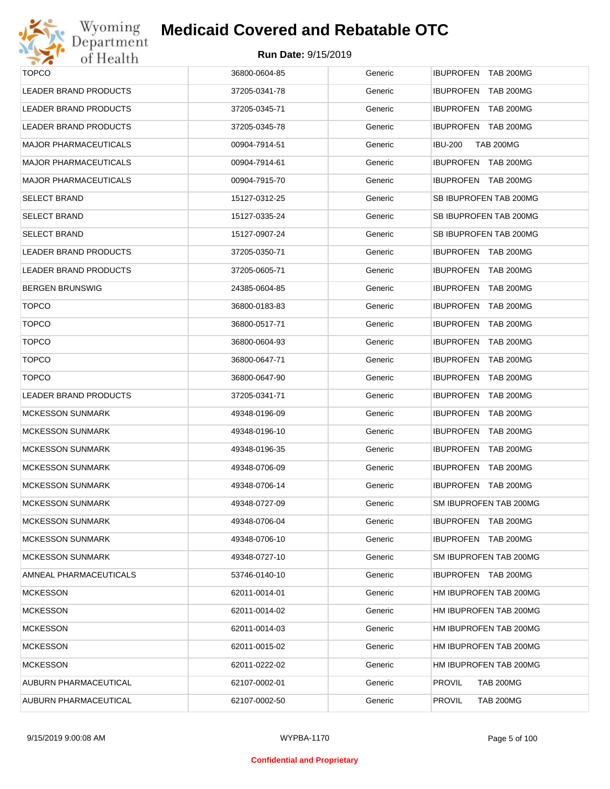

| <b>TOPCO</b>                 | 36800-0604-85 | Generic | <b>IBUPROFEN TAB 200MG</b>           |
|------------------------------|---------------|---------|--------------------------------------|
| <b>LEADER BRAND PRODUCTS</b> | 37205-0341-78 | Generic | <b>IBUPROFEN</b><br><b>TAB 200MG</b> |
| LEADER BRAND PRODUCTS        | 37205-0345-71 | Generic | <b>IBUPROFEN TAB 200MG</b>           |
| LEADER BRAND PRODUCTS        | 37205-0345-78 | Generic | IBUPROFEN TAB 200MG                  |
| <b>MAJOR PHARMACEUTICALS</b> | 00904-7914-51 | Generic | <b>IBU-200</b><br><b>TAB 200MG</b>   |
| <b>MAJOR PHARMACEUTICALS</b> | 00904-7914-61 | Generic | IBUPROFEN TAB 200MG                  |
| <b>MAJOR PHARMACEUTICALS</b> | 00904-7915-70 | Generic | <b>IBUPROFEN TAB 200MG</b>           |
| <b>SELECT BRAND</b>          | 15127-0312-25 | Generic | SB IBUPROFEN TAB 200MG               |
| <b>SELECT BRAND</b>          | 15127-0335-24 | Generic | SB IBUPROFEN TAB 200MG               |
| <b>SELECT BRAND</b>          | 15127-0907-24 | Generic | SB IBUPROFEN TAB 200MG               |
| <b>LEADER BRAND PRODUCTS</b> | 37205-0350-71 | Generic | IBUPROFEN TAB 200MG                  |
| LEADER BRAND PRODUCTS        | 37205-0605-71 | Generic | <b>IBUPROFEN</b><br>TAB 200MG        |
| <b>BERGEN BRUNSWIG</b>       | 24385-0604-85 | Generic | IBUPROFEN TAB 200MG                  |
| <b>TOPCO</b>                 | 36800-0183-83 | Generic | <b>IBUPROFEN</b><br><b>TAB 200MG</b> |
| <b>TOPCO</b>                 | 36800-0517-71 | Generic | <b>IBUPROFEN</b><br>TAB 200MG        |
| <b>TOPCO</b>                 | 36800-0604-93 | Generic | <b>IBUPROFEN</b><br><b>TAB 200MG</b> |
| <b>TOPCO</b>                 | 36800-0647-71 | Generic | <b>IBUPROFEN</b><br>TAB 200MG        |
| <b>TOPCO</b>                 | 36800-0647-90 | Generic | <b>IBUPROFEN</b><br><b>TAB 200MG</b> |
| <b>LEADER BRAND PRODUCTS</b> | 37205-0341-71 | Generic | <b>IBUPROFEN</b><br>TAB 200MG        |
| <b>MCKESSON SUNMARK</b>      | 49348-0196-09 | Generic | <b>IBUPROFEN</b><br>TAB 200MG        |
| <b>MCKESSON SUNMARK</b>      | 49348-0196-10 | Generic | <b>IBUPROFEN</b><br><b>TAB 200MG</b> |
| <b>MCKESSON SUNMARK</b>      | 49348-0196-35 | Generic | <b>IBUPROFEN</b><br>TAB 200MG        |
| <b>MCKESSON SUNMARK</b>      | 49348-0706-09 | Generic | IBUPROFEN TAB 200MG                  |
| <b>MCKESSON SUNMARK</b>      | 49348-0706-14 | Generic | <b>IBUPROFEN</b><br>TAB 200MG        |
| <b>MCKESSON SUNMARK</b>      | 49348-0727-09 | Generic | SM IBUPROFEN TAB 200MG               |
| <b>MCKESSON SUNMARK</b>      | 49348-0706-04 | Generic | IBUPROFEN TAB 200MG                  |
| <b>MCKESSON SUNMARK</b>      | 49348-0706-10 | Generic | IBUPROFEN TAB 200MG                  |
| <b>MCKESSON SUNMARK</b>      | 49348-0727-10 | Generic | SM IBUPROFEN TAB 200MG               |
| AMNEAL PHARMACEUTICALS       | 53746-0140-10 | Generic | IBUPROFEN TAB 200MG                  |
| <b>MCKESSON</b>              | 62011-0014-01 | Generic | HM IBUPROFEN TAB 200MG               |
| <b>MCKESSON</b>              | 62011-0014-02 | Generic | HM IBUPROFEN TAB 200MG               |
| <b>MCKESSON</b>              | 62011-0014-03 | Generic | HM IBUPROFEN TAB 200MG               |
| <b>MCKESSON</b>              | 62011-0015-02 | Generic | HM IBUPROFEN TAB 200MG               |
| <b>MCKESSON</b>              | 62011-0222-02 | Generic | HM IBUPROFEN TAB 200MG               |
| AUBURN PHARMACEUTICAL        | 62107-0002-01 | Generic | <b>PROVIL</b><br><b>TAB 200MG</b>    |
| AUBURN PHARMACEUTICAL        | 62107-0002-50 | Generic | <b>PROVIL</b><br><b>TAB 200MG</b>    |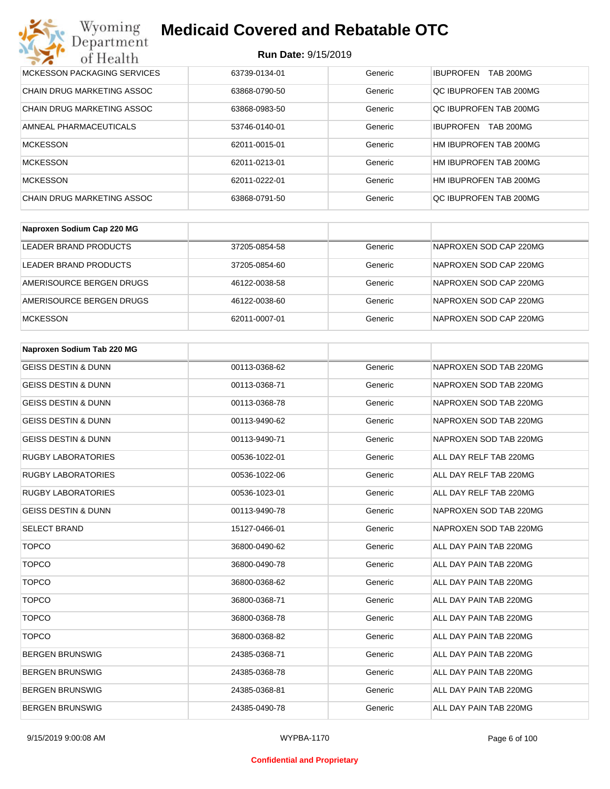#### **Run Date:** 9/15/2019

| Wyoming<br><b>Medicaid Covered and Rebatable OTC</b><br>Department |                            |         |                                      |  |  |
|--------------------------------------------------------------------|----------------------------|---------|--------------------------------------|--|--|
| of Health                                                          | <b>Run Date: 9/15/2019</b> |         |                                      |  |  |
| <b>MCKESSON PACKAGING SERVICES</b>                                 | 63739-0134-01              | Generic | <b>IBUPROFEN</b><br><b>TAB 200MG</b> |  |  |
| CHAIN DRUG MARKETING ASSOC                                         | 63868-0790-50              | Generic | OC IBUPROFEN TAB 200MG               |  |  |
| <b>CHAIN DRUG MARKETING ASSOC</b>                                  | 63868-0983-50              | Generic | QC IBUPROFEN TAB 200MG               |  |  |
| AMNEAL PHARMACEUTICALS                                             | 53746-0140-01              | Generic | <b>TAB 200MG</b><br><b>IBUPROFEN</b> |  |  |
| <b>MCKESSON</b>                                                    | 62011-0015-01              | Generic | HM IBUPROFEN TAB 200MG               |  |  |
| <b>MCKESSON</b>                                                    | 62011-0213-01              | Generic | HM IBUPROFEN TAB 200MG               |  |  |
| <b>MCKESSON</b>                                                    | 62011-0222-01              | Generic | HM IBUPROFEN TAB 200MG               |  |  |
| CHAIN DRUG MARKETING ASSOC                                         | 63868-0791-50              | Generic | OC IBUPROFEN TAB 200MG               |  |  |

| Naproxen Sodium Cap 220 MG |               |         |                        |
|----------------------------|---------------|---------|------------------------|
| LEADER BRAND PRODUCTS      | 37205-0854-58 | Generic | NAPROXEN SOD CAP 220MG |
| LEADER BRAND PRODUCTS      | 37205-0854-60 | Generic | NAPROXEN SOD CAP 220MG |
| AMERISOURCE BERGEN DRUGS   | 46122-0038-58 | Generic | NAPROXEN SOD CAP 220MG |
| AMERISOURCE BERGEN DRUGS   | 46122-0038-60 | Generic | NAPROXEN SOD CAP 220MG |
| <b>MCKESSON</b>            | 62011-0007-01 | Generic | NAPROXEN SOD CAP 220MG |

| Naproxen Sodium Tab 220 MG     |               |         |                        |
|--------------------------------|---------------|---------|------------------------|
| <b>GEISS DESTIN &amp; DUNN</b> | 00113-0368-62 | Generic | NAPROXEN SOD TAB 220MG |
| <b>GEISS DESTIN &amp; DUNN</b> | 00113-0368-71 | Generic | NAPROXEN SOD TAB 220MG |
| <b>GEISS DESTIN &amp; DUNN</b> | 00113-0368-78 | Generic | NAPROXEN SOD TAB 220MG |
| <b>GEISS DESTIN &amp; DUNN</b> | 00113-9490-62 | Generic | NAPROXEN SOD TAB 220MG |
| <b>GEISS DESTIN &amp; DUNN</b> | 00113-9490-71 | Generic | NAPROXEN SOD TAB 220MG |
| <b>RUGBY LABORATORIES</b>      | 00536-1022-01 | Generic | ALL DAY RELF TAB 220MG |
| <b>RUGBY LABORATORIES</b>      | 00536-1022-06 | Generic | ALL DAY RELF TAB 220MG |
| <b>RUGBY LABORATORIES</b>      | 00536-1023-01 | Generic | ALL DAY RELF TAB 220MG |
| <b>GEISS DESTIN &amp; DUNN</b> | 00113-9490-78 | Generic | NAPROXEN SOD TAB 220MG |
| <b>SELECT BRAND</b>            | 15127-0466-01 | Generic | NAPROXEN SOD TAB 220MG |
| <b>TOPCO</b>                   | 36800-0490-62 | Generic | ALL DAY PAIN TAB 220MG |
| <b>TOPCO</b>                   | 36800-0490-78 | Generic | ALL DAY PAIN TAB 220MG |
| <b>TOPCO</b>                   | 36800-0368-62 | Generic | ALL DAY PAIN TAB 220MG |
| <b>TOPCO</b>                   | 36800-0368-71 | Generic | ALL DAY PAIN TAB 220MG |
| <b>TOPCO</b>                   | 36800-0368-78 | Generic | ALL DAY PAIN TAB 220MG |
| <b>TOPCO</b>                   | 36800-0368-82 | Generic | ALL DAY PAIN TAB 220MG |
| <b>BERGEN BRUNSWIG</b>         | 24385-0368-71 | Generic | ALL DAY PAIN TAB 220MG |
| <b>BERGEN BRUNSWIG</b>         | 24385-0368-78 | Generic | ALL DAY PAIN TAB 220MG |
| <b>BERGEN BRUNSWIG</b>         | 24385-0368-81 | Generic | ALL DAY PAIN TAB 220MG |
| <b>BERGEN BRUNSWIG</b>         | 24385-0490-78 | Generic | ALL DAY PAIN TAB 220MG |

#### **Confidential and Proprietary**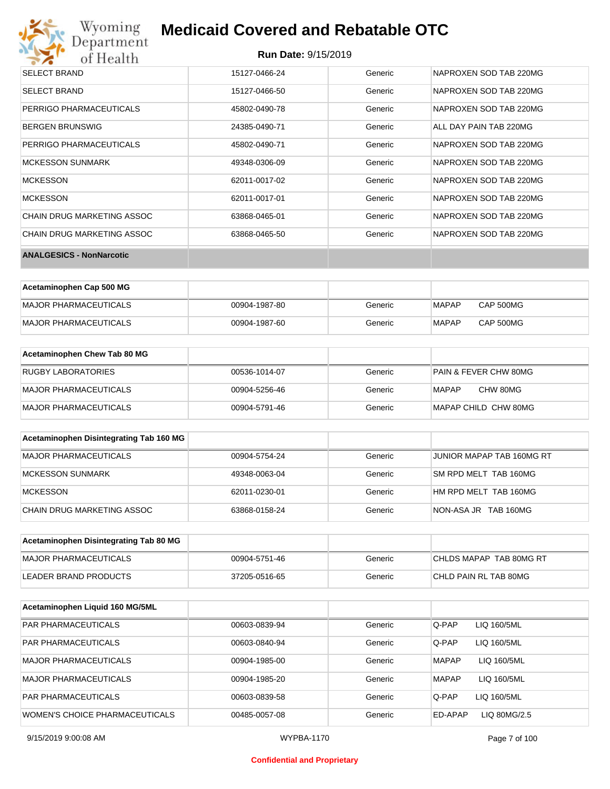# Wyoming<br>Department<br>of Health

## **Medicaid Covered and Rebatable OTC**

#### **Run Date:** 9/15/2019

| <b>SELECT BRAND</b>               | 15127-0466-24 | Generic | NAPROXEN SOD TAB 220MG |
|-----------------------------------|---------------|---------|------------------------|
| <b>SELECT BRAND</b>               | 15127-0466-50 | Generic | NAPROXEN SOD TAB 220MG |
| PERRIGO PHARMACEUTICALS           | 45802-0490-78 | Generic | NAPROXEN SOD TAB 220MG |
| <b>BERGEN BRUNSWIG</b>            | 24385-0490-71 | Generic | ALL DAY PAIN TAB 220MG |
| PERRIGO PHARMACEUTICALS           | 45802-0490-71 | Generic | NAPROXEN SOD TAB 220MG |
| <b>MCKESSON SUNMARK</b>           | 49348-0306-09 | Generic | NAPROXEN SOD TAB 220MG |
| <b>MCKESSON</b>                   | 62011-0017-02 | Generic | NAPROXEN SOD TAB 220MG |
| <b>MCKESSON</b>                   | 62011-0017-01 | Generic | NAPROXEN SOD TAB 220MG |
| <b>CHAIN DRUG MARKETING ASSOC</b> | 63868-0465-01 | Generic | NAPROXEN SOD TAB 220MG |
| <b>CHAIN DRUG MARKETING ASSOC</b> | 63868-0465-50 | Generic | NAPROXEN SOD TAB 220MG |
| <b>ANALGESICS - NonNarcotic</b>   |               |         |                        |

| Acetaminophen Cap 500 MG |               |         |       |           |
|--------------------------|---------------|---------|-------|-----------|
| MAJOR PHARMACEUTICALS    | 00904-1987-80 | Generic | MAPAP | CAP 500MG |
| MAJOR PHARMACEUTICALS    | 00904-1987-60 | Generic | MAPAP | CAP 500MG |

| Acetaminophen Chew Tab 80 MG |               |         |                                  |
|------------------------------|---------------|---------|----------------------------------|
| <b>RUGBY LABORATORIES</b>    | 00536-1014-07 | Generic | <b>PAIN &amp; FEVER CHW 80MG</b> |
| MAJOR PHARMACEUTICALS        | 00904-5256-46 | Generic | CHW 80MG<br>MAPAP                |
| MAJOR PHARMACEUTICALS        | 00904-5791-46 | Generic | MAPAP CHILD CHW 80MG             |

| Acetaminophen Disintegrating Tab 160 MG |               |         |                           |
|-----------------------------------------|---------------|---------|---------------------------|
| MAJOR PHARMACEUTICALS                   | 00904-5754-24 | Generic | JUNIOR MAPAP TAB 160MG RT |
| MCKESSON SUNMARK                        | 49348-0063-04 | Generic | SM RPD MELT TAB 160MG     |
| <b>MCKESSON</b>                         | 62011-0230-01 | Generic | HM RPD MELT TAB 160MG     |
| CHAIN DRUG MARKETING ASSOC              | 63868-0158-24 | Generic | NON-ASA JR TAB 160MG      |

| Acetaminophen Disintegrating Tab 80 MG |               |         |                         |
|----------------------------------------|---------------|---------|-------------------------|
| MAJOR PHARMACEUTICALS                  | 00904-5751-46 | Generic | CHLDS MAPAP TAB 80MG RT |
| LEADER BRAND PRODUCTS                  | 37205-0516-65 | Generic | CHLD PAIN RL TAB 80MG   |

| Acetaminophen Liquid 160 MG/5ML |               |         |                             |
|---------------------------------|---------------|---------|-----------------------------|
| <b>PAR PHARMACEUTICALS</b>      | 00603-0839-94 | Generic | Q-PAP<br>LIQ 160/5ML        |
| <b>PAR PHARMACEUTICALS</b>      | 00603-0840-94 | Generic | Q-PAP<br>LIQ 160/5ML        |
| <b>MAJOR PHARMACEUTICALS</b>    | 00904-1985-00 | Generic | LIQ 160/5ML<br><b>MAPAP</b> |
| <b>MAJOR PHARMACEUTICALS</b>    | 00904-1985-20 | Generic | <b>MAPAP</b><br>LIQ 160/5ML |
| <b>PAR PHARMACEUTICALS</b>      | 00603-0839-58 | Generic | Q-PAP<br>LIQ 160/5ML        |
| WOMEN'S CHOICE PHARMACEUTICALS  | 00485-0057-08 | Generic | ED-APAP<br>LIQ 80MG/2.5     |

#### **Confidential and Proprietary**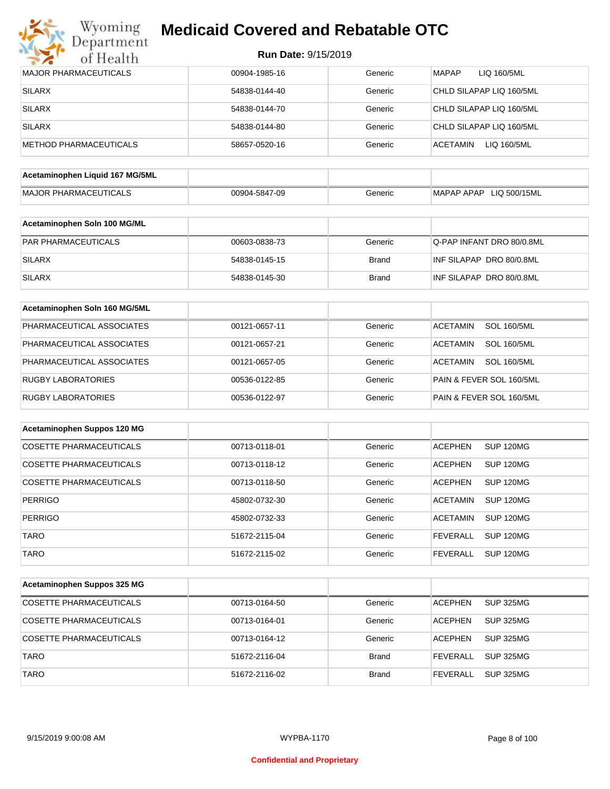

| <b>MAJOR PHARMACEUTICALS</b>    | 00904-1985-16 | Generic      | LIQ 160/5ML<br>MAPAP                  |
|---------------------------------|---------------|--------------|---------------------------------------|
| <b>SILARX</b>                   | 54838-0144-40 | Generic      | CHLD SILAPAP LIQ 160/5ML              |
| <b>SILARX</b>                   | 54838-0144-70 | Generic      | CHLD SILAPAP LIQ 160/5ML              |
| <b>SILARX</b>                   | 54838-0144-80 | Generic      | CHLD SILAPAP LIQ 160/5ML              |
| <b>METHOD PHARMACEUTICALS</b>   | 58657-0520-16 | Generic      | ACETAMIN<br>LIQ 160/5ML               |
| Acetaminophen Liquid 167 MG/5ML |               |              |                                       |
|                                 |               |              |                                       |
| <b>MAJOR PHARMACEUTICALS</b>    | 00904-5847-09 | Generic      | MAPAP APAP LIQ 500/15ML               |
| Acetaminophen Soln 100 MG/ML    |               |              |                                       |
| PAR PHARMACEUTICALS             | 00603-0838-73 | Generic      | Q-PAP INFANT DRO 80/0.8ML             |
| <b>SILARX</b>                   | 54838-0145-15 | <b>Brand</b> | INF SILAPAP DRO 80/0.8ML              |
|                                 |               |              |                                       |
| <b>SILARX</b>                   | 54838-0145-30 | <b>Brand</b> | INF SILAPAP DRO 80/0.8ML              |
| Acetaminophen Soln 160 MG/5ML   |               |              |                                       |
| PHARMACEUTICAL ASSOCIATES       | 00121-0657-11 | Generic      | <b>SOL 160/5ML</b><br><b>ACETAMIN</b> |
| PHARMACEUTICAL ASSOCIATES       | 00121-0657-21 | Generic      | <b>SOL 160/5ML</b><br><b>ACETAMIN</b> |
| PHARMACEUTICAL ASSOCIATES       | 00121-0657-05 | Generic      | <b>ACETAMIN</b><br><b>SOL 160/5ML</b> |
| <b>RUGBY LABORATORIES</b>       | 00536-0122-85 | Generic      | PAIN & FEVER SOL 160/5ML              |
| <b>RUGBY LABORATORIES</b>       | 00536-0122-97 | Generic      | PAIN & FEVER SOL 160/5ML              |
|                                 |               |              |                                       |
| Acetaminophen Suppos 120 MG     |               |              |                                       |
| <b>COSETTE PHARMACEUTICALS</b>  | 00713-0118-01 | Generic      | <b>ACEPHEN</b><br>SUP 120MG           |
| COSETTE PHARMACEUTICALS         | 00713-0118-12 | Generic      | <b>SUP 120MG</b><br><b>ACEPHEN</b>    |
| <b>COSETTE PHARMACEUTICALS</b>  | 00713-0118-50 | Generic      | <b>ACEPHEN</b><br><b>SUP 120MG</b>    |
| <b>PERRIGO</b>                  | 45802-0732-30 | Generic      | <b>ACETAMIN</b><br><b>SUP 120MG</b>   |
| <b>PERRIGO</b>                  | 45802-0732-33 | Generic      | <b>ACETAMIN</b><br><b>SUP 120MG</b>   |
| <b>TARO</b>                     | 51672-2115-04 | Generic      | <b>SUP 120MG</b><br><b>FEVERALL</b>   |
| <b>TARO</b>                     | 51672-2115-02 | Generic      | <b>SUP 120MG</b><br><b>FEVERALL</b>   |
|                                 |               |              |                                       |
| Acetaminophen Suppos 325 MG     |               |              |                                       |
| <b>COSETTE PHARMACEUTICALS</b>  | 00713-0164-50 | Generic      | <b>SUP 325MG</b><br><b>ACEPHEN</b>    |
| <b>COSETTE PHARMACEUTICALS</b>  | 00713-0164-01 | Generic      | <b>ACEPHEN</b><br>SUP 325MG           |
| <b>COSETTE PHARMACEUTICALS</b>  | 00713-0164-12 | Generic      | <b>ACEPHEN</b><br><b>SUP 325MG</b>    |
| <b>TARO</b>                     | 51672-2116-04 | <b>Brand</b> | <b>FEVERALL</b><br><b>SUP 325MG</b>   |
| <b>TARO</b>                     | 51672-2116-02 | <b>Brand</b> | <b>FEVERALL</b><br><b>SUP 325MG</b>   |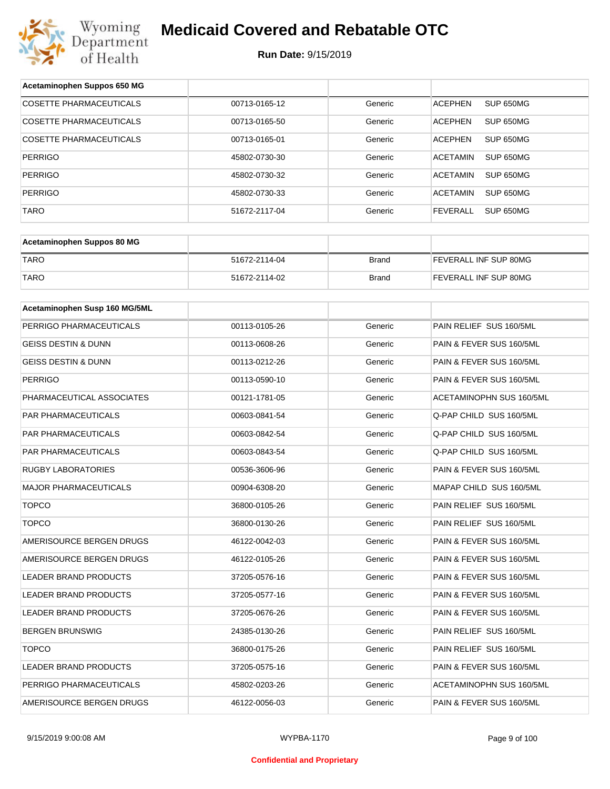

| Acetaminophen Suppos 650 MG    |               |              |                                     |
|--------------------------------|---------------|--------------|-------------------------------------|
| <b>COSETTE PHARMACEUTICALS</b> | 00713-0165-12 | Generic      | SUP 650MG<br><b>ACEPHEN</b>         |
| COSETTE PHARMACEUTICALS        | 00713-0165-50 | Generic      | <b>ACEPHEN</b><br>SUP 650MG         |
| COSETTE PHARMACEUTICALS        | 00713-0165-01 | Generic      | <b>ACEPHEN</b><br>SUP 650MG         |
| <b>PERRIGO</b>                 | 45802-0730-30 | Generic      | <b>ACETAMIN</b><br>SUP 650MG        |
| <b>PERRIGO</b>                 | 45802-0730-32 | Generic      | <b>ACETAMIN</b><br>SUP 650MG        |
| <b>PERRIGO</b>                 | 45802-0730-33 | Generic      | <b>ACETAMIN</b><br>SUP 650MG        |
| <b>TARO</b>                    | 51672-2117-04 | Generic      | <b>FEVERALL</b><br><b>SUP 650MG</b> |
|                                |               |              |                                     |
| Acetaminophen Suppos 80 MG     |               |              |                                     |
| <b>TARO</b>                    | 51672-2114-04 | <b>Brand</b> | FEVERALL INF SUP 80MG               |
| <b>TARO</b>                    | 51672-2114-02 | <b>Brand</b> | FEVERALL INF SUP 80MG               |
|                                |               |              |                                     |
| Acetaminophen Susp 160 MG/5ML  |               |              |                                     |
| PERRIGO PHARMACEUTICALS        | 00113-0105-26 | Generic      | PAIN RELIEF SUS 160/5ML             |
| <b>GEISS DESTIN &amp; DUNN</b> | 00113-0608-26 | Generic      | PAIN & FEVER SUS 160/5ML            |
| GEISS DESTIN & DUNN            | 00113-0212-26 | Generic      | PAIN & FEVER SUS 160/5ML            |
| <b>PERRIGO</b>                 | 00113-0590-10 | Generic      | PAIN & FEVER SUS 160/5ML            |
| PHARMACEUTICAL ASSOCIATES      | 00121-1781-05 | Generic      | ACETAMINOPHN SUS 160/5ML            |
| PAR PHARMACEUTICALS            | 00603-0841-54 | Generic      | Q-PAP CHILD SUS 160/5ML             |
| PAR PHARMACEUTICALS            | 00603-0842-54 | Generic      | Q-PAP CHILD SUS 160/5ML             |
| PAR PHARMACEUTICALS            | 00603-0843-54 | Generic      | Q-PAP CHILD SUS 160/5ML             |
| <b>RUGBY LABORATORIES</b>      | 00536-3606-96 | Generic      | PAIN & FEVER SUS 160/5ML            |
| MAJOR PHARMACEUTICALS          | 00904-6308-20 | Generic      | MAPAP CHILD SUS 160/5ML             |
| <b>TOPCO</b>                   | 36800-0105-26 | Generic      | PAIN RELIEF SUS 160/5ML             |
| <b>TOPCO</b>                   | 36800-0130-26 | Generic      | PAIN RELIEF SUS 160/5ML             |
| AMERISOURCE BERGEN DRUGS       | 46122-0042-03 | Generic      | PAIN & FEVER SUS 160/5ML            |
| AMERISOURCE BERGEN DRUGS       | 46122-0105-26 | Generic      | PAIN & FEVER SUS 160/5ML            |
| LEADER BRAND PRODUCTS          | 37205-0576-16 | Generic      | PAIN & FEVER SUS 160/5ML            |
| LEADER BRAND PRODUCTS          | 37205-0577-16 | Generic      | PAIN & FEVER SUS 160/5ML            |
| <b>LEADER BRAND PRODUCTS</b>   | 37205-0676-26 | Generic      | PAIN & FEVER SUS 160/5ML            |
| BERGEN BRUNSWIG                | 24385-0130-26 | Generic      | PAIN RELIEF SUS 160/5ML             |
| <b>TOPCO</b>                   | 36800-0175-26 | Generic      | PAIN RELIEF SUS 160/5ML             |
| LEADER BRAND PRODUCTS          | 37205-0575-16 | Generic      | PAIN & FEVER SUS 160/5ML            |
| PERRIGO PHARMACEUTICALS        | 45802-0203-26 | Generic      | ACETAMINOPHN SUS 160/5ML            |
| AMERISOURCE BERGEN DRUGS       | 46122-0056-03 | Generic      | PAIN & FEVER SUS 160/5ML            |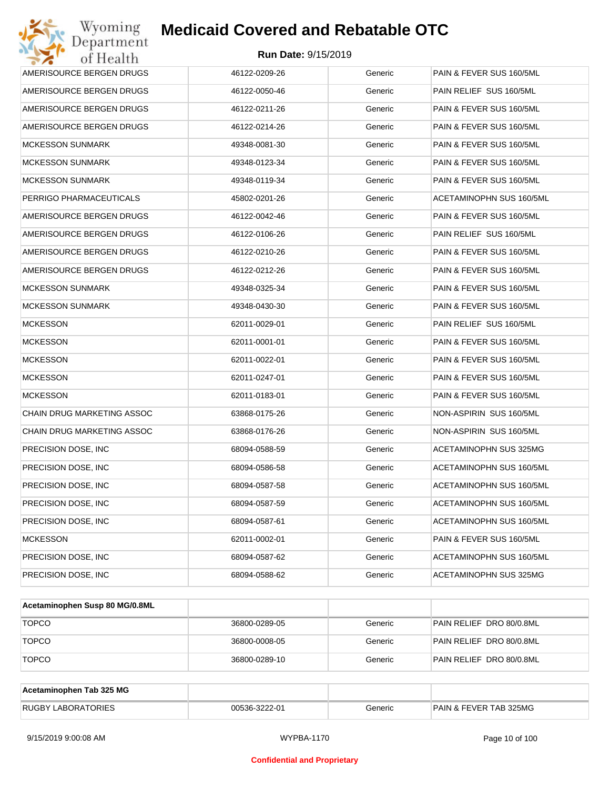| Wyoming<br>Department                   | <b>Medicaid Covered and Rebatable OTC</b> |         |                          |  |  |  |
|-----------------------------------------|-------------------------------------------|---------|--------------------------|--|--|--|
| <b>Run Date: 9/15/2019</b><br>of Health |                                           |         |                          |  |  |  |
| AMERISOURCE BERGEN DRUGS                | 46122-0209-26                             | Generic | PAIN & FEVER SUS 160/5ML |  |  |  |
| AMERISOURCE BERGEN DRUGS                | 46122-0050-46                             | Generic | PAIN RELIEF SUS 160/5ML  |  |  |  |
| AMERISOURCE BERGEN DRUGS                | 46122-0211-26                             | Generic | PAIN & FEVER SUS 160/5ML |  |  |  |
| AMERISOURCE BERGEN DRUGS                | 46122-0214-26                             | Generic | PAIN & FEVER SUS 160/5ML |  |  |  |
| <b>MCKESSON SUNMARK</b>                 | 49348-0081-30                             | Generic | PAIN & FEVER SUS 160/5ML |  |  |  |
| <b>MCKESSON SUNMARK</b>                 | 49348-0123-34                             | Generic | PAIN & FEVER SUS 160/5ML |  |  |  |
| <b>MCKESSON SUNMARK</b>                 | 49348-0119-34                             | Generic | PAIN & FEVER SUS 160/5ML |  |  |  |
| PERRIGO PHARMACEUTICALS                 | 45802-0201-26                             | Generic | ACETAMINOPHN SUS 160/5ML |  |  |  |
| AMERISOURCE BERGEN DRUGS                | 46122-0042-46                             | Generic | PAIN & FEVER SUS 160/5ML |  |  |  |
| AMERISOURCE BERGEN DRUGS                | 46122-0106-26                             | Generic | PAIN RELIEF SUS 160/5ML  |  |  |  |
| AMERISOURCE BERGEN DRUGS                | 46122-0210-26                             | Generic | PAIN & FEVER SUS 160/5ML |  |  |  |
| AMERISOURCE BERGEN DRUGS                | 46122-0212-26                             | Generic | PAIN & FEVER SUS 160/5ML |  |  |  |
| <b>MCKESSON SUNMARK</b>                 | 49348-0325-34                             | Generic | PAIN & FEVER SUS 160/5ML |  |  |  |
| <b>MCKESSON SUNMARK</b>                 | 49348-0430-30                             | Generic | PAIN & FEVER SUS 160/5ML |  |  |  |
| <b>MCKESSON</b>                         | 62011-0029-01                             | Generic | PAIN RELIEF SUS 160/5ML  |  |  |  |
| <b>MCKESSON</b>                         | 62011-0001-01                             | Generic | PAIN & FEVER SUS 160/5ML |  |  |  |
| <b>MCKESSON</b>                         | 62011-0022-01                             | Generic | PAIN & FEVER SUS 160/5ML |  |  |  |
| <b>MCKESSON</b>                         | 62011-0247-01                             | Generic | PAIN & FEVER SUS 160/5ML |  |  |  |
| <b>MCKESSON</b>                         | 62011-0183-01                             | Generic | PAIN & FEVER SUS 160/5ML |  |  |  |
| CHAIN DRUG MARKETING ASSOC              | 63868-0175-26                             | Generic | NON-ASPIRIN SUS 160/5ML  |  |  |  |
| CHAIN DRUG MARKETING ASSOC              | 63868-0176-26                             | Generic | NON-ASPIRIN SUS 160/5ML  |  |  |  |
| PRECISION DOSE, INC                     | 68094-0588-59                             | Generic | ACETAMINOPHN SUS 325MG   |  |  |  |
| PRECISION DOSE, INC                     | 68094-0586-58                             | Generic | ACETAMINOPHN SUS 160/5ML |  |  |  |
| PRECISION DOSE, INC                     | 68094-0587-58                             | Generic | ACETAMINOPHN SUS 160/5ML |  |  |  |
| PRECISION DOSE, INC                     | 68094-0587-59                             | Generic | ACETAMINOPHN SUS 160/5ML |  |  |  |
| PRECISION DOSE, INC                     | 68094-0587-61                             | Generic | ACETAMINOPHN SUS 160/5ML |  |  |  |
| <b>MCKESSON</b>                         | 62011-0002-01                             | Generic | PAIN & FEVER SUS 160/5ML |  |  |  |
| PRECISION DOSE, INC                     | 68094-0587-62                             | Generic | ACETAMINOPHN SUS 160/5ML |  |  |  |
| PRECISION DOSE, INC                     | 68094-0588-62                             | Generic | ACETAMINOPHN SUS 325MG   |  |  |  |

| Acetaminophen Susp 80 MG/0.8ML |               |         |                          |
|--------------------------------|---------------|---------|--------------------------|
| <b>TOPCO</b>                   | 36800-0289-05 | Generic | PAIN RELIEF DRO 80/0.8ML |
| <b>TOPCO</b>                   | 36800-0008-05 | Generic | PAIN RELIEF DRO 80/0.8ML |
| <b>TOPCO</b>                   | 36800-0289-10 | Generic | PAIN RELIEF DRO 80/0.8ML |

| Acetaminophen Tab 325 MG  |               |         |                                   |
|---------------------------|---------------|---------|-----------------------------------|
| <b>RUGBY LABORATORIES</b> | 00536-3222-01 | Generic | <b>PAIN &amp; FEVER TAB 325MG</b> |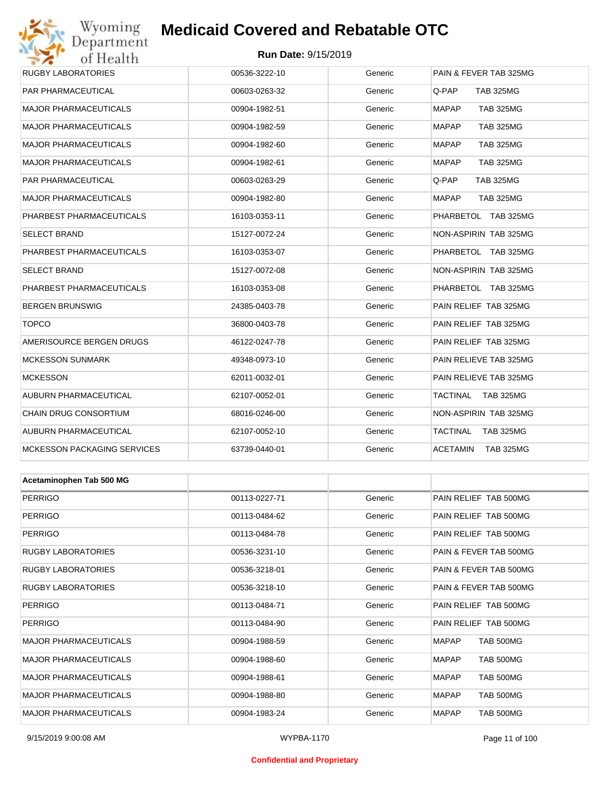## Wyoming<br>Department<br>of Health

## **Medicaid Covered and Rebatable OTC**

| 0111001111                         |               |         |                                  |
|------------------------------------|---------------|---------|----------------------------------|
| <b>RUGBY LABORATORIES</b>          | 00536-3222-10 | Generic | PAIN & FEVER TAB 325MG           |
| PAR PHARMACEUTICAL                 | 00603-0263-32 | Generic | Q-PAP<br><b>TAB 325MG</b>        |
| <b>MAJOR PHARMACEUTICALS</b>       | 00904-1982-51 | Generic | <b>MAPAP</b><br><b>TAB 325MG</b> |
| <b>MAJOR PHARMACEUTICALS</b>       | 00904-1982-59 | Generic | <b>MAPAP</b><br><b>TAB 325MG</b> |
| <b>MAJOR PHARMACEUTICALS</b>       | 00904-1982-60 | Generic | <b>MAPAP</b><br><b>TAB 325MG</b> |
| <b>MAJOR PHARMACEUTICALS</b>       | 00904-1982-61 | Generic | <b>MAPAP</b><br><b>TAB 325MG</b> |
| PAR PHARMACEUTICAL                 | 00603-0263-29 | Generic | Q-PAP<br><b>TAB 325MG</b>        |
| <b>MAJOR PHARMACEUTICALS</b>       | 00904-1982-80 | Generic | <b>MAPAP</b><br><b>TAB 325MG</b> |
| PHARBEST PHARMACEUTICALS           | 16103-0353-11 | Generic | PHARBETOL TAB 325MG              |
| <b>SELECT BRAND</b>                | 15127-0072-24 | Generic | NON-ASPIRIN TAB 325MG            |
| PHARBEST PHARMACEUTICALS           | 16103-0353-07 | Generic | PHARBETOL TAB 325MG              |
| <b>SELECT BRAND</b>                | 15127-0072-08 | Generic | NON-ASPIRIN TAB 325MG            |
| PHARBEST PHARMACEUTICALS           | 16103-0353-08 | Generic | PHARBETOL TAB 325MG              |
| <b>BERGEN BRUNSWIG</b>             | 24385-0403-78 | Generic | PAIN RELIEF TAB 325MG            |
| <b>TOPCO</b>                       | 36800-0403-78 | Generic | PAIN RELIEF TAB 325MG            |
| AMERISOURCE BERGEN DRUGS           | 46122-0247-78 | Generic | PAIN RELIEF TAB 325MG            |
| <b>MCKESSON SUNMARK</b>            | 49348-0973-10 | Generic | PAIN RELIEVE TAB 325MG           |
| <b>MCKESSON</b>                    | 62011-0032-01 | Generic | PAIN RELIEVE TAB 325MG           |
| AUBURN PHARMACEUTICAL              | 62107-0052-01 | Generic | TACTINAL TAB 325MG               |
| CHAIN DRUG CONSORTIUM              | 68016-0246-00 | Generic | NON-ASPIRIN TAB 325MG            |
| AUBURN PHARMACEUTICAL              | 62107-0052-10 | Generic | TACTINAL<br><b>TAB 325MG</b>     |
| <b>MCKESSON PACKAGING SERVICES</b> | 63739-0440-01 | Generic | ACETAMIN<br><b>TAB 325MG</b>     |
|                                    |               |         |                                  |
| Acetaminophen Tab 500 MG           |               |         |                                  |
| <b>PERRIGO</b>                     | 00113-0227-71 | Generic | PAIN RELIEF TAB 500MG            |
| <b>PERRIGO</b>                     | 00113-0484-62 | Generic | PAIN RELIEF TAB 500MG            |
| <b>PERRIGO</b>                     | 00113-0484-78 | Generic | PAIN RELIEF TAB 500MG            |
| <b>RUGBY LABORATORIES</b>          | 00536-3231-10 | Generic | PAIN & FEVER TAB 500MG           |
| <b>RUGBY LABORATORIES</b>          | 00536-3218-01 | Generic | PAIN & FEVER TAB 500MG           |
| <b>RUGBY LABORATORIES</b>          | 00536-3218-10 | Generic | PAIN & FEVER TAB 500MG           |
|                                    |               |         |                                  |

| <b>RUGBY LABORATORIES</b>    | 00536-3218-10 | Generic | <b>PAIN &amp; FEVER TAB 500MG</b> |
|------------------------------|---------------|---------|-----------------------------------|
| <b>PERRIGO</b>               | 00113-0484-71 | Generic | PAIN RELIEF TAB 500MG             |
| <b>PERRIGO</b>               | 00113-0484-90 | Generic | PAIN RELIEF TAB 500MG             |
| <b>MAJOR PHARMACEUTICALS</b> | 00904-1988-59 | Generic | <b>MAPAP</b><br><b>TAB 500MG</b>  |
| <b>MAJOR PHARMACEUTICALS</b> | 00904-1988-60 | Generic | <b>MAPAP</b><br><b>TAB 500MG</b>  |
| <b>MAJOR PHARMACEUTICALS</b> | 00904-1988-61 | Generic | <b>MAPAP</b><br><b>TAB 500MG</b>  |
| <b>MAJOR PHARMACEUTICALS</b> | 00904-1988-80 | Generic | <b>TAB 500MG</b><br><b>MAPAP</b>  |
| <b>MAJOR PHARMACEUTICALS</b> | 00904-1983-24 | Generic | <b>MAPAP</b><br><b>TAB 500MG</b>  |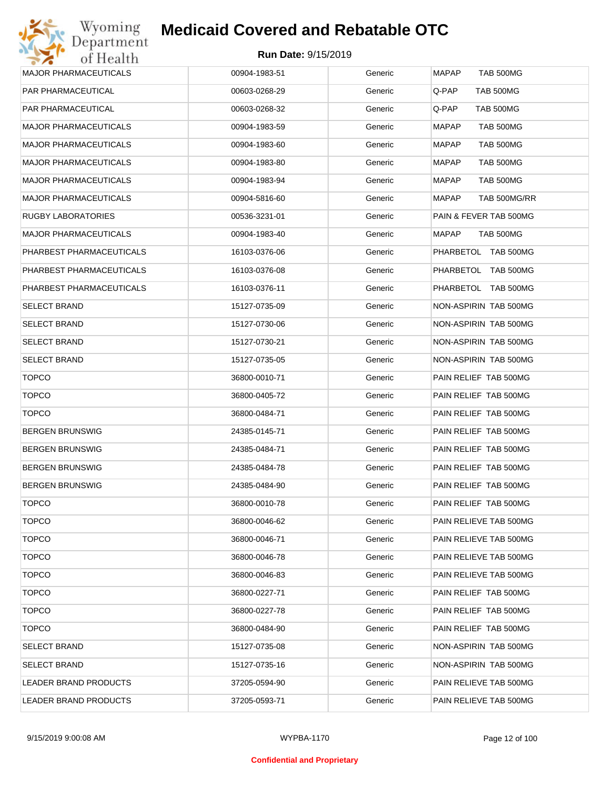

| <b>MAJOR PHARMACEUTICALS</b> | 00904-1983-51 | Generic | <b>MAPAP</b><br><b>TAB 500MG</b> |
|------------------------------|---------------|---------|----------------------------------|
| <b>PAR PHARMACEUTICAL</b>    | 00603-0268-29 | Generic | Q-PAP<br><b>TAB 500MG</b>        |
| PAR PHARMACEUTICAL           | 00603-0268-32 | Generic | Q-PAP<br><b>TAB 500MG</b>        |
| <b>MAJOR PHARMACEUTICALS</b> | 00904-1983-59 | Generic | <b>MAPAP</b><br><b>TAB 500MG</b> |
| <b>MAJOR PHARMACEUTICALS</b> | 00904-1983-60 | Generic | <b>MAPAP</b><br>TAB 500MG        |
| <b>MAJOR PHARMACEUTICALS</b> | 00904-1983-80 | Generic | <b>MAPAP</b><br><b>TAB 500MG</b> |
| <b>MAJOR PHARMACEUTICALS</b> | 00904-1983-94 | Generic | <b>MAPAP</b><br>TAB 500MG        |
| <b>MAJOR PHARMACEUTICALS</b> | 00904-5816-60 | Generic | <b>MAPAP</b><br>TAB 500MG/RR     |
| <b>RUGBY LABORATORIES</b>    | 00536-3231-01 | Generic | PAIN & FEVER TAB 500MG           |
| <b>MAJOR PHARMACEUTICALS</b> | 00904-1983-40 | Generic | <b>MAPAP</b><br>TAB 500MG        |
| PHARBEST PHARMACEUTICALS     | 16103-0376-06 | Generic | PHARBETOL TAB 500MG              |
| PHARBEST PHARMACEUTICALS     | 16103-0376-08 | Generic | PHARBETOL TAB 500MG              |
| PHARBEST PHARMACEUTICALS     | 16103-0376-11 | Generic | PHARBETOL TAB 500MG              |
| <b>SELECT BRAND</b>          | 15127-0735-09 | Generic | NON-ASPIRIN TAB 500MG            |
| <b>SELECT BRAND</b>          | 15127-0730-06 | Generic | NON-ASPIRIN TAB 500MG            |
| <b>SELECT BRAND</b>          | 15127-0730-21 | Generic | NON-ASPIRIN TAB 500MG            |
| <b>SELECT BRAND</b>          | 15127-0735-05 | Generic | NON-ASPIRIN TAB 500MG            |
| <b>TOPCO</b>                 | 36800-0010-71 | Generic | PAIN RELIEF TAB 500MG            |
| <b>TOPCO</b>                 | 36800-0405-72 | Generic | PAIN RELIEF TAB 500MG            |
| <b>TOPCO</b>                 | 36800-0484-71 | Generic | PAIN RELIEF TAB 500MG            |
| <b>BERGEN BRUNSWIG</b>       | 24385-0145-71 | Generic | PAIN RELIEF TAB 500MG            |
| <b>BERGEN BRUNSWIG</b>       | 24385-0484-71 | Generic | PAIN RELIEF TAB 500MG            |
| <b>BERGEN BRUNSWIG</b>       | 24385-0484-78 | Generic | PAIN RELIEF TAB 500MG            |
| <b>BERGEN BRUNSWIG</b>       | 24385-0484-90 | Generic | PAIN RELIEF TAB 500MG            |
| <b>TOPCO</b>                 | 36800-0010-78 | Generic | PAIN RELIEF TAB 500MG            |
| <b>TOPCO</b>                 | 36800-0046-62 | Generic | PAIN RELIEVE TAB 500MG           |
| <b>TOPCO</b>                 | 36800-0046-71 | Generic | PAIN RELIEVE TAB 500MG           |
| <b>TOPCO</b>                 | 36800-0046-78 | Generic | PAIN RELIEVE TAB 500MG           |
| <b>TOPCO</b>                 | 36800-0046-83 | Generic | PAIN RELIEVE TAB 500MG           |
| <b>TOPCO</b>                 | 36800-0227-71 | Generic | PAIN RELIEF TAB 500MG            |
| <b>TOPCO</b>                 | 36800-0227-78 | Generic | PAIN RELIEF TAB 500MG            |
| <b>TOPCO</b>                 | 36800-0484-90 | Generic | PAIN RELIEF TAB 500MG            |
| <b>SELECT BRAND</b>          | 15127-0735-08 | Generic | NON-ASPIRIN TAB 500MG            |
| <b>SELECT BRAND</b>          | 15127-0735-16 | Generic | NON-ASPIRIN TAB 500MG            |
| LEADER BRAND PRODUCTS        | 37205-0594-90 | Generic | PAIN RELIEVE TAB 500MG           |
| LEADER BRAND PRODUCTS        | 37205-0593-71 | Generic | PAIN RELIEVE TAB 500MG           |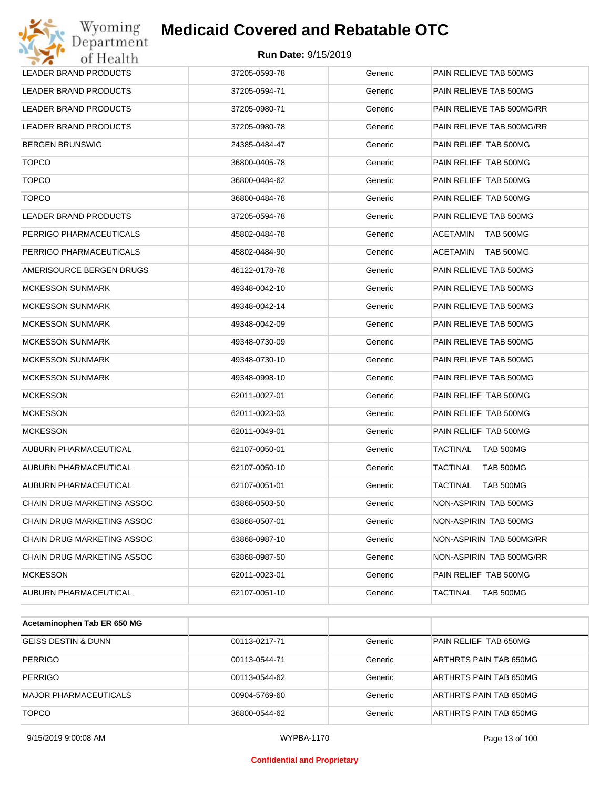| Wyoming<br>Department        | <b>Medicaid Covered and Rebatable OTC</b> |         |                              |
|------------------------------|-------------------------------------------|---------|------------------------------|
| of Health                    | <b>Run Date: 9/15/2019</b>                |         |                              |
| <b>LEADER BRAND PRODUCTS</b> | 37205-0593-78                             | Generic | PAIN RELIEVE TAB 500MG       |
| LEADER BRAND PRODUCTS        | 37205-0594-71                             | Generic | PAIN RELIEVE TAB 500MG       |
| LEADER BRAND PRODUCTS        | 37205-0980-71                             | Generic | PAIN RELIEVE TAB 500MG/RR    |
| LEADER BRAND PRODUCTS        | 37205-0980-78                             | Generic | PAIN RELIEVE TAB 500MG/RR    |
| <b>BERGEN BRUNSWIG</b>       | 24385-0484-47                             | Generic | PAIN RELIEF TAB 500MG        |
| <b>TOPCO</b>                 | 36800-0405-78                             | Generic | PAIN RELIEF TAB 500MG        |
| <b>TOPCO</b>                 | 36800-0484-62                             | Generic | PAIN RELIEF TAB 500MG        |
| <b>TOPCO</b>                 | 36800-0484-78                             | Generic | PAIN RELIEF TAB 500MG        |
| <b>LEADER BRAND PRODUCTS</b> | 37205-0594-78                             | Generic | PAIN RELIEVE TAB 500MG       |
| PERRIGO PHARMACEUTICALS      | 45802-0484-78                             | Generic | <b>ACETAMIN</b><br>TAB 500MG |
| PERRIGO PHARMACEUTICALS      | 45802-0484-90                             | Generic | <b>ACETAMIN</b><br>TAB 500MG |
| AMERISOURCE BERGEN DRUGS     | 46122-0178-78                             | Generic | PAIN RELIEVE TAB 500MG       |
| <b>MCKESSON SUNMARK</b>      | 49348-0042-10                             | Generic | PAIN RELIEVE TAB 500MG       |
| <b>MCKESSON SUNMARK</b>      | 49348-0042-14                             | Generic | PAIN RELIEVE TAB 500MG       |
| <b>MCKESSON SUNMARK</b>      | 49348-0042-09                             | Generic | PAIN RELIEVE TAB 500MG       |
| <b>MCKESSON SUNMARK</b>      | 49348-0730-09                             | Generic | PAIN RELIEVE TAB 500MG       |
| <b>MCKESSON SUNMARK</b>      | 49348-0730-10                             | Generic | PAIN RELIEVE TAB 500MG       |
| <b>MCKESSON SUNMARK</b>      | 49348-0998-10                             | Generic | PAIN RELIEVE TAB 500MG       |
| <b>MCKESSON</b>              | 62011-0027-01                             | Generic | PAIN RELIEF TAB 500MG        |
| <b>MCKESSON</b>              | 62011-0023-03                             | Generic | PAIN RELIEF TAB 500MG        |
| <b>MCKESSON</b>              | 62011-0049-01                             | Generic | PAIN RELIEF TAB 500MG        |
| AUBURN PHARMACEUTICAL        | 62107-0050-01                             | Generic | TACTINAL<br>TAB 500MG        |
| AUBURN PHARMACEUTICAL        | 62107-0050-10                             | Generic | <b>TACTINAL</b><br>TAB 500MG |
| AUBURN PHARMACEUTICAL        | 62107-0051-01                             | Generic | TACTINAL<br>TAB 500MG        |
| CHAIN DRUG MARKETING ASSOC   | 63868-0503-50                             | Generic | NON-ASPIRIN TAB 500MG        |
| CHAIN DRUG MARKETING ASSOC   | 63868-0507-01                             | Generic | NON-ASPIRIN TAB 500MG        |
| CHAIN DRUG MARKETING ASSOC   | 63868-0987-10                             | Generic | NON-ASPIRIN TAB 500MG/RR     |
| CHAIN DRUG MARKETING ASSOC   | 63868-0987-50                             | Generic | NON-ASPIRIN TAB 500MG/RR     |
| <b>MCKESSON</b>              | 62011-0023-01                             | Generic | PAIN RELIEF TAB 500MG        |
| AUBURN PHARMACEUTICAL        | 62107-0051-10                             | Generic | TACTINAL<br>TAB 500MG        |

| Acetaminophen Tab ER 650 MG    |               |         |                        |
|--------------------------------|---------------|---------|------------------------|
| <b>GEISS DESTIN &amp; DUNN</b> | 00113-0217-71 | Generic | PAIN RELIEF TAB 650MG  |
| <b>PERRIGO</b>                 | 00113-0544-71 | Generic | ARTHRTS PAIN TAB 650MG |
| <b>PERRIGO</b>                 | 00113-0544-62 | Generic | ARTHRTS PAIN TAB 650MG |
| <b>MAJOR PHARMACEUTICALS</b>   | 00904-5769-60 | Generic | ARTHRTS PAIN TAB 650MG |
| <b>TOPCO</b>                   | 36800-0544-62 | Generic | ARTHRTS PAIN TAB 650MG |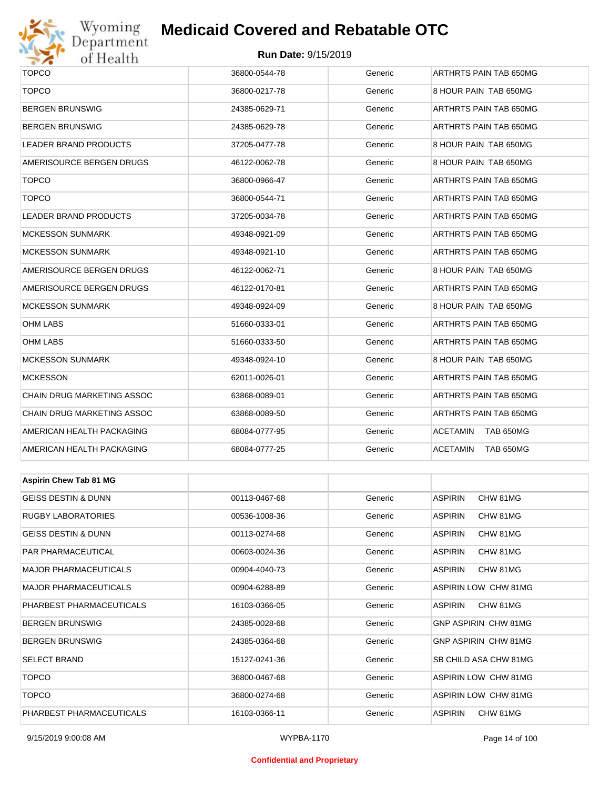

## Wyoming<br>Department<br>of Health

### **Medicaid Covered and Rebatable OTC**

#### **Run Date:** 9/15/2019

| <b>TOPCO</b>                   | 36800-0544-78 | Generic | ARTHRTS PAIN TAB 650MG              |  |  |
|--------------------------------|---------------|---------|-------------------------------------|--|--|
| <b>TOPCO</b>                   | 36800-0217-78 | Generic | 8 HOUR PAIN TAB 650MG               |  |  |
| BERGEN BRUNSWIG                | 24385-0629-71 | Generic | ARTHRTS PAIN TAB 650MG              |  |  |
| BERGEN BRUNSWIG                | 24385-0629-78 | Generic | ARTHRTS PAIN TAB 650MG              |  |  |
| LEADER BRAND PRODUCTS          | 37205-0477-78 | Generic | 8 HOUR PAIN TAB 650MG               |  |  |
| AMERISOURCE BERGEN DRUGS       | 46122-0062-78 | Generic | 8 HOUR PAIN TAB 650MG               |  |  |
| <b>TOPCO</b>                   | 36800-0966-47 | Generic | ARTHRTS PAIN TAB 650MG              |  |  |
| <b>TOPCO</b>                   | 36800-0544-71 | Generic | ARTHRTS PAIN TAB 650MG              |  |  |
| LEADER BRAND PRODUCTS          | 37205-0034-78 | Generic | ARTHRTS PAIN TAB 650MG              |  |  |
| <b>MCKESSON SUNMARK</b>        | 49348-0921-09 | Generic | ARTHRTS PAIN TAB 650MG              |  |  |
| <b>MCKESSON SUNMARK</b>        | 49348-0921-10 | Generic | ARTHRTS PAIN TAB 650MG              |  |  |
| AMERISOURCE BERGEN DRUGS       | 46122-0062-71 | Generic | 8 HOUR PAIN TAB 650MG               |  |  |
| AMERISOURCE BERGEN DRUGS       | 46122-0170-81 | Generic | ARTHRTS PAIN TAB 650MG              |  |  |
| <b>MCKESSON SUNMARK</b>        | 49348-0924-09 | Generic | 8 HOUR PAIN TAB 650MG               |  |  |
| OHM LABS                       | 51660-0333-01 | Generic | ARTHRTS PAIN TAB 650MG              |  |  |
| OHM LABS                       | 51660-0333-50 | Generic | ARTHRTS PAIN TAB 650MG              |  |  |
| <b>MCKESSON SUNMARK</b>        | 49348-0924-10 | Generic | 8 HOUR PAIN TAB 650MG               |  |  |
| <b>MCKESSON</b>                | 62011-0026-01 | Generic | ARTHRTS PAIN TAB 650MG              |  |  |
| CHAIN DRUG MARKETING ASSOC     | 63868-0089-01 | Generic | ARTHRTS PAIN TAB 650MG              |  |  |
| CHAIN DRUG MARKETING ASSOC     | 63868-0089-50 | Generic | ARTHRTS PAIN TAB 650MG              |  |  |
| AMERICAN HEALTH PACKAGING      | 68084-0777-95 | Generic | <b>ACETAMIN</b><br><b>TAB 650MG</b> |  |  |
| AMERICAN HEALTH PACKAGING      | 68084-0777-25 | Generic | <b>ACETAMIN</b><br><b>TAB 650MG</b> |  |  |
|                                |               |         |                                     |  |  |
| <b>Aspirin Chew Tab 81 MG</b>  |               |         |                                     |  |  |
| <b>GEISS DESTIN &amp; DUNN</b> | 00113-0467-68 | Generic | <b>ASPIRIN</b><br>CHW 81MG          |  |  |
| RUGBY LABORATORIES             | 00536-1008-36 | Generic | <b>ASPIRIN</b><br>CHW 81MG          |  |  |
| GEISS DESTIN & DUNN            | 00113-0274-68 | Generic | <b>ASPIRIN</b><br>CHW 81MG          |  |  |
| PAR PHARMACEUTICAL             | 00603-0024-36 | Generic | <b>ASPIRIN</b><br>CHW 81MG          |  |  |
| MAJOR PHARMACEUTICALS          | 00904-4040-73 | Generic | ASPIRIN<br>CHW 81MG                 |  |  |
| MAJOR PHARMACEUTICALS          | 00904-6288-89 | Generic | <b>ASPIRIN LOW CHW 81MG</b>         |  |  |
| PHARBEST PHARMACEUTICALS       | 16103-0366-05 | Generic | ASPIRIN<br>CHW 81MG                 |  |  |
| BERGEN BRUNSWIG                | 24385-0028-68 | Generic | <b>GNP ASPIRIN CHW 81MG</b>         |  |  |
| BERGEN BRUNSWIG                | 24385-0364-68 | Generic | GNP ASPIRIN CHW 81MG                |  |  |
| SELECT BRAND                   | 15127-0241-36 | Generic | SB CHILD ASA CHW 81MG               |  |  |
| <b>TOPCO</b>                   | 36800-0467-68 | Generic | ASPIRIN LOW CHW 81MG                |  |  |
| <b>TOPCO</b>                   | 36800-0274-68 | Generic | ASPIRIN LOW CHW 81MG                |  |  |

PHARBEST PHARMACEUTICALS 16103-0366-11 Generic ASPIRIN CHW 81MG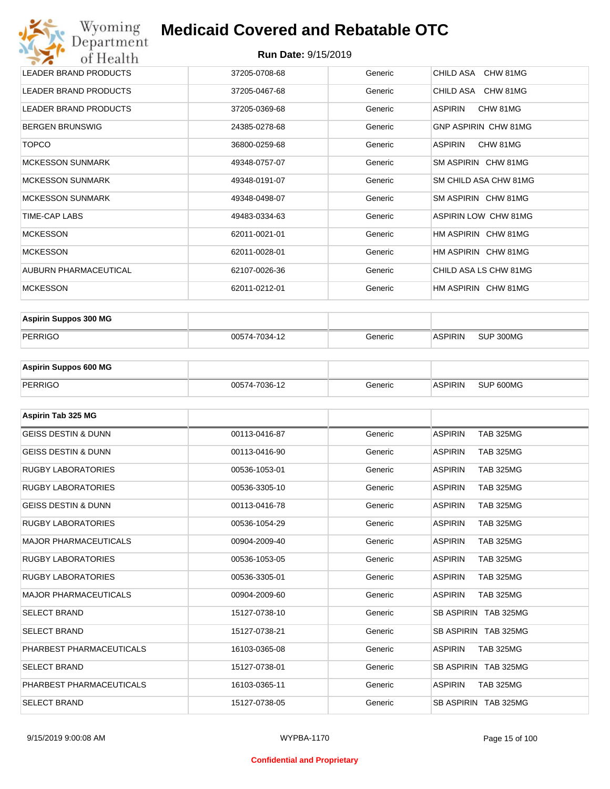| Wyoming<br>Department                   | <b>Medicaid Covered and Rebatable OTC</b> |         |                             |  |  |  |
|-----------------------------------------|-------------------------------------------|---------|-----------------------------|--|--|--|
| <b>Run Date: 9/15/2019</b><br>of Health |                                           |         |                             |  |  |  |
| <b>LEADER BRAND PRODUCTS</b>            | 37205-0708-68                             | Generic | CHILD ASA<br>CHW 81MG       |  |  |  |
| <b>LEADER BRAND PRODUCTS</b>            | 37205-0467-68                             | Generic | CHILD ASA<br>CHW 81MG       |  |  |  |
| <b>LEADER BRAND PRODUCTS</b>            | 37205-0369-68                             | Generic | <b>ASPIRIN</b><br>CHW 81MG  |  |  |  |
| <b>BERGEN BRUNSWIG</b>                  | 24385-0278-68                             | Generic | <b>GNP ASPIRIN CHW 81MG</b> |  |  |  |
| <b>TOPCO</b>                            | 36800-0259-68                             | Generic | <b>ASPIRIN</b><br>CHW 81MG  |  |  |  |
| <b>MCKESSON SUNMARK</b>                 | 49348-0757-07                             | Generic | SM ASPIRIN CHW 81MG         |  |  |  |
| <b>MCKESSON SUNMARK</b>                 | 49348-0191-07                             | Generic | SM CHILD ASA CHW 81MG       |  |  |  |
| <b>MCKESSON SUNMARK</b>                 | 49348-0498-07                             | Generic | SM ASPIRIN CHW 81MG         |  |  |  |
| TIME-CAP LABS                           | 49483-0334-63                             | Generic | ASPIRIN LOW CHW 81MG        |  |  |  |
| <b>MCKESSON</b>                         | 62011-0021-01                             | Generic | HM ASPIRIN CHW 81MG         |  |  |  |
| <b>MCKESSON</b>                         | 62011-0028-01                             | Generic | HM ASPIRIN CHW 81MG         |  |  |  |
| AUBURN PHARMACEUTICAL                   | 62107-0026-36                             | Generic | CHILD ASA LS CHW 81MG       |  |  |  |
| <b>MCKESSON</b>                         | 62011-0212-01                             | Generic | HM ASPIRIN CHW 81MG         |  |  |  |

| <b>Aspirin Suppos 300 MG</b> |               |         |                |           |
|------------------------------|---------------|---------|----------------|-----------|
| PERRIGO                      | 00574-7034-12 | Generic | <b>ASPIRIN</b> | SUP 300MG |

| <b>Aspirin Suppos 600 MG</b> |               |           |                |           |
|------------------------------|---------------|-----------|----------------|-----------|
| PERRIGO                      | 00574-7036-12 | Generic : | <b>ASPIRIN</b> | SUP 600MG |

| Aspirin Tab 325 MG             |               |         |                                    |
|--------------------------------|---------------|---------|------------------------------------|
| <b>GEISS DESTIN &amp; DUNN</b> | 00113-0416-87 | Generic | <b>ASPIRIN</b><br><b>TAB 325MG</b> |
| <b>GEISS DESTIN &amp; DUNN</b> | 00113-0416-90 | Generic | <b>ASPIRIN</b><br><b>TAB 325MG</b> |
| <b>RUGBY LABORATORIES</b>      | 00536-1053-01 | Generic | <b>ASPIRIN</b><br><b>TAB 325MG</b> |
| <b>RUGBY LABORATORIES</b>      | 00536-3305-10 | Generic | <b>ASPIRIN</b><br><b>TAB 325MG</b> |
| <b>GEISS DESTIN &amp; DUNN</b> | 00113-0416-78 | Generic | <b>ASPIRIN</b><br><b>TAB 325MG</b> |
| <b>RUGBY LABORATORIES</b>      | 00536-1054-29 | Generic | <b>ASPIRIN</b><br><b>TAB 325MG</b> |
| <b>MAJOR PHARMACEUTICALS</b>   | 00904-2009-40 | Generic | <b>ASPIRIN</b><br><b>TAB 325MG</b> |
| <b>RUGBY LABORATORIES</b>      | 00536-1053-05 | Generic | <b>ASPIRIN</b><br><b>TAB 325MG</b> |
| <b>RUGBY LABORATORIES</b>      | 00536-3305-01 | Generic | <b>TAB 325MG</b><br><b>ASPIRIN</b> |
| <b>MAJOR PHARMACEUTICALS</b>   | 00904-2009-60 | Generic | <b>ASPIRIN</b><br><b>TAB 325MG</b> |
| <b>SELECT BRAND</b>            | 15127-0738-10 | Generic | SB ASPIRIN TAB 325MG               |
| <b>SELECT BRAND</b>            | 15127-0738-21 | Generic | SB ASPIRIN TAB 325MG               |
| PHARBEST PHARMACEUTICALS       | 16103-0365-08 | Generic | <b>ASPIRIN</b><br><b>TAB 325MG</b> |
| <b>SELECT BRAND</b>            | 15127-0738-01 | Generic | SB ASPIRIN TAB 325MG               |
| PHARBEST PHARMACEUTICALS       | 16103-0365-11 | Generic | <b>ASPIRIN</b><br><b>TAB 325MG</b> |
| <b>SELECT BRAND</b>            | 15127-0738-05 | Generic | SB ASPIRIN TAB 325MG               |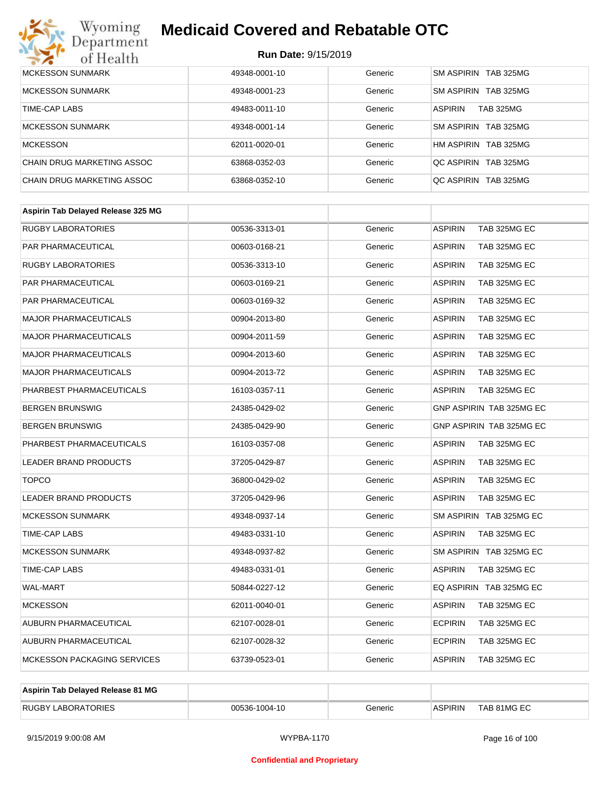

| MCKESSON SUNMARK           | 49348-0001-10 | Generic | SM ASPIRIN TAB 325MG               |
|----------------------------|---------------|---------|------------------------------------|
|                            |               |         |                                    |
| <b>MCKESSON SUNMARK</b>    | 49348-0001-23 | Generic | SM ASPIRIN TAB 325MG               |
| TIME-CAP LABS              | 49483-0011-10 | Generic | <b>ASPIRIN</b><br><b>TAB 325MG</b> |
| <b>MCKESSON SUNMARK</b>    | 49348-0001-14 | Generic | SM ASPIRIN TAB 325MG               |
| <b>MCKESSON</b>            | 62011-0020-01 | Generic | HM ASPIRIN TAB 325MG               |
| CHAIN DRUG MARKETING ASSOC | 63868-0352-03 | Generic | OC ASPIRIN TAB 325MG               |
| CHAIN DRUG MARKETING ASSOC | 63868-0352-10 | Generic | OC ASPIRIN TAB 325MG               |

| Aspirin Tab Delayed Release 325 MG |               |         |                                |
|------------------------------------|---------------|---------|--------------------------------|
| <b>RUGBY LABORATORIES</b>          | 00536-3313-01 | Generic | <b>ASPIRIN</b><br>TAB 325MG EC |
| <b>PAR PHARMACEUTICAL</b>          | 00603-0168-21 | Generic | <b>ASPIRIN</b><br>TAB 325MG EC |
| <b>RUGBY LABORATORIES</b>          | 00536-3313-10 | Generic | <b>ASPIRIN</b><br>TAB 325MG EC |
| <b>PAR PHARMACEUTICAL</b>          | 00603-0169-21 | Generic | <b>ASPIRIN</b><br>TAB 325MG EC |
| PAR PHARMACEUTICAL                 | 00603-0169-32 | Generic | TAB 325MG EC<br><b>ASPIRIN</b> |
| <b>MAJOR PHARMACEUTICALS</b>       | 00904-2013-80 | Generic | TAB 325MG EC<br><b>ASPIRIN</b> |
| <b>MAJOR PHARMACEUTICALS</b>       | 00904-2011-59 | Generic | <b>ASPIRIN</b><br>TAB 325MG EC |
| <b>MAJOR PHARMACEUTICALS</b>       | 00904-2013-60 | Generic | <b>ASPIRIN</b><br>TAB 325MG EC |
| <b>MAJOR PHARMACEUTICALS</b>       | 00904-2013-72 | Generic | <b>ASPIRIN</b><br>TAB 325MG EC |
| PHARBEST PHARMACEUTICALS           | 16103-0357-11 | Generic | TAB 325MG EC<br><b>ASPIRIN</b> |
| <b>BERGEN BRUNSWIG</b>             | 24385-0429-02 | Generic | GNP ASPIRIN TAB 325MG EC       |
| <b>BERGEN BRUNSWIG</b>             | 24385-0429-90 | Generic | GNP ASPIRIN TAB 325MG EC       |
| PHARBEST PHARMACEUTICALS           | 16103-0357-08 | Generic | TAB 325MG EC<br><b>ASPIRIN</b> |
| <b>LEADER BRAND PRODUCTS</b>       | 37205-0429-87 | Generic | TAB 325MG EC<br><b>ASPIRIN</b> |
| <b>TOPCO</b>                       | 36800-0429-02 | Generic | <b>ASPIRIN</b><br>TAB 325MG EC |
| <b>LEADER BRAND PRODUCTS</b>       | 37205-0429-96 | Generic | <b>ASPIRIN</b><br>TAB 325MG EC |
| <b>MCKESSON SUNMARK</b>            | 49348-0937-14 | Generic | SM ASPIRIN TAB 325MG EC        |
| <b>TIME-CAP LABS</b>               | 49483-0331-10 | Generic | <b>ASPIRIN</b><br>TAB 325MG EC |
| <b>MCKESSON SUNMARK</b>            | 49348-0937-82 | Generic | SM ASPIRIN TAB 325MG EC        |
| <b>TIME-CAP LABS</b>               | 49483-0331-01 | Generic | <b>ASPIRIN</b><br>TAB 325MG EC |
| <b>WAL-MART</b>                    | 50844-0227-12 | Generic | EQ ASPIRIN TAB 325MG EC        |
| <b>MCKESSON</b>                    | 62011-0040-01 | Generic | <b>ASPIRIN</b><br>TAB 325MG EC |
| AUBURN PHARMACEUTICAL              | 62107-0028-01 | Generic | <b>ECPIRIN</b><br>TAB 325MG EC |
| <b>AUBURN PHARMACEUTICAL</b>       | 62107-0028-32 | Generic | <b>ECPIRIN</b><br>TAB 325MG EC |
| <b>MCKESSON PACKAGING SERVICES</b> | 63739-0523-01 | Generic | <b>ASPIRIN</b><br>TAB 325MG EC |

| Aspirin Tab Delayed Release 81 MG |               |         |                |             |
|-----------------------------------|---------------|---------|----------------|-------------|
| <b>RUGBY LABORATORIES</b>         | 00536-1004-10 | Generic | <b>ASPIRIN</b> | TAB 81MG EC |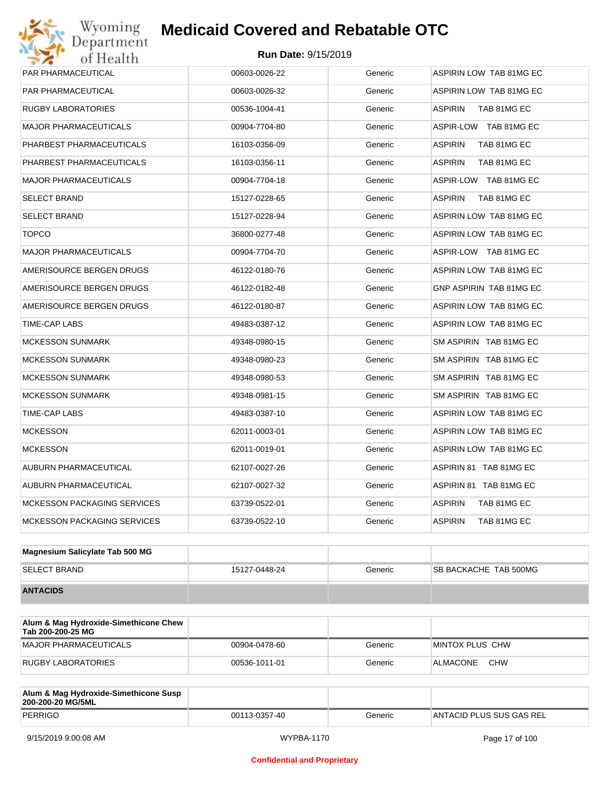| <b>PAR PHARMACEUTICAL</b>          | 00603-0026-22 | Generic | ASPIRIN LOW TAB 81MG EC       |
|------------------------------------|---------------|---------|-------------------------------|
| PAR PHARMACEUTICAL                 | 00603-0026-32 | Generic | ASPIRIN LOW TAB 81MG EC       |
| <b>RUGBY LABORATORIES</b>          | 00536-1004-41 | Generic | <b>ASPIRIN</b><br>TAB 81MG EC |
| <b>MAJOR PHARMACEUTICALS</b>       | 00904-7704-80 | Generic | ASPIR-LOW TAB 81MG EC         |
| PHARBEST PHARMACEUTICALS           | 16103-0356-09 | Generic | <b>ASPIRIN</b><br>TAB 81MG EC |
| PHARBEST PHARMACEUTICALS           | 16103-0356-11 | Generic | <b>ASPIRIN</b><br>TAB 81MG EC |
| <b>MAJOR PHARMACEUTICALS</b>       | 00904-7704-18 | Generic | ASPIR-LOW TAB 81MG EC         |
| <b>SELECT BRAND</b>                | 15127-0228-65 | Generic | <b>ASPIRIN</b><br>TAB 81MG EC |
| <b>SELECT BRAND</b>                | 15127-0228-94 | Generic | ASPIRIN LOW TAB 81MG EC       |
| <b>TOPCO</b>                       | 36800-0277-48 | Generic | ASPIRIN LOW TAB 81MG EC       |
| <b>MAJOR PHARMACEUTICALS</b>       | 00904-7704-70 | Generic | ASPIR-LOW TAB 81MG EC         |
| AMERISOURCE BERGEN DRUGS           | 46122-0180-76 | Generic | ASPIRIN LOW TAB 81MG EC       |
| AMERISOURCE BERGEN DRUGS           | 46122-0182-48 | Generic | GNP ASPIRIN TAB 81MG EC       |
| AMERISOURCE BERGEN DRUGS           | 46122-0180-87 | Generic | ASPIRIN LOW TAB 81MG EC       |
| TIME-CAP LABS                      | 49483-0387-12 | Generic | ASPIRIN LOW TAB 81MG EC       |
| <b>MCKESSON SUNMARK</b>            | 49348-0980-15 | Generic | SM ASPIRIN TAB 81MG EC        |
| <b>MCKESSON SUNMARK</b>            | 49348-0980-23 | Generic | SM ASPIRIN TAB 81MG EC        |
| <b>MCKESSON SUNMARK</b>            | 49348-0980-53 | Generic | SM ASPIRIN TAB 81MG EC        |
| <b>MCKESSON SUNMARK</b>            | 49348-0981-15 | Generic | SM ASPIRIN TAB 81MG EC        |
| TIME-CAP LABS                      | 49483-0387-10 | Generic | ASPIRIN LOW TAB 81MG EC       |
| <b>MCKESSON</b>                    | 62011-0003-01 | Generic | ASPIRIN LOW TAB 81MG EC       |
| <b>MCKESSON</b>                    | 62011-0019-01 | Generic | ASPIRIN LOW TAB 81MG EC       |
| AUBURN PHARMACEUTICAL              | 62107-0027-26 | Generic | ASPIRIN 81 TAB 81MG EC        |
| AUBURN PHARMACEUTICAL              | 62107-0027-32 | Generic | ASPIRIN 81 TAB 81MG EC        |
| <b>MCKESSON PACKAGING SERVICES</b> | 63739-0522-01 | Generic | <b>ASPIRIN</b><br>TAB 81MG EC |
| <b>MCKESSON PACKAGING SERVICES</b> | 63739-0522-10 | Generic | <b>ASPIRIN</b><br>TAB 81MG EC |
|                                    |               |         |                               |

| Magnesium Salicylate Tab 500 MG |               |         |                               |
|---------------------------------|---------------|---------|-------------------------------|
| <b>SELECT BRAND</b>             | 15127-0448-24 | Generic | <b>ISB BACKACHE TAB 500MG</b> |
| <b>ANTACIDS</b>                 |               |         |                               |

| Alum & Mag Hydroxide-Simethicone Chew<br>Tab 200-200-25 MG |               |         |                        |
|------------------------------------------------------------|---------------|---------|------------------------|
| MAJOR PHARMACEUTICALS                                      | 00904-0478-60 | Generic | IMINTOX PLUS CHW       |
| RUGBY LABORATORIES                                         | 00536-1011-01 | Generic | <b>CHW</b><br>ALMACONE |

| Alum & Mag Hydroxide-Simethicone Susp<br>200-200-20 MG/5ML |               |         |                          |
|------------------------------------------------------------|---------------|---------|--------------------------|
| PERRIGO                                                    | 00113-0357-40 | Generic | ANTACID PLUS SUS GAS REL |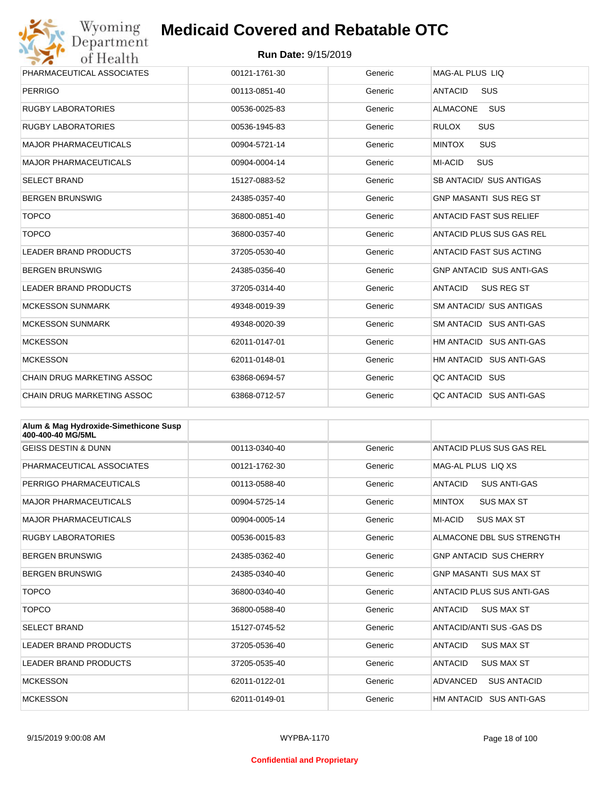

| PHARMACEUTICAL ASSOCIATES    | 00121-1761-30 | Generic | MAG-AL PLUS LIO                 |
|------------------------------|---------------|---------|---------------------------------|
| <b>PERRIGO</b>               | 00113-0851-40 | Generic | <b>SUS</b><br><b>ANTACID</b>    |
| <b>RUGBY LABORATORIES</b>    | 00536-0025-83 | Generic | <b>SUS</b><br><b>ALMACONE</b>   |
| <b>RUGBY LABORATORIES</b>    | 00536-1945-83 | Generic | <b>SUS</b><br><b>RULOX</b>      |
| <b>MAJOR PHARMACEUTICALS</b> | 00904-5721-14 | Generic | SUS<br><b>MINTOX</b>            |
| <b>MAJOR PHARMACEUTICALS</b> | 00904-0004-14 | Generic | <b>SUS</b><br>MI-ACID           |
| <b>SELECT BRAND</b>          | 15127-0883-52 | Generic | SB ANTACID/ SUS ANTIGAS         |
| <b>BERGEN BRUNSWIG</b>       | 24385-0357-40 | Generic | <b>GNP MASANTI SUS REG ST</b>   |
| <b>TOPCO</b>                 | 36800-0851-40 | Generic | <b>ANTACID FAST SUS RELIEF</b>  |
| <b>TOPCO</b>                 | 36800-0357-40 | Generic | ANTACID PLUS SUS GAS REL        |
| <b>LEADER BRAND PRODUCTS</b> | 37205-0530-40 | Generic | ANTACID FAST SUS ACTING         |
| <b>BERGEN BRUNSWIG</b>       | 24385-0356-40 | Generic | <b>GNP ANTACID SUS ANTI-GAS</b> |
| <b>LEADER BRAND PRODUCTS</b> | 37205-0314-40 | Generic | <b>ANTACID</b><br>SUS REG ST    |
| <b>MCKESSON SUNMARK</b>      | 49348-0019-39 | Generic | <b>SM ANTACID/ SUS ANTIGAS</b>  |
| <b>MCKESSON SUNMARK</b>      | 49348-0020-39 | Generic | SM ANTACID SUS ANTI-GAS         |
| <b>MCKESSON</b>              | 62011-0147-01 | Generic | HM ANTACID SUS ANTI-GAS         |
| <b>MCKESSON</b>              | 62011-0148-01 | Generic | HM ANTACID SUS ANTI-GAS         |
| CHAIN DRUG MARKETING ASSOC   | 63868-0694-57 | Generic | QC ANTACID SUS                  |
| CHAIN DRUG MARKETING ASSOC   | 63868-0712-57 | Generic | OC ANTACID SUS ANTI-GAS         |

| Alum & Mag Hydroxide-Simethicone Susp<br>400-400-40 MG/5ML |               |         |                                       |
|------------------------------------------------------------|---------------|---------|---------------------------------------|
| <b>GEISS DESTIN &amp; DUNN</b>                             | 00113-0340-40 | Generic | ANTACID PLUS SUS GAS REL              |
| PHARMACEUTICAL ASSOCIATES                                  | 00121-1762-30 | Generic | MAG-AL PLUS LIO XS                    |
| PERRIGO PHARMACEUTICALS                                    | 00113-0588-40 | Generic | ANTACID<br><b>SUS ANTI-GAS</b>        |
| <b>MAJOR PHARMACEUTICALS</b>                               | 00904-5725-14 | Generic | <b>MINTOX</b><br><b>SUS MAX ST</b>    |
| <b>MAJOR PHARMACEUTICALS</b>                               | 00904-0005-14 | Generic | MI-ACID<br><b>SUS MAX ST</b>          |
| <b>RUGBY LABORATORIES</b>                                  | 00536-0015-83 | Generic | ALMACONE DBL SUS STRENGTH             |
| <b>BERGEN BRUNSWIG</b>                                     | 24385-0362-40 | Generic | <b>GNP ANTACID SUS CHERRY</b>         |
| <b>BERGEN BRUNSWIG</b>                                     | 24385-0340-40 | Generic | <b>GNP MASANTI SUS MAX ST</b>         |
| <b>TOPCO</b>                                               | 36800-0340-40 | Generic | ANTACID PLUS SUS ANTI-GAS             |
| <b>TOPCO</b>                                               | 36800-0588-40 | Generic | <b>ANTACID</b><br><b>SUS MAX ST</b>   |
| <b>SELECT BRAND</b>                                        | 15127-0745-52 | Generic | ANTACID/ANTI SUS - GAS DS             |
| <b>LEADER BRAND PRODUCTS</b>                               | 37205-0536-40 | Generic | <b>ANTACID</b><br><b>SUS MAX ST</b>   |
| <b>LEADER BRAND PRODUCTS</b>                               | 37205-0535-40 | Generic | <b>ANTACID</b><br><b>SUS MAX ST</b>   |
| <b>MCKESSON</b>                                            | 62011-0122-01 | Generic | <b>ADVANCED</b><br><b>SUS ANTACID</b> |
| <b>MCKESSON</b>                                            | 62011-0149-01 | Generic | HM ANTACID<br><b>SUS ANTI-GAS</b>     |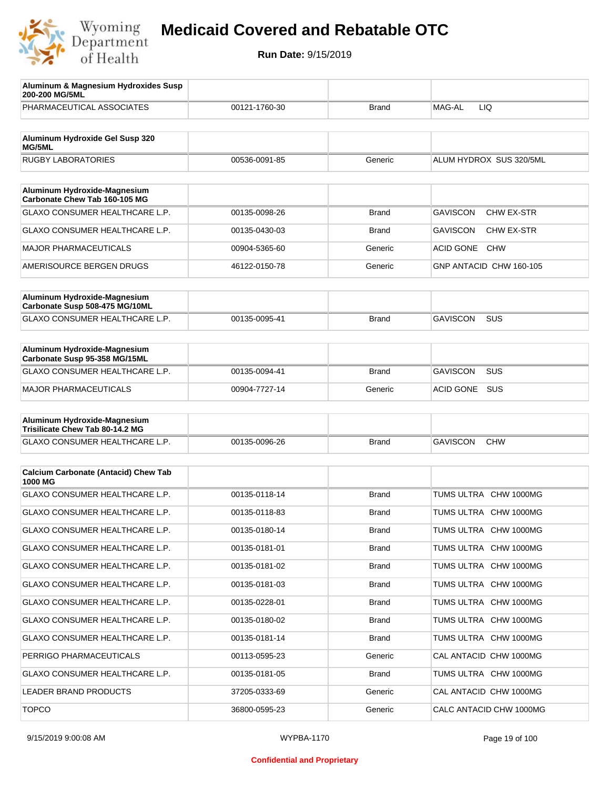

| Aluminum & Magnesium Hydroxides Susp<br>200-200 MG/5ML          |               |              |                                      |
|-----------------------------------------------------------------|---------------|--------------|--------------------------------------|
| PHARMACEUTICAL ASSOCIATES                                       | 00121-1760-30 | Brand        | MAG-AL<br>LIQ                        |
| Aluminum Hydroxide Gel Susp 320                                 |               |              |                                      |
| <b>MG/5ML</b>                                                   |               |              |                                      |
| <b>RUGBY LABORATORIES</b>                                       | 00536-0091-85 | Generic      | ALUM HYDROX SUS 320/5ML              |
| Aluminum Hydroxide-Magnesium<br>Carbonate Chew Tab 160-105 MG   |               |              |                                      |
| GLAXO CONSUMER HEALTHCARE L.P.                                  | 00135-0098-26 | Brand        | <b>GAVISCON</b><br><b>CHW EX-STR</b> |
| GLAXO CONSUMER HEALTHCARE L.P.                                  | 00135-0430-03 | Brand        | <b>GAVISCON</b><br>CHW EX-STR        |
| <b>MAJOR PHARMACEUTICALS</b>                                    | 00904-5365-60 | Generic      | <b>ACID GONE</b><br><b>CHW</b>       |
| AMERISOURCE BERGEN DRUGS                                        | 46122-0150-78 | Generic      | GNP ANTACID CHW 160-105              |
|                                                                 |               |              |                                      |
| Aluminum Hydroxide-Magnesium<br>Carbonate Susp 508-475 MG/10ML  |               |              |                                      |
| <b>GLAXO CONSUMER HEALTHCARE L.P.</b>                           | 00135-0095-41 | Brand        | <b>GAVISCON</b><br><b>SUS</b>        |
|                                                                 |               |              |                                      |
| Aluminum Hydroxide-Magnesium<br>Carbonate Susp 95-358 MG/15ML   |               |              |                                      |
| <b>GLAXO CONSUMER HEALTHCARE L.P.</b>                           | 00135-0094-41 | <b>Brand</b> | <b>GAVISCON</b><br><b>SUS</b>        |
| <b>MAJOR PHARMACEUTICALS</b>                                    | 00904-7727-14 | Generic      | ACID GONE<br>SUS                     |
|                                                                 |               |              |                                      |
| Aluminum Hydroxide-Magnesium<br>Trisilicate Chew Tab 80-14.2 MG |               |              |                                      |
| GLAXO CONSUMER HEALTHCARE L.P.                                  | 00135-0096-26 | <b>Brand</b> | <b>GAVISCON</b><br><b>CHW</b>        |
|                                                                 |               |              |                                      |
| <b>Calcium Carbonate (Antacid) Chew Tab</b><br>1000 MG          |               |              |                                      |
| <b>GLAXO CONSUMER HEALTHCARE L.P.</b>                           | 00135-0118-14 | <b>Brand</b> | TUMS ULTRA CHW 1000MG                |
| <b>GLAXO CONSUMER HEALTHCARE L.P.</b>                           | 00135-0118-83 | <b>Brand</b> | TUMS ULTRA CHW 1000MG                |
| GLAXO CONSUMER HEALTHCARE L.P.                                  | 00135-0180-14 | <b>Brand</b> | TUMS ULTRA CHW 1000MG                |
| GLAXO CONSUMER HEALTHCARE L.P.                                  | 00135-0181-01 | <b>Brand</b> | TUMS ULTRA CHW 1000MG                |
| GLAXO CONSUMER HEALTHCARE L.P.                                  | 00135-0181-02 | <b>Brand</b> | TUMS ULTRA CHW 1000MG                |
| GLAXO CONSUMER HEALTHCARE L.P.                                  | 00135-0181-03 | Brand        | TUMS ULTRA CHW 1000MG                |
| GLAXO CONSUMER HEALTHCARE L.P.                                  | 00135-0228-01 | <b>Brand</b> | TUMS ULTRA CHW 1000MG                |
| GLAXO CONSUMER HEALTHCARE L.P.                                  | 00135-0180-02 | Brand        | TUMS ULTRA CHW 1000MG                |
| GLAXO CONSUMER HEALTHCARE L.P.                                  | 00135-0181-14 | <b>Brand</b> | TUMS ULTRA CHW 1000MG                |
| PERRIGO PHARMACEUTICALS                                         | 00113-0595-23 | Generic      | CAL ANTACID CHW 1000MG               |
| GLAXO CONSUMER HEALTHCARE L.P.                                  | 00135-0181-05 | <b>Brand</b> | TUMS ULTRA CHW 1000MG                |
| LEADER BRAND PRODUCTS                                           | 37205-0333-69 | Generic      | CAL ANTACID CHW 1000MG               |
| <b>TOPCO</b>                                                    | 36800-0595-23 | Generic      | CALC ANTACID CHW 1000MG              |
|                                                                 |               |              |                                      |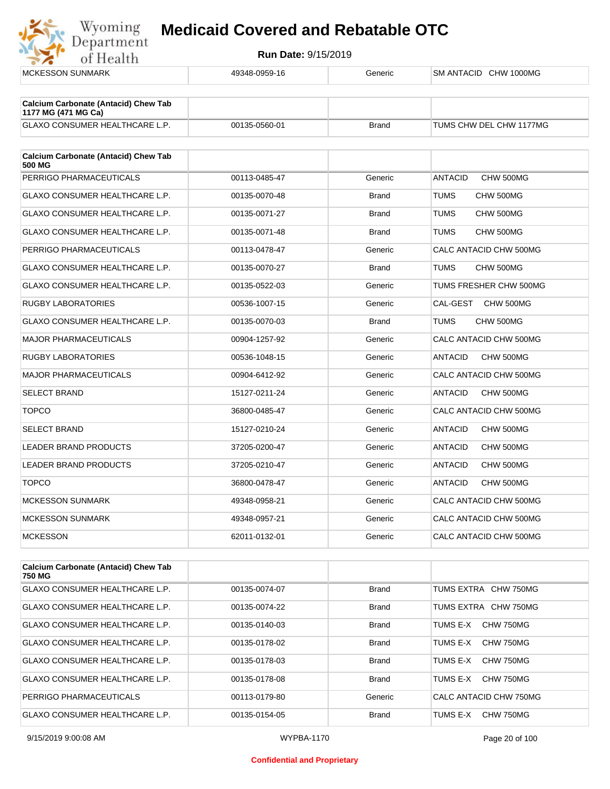

| <b>MCKESSON SUNMARK</b>                                            | 49348-0959-16 | Generic      | SM ANTACID CHW 1000MG       |
|--------------------------------------------------------------------|---------------|--------------|-----------------------------|
|                                                                    |               |              |                             |
| <b>Calcium Carbonate (Antacid) Chew Tab</b><br>1177 MG (471 MG Ca) |               |              |                             |
| <b>GLAXO CONSUMER HEALTHCARE L.P.</b>                              | 00135-0560-01 | <b>Brand</b> | TUMS CHW DEL CHW 1177MG     |
| <b>Calcium Carbonate (Antacid) Chew Tab</b><br>500 MG              |               |              |                             |
| PERRIGO PHARMACEUTICALS                                            | 00113-0485-47 | Generic      | <b>ANTACID</b><br>CHW 500MG |
| <b>GLAXO CONSUMER HEALTHCARE L.P.</b>                              | 00135-0070-48 | <b>Brand</b> | <b>TUMS</b><br>CHW 500MG    |
| <b>GLAXO CONSUMER HEALTHCARE L.P.</b>                              | 00135-0071-27 | <b>Brand</b> | <b>TUMS</b><br>CHW 500MG    |
| GLAXO CONSUMER HEALTHCARE L.P.                                     | 00135-0071-48 | <b>Brand</b> | <b>TUMS</b><br>CHW 500MG    |
| PERRIGO PHARMACEUTICALS                                            | 00113-0478-47 | Generic      | CALC ANTACID CHW 500MG      |
| GLAXO CONSUMER HEALTHCARE L.P.                                     | 00135-0070-27 | <b>Brand</b> | <b>TUMS</b><br>CHW 500MG    |
| <b>GLAXO CONSUMER HEALTHCARE L.P.</b>                              | 00135-0522-03 | Generic      | TUMS FRESHER CHW 500MG      |
| <b>RUGBY LABORATORIES</b>                                          | 00536-1007-15 | Generic      | CAL-GEST<br>CHW 500MG       |
| GLAXO CONSUMER HEALTHCARE L.P.                                     | 00135-0070-03 | <b>Brand</b> | <b>TUMS</b><br>CHW 500MG    |
| <b>MAJOR PHARMACEUTICALS</b>                                       | 00904-1257-92 | Generic      | CALC ANTACID CHW 500MG      |
| <b>RUGBY LABORATORIES</b>                                          | 00536-1048-15 | Generic      | <b>ANTACID</b><br>CHW 500MG |
| MAJOR PHARMACEUTICALS                                              | 00904-6412-92 | Generic      | CALC ANTACID CHW 500MG      |
| <b>SELECT BRAND</b>                                                | 15127-0211-24 | Generic      | <b>ANTACID</b><br>CHW 500MG |
| <b>TOPCO</b>                                                       | 36800-0485-47 | Generic      | CALC ANTACID CHW 500MG      |
| <b>SELECT BRAND</b>                                                | 15127-0210-24 | Generic      | <b>ANTACID</b><br>CHW 500MG |
| LEADER BRAND PRODUCTS                                              | 37205-0200-47 | Generic      | CHW 500MG<br><b>ANTACID</b> |
| <b>LEADER BRAND PRODUCTS</b>                                       | 37205-0210-47 | Generic      | <b>ANTACID</b><br>CHW 500MG |
| <b>TOPCO</b>                                                       | 36800-0478-47 | Generic      | <b>ANTACID</b><br>CHW 500MG |
| <b>MCKESSON SUNMARK</b>                                            | 49348-0958-21 | Generic      | CALC ANTACID CHW 500MG      |
| <b>MCKESSON SUNMARK</b>                                            | 49348-0957-21 | Generic      | CALC ANTACID CHW 500MG      |
| <b>MCKESSON</b>                                                    | 62011-0132-01 | Generic      | CALC ANTACID CHW 500MG      |
| <b>Calcium Carbonate (Antacid) Chew Tab</b>                        |               |              |                             |

| <b>Calcium Carbonate (Antacid) Chew Tab</b><br>750 MG |               |              |                        |
|-------------------------------------------------------|---------------|--------------|------------------------|
| <b>GLAXO CONSUMER HEALTHCARE L.P.</b>                 | 00135-0074-07 | Brand        | TUMS EXTRA CHW 750MG   |
| <b>GLAXO CONSUMER HEALTHCARE L.P.</b>                 | 00135-0074-22 | <b>Brand</b> | TUMS EXTRA CHW 750MG   |
| <b>GLAXO CONSUMER HEALTHCARE L.P.</b>                 | 00135-0140-03 | <b>Brand</b> | CHW 750MG<br>TUMS E-X  |
| <b>GLAXO CONSUMER HEALTHCARE L.P.</b>                 | 00135-0178-02 | <b>Brand</b> | CHW 750MG<br>TUMS F-X  |
| <b>GLAXO CONSUMER HEALTHCARE L.P.</b>                 | 00135-0178-03 | <b>Brand</b> | CHW 750MG<br>TUMS E-X  |
| <b>GLAXO CONSUMER HEALTHCARE L.P.</b>                 | 00135-0178-08 | <b>Brand</b> | CHW 750MG<br>TUMS E-X  |
| PERRIGO PHARMACEUTICALS                               | 00113-0179-80 | Generic      | CALC ANTACID CHW 750MG |
| <b>GLAXO CONSUMER HEALTHCARE L.P.</b>                 | 00135-0154-05 | Brand        | TUMS E-X<br>CHW 750MG  |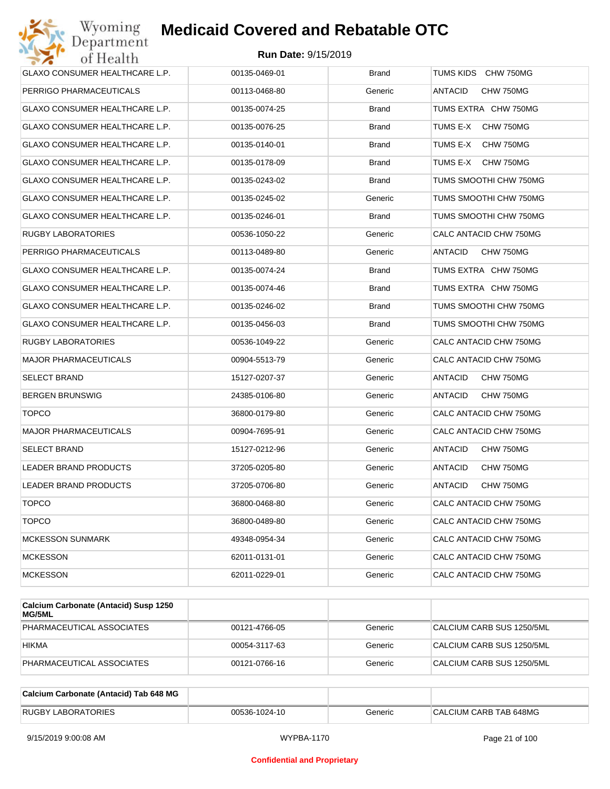

| Wyoming<br>Jepartment                 | <b>Medicaid Covered and Rebatable OTC</b> |              |                             |
|---------------------------------------|-------------------------------------------|--------------|-----------------------------|
| of Health                             | <b>Run Date: 9/15/2019</b>                |              |                             |
| GLAXO CONSUMER HEALTHCARE L.P.        | 00135-0469-01                             | <b>Brand</b> | TUMS KIDS CHW 750MG         |
| PERRIGO PHARMACEUTICALS               | 00113-0468-80                             | Generic      | <b>ANTACID</b><br>CHW 750MG |
| GLAXO CONSUMER HEALTHCARE L.P.        | 00135-0074-25                             | <b>Brand</b> | TUMS EXTRA CHW 750MG        |
| GLAXO CONSUMER HEALTHCARE L.P.        | 00135-0076-25                             | <b>Brand</b> | TUMS E-X<br>CHW 750MG       |
| <b>GLAXO CONSUMER HEALTHCARE L.P.</b> | 00135-0140-01                             | Brand        | TUMS E-X<br>CHW 750MG       |
| GLAXO CONSUMER HEALTHCARE L.P.        | 00135-0178-09                             | Brand        | TUMS E-X<br>CHW 750MG       |
| GLAXO CONSUMER HEALTHCARE L.P.        | 00135-0243-02                             | <b>Brand</b> | TUMS SMOOTHI CHW 750MG      |
| GLAXO CONSUMER HEALTHCARE L.P.        | 00135-0245-02                             | Generic      | TUMS SMOOTHI CHW 750MG      |
| GLAXO CONSUMER HEALTHCARE L.P.        | 00135-0246-01                             | <b>Brand</b> | TUMS SMOOTHI CHW 750MG      |
| RUGBY LABORATORIES                    | 00536-1050-22                             | Generic      | CALC ANTACID CHW 750MG      |
| PERRIGO PHARMACEUTICALS               | 00113-0489-80                             | Generic      | <b>ANTACID</b><br>CHW 750MG |
| GLAXO CONSUMER HEALTHCARE L.P.        | 00135-0074-24                             | <b>Brand</b> | TUMS EXTRA CHW 750MG        |
| <b>GLAXO CONSUMER HEALTHCARE L.P.</b> | 00135-0074-46                             | <b>Brand</b> | TUMS EXTRA CHW 750MG        |
| GLAXO CONSUMER HEALTHCARE L.P.        | 00135-0246-02                             | Brand        | TUMS SMOOTHI CHW 750MG      |
| GLAXO CONSUMER HEALTHCARE L.P.        | 00135-0456-03                             | <b>Brand</b> | TUMS SMOOTHI CHW 750MG      |
| RUGBY LABORATORIES                    | 00536-1049-22                             | Generic      | CALC ANTACID CHW 750MG      |
| <b>MAJOR PHARMACEUTICALS</b>          | 00904-5513-79                             | Generic      | CALC ANTACID CHW 750MG      |
| SELECT BRAND                          | 15127-0207-37                             | Generic      | ANTACID<br>CHW 750MG        |
| <b>BERGEN BRUNSWIG</b>                | 24385-0106-80                             | Generic      | <b>ANTACID</b><br>CHW 750MG |
| <b>TOPCO</b>                          | 36800-0179-80                             | Generic      | CALC ANTACID CHW 750MG      |
| MAJOR PHARMACEUTICALS                 | 00904-7695-91                             | Generic      | CALC ANTACID CHW 750MG      |
| <b>SELECT BRAND</b>                   | 15127-0212-96                             | Generic      | ANTACID<br>CHW 750MG        |
| <b>LEADER BRAND PRODUCTS</b>          | 37205-0205-80                             | Generic      | ANTACID<br>CHW 750MG        |
| LEADER BRAND PRODUCTS                 | 37205-0706-80                             | Generic      | CHW 750MG<br>ANTACID        |
| <b>TOPCO</b>                          | 36800-0468-80                             | Generic      | CALC ANTACID CHW 750MG      |
| <b>TOPCO</b>                          | 36800-0489-80                             | Generic      | CALC ANTACID CHW 750MG      |
| <b>MCKESSON SUNMARK</b>               | 49348-0954-34                             | Generic      | CALC ANTACID CHW 750MG      |
| <b>MCKESSON</b>                       | 62011-0131-01                             | Generic      | CALC ANTACID CHW 750MG      |
| <b>MCKESSON</b>                       | 62011-0229-01                             | Generic      | CALC ANTACID CHW 750MG      |

| Calcium Carbonate (Antacid) Susp 1250<br>MG/5ML |               |         |                           |
|-------------------------------------------------|---------------|---------|---------------------------|
| PHARMACEUTICAL ASSOCIATES                       | 00121-4766-05 | Generic | CALCIUM CARB SUS 1250/5ML |
| <b>HIKMA</b>                                    | 00054-3117-63 | Generic | CALCIUM CARB SUS 1250/5ML |
| PHARMACEUTICAL ASSOCIATES                       | 00121-0766-16 | Generic | CALCIUM CARB SUS 1250/5ML |

| Calcium Carbonate (Antacid) Tab 648 MG |               |         |                        |
|----------------------------------------|---------------|---------|------------------------|
| <b>RUGBY LABORATORIES</b>              | 00536-1024-10 | Generic | CALCIUM CARB TAB 648MG |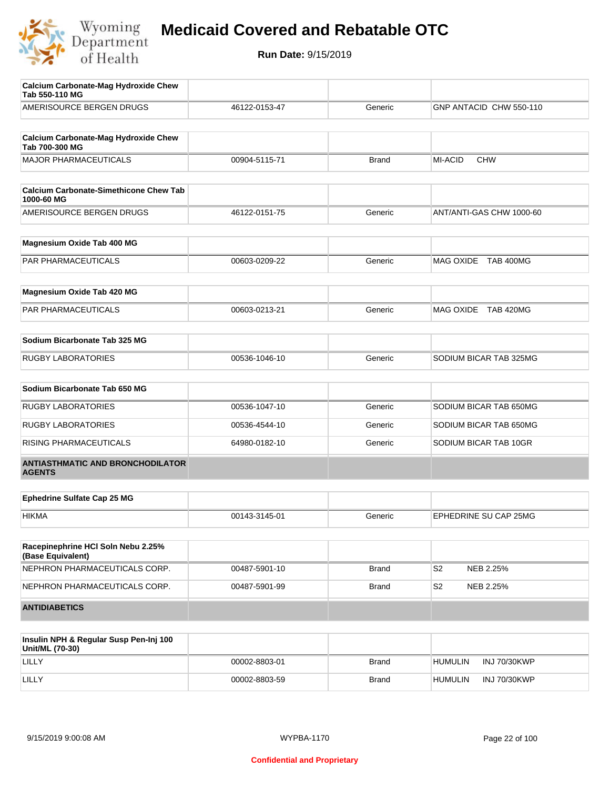

| Calcium Carbonate-Mag Hydroxide Chew<br>Tab 550-110 MG      |               |              |                              |
|-------------------------------------------------------------|---------------|--------------|------------------------------|
| AMERISOURCE BERGEN DRUGS                                    | 46122-0153-47 | Generic      | GNP ANTACID CHW 550-110      |
| <b>Calcium Carbonate-Mag Hydroxide Chew</b>                 |               |              |                              |
| Tab 700-300 MG                                              |               |              |                              |
| <b>MAJOR PHARMACEUTICALS</b>                                | 00904-5115-71 | <b>Brand</b> | <b>MI-ACID</b><br><b>CHW</b> |
| <b>Calcium Carbonate-Simethicone Chew Tab</b><br>1000-60 MG |               |              |                              |
| AMERISOURCE BERGEN DRUGS                                    | 46122-0151-75 | Generic      | ANT/ANTI-GAS CHW 1000-60     |
| Magnesium Oxide Tab 400 MG                                  |               |              |                              |
| PAR PHARMACEUTICALS                                         | 00603-0209-22 | Generic      | MAG OXIDE TAB 400MG          |
| Magnesium Oxide Tab 420 MG                                  |               |              |                              |
| PAR PHARMACEUTICALS                                         | 00603-0213-21 | Generic      | MAG OXIDE TAB 420MG          |
| Sodium Bicarbonate Tab 325 MG                               |               |              |                              |
| <b>RUGBY LABORATORIES</b>                                   | 00536-1046-10 | Generic      | SODIUM BICAR TAB 325MG       |
| Sodium Bicarbonate Tab 650 MG                               |               |              |                              |
| <b>RUGBY LABORATORIES</b>                                   | 00536-1047-10 | Generic      | SODIUM BICAR TAB 650MG       |
| <b>RUGBY LABORATORIES</b>                                   | 00536-4544-10 | Generic      | SODIUM BICAR TAB 650MG       |
| RISING PHARMACEUTICALS                                      | 64980-0182-10 | Generic      | SODIUM BICAR TAB 10GR        |
| <b>ANTIASTHMATIC AND BRONCHODILATOR</b><br><b>AGENTS</b>    |               |              |                              |
| <b>Ephedrine Sulfate Cap 25 MG</b>                          |               |              |                              |
| <b>HIKMA</b>                                                | 00143-3145-01 | Generic      | EPHEDRINE SU CAP 25MG        |
|                                                             |               |              |                              |
| Racepinephrine HCI Soln Nebu 2.25%<br>(Base Equivalent)     |               |              |                              |
| NEPHRON PHARMACEUTICALS CORP.                               | 00487-5901-10 | <b>Brand</b> | S <sub>2</sub><br>NEB 2.25%  |
| NEPHRON PHARMACEUTICALS CORP.                               | 00487-5901-99 | <b>Brand</b> | S <sub>2</sub><br>NEB 2.25%  |
| <b>ANTIDIABETICS</b>                                        |               |              |                              |

| Insulin NPH & Regular Susp Pen-Inj 100<br>Unit/ML (70-30) |               |              |                                |  |
|-----------------------------------------------------------|---------------|--------------|--------------------------------|--|
| LILLY                                                     | 00002-8803-01 | <b>Brand</b> | INJ 70/30KWP<br>HUMULIN        |  |
| LILLY                                                     | 00002-8803-59 | <b>Brand</b> | INJ 70/30KWP<br><b>HUMULIN</b> |  |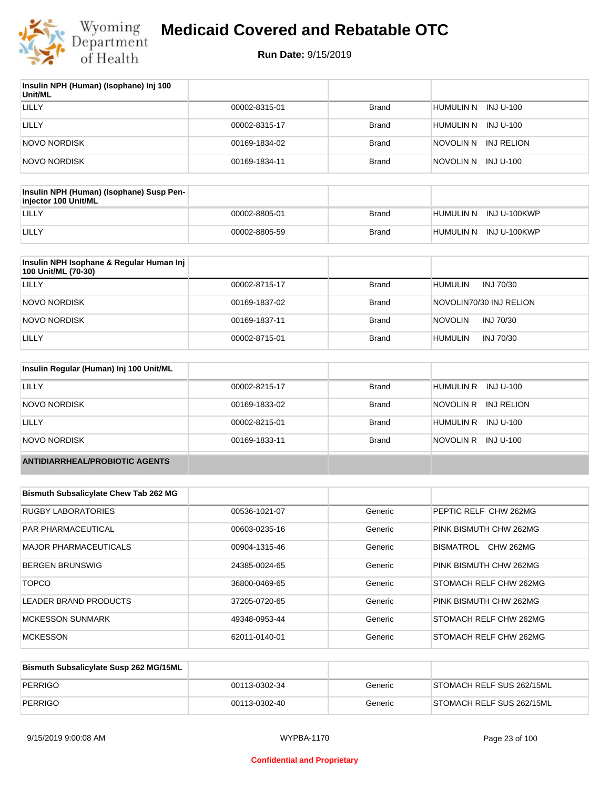

| Insulin NPH (Human) (Isophane) Inj 100<br>Unit/ML |               |              |                         |
|---------------------------------------------------|---------------|--------------|-------------------------|
| LILLY                                             | 00002-8315-01 | <b>Brand</b> | HUMULIN N INJ U-100     |
| LILLY                                             | 00002-8315-17 | <b>Brand</b> | HUMULIN N INJ U-100     |
| NOVO NORDISK                                      | 00169-1834-02 | <b>Brand</b> | INJ RELION<br>NOVOLIN N |
| NOVO NORDISK                                      | 00169-1834-11 | <b>Brand</b> | NOVOLIN N INJ U-100     |

| Insulin NPH (Human) (Isophane) Susp Pen-<br>injector 100 Unit/ML |               |              |                        |
|------------------------------------------------------------------|---------------|--------------|------------------------|
| LILLY                                                            | 00002-8805-01 | Brand        | HUMULIN N INJ U-100KWP |
| LILLY                                                            | 00002-8805-59 | <b>Brand</b> | HUMULIN N INJ U-100KWP |

| Insulin NPH Isophane & Regular Human Inj<br>100 Unit/ML (70-30) |               |              |                             |
|-----------------------------------------------------------------|---------------|--------------|-----------------------------|
| LILLY                                                           | 00002-8715-17 | <b>Brand</b> | <b>HUMULIN</b><br>INJ 70/30 |
| NOVO NORDISK                                                    | 00169-1837-02 | <b>Brand</b> | NOVOLIN70/30 INJ RELION     |
| NOVO NORDISK                                                    | 00169-1837-11 | <b>Brand</b> | <b>NOVOLIN</b><br>INJ 70/30 |
| LILLY                                                           | 00002-8715-01 | <b>Brand</b> | <b>HUMULIN</b><br>INJ 70/30 |

| Insulin Regular (Human) Inj 100 Unit/ML |               |              |                         |
|-----------------------------------------|---------------|--------------|-------------------------|
| LILLY                                   | 00002-8215-17 | <b>Brand</b> | HUMULIN R INJ U-100     |
| NOVO NORDISK                            | 00169-1833-02 | <b>Brand</b> | NOVOLIN R<br>INJ RELION |
| LILLY                                   | 00002-8215-01 | <b>Brand</b> | HUMULIN R INJ U-100     |
| NOVO NORDISK                            | 00169-1833-11 | <b>Brand</b> | NOVOLIN R<br>INJ U-100  |
| <b>ANTIDIARRHEAL/PROBIOTIC AGENTS</b>   |               |              |                         |

| <b>Bismuth Subsalicylate Chew Tab 262 MG</b> |               |         |                               |
|----------------------------------------------|---------------|---------|-------------------------------|
| <b>RUGBY LABORATORIES</b>                    | 00536-1021-07 | Generic | PEPTIC RELF CHW 262MG         |
| PAR PHARMACEUTICAL                           | 00603-0235-16 | Generic | PINK BISMUTH CHW 262MG        |
| MAJOR PHARMACEUTICALS                        | 00904-1315-46 | Generic | <b>CHW 262MG</b><br>BISMATROL |
| <b>BERGEN BRUNSWIG</b>                       | 24385-0024-65 | Generic | PINK BISMUTH CHW 262MG        |
| <b>TOPCO</b>                                 | 36800-0469-65 | Generic | STOMACH RELF CHW 262MG        |
| LEADER BRAND PRODUCTS                        | 37205-0720-65 | Generic | PINK BISMUTH CHW 262MG        |
| <b>MCKESSON SUNMARK</b>                      | 49348-0953-44 | Generic | STOMACH RELF CHW 262MG        |
| <b>MCKESSON</b>                              | 62011-0140-01 | Generic | STOMACH RELF CHW 262MG        |

| Bismuth Subsalicylate Susp 262 MG/15ML |               |         |                           |
|----------------------------------------|---------------|---------|---------------------------|
| PERRIGO                                | 00113-0302-34 | Generic | STOMACH RELF SUS 262/15ML |
| PERRIGO                                | 00113-0302-40 | Generic | STOMACH RELF SUS 262/15ML |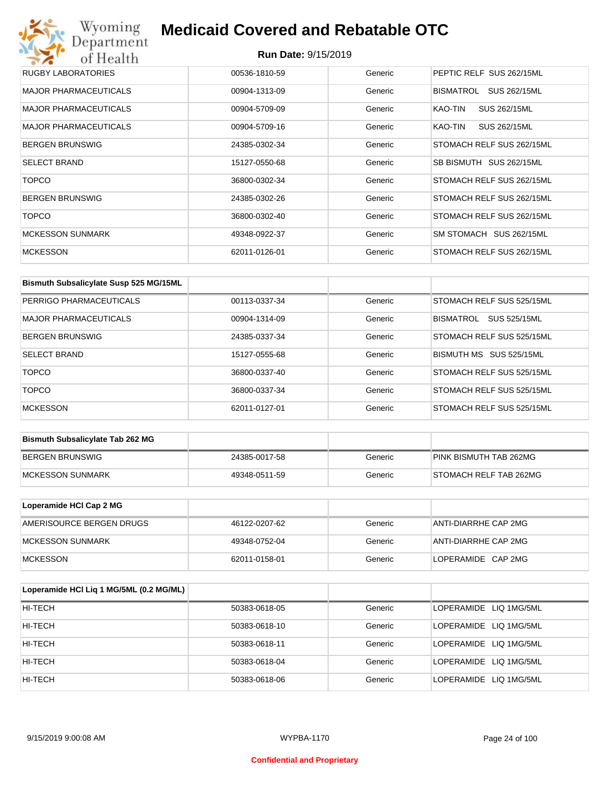| <b>RUGBY LABORATORIES</b>    | 00536-1810-59 | Generic | PEPTIC RELF SUS 262/15ML  |
|------------------------------|---------------|---------|---------------------------|
| <b>MAJOR PHARMACEUTICALS</b> | 00904-1313-09 | Generic | BISMATROL<br>SUS 262/15ML |
| <b>MAJOR PHARMACEUTICALS</b> | 00904-5709-09 | Generic | SUS 262/15ML<br>KAO-TIN   |
| <b>MAJOR PHARMACEUTICALS</b> | 00904-5709-16 | Generic | SUS 262/15ML<br>KAO-TIN   |
| <b>BERGEN BRUNSWIG</b>       | 24385-0302-34 | Generic | STOMACH RELF SUS 262/15ML |
| <b>SELECT BRAND</b>          | 15127-0550-68 | Generic | SB BISMUTH SUS 262/15ML   |
| <b>TOPCO</b>                 | 36800-0302-34 | Generic | STOMACH RELF SUS 262/15ML |
| <b>BERGEN BRUNSWIG</b>       | 24385-0302-26 | Generic | STOMACH RELF SUS 262/15ML |
| <b>TOPCO</b>                 | 36800-0302-40 | Generic | STOMACH RELF SUS 262/15ML |
| <b>MCKESSON SUNMARK</b>      | 49348-0922-37 | Generic | SM STOMACH SUS 262/15ML   |
| <b>MCKESSON</b>              | 62011-0126-01 | Generic | STOMACH RELF SUS 262/15ML |

| Bismuth Subsalicylate Susp 525 MG/15ML |               |         |                           |
|----------------------------------------|---------------|---------|---------------------------|
| PERRIGO PHARMACEUTICALS                | 00113-0337-34 | Generic | STOMACH RELF SUS 525/15ML |
| <b>MAJOR PHARMACEUTICALS</b>           | 00904-1314-09 | Generic | SUS 525/15ML<br>BISMATROL |
| <b>BERGEN BRUNSWIG</b>                 | 24385-0337-34 | Generic | STOMACH RELF SUS 525/15ML |
| <b>SELECT BRAND</b>                    | 15127-0555-68 | Generic | BISMUTH MS SUS 525/15ML   |
| <b>TOPCO</b>                           | 36800-0337-40 | Generic | STOMACH RELF SUS 525/15ML |
| <b>TOPCO</b>                           | 36800-0337-34 | Generic | STOMACH RELF SUS 525/15ML |
| <b>MCKESSON</b>                        | 62011-0127-01 | Generic | STOMACH RELF SUS 525/15ML |

| <b>Bismuth Subsalicylate Tab 262 MG</b> |               |         |                        |
|-----------------------------------------|---------------|---------|------------------------|
| BERGEN BRUNSWIG                         | 24385-0017-58 | Generic | PINK BISMUTH TAB 262MG |
| <b>IMCKESSON SUNMARK</b>                | 49348-0511-59 | Generic | STOMACH RELF TAB 262MG |

| Loperamide HCI Cap 2 MG  |               |         |                      |
|--------------------------|---------------|---------|----------------------|
| AMERISOURCE BERGEN DRUGS | 46122-0207-62 | Generic | ANTI-DIARRHE CAP 2MG |
| <b>IMCKESSON SUNMARK</b> | 49348-0752-04 | Generic | ANTI-DIARRHE CAP 2MG |
| <b>IMCKESSON</b>         | 62011-0158-01 | Generic | LOPERAMIDE CAP 2MG   |

| Loperamide HCI Liq 1 MG/5ML (0.2 MG/ML) |               |         |                        |
|-----------------------------------------|---------------|---------|------------------------|
| HI-TECH                                 | 50383-0618-05 | Generic | LOPERAMIDE LIQ 1MG/5ML |
| HI-TECH                                 | 50383-0618-10 | Generic | LOPERAMIDE LIQ 1MG/5ML |
| HI-TECH                                 | 50383-0618-11 | Generic | LOPERAMIDE LIQ 1MG/5ML |
| HI-TECH                                 | 50383-0618-04 | Generic | LOPERAMIDE LIQ 1MG/5ML |
| HI-TECH                                 | 50383-0618-06 | Generic | LOPERAMIDE LIQ 1MG/5ML |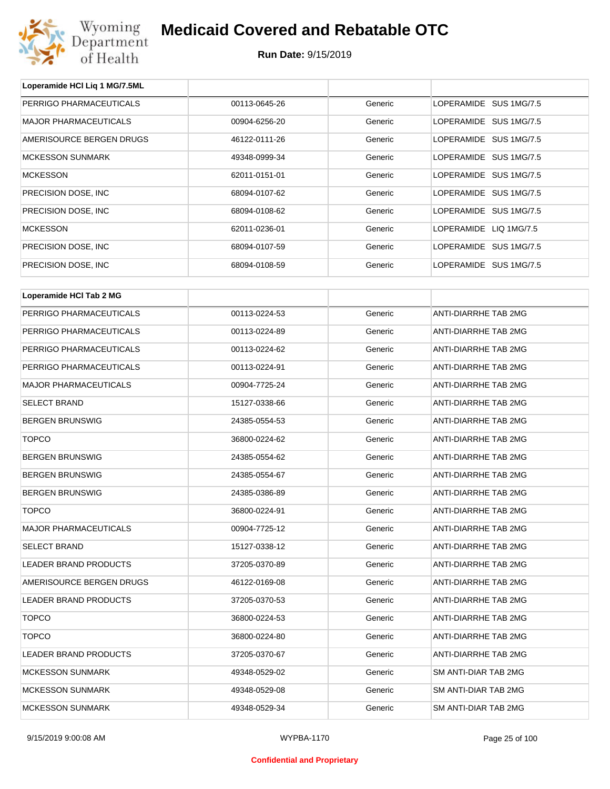

**Loperamide HCl Liq 1 MG/7.5ML**

## **Medicaid Covered and Rebatable OTC**

| PERRIGO PHARMACEUTICALS      | 00113-0645-26 | Generic | LOPERAMIDE SUS 1MG/7.5 |  |  |
|------------------------------|---------------|---------|------------------------|--|--|
| <b>MAJOR PHARMACEUTICALS</b> | 00904-6256-20 | Generic | LOPERAMIDE SUS 1MG/7.5 |  |  |
| AMERISOURCE BERGEN DRUGS     | 46122-0111-26 | Generic | LOPERAMIDE SUS 1MG/7.5 |  |  |
| <b>MCKESSON SUNMARK</b>      | 49348-0999-34 | Generic | LOPERAMIDE SUS 1MG/7.5 |  |  |
| <b>MCKESSON</b>              | 62011-0151-01 | Generic | LOPERAMIDE SUS 1MG/7.5 |  |  |
| PRECISION DOSE, INC.         | 68094-0107-62 | Generic | LOPERAMIDE SUS 1MG/7.5 |  |  |
| PRECISION DOSE, INC          | 68094-0108-62 | Generic | LOPERAMIDE SUS 1MG/7.5 |  |  |
| <b>MCKESSON</b>              | 62011-0236-01 | Generic | LOPERAMIDE LIQ 1MG/7.5 |  |  |
| PRECISION DOSE, INC.         | 68094-0107-59 | Generic | LOPERAMIDE SUS 1MG/7.5 |  |  |
| PRECISION DOSE, INC.         | 68094-0108-59 | Generic | LOPERAMIDE SUS 1MG/7.5 |  |  |
|                              |               |         |                        |  |  |
| Loperamide HCI Tab 2 MG      |               |         |                        |  |  |
| PERRIGO PHARMACEUTICALS      | 00113-0224-53 | Generic | ANTI-DIARRHE TAB 2MG   |  |  |
| PERRIGO PHARMACEUTICALS      | 00113-0224-89 | Generic | ANTI-DIARRHE TAB 2MG   |  |  |
| PERRIGO PHARMACEUTICALS      | 00113-0224-62 | Generic | ANTI-DIARRHE TAB 2MG   |  |  |
| PERRIGO PHARMACEUTICALS      | 00113-0224-91 | Generic | ANTI-DIARRHE TAB 2MG   |  |  |
| <b>MAJOR PHARMACEUTICALS</b> | 00904-7725-24 | Generic | ANTI-DIARRHE TAB 2MG   |  |  |
| <b>SELECT BRAND</b>          | 15127-0338-66 | Generic | ANTI-DIARRHE TAB 2MG   |  |  |
| <b>BERGEN BRUNSWIG</b>       | 24385-0554-53 | Generic | ANTI-DIARRHE TAB 2MG   |  |  |
| <b>TOPCO</b>                 | 36800-0224-62 | Generic | ANTI-DIARRHE TAB 2MG   |  |  |
| <b>BERGEN BRUNSWIG</b>       | 24385-0554-62 | Generic | ANTI-DIARRHE TAB 2MG   |  |  |
| <b>BERGEN BRUNSWIG</b>       | 24385-0554-67 | Generic | ANTI-DIARRHE TAB 2MG   |  |  |
| <b>BERGEN BRUNSWIG</b>       | 24385-0386-89 | Generic | ANTI-DIARRHE TAB 2MG   |  |  |
| <b>TOPCO</b>                 | 36800-0224-91 | Generic | ANTI-DIARRHE TAB 2MG   |  |  |
| <b>MAJOR PHARMACEUTICALS</b> | 00904-7725-12 | Generic | ANTI-DIARRHE TAB 2MG   |  |  |
| SELECT BRAND                 | 15127-0338-12 | Generic | ANTI-DIARRHE TAB 2MG   |  |  |
| LEADER BRAND PRODUCTS        | 37205-0370-89 | Generic | ANTI-DIARRHE TAB 2MG   |  |  |
| AMERISOURCE BERGEN DRUGS     | 46122-0169-08 | Generic | ANTI-DIARRHE TAB 2MG   |  |  |
| LEADER BRAND PRODUCTS        | 37205-0370-53 | Generic | ANTI-DIARRHE TAB 2MG   |  |  |
| <b>TOPCO</b>                 | 36800-0224-53 | Generic | ANTI-DIARRHE TAB 2MG   |  |  |
| <b>TOPCO</b>                 | 36800-0224-80 | Generic | ANTI-DIARRHE TAB 2MG   |  |  |
| LEADER BRAND PRODUCTS        | 37205-0370-67 | Generic | ANTI-DIARRHE TAB 2MG   |  |  |
| <b>MCKESSON SUNMARK</b>      | 49348-0529-02 | Generic | SM ANTI-DIAR TAB 2MG   |  |  |
| <b>MCKESSON SUNMARK</b>      | 49348-0529-08 | Generic | SM ANTI-DIAR TAB 2MG   |  |  |
| <b>MCKESSON SUNMARK</b>      | 49348-0529-34 | Generic | SM ANTI-DIAR TAB 2MG   |  |  |
|                              |               |         |                        |  |  |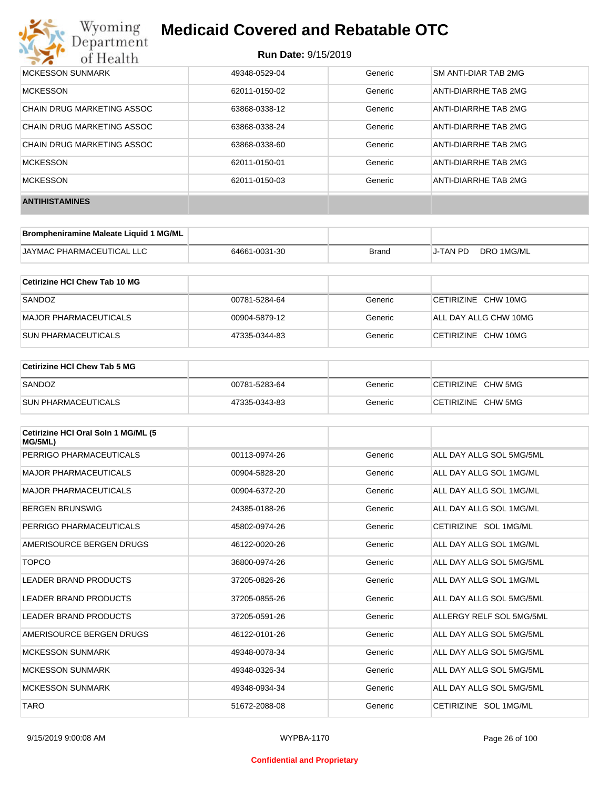# Wyoming<br>Department<br>of Health

## **Medicaid Covered and Rebatable OTC**

| MCKESSON SUNMARK           | 49348-0529-04 | Generic | SM ANTI-DIAR TAB 2MG        |
|----------------------------|---------------|---------|-----------------------------|
| <b>MCKESSON</b>            | 62011-0150-02 | Generic | ANTI-DIARRHE TAB 2MG        |
| CHAIN DRUG MARKETING ASSOC | 63868-0338-12 | Generic | ANTI-DIARRHE TAB 2MG        |
| CHAIN DRUG MARKETING ASSOC | 63868-0338-24 | Generic | <b>ANTI-DIARRHE TAB 2MG</b> |
| CHAIN DRUG MARKETING ASSOC | 63868-0338-60 | Generic | ANTI-DIARRHE TAB 2MG        |
| <b>MCKESSON</b>            | 62011-0150-01 | Generic | ANTI-DIARRHE TAB 2MG        |
| <b>MCKESSON</b>            | 62011-0150-03 | Generic | ANTI-DIARRHE TAB 2MG        |
| <b>ANTIHISTAMINES</b>      |               |         |                             |

| Brompheniramine Maleate Liquid 1 MG/ML |               |              |                 |            |
|----------------------------------------|---------------|--------------|-----------------|------------|
| <b>JAYMAC PHARMACEUTICAL LLC</b>       | 64661-0031-30 | <b>Brand</b> | <b>J-TAN PD</b> | DRO 1MG/ML |

| Cetirizine HCI Chew Tab 10 MG |               |         |                       |
|-------------------------------|---------------|---------|-----------------------|
| SANDOZ                        | 00781-5284-64 | Generic | CETIRIZINE CHW 10MG   |
| MAJOR PHARMACEUTICALS         | 00904-5879-12 | Generic | ALL DAY ALLG CHW 10MG |
| <b>ISUN PHARMACEUTICALS</b>   | 47335-0344-83 | Generic | CETIRIZINE CHW 10MG   |

| <b>Cetirizine HCI Chew Tab 5 MG</b> |               |         |                    |
|-------------------------------------|---------------|---------|--------------------|
| SANDOZ                              | 00781-5283-64 | Generic | CETIRIZINE CHW 5MG |
| <b>SUN PHARMACEUTICALS</b>          | 47335-0343-83 | Generic | CETIRIZINE CHW 5MG |

| Cetirizine HCI Oral Soln 1 MG/ML (5<br>MG/5ML) |               |         |                          |
|------------------------------------------------|---------------|---------|--------------------------|
| PERRIGO PHARMACEUTICALS                        | 00113-0974-26 | Generic | ALL DAY ALLG SOL 5MG/5ML |
| <b>MAJOR PHARMACEUTICALS</b>                   | 00904-5828-20 | Generic | ALL DAY ALLG SOL 1MG/ML  |
| <b>MAJOR PHARMACEUTICALS</b>                   | 00904-6372-20 | Generic | ALL DAY ALLG SOL 1MG/ML  |
| <b>BERGEN BRUNSWIG</b>                         | 24385-0188-26 | Generic | ALL DAY ALLG SOL 1MG/ML  |
| PERRIGO PHARMACEUTICALS                        | 45802-0974-26 | Generic | CETIRIZINE SOL 1MG/ML    |
| AMERISOURCE BERGEN DRUGS                       | 46122-0020-26 | Generic | ALL DAY ALLG SOL 1MG/ML  |
| <b>TOPCO</b>                                   | 36800-0974-26 | Generic | ALL DAY ALLG SOL 5MG/5ML |
| <b>LEADER BRAND PRODUCTS</b>                   | 37205-0826-26 | Generic | ALL DAY ALLG SOL 1MG/ML  |
| <b>LEADER BRAND PRODUCTS</b>                   | 37205-0855-26 | Generic | ALL DAY ALLG SOL 5MG/5ML |
| <b>LEADER BRAND PRODUCTS</b>                   | 37205-0591-26 | Generic | ALLERGY RELF SOL 5MG/5ML |
| AMERISOURCE BERGEN DRUGS                       | 46122-0101-26 | Generic | ALL DAY ALLG SOL 5MG/5ML |
| <b>MCKESSON SUNMARK</b>                        | 49348-0078-34 | Generic | ALL DAY ALLG SOL 5MG/5ML |
| <b>MCKESSON SUNMARK</b>                        | 49348-0326-34 | Generic | ALL DAY ALLG SOL 5MG/5ML |
| <b>MCKESSON SUNMARK</b>                        | 49348-0934-34 | Generic | ALL DAY ALLG SOL 5MG/5ML |
| <b>TARO</b>                                    | 51672-2088-08 | Generic | CETIRIZINE SOL 1MG/ML    |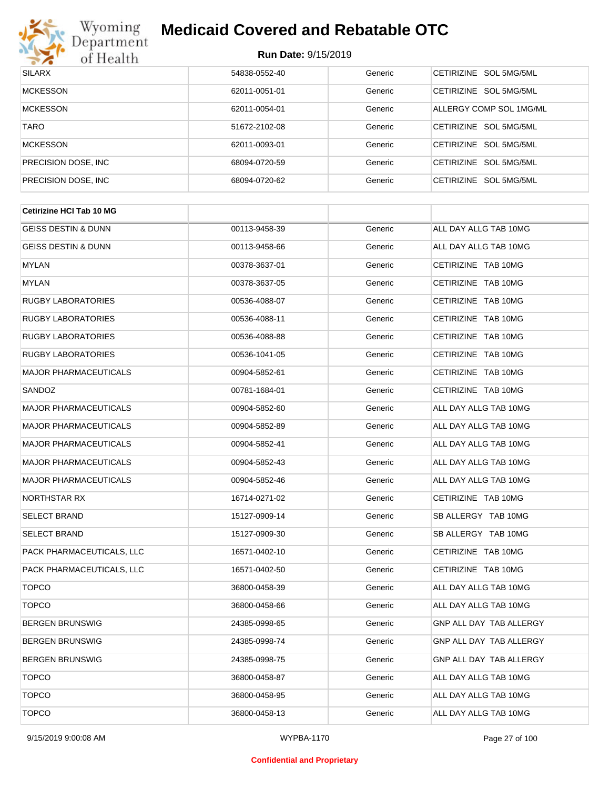

| <b>SILARX</b>        | 54838-0552-40 | Generic | CETIRIZINE SOL 5MG/5ML  |
|----------------------|---------------|---------|-------------------------|
| <b>MCKESSON</b>      | 62011-0051-01 | Generic | CETIRIZINE SOL 5MG/5ML  |
| <b>MCKESSON</b>      | 62011-0054-01 | Generic | ALLERGY COMP SOL 1MG/ML |
| <b>TARO</b>          | 51672-2102-08 | Generic | CETIRIZINE SOL 5MG/5ML  |
| <b>MCKESSON</b>      | 62011-0093-01 | Generic | CETIRIZINE SOL 5MG/5ML  |
| PRECISION DOSE, INC. | 68094-0720-59 | Generic | CETIRIZINE SOL 5MG/5ML  |
| PRECISION DOSE, INC. | 68094-0720-62 | Generic | CETIRIZINE SOL 5MG/5ML  |

| <b>Cetirizine HCI Tab 10 MG</b> |               |         |                         |
|---------------------------------|---------------|---------|-------------------------|
| <b>GEISS DESTIN &amp; DUNN</b>  | 00113-9458-39 | Generic | ALL DAY ALLG TAB 10MG   |
| <b>GEISS DESTIN &amp; DUNN</b>  | 00113-9458-66 | Generic | ALL DAY ALLG TAB 10MG   |
| <b>MYLAN</b>                    | 00378-3637-01 | Generic | CETIRIZINE TAB 10MG     |
| <b>MYLAN</b>                    | 00378-3637-05 | Generic | CETIRIZINE TAB 10MG     |
| <b>RUGBY LABORATORIES</b>       | 00536-4088-07 | Generic | CETIRIZINE TAB 10MG     |
| <b>RUGBY LABORATORIES</b>       | 00536-4088-11 | Generic | CETIRIZINE TAB 10MG     |
| <b>RUGBY LABORATORIES</b>       | 00536-4088-88 | Generic | CETIRIZINE TAB 10MG     |
| <b>RUGBY LABORATORIES</b>       | 00536-1041-05 | Generic | CETIRIZINE TAB 10MG     |
| <b>MAJOR PHARMACEUTICALS</b>    | 00904-5852-61 | Generic | CETIRIZINE TAB 10MG     |
| SANDOZ                          | 00781-1684-01 | Generic | CETIRIZINE TAB 10MG     |
| <b>MAJOR PHARMACEUTICALS</b>    | 00904-5852-60 | Generic | ALL DAY ALLG TAB 10MG   |
| <b>MAJOR PHARMACEUTICALS</b>    | 00904-5852-89 | Generic | ALL DAY ALLG TAB 10MG   |
| <b>MAJOR PHARMACEUTICALS</b>    | 00904-5852-41 | Generic | ALL DAY ALLG TAB 10MG   |
| <b>MAJOR PHARMACEUTICALS</b>    | 00904-5852-43 | Generic | ALL DAY ALLG TAB 10MG   |
| <b>MAJOR PHARMACEUTICALS</b>    | 00904-5852-46 | Generic | ALL DAY ALLG TAB 10MG   |
| NORTHSTAR RX                    | 16714-0271-02 | Generic | CETIRIZINE TAB 10MG     |
| <b>SELECT BRAND</b>             | 15127-0909-14 | Generic | SB ALLERGY TAB 10MG     |
| <b>SELECT BRAND</b>             | 15127-0909-30 | Generic | SB ALLERGY TAB 10MG     |
| PACK PHARMACEUTICALS, LLC       | 16571-0402-10 | Generic | CETIRIZINE TAB 10MG     |
| PACK PHARMACEUTICALS, LLC       | 16571-0402-50 | Generic | CETIRIZINE TAB 10MG     |
| <b>TOPCO</b>                    | 36800-0458-39 | Generic | ALL DAY ALLG TAB 10MG   |
| <b>TOPCO</b>                    | 36800-0458-66 | Generic | ALL DAY ALLG TAB 10MG   |
| <b>BERGEN BRUNSWIG</b>          | 24385-0998-65 | Generic | GNP ALL DAY TAB ALLERGY |
| <b>BERGEN BRUNSWIG</b>          | 24385-0998-74 | Generic | GNP ALL DAY TAB ALLERGY |
| <b>BERGEN BRUNSWIG</b>          | 24385-0998-75 | Generic | GNP ALL DAY TAB ALLERGY |
| <b>TOPCO</b>                    | 36800-0458-87 | Generic | ALL DAY ALLG TAB 10MG   |
| <b>TOPCO</b>                    | 36800-0458-95 | Generic | ALL DAY ALLG TAB 10MG   |
| <b>TOPCO</b>                    | 36800-0458-13 | Generic | ALL DAY ALLG TAB 10MG   |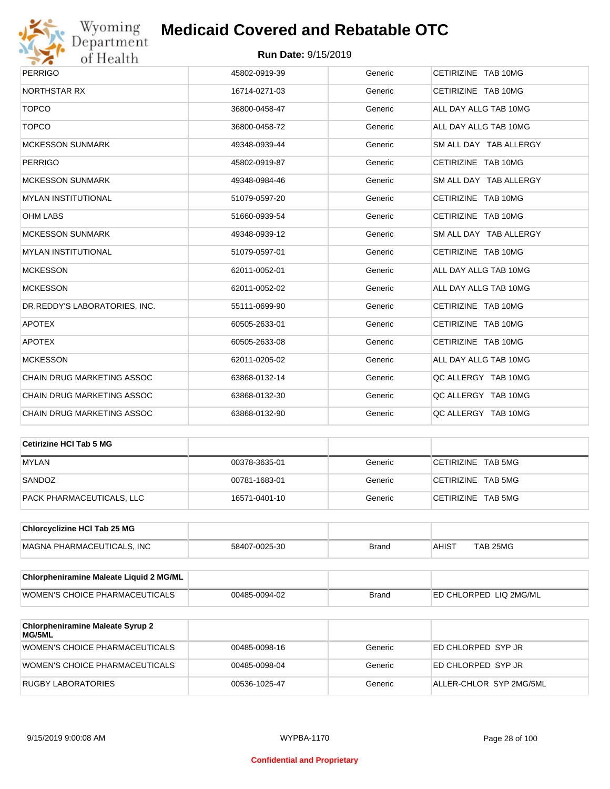

| <b>PERRIGO</b>                    | 45802-0919-39 | Generic | CETIRIZINE TAB 10MG    |
|-----------------------------------|---------------|---------|------------------------|
| <b>NORTHSTAR RX</b>               | 16714-0271-03 | Generic | CETIRIZINE TAB 10MG    |
| <b>TOPCO</b>                      | 36800-0458-47 | Generic | ALL DAY ALLG TAB 10MG  |
| <b>TOPCO</b>                      | 36800-0458-72 | Generic | ALL DAY ALLG TAB 10MG  |
| <b>MCKESSON SUNMARK</b>           | 49348-0939-44 | Generic | SM ALL DAY TAB ALLERGY |
| <b>PERRIGO</b>                    | 45802-0919-87 | Generic | CETIRIZINE TAB 10MG    |
| <b>MCKESSON SUNMARK</b>           | 49348-0984-46 | Generic | SM ALL DAY TAB ALLERGY |
| <b>MYLAN INSTITUTIONAL</b>        | 51079-0597-20 | Generic | CETIRIZINE TAB 10MG    |
| <b>OHM LABS</b>                   | 51660-0939-54 | Generic | CETIRIZINE TAB 10MG    |
| <b>MCKESSON SUNMARK</b>           | 49348-0939-12 | Generic | SM ALL DAY TAB ALLERGY |
| <b>MYLAN INSTITUTIONAL</b>        | 51079-0597-01 | Generic | CETIRIZINE TAB 10MG    |
| <b>MCKESSON</b>                   | 62011-0052-01 | Generic | ALL DAY ALLG TAB 10MG  |
| <b>MCKESSON</b>                   | 62011-0052-02 | Generic | ALL DAY ALLG TAB 10MG  |
| DR.REDDY'S LABORATORIES, INC.     | 55111-0699-90 | Generic | CETIRIZINE TAB 10MG    |
| <b>APOTEX</b>                     | 60505-2633-01 | Generic | CETIRIZINE TAB 10MG    |
| <b>APOTEX</b>                     | 60505-2633-08 | Generic | CETIRIZINE TAB 10MG    |
| <b>MCKESSON</b>                   | 62011-0205-02 | Generic | ALL DAY ALLG TAB 10MG  |
| <b>CHAIN DRUG MARKETING ASSOC</b> | 63868-0132-14 | Generic | QC ALLERGY TAB 10MG    |
| <b>CHAIN DRUG MARKETING ASSOC</b> | 63868-0132-30 | Generic | QC ALLERGY TAB 10MG    |
| CHAIN DRUG MARKETING ASSOC        | 63868-0132-90 | Generic | QC ALLERGY TAB 10MG    |

| Cetirizine HCI Tab 5 MG   |               |         |                    |
|---------------------------|---------------|---------|--------------------|
| <b>MYLAN</b>              | 00378-3635-01 | Generic | CETIRIZINE TAB 5MG |
| SANDOZ                    | 00781-1683-01 | Generic | CETIRIZINE TAB 5MG |
| PACK PHARMACEUTICALS, LLC | 16571-0401-10 | Generic | CETIRIZINE TAB 5MG |

| <b>Chlorcyclizine HCI Tab 25 MG</b> |               |       |       |          |
|-------------------------------------|---------------|-------|-------|----------|
| MAGNA PHARMACEUTICALS. INC          | 58407-0025-30 | Brand | AHIS1 | TAB 25MG |

| Chlorpheniramine Maleate Liquid 2 MG/ML |               |              |                                |
|-----------------------------------------|---------------|--------------|--------------------------------|
| WOMEN'S CHOICE PHARMACEUTICALS          | 00485-0094-02 | <b>Brand</b> | <b>IED CHLORPED LIQ 2MG/ML</b> |

| <b>Chlorpheniramine Maleate Syrup 2</b><br>MG/5ML |               |         |                         |
|---------------------------------------------------|---------------|---------|-------------------------|
| WOMEN'S CHOICE PHARMACEUTICALS                    | 00485-0098-16 | Generic | ED CHLORPED SYP JR      |
| WOMEN'S CHOICE PHARMACEUTICALS                    | 00485-0098-04 | Generic | ED CHLORPED SYP JR      |
| RUGBY LABORATORIES                                | 00536-1025-47 | Generic | ALLER-CHLOR SYP 2MG/5ML |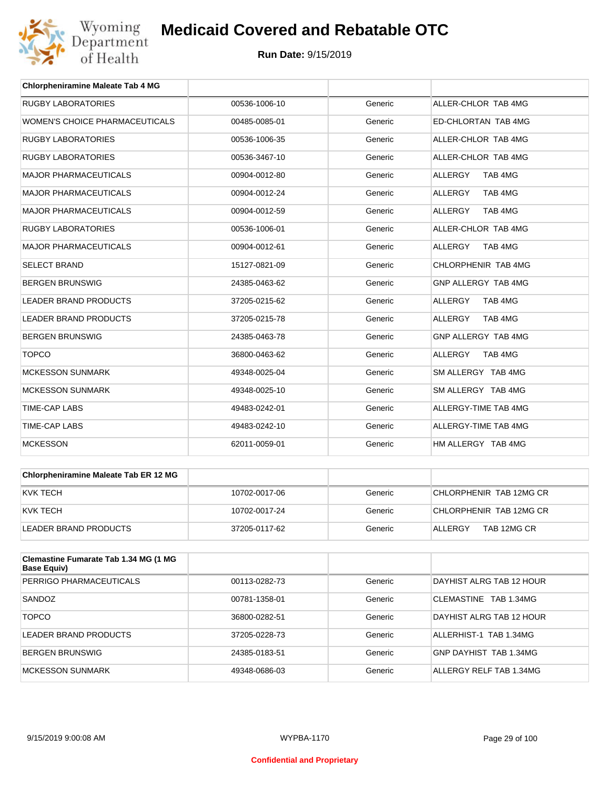

| <b>Chlorpheniramine Maleate Tab 4 MG</b> |               |         |                           |
|------------------------------------------|---------------|---------|---------------------------|
| <b>RUGBY LABORATORIES</b>                | 00536-1006-10 | Generic | ALLER-CHLOR TAB 4MG       |
| WOMEN'S CHOICE PHARMACEUTICALS           | 00485-0085-01 | Generic | ED-CHLORTAN TAB 4MG       |
| <b>RUGBY LABORATORIES</b>                | 00536-1006-35 | Generic | ALLER-CHLOR TAB 4MG       |
| <b>RUGBY LABORATORIES</b>                | 00536-3467-10 | Generic | ALLER-CHLOR TAB 4MG       |
| <b>MAJOR PHARMACEUTICALS</b>             | 00904-0012-80 | Generic | TAB 4MG<br><b>ALLERGY</b> |
| <b>MAJOR PHARMACEUTICALS</b>             | 00904-0012-24 | Generic | <b>ALLERGY</b><br>TAB 4MG |
| <b>MAJOR PHARMACEUTICALS</b>             | 00904-0012-59 | Generic | <b>ALLERGY</b><br>TAB 4MG |
| <b>RUGBY LABORATORIES</b>                | 00536-1006-01 | Generic | ALLER-CHLOR TAB 4MG       |
| <b>MAJOR PHARMACEUTICALS</b>             | 00904-0012-61 | Generic | TAB 4MG<br>ALLERGY        |
| <b>SELECT BRAND</b>                      | 15127-0821-09 | Generic | CHLORPHENIR TAB 4MG       |
| <b>BERGEN BRUNSWIG</b>                   | 24385-0463-62 | Generic | GNP ALLERGY TAB 4MG       |
| <b>LEADER BRAND PRODUCTS</b>             | 37205-0215-62 | Generic | <b>ALLERGY</b><br>TAB 4MG |
| <b>LEADER BRAND PRODUCTS</b>             | 37205-0215-78 | Generic | <b>ALLERGY</b><br>TAB 4MG |
| <b>BERGEN BRUNSWIG</b>                   | 24385-0463-78 | Generic | GNP ALLERGY TAB 4MG       |
| <b>TOPCO</b>                             | 36800-0463-62 | Generic | <b>ALLERGY</b><br>TAB 4MG |
| <b>MCKESSON SUNMARK</b>                  | 49348-0025-04 | Generic | SM ALLERGY TAB 4MG        |
| <b>MCKESSON SUNMARK</b>                  | 49348-0025-10 | Generic | SM ALLERGY TAB 4MG        |
| <b>TIME-CAP LABS</b>                     | 49483-0242-01 | Generic | ALLERGY-TIME TAB 4MG      |
| <b>TIME-CAP LABS</b>                     | 49483-0242-10 | Generic | ALLERGY-TIME TAB 4MG      |
| <b>MCKESSON</b>                          | 62011-0059-01 | Generic | HM ALLERGY TAB 4MG        |

| <b>Chlorpheniramine Maleate Tab ER 12 MG</b> |               |         |                         |
|----------------------------------------------|---------------|---------|-------------------------|
| KVK TECH                                     | 10702-0017-06 | Generic | CHLORPHENIR TAB 12MG CR |
| KVK TECH                                     | 10702-0017-24 | Generic | CHLORPHENIR TAB 12MG CR |
| LEADER BRAND PRODUCTS                        | 37205-0117-62 | Generic | TAB 12MG CR<br>ALLERGY  |

| <b>Clemastine Fumarate Tab 1.34 MG (1 MG</b><br>Base Equiv) |               |         |                          |
|-------------------------------------------------------------|---------------|---------|--------------------------|
| PERRIGO PHARMACEUTICALS                                     | 00113-0282-73 | Generic | DAYHIST ALRG TAB 12 HOUR |
| SANDOZ                                                      | 00781-1358-01 | Generic | CLEMASTINE TAB 1.34MG    |
| <b>TOPCO</b>                                                | 36800-0282-51 | Generic | DAYHIST ALRG TAB 12 HOUR |
| LEADER BRAND PRODUCTS                                       | 37205-0228-73 | Generic | ALLERHIST-1 TAB 1.34MG   |
| <b>BERGEN BRUNSWIG</b>                                      | 24385-0183-51 | Generic | GNP DAYHIST TAB 1.34MG   |
| <b>MCKESSON SUNMARK</b>                                     | 49348-0686-03 | Generic | ALLERGY RELF TAB 1.34MG  |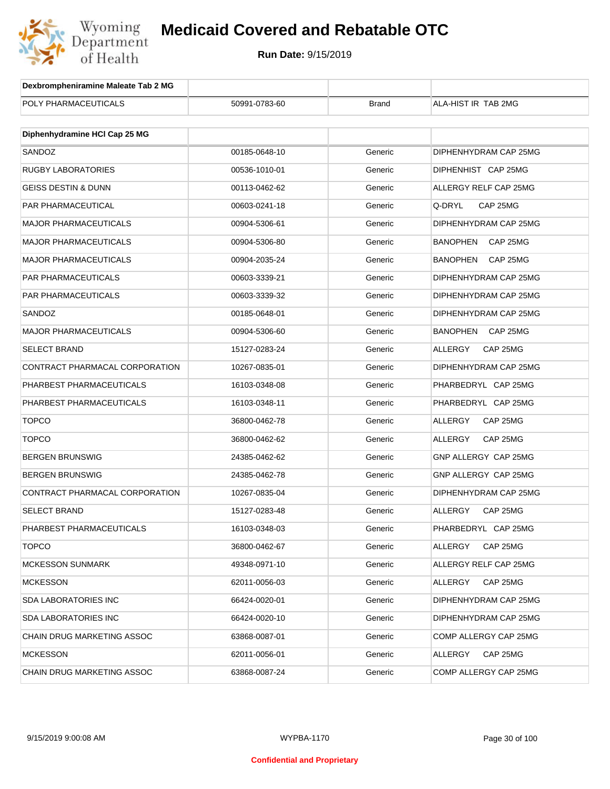

| Dexbrompheniramine Maleate Tab 2 MG |               |              |                             |
|-------------------------------------|---------------|--------------|-----------------------------|
| POLY PHARMACEUTICALS                | 50991-0783-60 | <b>Brand</b> | ALA-HIST IR TAB 2MG         |
|                                     |               |              |                             |
| Diphenhydramine HCI Cap 25 MG       |               |              |                             |
| SANDOZ                              | 00185-0648-10 | Generic      | DIPHENHYDRAM CAP 25MG       |
| <b>RUGBY LABORATORIES</b>           | 00536-1010-01 | Generic      | DIPHENHIST CAP 25MG         |
| <b>GEISS DESTIN &amp; DUNN</b>      | 00113-0462-62 | Generic      | ALLERGY RELF CAP 25MG       |
| PAR PHARMACEUTICAL                  | 00603-0241-18 | Generic      | Q-DRYL<br>CAP 25MG          |
| <b>MAJOR PHARMACEUTICALS</b>        | 00904-5306-61 | Generic      | DIPHENHYDRAM CAP 25MG       |
| <b>MAJOR PHARMACEUTICALS</b>        | 00904-5306-80 | Generic      | BANOPHEN<br>CAP 25MG        |
| <b>MAJOR PHARMACEUTICALS</b>        | 00904-2035-24 | Generic      | <b>BANOPHEN</b><br>CAP 25MG |
| PAR PHARMACEUTICALS                 | 00603-3339-21 | Generic      | DIPHENHYDRAM CAP 25MG       |
| <b>PAR PHARMACEUTICALS</b>          | 00603-3339-32 | Generic      | DIPHENHYDRAM CAP 25MG       |
| SANDOZ                              | 00185-0648-01 | Generic      | DIPHENHYDRAM CAP 25MG       |
| <b>MAJOR PHARMACEUTICALS</b>        | 00904-5306-60 | Generic      | <b>BANOPHEN</b><br>CAP 25MG |
| <b>SELECT BRAND</b>                 | 15127-0283-24 | Generic      | ALLERGY<br>CAP 25MG         |
| CONTRACT PHARMACAL CORPORATION      | 10267-0835-01 | Generic      | DIPHENHYDRAM CAP 25MG       |
| PHARBEST PHARMACEUTICALS            | 16103-0348-08 | Generic      | PHARBEDRYL CAP 25MG         |
| PHARBEST PHARMACEUTICALS            | 16103-0348-11 | Generic      | PHARBEDRYL CAP 25MG         |
| <b>TOPCO</b>                        | 36800-0462-78 | Generic      | ALLERGY<br>CAP 25MG         |
| <b>TOPCO</b>                        | 36800-0462-62 | Generic      | ALLERGY<br>CAP 25MG         |
| <b>BERGEN BRUNSWIG</b>              | 24385-0462-62 | Generic      | GNP ALLERGY CAP 25MG        |
| <b>BERGEN BRUNSWIG</b>              | 24385-0462-78 | Generic      | GNP ALLERGY CAP 25MG        |
| CONTRACT PHARMACAL CORPORATION      | 10267-0835-04 | Generic      | DIPHENHYDRAM CAP 25MG       |
| SELECT BRAND                        | 15127-0283-48 | Generic      | ALLERGY<br>CAP 25MG         |
| PHARBEST PHARMACEUTICALS            | 16103-0348-03 | Generic      | PHARBEDRYL CAP 25MG         |
| <b>TOPCO</b>                        | 36800-0462-67 | Generic      | ALLERGY<br>CAP 25MG         |
| <b>MCKESSON SUNMARK</b>             | 49348-0971-10 | Generic      | ALLERGY RELF CAP 25MG       |
| <b>MCKESSON</b>                     | 62011-0056-03 | Generic      | CAP 25MG<br>ALLERGY         |
| <b>SDA LABORATORIES INC</b>         | 66424-0020-01 | Generic      | DIPHENHYDRAM CAP 25MG       |
| SDA LABORATORIES INC                | 66424-0020-10 | Generic      | DIPHENHYDRAM CAP 25MG       |
| <b>CHAIN DRUG MARKETING ASSOC</b>   | 63868-0087-01 | Generic      | COMP ALLERGY CAP 25MG       |
| <b>MCKESSON</b>                     | 62011-0056-01 | Generic      | CAP 25MG<br>ALLERGY         |
| <b>CHAIN DRUG MARKETING ASSOC</b>   | 63868-0087-24 | Generic      | COMP ALLERGY CAP 25MG       |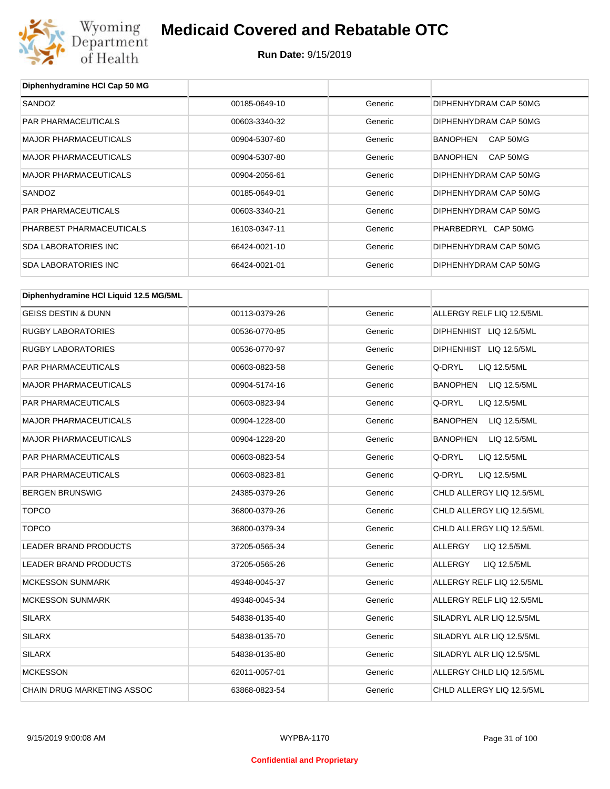

#### **Run Date:** 9/15/2019

| Diphenhydramine HCI Cap 50 MG          |               |         |                                 |
|----------------------------------------|---------------|---------|---------------------------------|
| SANDOZ                                 | 00185-0649-10 | Generic | DIPHENHYDRAM CAP 50MG           |
| PAR PHARMACEUTICALS                    | 00603-3340-32 | Generic | DIPHENHYDRAM CAP 50MG           |
| <b>MAJOR PHARMACEUTICALS</b>           | 00904-5307-60 | Generic | BANOPHEN<br>CAP 50MG            |
| <b>MAJOR PHARMACEUTICALS</b>           | 00904-5307-80 | Generic | BANOPHEN<br>CAP 50MG            |
| <b>MAJOR PHARMACEUTICALS</b>           | 00904-2056-61 | Generic | DIPHENHYDRAM CAP 50MG           |
| SANDOZ                                 | 00185-0649-01 | Generic | DIPHENHYDRAM CAP 50MG           |
| PAR PHARMACEUTICALS                    | 00603-3340-21 | Generic | DIPHENHYDRAM CAP 50MG           |
| PHARBEST PHARMACEUTICALS               | 16103-0347-11 | Generic | PHARBEDRYL CAP 50MG             |
| <b>SDA LABORATORIES INC</b>            | 66424-0021-10 | Generic | DIPHENHYDRAM CAP 50MG           |
| <b>SDA LABORATORIES INC</b>            | 66424-0021-01 | Generic | DIPHENHYDRAM CAP 50MG           |
|                                        |               |         |                                 |
| Diphenhydramine HCI Liquid 12.5 MG/5ML |               |         |                                 |
| <b>GEISS DESTIN &amp; DUNN</b>         | 00113-0379-26 | Generic | ALLERGY RELF LIQ 12.5/5ML       |
| <b>RUGBY LABORATORIES</b>              | 00536-0770-85 | Generic | DIPHENHIST LIQ 12.5/5ML         |
| <b>RUGBY LABORATORIES</b>              | 00536-0770-97 | Generic | DIPHENHIST LIQ 12.5/5ML         |
| PAR PHARMACEUTICALS                    | 00603-0823-58 | Generic | Q-DRYL<br>LIQ 12.5/5ML          |
| <b>MAJOR PHARMACEUTICALS</b>           | 00904-5174-16 | Generic | BANOPHEN LIQ 12.5/5ML           |
| PAR PHARMACEUTICALS                    | 00603-0823-94 | Generic | Q-DRYL<br>LIQ 12.5/5ML          |
| <b>MAJOR PHARMACEUTICALS</b>           | 00904-1228-00 | Generic | BANOPHEN<br>LIQ 12.5/5ML        |
| <b>MAJOR PHARMACEUTICALS</b>           | 00904-1228-20 | Generic | <b>BANOPHEN</b><br>LIQ 12.5/5ML |
| PAR PHARMACEUTICALS                    | 00603-0823-54 | Generic | Q-DRYL<br>LIQ 12.5/5ML          |
| PAR PHARMACEUTICALS                    | 00603-0823-81 | Generic | Q-DRYL<br>LIQ 12.5/5ML          |
| <b>BERGEN BRUNSWIG</b>                 | 24385-0379-26 | Generic | CHLD ALLERGY LIQ 12.5/5ML       |
| <b>TOPCO</b>                           | 36800-0379-26 | Generic | CHLD ALLERGY LIQ 12.5/5ML       |
| <b>TOPCO</b>                           | 36800-0379-34 | Generic | CHLD ALLERGY LIQ 12.5/5ML       |
| LEADER BRAND PRODUCTS                  | 37205-0565-34 | Generic | ALLERGY<br>LIQ 12.5/5ML         |
| LEADER BRAND PRODUCTS                  | 37205-0565-26 | Generic | ALLERGY<br>LIQ 12.5/5ML         |
| <b>MCKESSON SUNMARK</b>                | 49348-0045-37 | Generic | ALLERGY RELF LIQ 12.5/5ML       |
| <b>MCKESSON SUNMARK</b>                | 49348-0045-34 | Generic | ALLERGY RELF LIQ 12.5/5ML       |
| <b>SILARX</b>                          | 54838-0135-40 | Generic | SILADRYL ALR LIQ 12.5/5ML       |
| <b>SILARX</b>                          | 54838-0135-70 | Generic | SILADRYL ALR LIQ 12.5/5ML       |
| <b>SILARX</b>                          | 54838-0135-80 | Generic | SILADRYL ALR LIQ 12.5/5ML       |
| <b>MCKESSON</b>                        | 62011-0057-01 | Generic | ALLERGY CHLD LIQ 12.5/5ML       |

CHAIN DRUG MARKETING ASSOC 63868-0823-54 Generic CHLD ALLERGY LIQ 12.5/5ML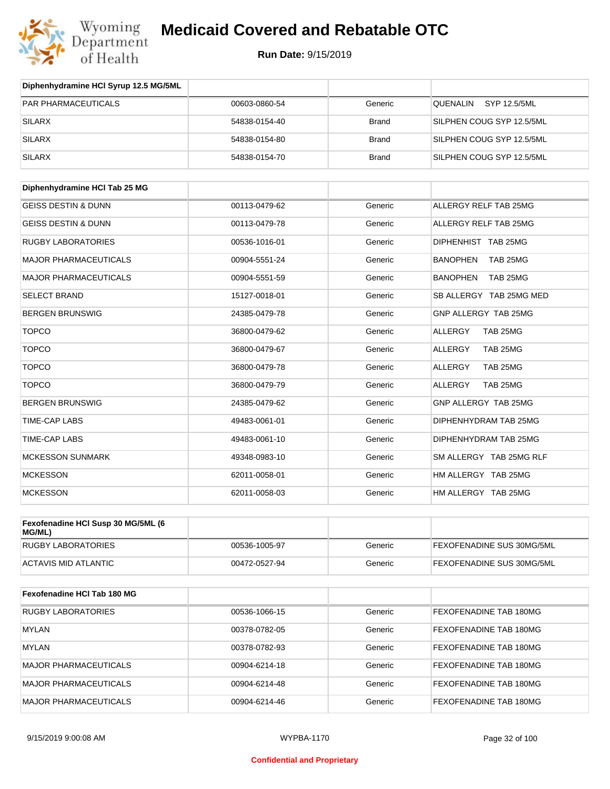

| Diphenhydramine HCI Syrup 12.5 MG/5ML |               |              |                             |
|---------------------------------------|---------------|--------------|-----------------------------|
| PAR PHARMACEUTICALS                   | 00603-0860-54 | Generic      | QUENALIN SYP 12.5/5ML       |
| <b>SILARX</b>                         | 54838-0154-40 | <b>Brand</b> | SILPHEN COUG SYP 12.5/5ML   |
| <b>SILARX</b>                         | 54838-0154-80 | <b>Brand</b> | SILPHEN COUG SYP 12.5/5ML   |
| <b>SILARX</b>                         | 54838-0154-70 | <b>Brand</b> | SILPHEN COUG SYP 12.5/5ML   |
|                                       |               |              |                             |
| Diphenhydramine HCI Tab 25 MG         |               |              |                             |
| <b>GEISS DESTIN &amp; DUNN</b>        | 00113-0479-62 | Generic      | ALLERGY RELF TAB 25MG       |
| <b>GEISS DESTIN &amp; DUNN</b>        | 00113-0479-78 | Generic      | ALLERGY RELF TAB 25MG       |
| <b>RUGBY LABORATORIES</b>             | 00536-1016-01 | Generic      | DIPHENHIST TAB 25MG         |
| <b>MAJOR PHARMACEUTICALS</b>          | 00904-5551-24 | Generic      | <b>BANOPHEN</b><br>TAB 25MG |
| <b>MAJOR PHARMACEUTICALS</b>          | 00904-5551-59 | Generic      | <b>BANOPHEN</b><br>TAB 25MG |
| <b>SELECT BRAND</b>                   | 15127-0018-01 | Generic      | SB ALLERGY TAB 25MG MED     |
| <b>BERGEN BRUNSWIG</b>                | 24385-0479-78 | Generic      | GNP ALLERGY TAB 25MG        |
| <b>TOPCO</b>                          | 36800-0479-62 | Generic      | <b>ALLERGY</b><br>TAB 25MG  |
| <b>TOPCO</b>                          | 36800-0479-67 | Generic      | <b>ALLERGY</b><br>TAB 25MG  |
| <b>TOPCO</b>                          | 36800-0479-78 | Generic      | <b>ALLERGY</b><br>TAB 25MG  |
| <b>TOPCO</b>                          | 36800-0479-79 | Generic      | TAB 25MG<br>ALLERGY         |
| <b>BERGEN BRUNSWIG</b>                | 24385-0479-62 | Generic      | GNP ALLERGY TAB 25MG        |
| <b>TIME-CAP LABS</b>                  | 49483-0061-01 | Generic      | DIPHENHYDRAM TAB 25MG       |
| <b>TIME-CAP LABS</b>                  | 49483-0061-10 | Generic      | DIPHENHYDRAM TAB 25MG       |
| <b>MCKESSON SUNMARK</b>               | 49348-0983-10 | Generic      | SM ALLERGY TAB 25MG RLF     |
| <b>MCKESSON</b>                       | 62011-0058-01 | Generic      | HM ALLERGY TAB 25MG         |
| <b>MCKESSON</b>                       | 62011-0058-03 | Generic      | HM ALLERGY TAB 25MG         |

| Fexofenadine HCI Susp 30 MG/5ML (6<br>MG/ML) |               |         |                                  |
|----------------------------------------------|---------------|---------|----------------------------------|
| RUGBY LABORATORIES                           | 00536-1005-97 | Generic | <b>FEXOFENADINE SUS 30MG/5ML</b> |
| ACTAVIS MID ATLANTIC                         | 00472-0527-94 | Generic | <b>FEXOFENADINE SUS 30MG/5ML</b> |

| Fexofenadine HCI Tab 180 MG  |               |         |                               |
|------------------------------|---------------|---------|-------------------------------|
| <b>RUGBY LABORATORIES</b>    | 00536-1066-15 | Generic | <b>FEXOFENADINE TAB 180MG</b> |
| MYLAN                        | 00378-0782-05 | Generic | <b>FEXOFENADINE TAB 180MG</b> |
| <b>MYLAN</b>                 | 00378-0782-93 | Generic | <b>FEXOFENADINE TAB 180MG</b> |
| <b>MAJOR PHARMACEUTICALS</b> | 00904-6214-18 | Generic | <b>FEXOFENADINE TAB 180MG</b> |
| <b>MAJOR PHARMACEUTICALS</b> | 00904-6214-48 | Generic | FEXOFENADINE TAB 180MG        |
| MAJOR PHARMACEUTICALS        | 00904-6214-46 | Generic | FEXOFENADINE TAB 180MG        |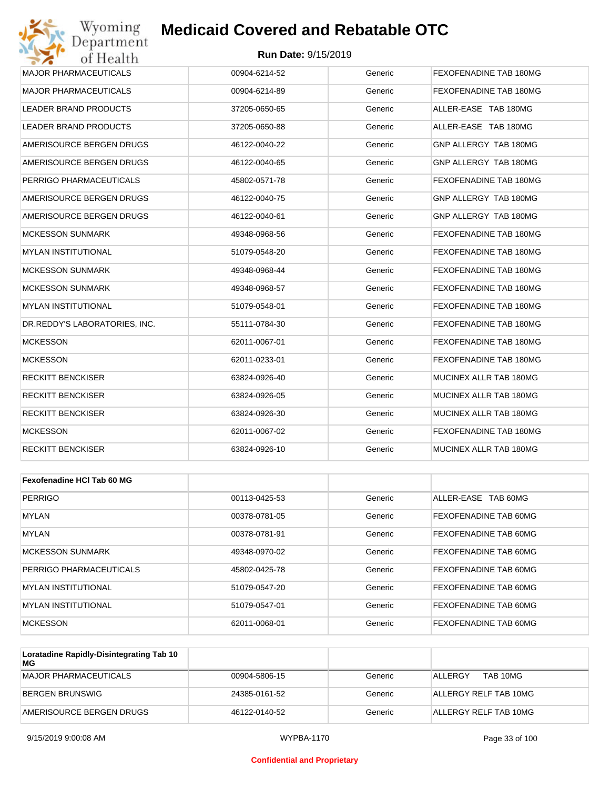#### **Run Date:** 9/15/2019

| Wyoming<br><b>Medicaid Covered and Rebatable OTC</b><br>Department |                            |         |                        |  |
|--------------------------------------------------------------------|----------------------------|---------|------------------------|--|
| of Health                                                          | <b>Run Date: 9/15/2019</b> |         |                        |  |
| <b>MAJOR PHARMACEUTICALS</b>                                       | 00904-6214-52              | Generic | FEXOFENADINE TAB 180MG |  |
| <b>MAJOR PHARMACEUTICALS</b>                                       | 00904-6214-89              | Generic | FEXOFENADINE TAB 180MG |  |
| LEADER BRAND PRODUCTS                                              | 37205-0650-65              | Generic | ALLER-EASE TAB 180MG   |  |
| LEADER BRAND PRODUCTS                                              | 37205-0650-88              | Generic | ALLER-EASE TAB 180MG   |  |
| AMERISOURCE BERGEN DRUGS                                           | 46122-0040-22              | Generic | GNP ALLERGY TAB 180MG  |  |
| AMERISOURCE BERGEN DRUGS                                           | 46122-0040-65              | Generic | GNP ALLERGY TAB 180MG  |  |
| PERRIGO PHARMACEUTICALS                                            | 45802-0571-78              | Generic | FEXOFENADINE TAB 180MG |  |
| AMERISOURCE BERGEN DRUGS                                           | 46122-0040-75              | Generic | GNP ALLERGY TAB 180MG  |  |
| AMERISOURCE BERGEN DRUGS                                           | 46122-0040-61              | Generic | GNP ALLERGY TAB 180MG  |  |
| <b>MCKESSON SUNMARK</b>                                            | 49348-0968-56              | Generic | FEXOFENADINE TAB 180MG |  |
| <b>MYLAN INSTITUTIONAL</b>                                         | 51079-0548-20              | Generic | FEXOFENADINE TAB 180MG |  |
| <b>MCKESSON SUNMARK</b>                                            | 49348-0968-44              | Generic | FEXOFENADINE TAB 180MG |  |
| <b>MCKESSON SUNMARK</b>                                            | 49348-0968-57              | Generic | FEXOFENADINE TAB 180MG |  |
| <b>MYLAN INSTITUTIONAL</b>                                         | 51079-0548-01              | Generic | FEXOFENADINE TAB 180MG |  |
| DR.REDDY'S LABORATORIES, INC.                                      | 55111-0784-30              | Generic | FEXOFENADINE TAB 180MG |  |
| <b>MCKESSON</b>                                                    | 62011-0067-01              | Generic | FEXOFENADINE TAB 180MG |  |
| <b>MCKESSON</b>                                                    | 62011-0233-01              | Generic | FEXOFENADINE TAB 180MG |  |
| <b>RECKITT BENCKISER</b>                                           | 63824-0926-40              | Generic | MUCINEX ALLR TAB 180MG |  |
| <b>RECKITT BENCKISER</b>                                           | 63824-0926-05              | Generic | MUCINEX ALLR TAB 180MG |  |
| <b>RECKITT BENCKISER</b>                                           | 63824-0926-30              | Generic | MUCINEX ALLR TAB 180MG |  |
| <b>MCKESSON</b>                                                    | 62011-0067-02              | Generic | FEXOFENADINE TAB 180MG |  |
| <b>RECKITT BENCKISER</b>                                           | 63824-0926-10              | Generic | MUCINEX ALLR TAB 180MG |  |
|                                                                    |                            |         |                        |  |
| Fexofenadine HCI Tab 60 MG                                         |                            |         |                        |  |
| <b>PERRIGO</b>                                                     | 00113-0425-53              | Generic | ALLER-EASE TAB 60MG    |  |
| MYLAN                                                              | 00378-0781-05              | Generic | FEXOFENADINE TAB 60MG  |  |
| <b>MYLAN</b>                                                       | 00378-0781-91              | Generic | FEXOFENADINE TAB 60MG  |  |
| <b>MCKESSON SUNMARK</b>                                            | 49348-0970-02              | Generic | FEXOFENADINE TAB 60MG  |  |

| MUNESSUN SUNMARN        | 49348-0970-02 | Generic | FEAUFENADINE TAB 60MG        |
|-------------------------|---------------|---------|------------------------------|
| PERRIGO PHARMACEUTICALS | 45802-0425-78 | Generic | <b>FEXOFENADINE TAB 60MG</b> |
| IMYLAN INSTITUTIONAL    | 51079-0547-20 | Generic | <b>FEXOFENADINE TAB 60MG</b> |
| MYLAN INSTITUTIONAL     | 51079-0547-01 | Generic | FEXOFENADINE TAB 60MG        |
| MCKESSON                | 62011-0068-01 | Generic | <b>FEXOFENADINE TAB 60MG</b> |

| Loratadine Rapidly-Disintegrating Tab 10<br>МG |               |         |                       |
|------------------------------------------------|---------------|---------|-----------------------|
| MAJOR PHARMACEUTICALS                          | 00904-5806-15 | Generic | TAB 10MG<br>ALLERGY   |
| BERGEN BRUNSWIG                                | 24385-0161-52 | Generic | ALLERGY RELF TAB 10MG |
| AMERISOURCE BERGEN DRUGS                       | 46122-0140-52 | Generic | ALLERGY RELF TAB 10MG |

#### **Confidential and Proprietary**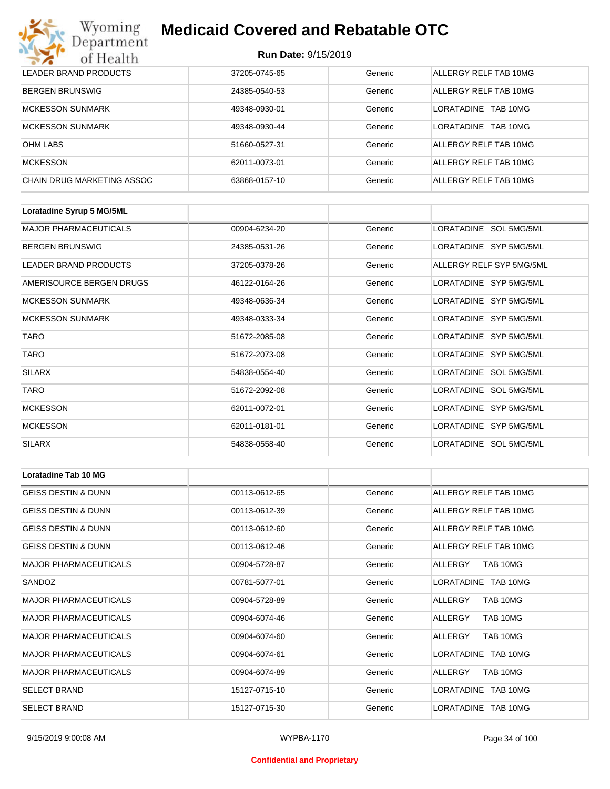# Wyoming<br>Department<br>of Health

## **Medicaid Covered and Rebatable OTC**

| LEADER BRAND PRODUCTS      | 37205-0745-65 | Generic | ALLERGY RELF TAB 10MG   |
|----------------------------|---------------|---------|-------------------------|
| BERGEN BRUNSWIG            | 24385-0540-53 | Generic | ALLERGY RELF TAB 10MG   |
| <b>MCKESSON SUNMARK</b>    | 49348-0930-01 | Generic | I ORATADINE<br>TAB 10MG |
| <b>MCKESSON SUNMARK</b>    | 49348-0930-44 | Generic | TAB 10MG<br>LORATADINE  |
| <b>OHM LABS</b>            | 51660-0527-31 | Generic | ALLERGY RELF TAB 10MG   |
| <b>MCKESSON</b>            | 62011-0073-01 | Generic | ALLERGY RELF TAB 10MG   |
| CHAIN DRUG MARKETING ASSOC | 63868-0157-10 | Generic | ALLERGY RELF TAB 10MG   |

| Loratadine Syrup 5 MG/5ML    |               |         |                          |
|------------------------------|---------------|---------|--------------------------|
| <b>MAJOR PHARMACEUTICALS</b> | 00904-6234-20 | Generic | LORATADINE SOL 5MG/5ML   |
| <b>BERGEN BRUNSWIG</b>       | 24385-0531-26 | Generic | LORATADINE SYP 5MG/5ML   |
| LEADER BRAND PRODUCTS        | 37205-0378-26 | Generic | ALLERGY RELF SYP 5MG/5ML |
| AMERISOURCE BERGEN DRUGS     | 46122-0164-26 | Generic | LORATADINE SYP 5MG/5ML   |
| <b>MCKESSON SUNMARK</b>      | 49348-0636-34 | Generic | LORATADINE SYP 5MG/5ML   |
| <b>MCKESSON SUNMARK</b>      | 49348-0333-34 | Generic | LORATADINE SYP 5MG/5ML   |
| <b>TARO</b>                  | 51672-2085-08 | Generic | LORATADINE SYP 5MG/5ML   |
| <b>TARO</b>                  | 51672-2073-08 | Generic | LORATADINE SYP 5MG/5ML   |
| <b>SILARX</b>                | 54838-0554-40 | Generic | LORATADINE SOL 5MG/5ML   |
| <b>TARO</b>                  | 51672-2092-08 | Generic | LORATADINE SOL 5MG/5ML   |
| <b>MCKESSON</b>              | 62011-0072-01 | Generic | LORATADINE SYP 5MG/5ML   |
| <b>MCKESSON</b>              | 62011-0181-01 | Generic | LORATADINE SYP 5MG/5ML   |
| <b>SILARX</b>                | 54838-0558-40 | Generic | LORATADINE SOL 5MG/5ML   |

| Loratadine Tab 10 MG           |               |         |                       |
|--------------------------------|---------------|---------|-----------------------|
| <b>GEISS DESTIN &amp; DUNN</b> | 00113-0612-65 | Generic | ALLERGY RELF TAB 10MG |
| <b>GEISS DESTIN &amp; DUNN</b> | 00113-0612-39 | Generic | ALLERGY RELF TAB 10MG |
| <b>GEISS DESTIN &amp; DUNN</b> | 00113-0612-60 | Generic | ALLERGY RELF TAB 10MG |
| <b>GEISS DESTIN &amp; DUNN</b> | 00113-0612-46 | Generic | ALLERGY RELF TAB 10MG |
| <b>MAJOR PHARMACEUTICALS</b>   | 00904-5728-87 | Generic | ALLERGY<br>TAB 10MG   |
| SANDOZ                         | 00781-5077-01 | Generic | LORATADINE TAB 10MG   |
| <b>MAJOR PHARMACEUTICALS</b>   | 00904-5728-89 | Generic | TAB 10MG<br>ALLERGY   |
| <b>MAJOR PHARMACEUTICALS</b>   | 00904-6074-46 | Generic | TAB 10MG<br>ALLERGY   |
| <b>MAJOR PHARMACEUTICALS</b>   | 00904-6074-60 | Generic | TAB 10MG<br>ALLERGY   |
| <b>MAJOR PHARMACEUTICALS</b>   | 00904-6074-61 | Generic | LORATADINE TAB 10MG   |
| <b>MAJOR PHARMACEUTICALS</b>   | 00904-6074-89 | Generic | ALLERGY<br>TAB 10MG   |
| <b>SELECT BRAND</b>            | 15127-0715-10 | Generic | LORATADINE TAB 10MG   |
| <b>SELECT BRAND</b>            | 15127-0715-30 | Generic | LORATADINE TAB 10MG   |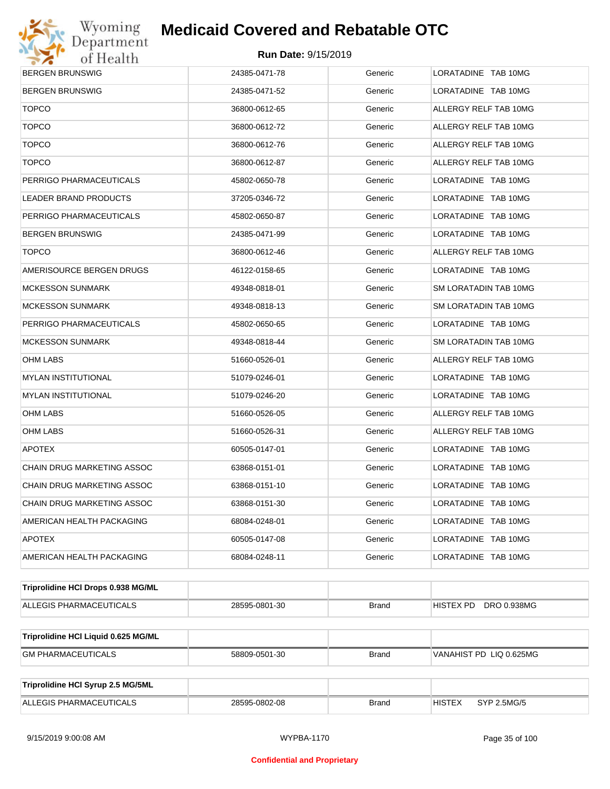

| <b>BERGEN BRUNSWIG</b>              | 24385-0471-78 | Generic      | LORATADINE TAB 10MG          |
|-------------------------------------|---------------|--------------|------------------------------|
| <b>BERGEN BRUNSWIG</b>              | 24385-0471-52 | Generic      | LORATADINE TAB 10MG          |
| <b>TOPCO</b>                        | 36800-0612-65 | Generic      | ALLERGY RELF TAB 10MG        |
| <b>TOPCO</b>                        | 36800-0612-72 | Generic      | ALLERGY RELF TAB 10MG        |
| <b>TOPCO</b>                        | 36800-0612-76 | Generic      | ALLERGY RELF TAB 10MG        |
| <b>TOPCO</b>                        | 36800-0612-87 | Generic      | ALLERGY RELF TAB 10MG        |
| PERRIGO PHARMACEUTICALS             | 45802-0650-78 | Generic      | LORATADINE TAB 10MG          |
| <b>LEADER BRAND PRODUCTS</b>        | 37205-0346-72 | Generic      | LORATADINE TAB 10MG          |
| PERRIGO PHARMACEUTICALS             | 45802-0650-87 | Generic      | LORATADINE TAB 10MG          |
| <b>BERGEN BRUNSWIG</b>              | 24385-0471-99 | Generic      | LORATADINE TAB 10MG          |
| <b>TOPCO</b>                        | 36800-0612-46 | Generic      | ALLERGY RELF TAB 10MG        |
| AMERISOURCE BERGEN DRUGS            | 46122-0158-65 | Generic      | LORATADINE TAB 10MG          |
| <b>MCKESSON SUNMARK</b>             | 49348-0818-01 | Generic      | SM LORATADIN TAB 10MG        |
| <b>MCKESSON SUNMARK</b>             | 49348-0818-13 | Generic      | SM LORATADIN TAB 10MG        |
| PERRIGO PHARMACEUTICALS             | 45802-0650-65 | Generic      | LORATADINE TAB 10MG          |
| <b>MCKESSON SUNMARK</b>             | 49348-0818-44 | Generic      | SM LORATADIN TAB 10MG        |
| OHM LABS                            | 51660-0526-01 | Generic      | ALLERGY RELF TAB 10MG        |
| <b>MYLAN INSTITUTIONAL</b>          | 51079-0246-01 | Generic      | LORATADINE TAB 10MG          |
| <b>MYLAN INSTITUTIONAL</b>          | 51079-0246-20 | Generic      | LORATADINE TAB 10MG          |
| OHM LABS                            | 51660-0526-05 | Generic      | ALLERGY RELF TAB 10MG        |
| OHM LABS                            | 51660-0526-31 | Generic      | ALLERGY RELF TAB 10MG        |
| <b>APOTEX</b>                       | 60505-0147-01 | Generic      | LORATADINE TAB 10MG          |
| CHAIN DRUG MARKETING ASSOC          | 63868-0151-01 | Generic      | LORATADINE TAB 10MG          |
| CHAIN DRUG MARKETING ASSOC          | 63868-0151-10 | Generic      | LORATADINE TAB 10MG          |
| CHAIN DRUG MARKETING ASSOC          | 63868-0151-30 | Generic      | LORATADINE TAB 10MG          |
| AMERICAN HEALTH PACKAGING           | 68084-0248-01 | Generic      | LORATADINE TAB 10MG          |
| <b>APOTEX</b>                       | 60505-0147-08 | Generic      | LORATADINE TAB 10MG          |
| AMERICAN HEALTH PACKAGING           | 68084-0248-11 | Generic      | LORATADINE TAB 10MG          |
| Triprolidine HCI Drops 0.938 MG/ML  |               |              |                              |
| ALLEGIS PHARMACEUTICALS             | 28595-0801-30 | <b>Brand</b> | HISTEX PD DRO 0.938MG        |
| Triprolidine HCI Liquid 0.625 MG/ML |               |              |                              |
| <b>GM PHARMACEUTICALS</b>           | 58809-0501-30 | <b>Brand</b> | VANAHIST PD LIQ 0.625MG      |
|                                     |               |              |                              |
| Triprolidine HCI Syrup 2.5 MG/5ML   |               |              |                              |
| ALLEGIS PHARMACEUTICALS             | 28595-0802-08 | <b>Brand</b> | <b>HISTEX</b><br>SYP 2.5MG/5 |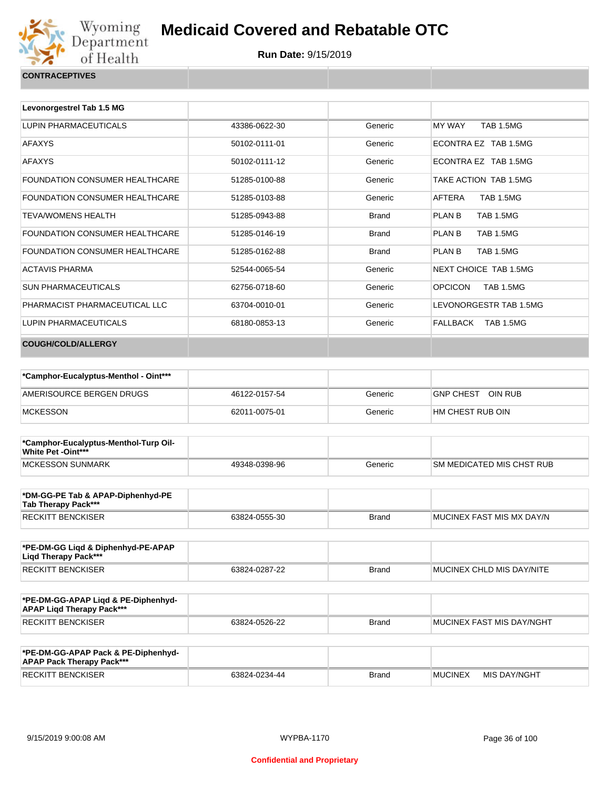

| Levonorgestrel Tab 1.5 MG             |               |              |                                    |
|---------------------------------------|---------------|--------------|------------------------------------|
| LUPIN PHARMACEUTICALS                 | 43386-0622-30 | Generic      | MY WAY<br><b>TAB 1.5MG</b>         |
| <b>AFAXYS</b>                         | 50102-0111-01 | Generic      | ECONTRA EZ TAB 1.5MG               |
| <b>AFAXYS</b>                         | 50102-0111-12 | Generic      | ECONTRA EZ TAB 1.5MG               |
| FOUNDATION CONSUMER HEALTHCARE        | 51285-0100-88 | Generic      | TAKE ACTION TAB 1.5MG              |
| <b>FOUNDATION CONSUMER HEALTHCARE</b> | 51285-0103-88 | Generic      | AFTERA<br><b>TAB 1.5MG</b>         |
| <b>TEVA/WOMENS HEALTH</b>             | 51285-0943-88 | <b>Brand</b> | <b>TAB 1.5MG</b><br>PLAN B         |
| <b>FOUNDATION CONSUMER HEALTHCARE</b> | 51285-0146-19 | <b>Brand</b> | PLAN B<br><b>TAB 1.5MG</b>         |
| <b>FOUNDATION CONSUMER HEALTHCARE</b> | 51285-0162-88 | <b>Brand</b> | <b>TAB 1.5MG</b><br>PLAN B         |
| <b>ACTAVIS PHARMA</b>                 | 52544-0065-54 | Generic      | NEXT CHOICE TAB 1.5MG              |
| <b>SUN PHARMACEUTICALS</b>            | 62756-0718-60 | Generic      | <b>OPCICON</b><br><b>TAB 1.5MG</b> |
| PHARMACIST PHARMACEUTICAL LLC         | 63704-0010-01 | Generic      | LEVONORGESTR TAB 1.5MG             |
| LUPIN PHARMACEUTICALS                 | 68180-0853-13 | Generic      | FALLBACK TAB 1.5MG                 |
| <b>COUGH/COLD/ALLERGY</b>             |               |              |                                    |

| *Camphor-Eucalyptus-Menthol - Oint*** |               |         |                             |
|---------------------------------------|---------------|---------|-----------------------------|
| AMERISOURCE BERGEN DRUGS              | 46122-0157-54 | Generic | OIN RUB<br><b>GNP CHEST</b> |
| <b>MCKESSON</b>                       | 62011-0075-01 | Generic | HM CHEST RUB OIN            |

| *Camphor-Eucalyptus-Menthol-Turp Oil-<br><b>White Pet -Oint***</b> |               |         |                                  |
|--------------------------------------------------------------------|---------------|---------|----------------------------------|
| MCKESSON SUNMARK                                                   | 49348-0398-96 | Generic | <b>SM MEDICATED MIS CHST RUB</b> |

| *DM-GG-PE Tab & APAP-Diphenhyd-PE<br>Tab Therapy Pack*** |               |       |                            |
|----------------------------------------------------------|---------------|-------|----------------------------|
| <b>RECKITT BENCKISER</b>                                 | 63824-0555-30 | Brand | IMUCINEX FAST MIS MX DAY/N |

| *PE-DM-GG Ligd & Diphenhyd-PE-APAP<br>Ligd Therapy Pack*** |               |              |                           |
|------------------------------------------------------------|---------------|--------------|---------------------------|
| <b>RECKITT BENCKISER</b>                                   | 63824-0287-22 | <b>Brand</b> | MUCINEX CHLD MIS DAY/NITE |

| *PE-DM-GG-APAP Ligd & PE-Diphenhyd-<br><b>APAP Ligd Therapy Pack***</b> |               |       |                             |
|-------------------------------------------------------------------------|---------------|-------|-----------------------------|
| RECKITT BENCKISER                                                       | 63824-0526-22 | Brand | I MUCINEX FAST MIS DAY/NGHT |

| *PE-DM-GG-APAP Pack & PE-Diphenhyd-<br><b>APAP Pack Therapy Pack***</b> |               |              |                |              |
|-------------------------------------------------------------------------|---------------|--------------|----------------|--------------|
| <b>RECKITT BENCKISER</b>                                                | 63824-0234-44 | <b>Brand</b> | <b>MUCINEX</b> | MIS DAY/NGHT |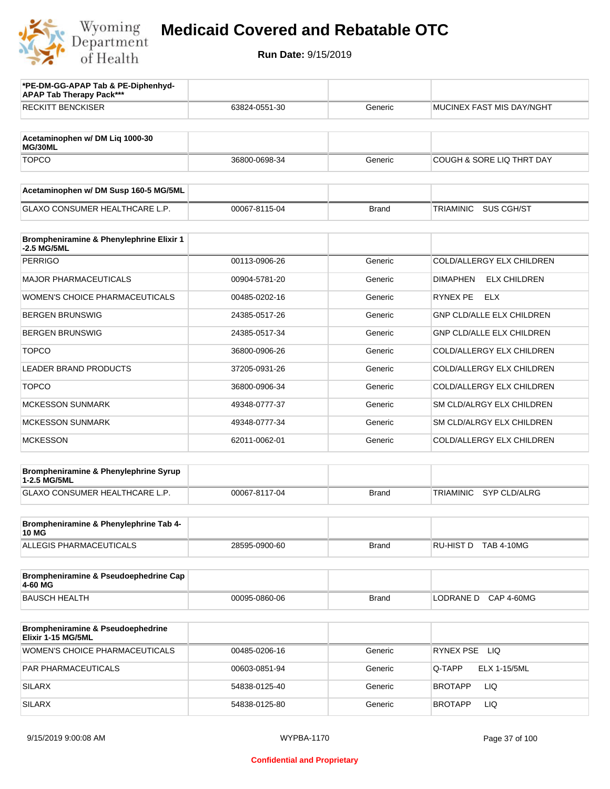

| *PE-DM-GG-APAP Tab & PE-Diphenhyd-<br><b>APAP Tab Therapy Pack***</b> |               |              |                                         |
|-----------------------------------------------------------------------|---------------|--------------|-----------------------------------------|
| <b>RECKITT BENCKISER</b>                                              | 63824-0551-30 | Generic      | MUCINEX FAST MIS DAY/NGHT               |
| Acetaminophen w/ DM Lig 1000-30<br>MG/30ML                            |               |              |                                         |
| <b>TOPCO</b>                                                          | 36800-0698-34 | Generic      | <b>COUGH &amp; SORE LIQ THRT DAY</b>    |
| Acetaminophen w/ DM Susp 160-5 MG/5ML                                 |               |              |                                         |
| <b>GLAXO CONSUMER HEALTHCARE L.P.</b>                                 | 00067-8115-04 | <b>Brand</b> | TRIAMINIC<br>SUS CGH/ST                 |
| Brompheniramine & Phenylephrine Elixir 1<br>-2.5 MG/5ML               |               |              |                                         |
| <b>PERRIGO</b>                                                        | 00113-0906-26 | Generic      | COLD/ALLERGY ELX CHILDREN               |
| <b>MAJOR PHARMACEUTICALS</b>                                          | 00904-5781-20 | Generic      | <b>ELX CHILDREN</b><br><b>DIMAPHEN</b>  |
| WOMEN'S CHOICE PHARMACEUTICALS                                        | 00485-0202-16 | Generic      | RYNEX PE<br><b>ELX</b>                  |
| <b>BERGEN BRUNSWIG</b>                                                | 24385-0517-26 | Generic      | <b>GNP CLD/ALLE ELX CHILDREN</b>        |
| <b>BERGEN BRUNSWIG</b>                                                | 24385-0517-34 | Generic      | <b>GNP CLD/ALLE ELX CHILDREN</b>        |
| <b>TOPCO</b>                                                          | 36800-0906-26 | Generic      | COLD/ALLERGY ELX CHILDREN               |
| <b>LEADER BRAND PRODUCTS</b>                                          | 37205-0931-26 | Generic      | COLD/ALLERGY ELX CHILDREN               |
| <b>TOPCO</b>                                                          | 36800-0906-34 | Generic      | COLD/ALLERGY ELX CHILDREN               |
| <b>MCKESSON SUNMARK</b>                                               | 49348-0777-37 | Generic      | SM CLD/ALRGY ELX CHILDREN               |
| <b>MCKESSON SUNMARK</b>                                               | 49348-0777-34 | Generic      | SM CLD/ALRGY ELX CHILDREN               |
| <b>MCKESSON</b>                                                       | 62011-0062-01 | Generic      | COLD/ALLERGY ELX CHILDREN               |
| Brompheniramine & Phenylephrine Syrup<br>1-2.5 MG/5ML                 |               |              |                                         |
| GLAXO CONSUMER HEALTHCARE L.P.                                        | 00067-8117-04 | <b>Brand</b> | <b>TRIAMINIC</b><br><b>SYP CLD/ALRG</b> |
| Brompheniramine & Phenylephrine Tab 4-<br><b>10 MG</b>                |               |              |                                         |
| ALLEGIS PHARMACEUTICALS                                               | 28595-0900-60 | Brand        | RU-HIST D TAB 4-10MG                    |
| Brompheniramine & Pseudoephedrine Cap<br>4-60 MG                      |               |              |                                         |
| <b>BAUSCH HEALTH</b>                                                  | 00095-0860-06 | <b>Brand</b> | <b>CAP 4-60MG</b><br>LODRANE D          |
| Brompheniramine & Pseudoephedrine<br>Elixir 1-15 MG/5ML               |               |              |                                         |
| <b>WOMEN'S CHOICE PHARMACEUTICALS</b>                                 | 00485-0206-16 | Generic      | RYNEX PSE LIQ                           |
| PAR PHARMACEUTICALS                                                   | 00603-0851-94 | Generic      | Q-TAPP<br>ELX 1-15/5ML                  |
| <b>SILARX</b>                                                         | 54838-0125-40 | Generic      | LIQ<br>BROTAPP                          |
| <b>SILARX</b>                                                         | 54838-0125-80 | Generic      | BROTAPP<br>LIQ.                         |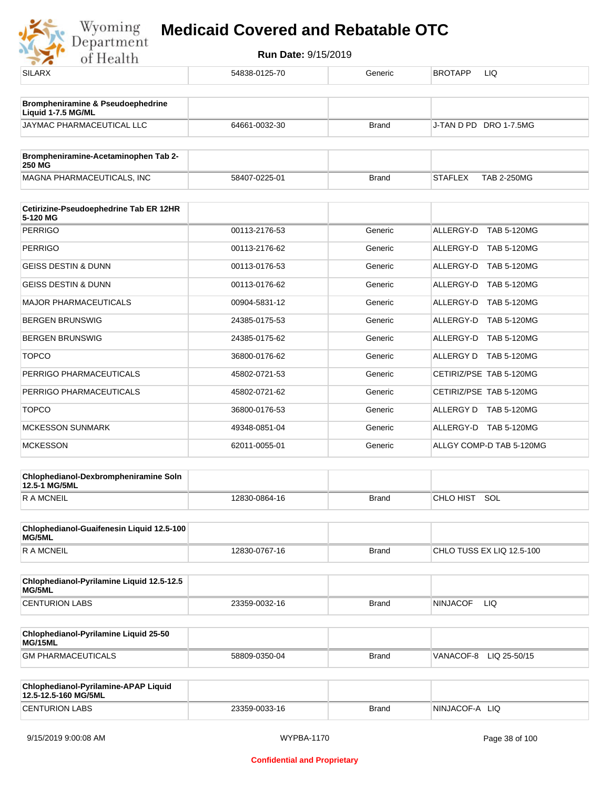

| $\bullet$ $\bullet$<br><u>UI IIUGILII</u>                          |               |              |                                      |
|--------------------------------------------------------------------|---------------|--------------|--------------------------------------|
| <b>SILARX</b>                                                      | 54838-0125-70 | Generic      | <b>BROTAPP</b><br>LIQ                |
| <b>Brompheniramine &amp; Pseudoephedrine</b><br>Liquid 1-7.5 MG/ML |               |              |                                      |
| JAYMAC PHARMACEUTICAL LLC                                          | 64661-0032-30 | <b>Brand</b> | J-TAN D PD DRO 1-7.5MG               |
| Brompheniramine-Acetaminophen Tab 2-                               |               |              |                                      |
| <b>250 MG</b>                                                      |               |              |                                      |
| MAGNA PHARMACEUTICALS, INC                                         | 58407-0225-01 | <b>Brand</b> | <b>TAB 2-250MG</b><br><b>STAFLEX</b> |
| Cetirizine-Pseudoephedrine Tab ER 12HR<br>5-120 MG                 |               |              |                                      |
| <b>PERRIGO</b>                                                     | 00113-2176-53 | Generic      | ALLERGY-D TAB 5-120MG                |
| <b>PERRIGO</b>                                                     | 00113-2176-62 | Generic      | ALLERGY-D TAB 5-120MG                |
| <b>GEISS DESTIN &amp; DUNN</b>                                     | 00113-0176-53 | Generic      | ALLERGY-D TAB 5-120MG                |
| <b>GEISS DESTIN &amp; DUNN</b>                                     | 00113-0176-62 | Generic      | ALLERGY-D TAB 5-120MG                |
| <b>MAJOR PHARMACEUTICALS</b>                                       | 00904-5831-12 | Generic      | ALLERGY-D TAB 5-120MG                |
| <b>BERGEN BRUNSWIG</b>                                             | 24385-0175-53 | Generic      | ALLERGY-D TAB 5-120MG                |
| <b>BERGEN BRUNSWIG</b>                                             | 24385-0175-62 | Generic      | ALLERGY-D TAB 5-120MG                |
| <b>TOPCO</b>                                                       | 36800-0176-62 | Generic      | ALLERGY D TAB 5-120MG                |
| PERRIGO PHARMACEUTICALS                                            | 45802-0721-53 | Generic      | CETIRIZ/PSE TAB 5-120MG              |
| PERRIGO PHARMACEUTICALS                                            | 45802-0721-62 | Generic      | CETIRIZ/PSE TAB 5-120MG              |
| <b>TOPCO</b>                                                       | 36800-0176-53 | Generic      | ALLERGY D TAB 5-120MG                |
| <b>MCKESSON SUNMARK</b>                                            | 49348-0851-04 | Generic      | ALLERGY-D TAB 5-120MG                |
| <b>MCKESSON</b>                                                    | 62011-0055-01 | Generic      | ALLGY COMP-D TAB 5-120MG             |
| Chlophedianol-Dexbrompheniramine Soln<br>12.5-1 MG/5ML             |               |              |                                      |
| <b>RAMCNEIL</b>                                                    | 12830-0864-16 | <b>Brand</b> | CHLO HIST SOL                        |
| Chlophedianol-Guaifenesin Liquid 12.5-100<br>MG/5ML                |               |              |                                      |
| <b>RAMCNEIL</b>                                                    | 12830-0767-16 | <b>Brand</b> | CHLO TUSS EX LIQ 12.5-100            |
| Chlophedianol-Pyrilamine Liquid 12.5-12.5<br>MG/5ML                |               |              |                                      |
| <b>CENTURION LABS</b>                                              | 23359-0032-16 | <b>Brand</b> | <b>NINJACOF</b><br><b>LIQ</b>        |
| Chlophedianol-Pyrilamine Liquid 25-50<br>MG/15ML                   |               |              |                                      |
| <b>GM PHARMACEUTICALS</b>                                          | 58809-0350-04 | <b>Brand</b> | VANACOF-8 LIQ 25-50/15               |
| Chlophedianol-Pyrilamine-APAP Liquid<br>12.5-12.5-160 MG/5ML       |               |              |                                      |
| <b>CENTURION LABS</b>                                              | 23359-0033-16 | <b>Brand</b> | NINJACOF-A LIQ                       |
|                                                                    |               |              |                                      |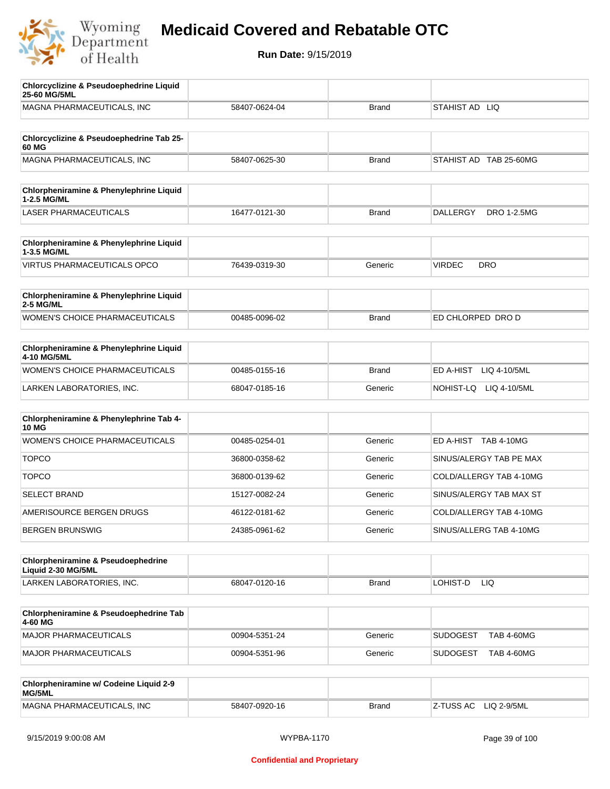

| <b>Chlorcyclizine &amp; Pseudoephedrine Liquid</b><br>25-60 MG/5ML |               |              |                                       |
|--------------------------------------------------------------------|---------------|--------------|---------------------------------------|
| MAGNA PHARMACEUTICALS, INC                                         | 58407-0624-04 | <b>Brand</b> | STAHIST AD LIQ                        |
| Chlorcyclizine & Pseudoephedrine Tab 25-                           |               |              |                                       |
| 60 MG<br>MAGNA PHARMACEUTICALS, INC                                | 58407-0625-30 | <b>Brand</b> | STAHIST AD TAB 25-60MG                |
|                                                                    |               |              |                                       |
| Chlorpheniramine & Phenylephrine Liquid<br>1-2.5 MG/ML             |               |              |                                       |
| <b>LASER PHARMACEUTICALS</b>                                       | 16477-0121-30 | <b>Brand</b> | <b>DALLERGY</b><br><b>DRO 1-2.5MG</b> |
| Chlorpheniramine & Phenylephrine Liquid<br>1-3.5 MG/ML             |               |              |                                       |
| <b>VIRTUS PHARMACEUTICALS OPCO</b>                                 | 76439-0319-30 | Generic      | <b>VIRDEC</b><br><b>DRO</b>           |
| Chlorpheniramine & Phenylephrine Liquid<br><b>2-5 MG/ML</b>        |               |              |                                       |
| <b>WOMEN'S CHOICE PHARMACEUTICALS</b>                              | 00485-0096-02 | <b>Brand</b> | ED CHLORPED DRO D                     |
| <b>Chlorpheniramine &amp; Phenylephrine Liquid</b><br>4-10 MG/5ML  |               |              |                                       |
| WOMEN'S CHOICE PHARMACEUTICALS                                     | 00485-0155-16 | <b>Brand</b> | ED A-HIST<br>LIQ 4-10/5ML             |
| LARKEN LABORATORIES, INC.                                          | 68047-0185-16 | Generic      | NOHIST-LQ LIQ 4-10/5ML                |
| Chlorpheniramine & Phenylephrine Tab 4-<br><b>10 MG</b>            |               |              |                                       |
| <b>WOMEN'S CHOICE PHARMACEUTICALS</b>                              | 00485-0254-01 | Generic      | ED A-HIST TAB 4-10MG                  |
| <b>TOPCO</b>                                                       | 36800-0358-62 | Generic      | SINUS/ALERGY TAB PE MAX               |
| <b>TOPCO</b>                                                       | 36800-0139-62 | Generic      | COLD/ALLERGY TAB 4-10MG               |
| <b>SELECT BRAND</b>                                                | 15127-0082-24 | Generic      | SINUS/ALERGY TAB MAX ST               |
| AMERISOURCE BERGEN DRUGS                                           | 46122-0181-62 | Generic      | COLD/ALLERGY TAB 4-10MG               |
| <b>BERGEN BRUNSWIG</b>                                             | 24385-0961-62 | Generic      | SINUS/ALLERG TAB 4-10MG               |
| Chlorpheniramine & Pseudoephedrine<br>Liquid 2-30 MG/5ML           |               |              |                                       |
| LARKEN LABORATORIES, INC.                                          | 68047-0120-16 | <b>Brand</b> | LOHIST-D<br>LIQ.                      |
| Chlorpheniramine & Pseudoephedrine Tab<br>4-60 MG                  |               |              |                                       |
| <b>MAJOR PHARMACEUTICALS</b>                                       | 00904-5351-24 | Generic      | <b>SUDOGEST</b><br><b>TAB 4-60MG</b>  |
| <b>MAJOR PHARMACEUTICALS</b>                                       | 00904-5351-96 | Generic      | <b>SUDOGEST</b><br><b>TAB 4-60MG</b>  |
| Chlorpheniramine w/ Codeine Liquid 2-9<br>MG/5ML                   |               |              |                                       |
| MAGNA PHARMACEUTICALS, INC                                         | 58407-0920-16 | <b>Brand</b> | Z-TUSS AC<br>LIQ 2-9/5ML              |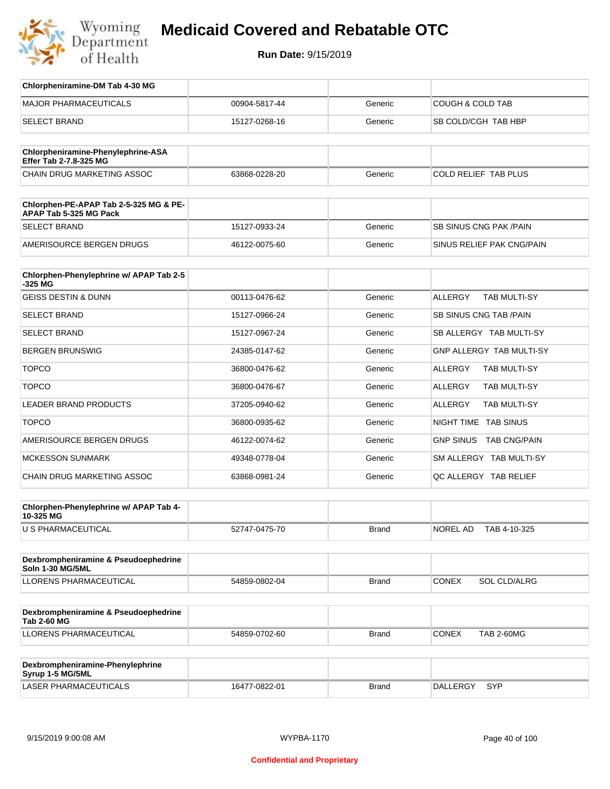

| Chlorpheniramine-DM Tab 4-30 MG                                  |               |              |                                       |
|------------------------------------------------------------------|---------------|--------------|---------------------------------------|
| <b>MAJOR PHARMACEUTICALS</b>                                     | 00904-5817-44 | Generic      | <b>COUGH &amp; COLD TAB</b>           |
| <b>SELECT BRAND</b>                                              | 15127-0268-16 | Generic      | SB COLD/CGH TAB HBP                   |
|                                                                  |               |              |                                       |
| Chlorpheniramine-Phenylephrine-ASA<br>Effer Tab 2-7.8-325 MG     |               |              |                                       |
| CHAIN DRUG MARKETING ASSOC                                       | 63868-0228-20 | Generic      | <b>COLD RELIEF TAB PLUS</b>           |
|                                                                  |               |              |                                       |
| Chlorphen-PE-APAP Tab 2-5-325 MG & PE-<br>APAP Tab 5-325 MG Pack |               |              |                                       |
| <b>SELECT BRAND</b>                                              | 15127-0933-24 | Generic      | SB SINUS CNG PAK / PAIN               |
| AMERISOURCE BERGEN DRUGS                                         | 46122-0075-60 | Generic      | SINUS RELIEF PAK CNG/PAIN             |
|                                                                  |               |              |                                       |
| Chlorphen-Phenylephrine w/ APAP Tab 2-5<br>-325 MG               |               |              |                                       |
| <b>GEISS DESTIN &amp; DUNN</b>                                   | 00113-0476-62 | Generic      | <b>ALLERGY</b><br><b>TAB MULTI-SY</b> |
| <b>SELECT BRAND</b>                                              | 15127-0966-24 | Generic      | SB SINUS CNG TAB / PAIN               |
| <b>SELECT BRAND</b>                                              | 15127-0967-24 | Generic      | SB ALLERGY TAB MULTI-SY               |
| <b>BERGEN BRUNSWIG</b>                                           | 24385-0147-62 | Generic      | GNP ALLERGY TAB MULTI-SY              |
| <b>TOPCO</b>                                                     | 36800-0476-62 | Generic      | <b>ALLERGY</b><br>TAB MULTI-SY        |
| <b>TOPCO</b>                                                     | 36800-0476-67 | Generic      | TAB MULTI-SY<br>ALLERGY               |
| <b>LEADER BRAND PRODUCTS</b>                                     | 37205-0940-62 | Generic      | <b>ALLERGY</b><br>TAB MULTI-SY        |
| <b>TOPCO</b>                                                     | 36800-0935-62 | Generic      | NIGHT TIME TAB SINUS                  |
| AMERISOURCE BERGEN DRUGS                                         | 46122-0074-62 | Generic      | GNP SINUS TAB CNG/PAIN                |
| <b>MCKESSON SUNMARK</b>                                          | 49348-0778-04 | Generic      | SM ALLERGY TAB MULTI-SY               |
| CHAIN DRUG MARKETING ASSOC                                       | 63868-0981-24 | Generic      | QC ALLERGY TAB RELIEF                 |
|                                                                  |               |              |                                       |
| Chlorphen-Phenylephrine w/ APAP Tab 4-<br>10-325 MG              |               |              |                                       |
| U S PHARMACEUTICAL                                               | 52747-0475-70 | <b>Brand</b> | NOREL AD<br>TAB 4-10-325              |
|                                                                  |               |              |                                       |
| Dexbrompheniramine & Pseudoephedrine<br>Soln 1-30 MG/5ML         |               |              |                                       |
| <b>LLORENS PHARMACEUTICAL</b>                                    | 54859-0802-04 | <b>Brand</b> | <b>CONEX</b><br>SOL CLD/ALRG          |
|                                                                  |               |              |                                       |
| Dexbrompheniramine & Pseudoephedrine<br><b>Tab 2-60 MG</b>       |               |              |                                       |
| <b>LLORENS PHARMACEUTICAL</b>                                    | 54859-0702-60 | <b>Brand</b> | <b>CONEX</b><br><b>TAB 2-60MG</b>     |
|                                                                  |               |              |                                       |
| Dexbrompheniramine-Phenylephrine<br>Syrup 1-5 MG/5ML             |               |              |                                       |
| LASER PHARMACEUTICALS                                            | 16477-0822-01 | <b>Brand</b> | DALLERGY<br>SYP                       |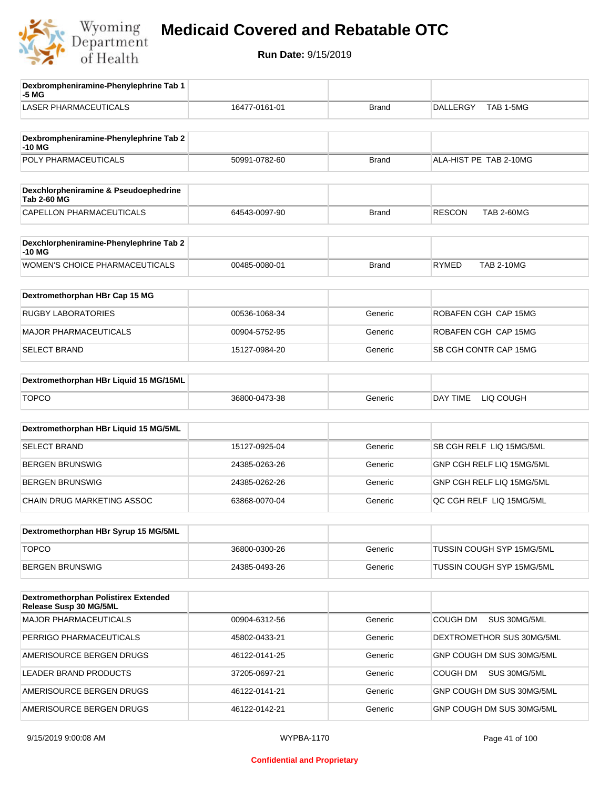

| Dexbrompheniramine-Phenylephrine Tab 1<br>-5 MG                |               |              |                                    |
|----------------------------------------------------------------|---------------|--------------|------------------------------------|
| <b>LASER PHARMACEUTICALS</b>                                   | 16477-0161-01 | <b>Brand</b> | TAB 1-5MG<br><b>DALLERGY</b>       |
| Dexbrompheniramine-Phenylephrine Tab 2<br>-10 MG               |               |              |                                    |
| POLY PHARMACEUTICALS                                           | 50991-0782-60 | <b>Brand</b> | ALA-HIST PE TAB 2-10MG             |
| Dexchlorpheniramine & Pseudoephedrine<br><b>Tab 2-60 MG</b>    |               |              |                                    |
| CAPELLON PHARMACEUTICALS                                       | 64543-0097-90 | <b>Brand</b> | <b>RESCON</b><br><b>TAB 2-60MG</b> |
| Dexchlorpheniramine-Phenylephrine Tab 2<br>$-10MG$             |               |              |                                    |
| <b>WOMEN'S CHOICE PHARMACEUTICALS</b>                          | 00485-0080-01 | <b>Brand</b> | <b>RYMED</b><br><b>TAB 2-10MG</b>  |
| Dextromethorphan HBr Cap 15 MG                                 |               |              |                                    |
| <b>RUGBY LABORATORIES</b>                                      | 00536-1068-34 | Generic      | ROBAFEN CGH CAP 15MG               |
| <b>MAJOR PHARMACEUTICALS</b>                                   | 00904-5752-95 | Generic      | ROBAFEN CGH CAP 15MG               |
| <b>SELECT BRAND</b>                                            | 15127-0984-20 | Generic      | SB CGH CONTR CAP 15MG              |
| Dextromethorphan HBr Liquid 15 MG/15ML                         |               |              |                                    |
| <b>TOPCO</b>                                                   | 36800-0473-38 | Generic      | DAY TIME<br>LIQ COUGH              |
| Dextromethorphan HBr Liquid 15 MG/5ML                          |               |              |                                    |
| <b>SELECT BRAND</b>                                            | 15127-0925-04 | Generic      | SB CGH RELF LIQ 15MG/5ML           |
| <b>BERGEN BRUNSWIG</b>                                         | 24385-0263-26 | Generic      | GNP CGH RELF LIQ 15MG/5ML          |
| <b>BERGEN BRUNSWIG</b>                                         | 24385-0262-26 | Generic      | GNP CGH RELF LIQ 15MG/5ML          |
| CHAIN DRUG MARKETING ASSOC                                     | 63868-0070-04 | Generic      | QC CGH RELF LIQ 15MG/5ML           |
| Dextromethorphan HBr Syrup 15 MG/5ML                           |               |              |                                    |
| <b>TOPCO</b>                                                   | 36800-0300-26 | Generic      | TUSSIN COUGH SYP 15MG/5ML          |
| <b>BERGEN BRUNSWIG</b>                                         | 24385-0493-26 | Generic      | TUSSIN COUGH SYP 15MG/5ML          |
| Dextromethorphan Polistirex Extended<br>Release Susp 30 MG/5ML |               |              |                                    |
| MAJOR PHARMACEUTICALS                                          | 00904-6312-56 | Generic      | <b>COUGH DM</b><br>SUS 30MG/5ML    |
| PERRIGO PHARMACEUTICALS                                        | 45802-0433-21 | Generic      | DEXTROMETHOR SUS 30MG/5ML          |
| AMERISOURCE BERGEN DRUGS                                       | 46122-0141-25 | Generic      | GNP COUGH DM SUS 30MG/5ML          |
| LEADER BRAND PRODUCTS                                          | 37205-0697-21 | Generic      | SUS 30MG/5ML<br>COUGH DM           |
| AMERISOURCE BERGEN DRUGS                                       | 46122-0141-21 | Generic      | GNP COUGH DM SUS 30MG/5ML          |
| AMERISOURCE BERGEN DRUGS                                       | 46122-0142-21 | Generic      | GNP COUGH DM SUS 30MG/5ML          |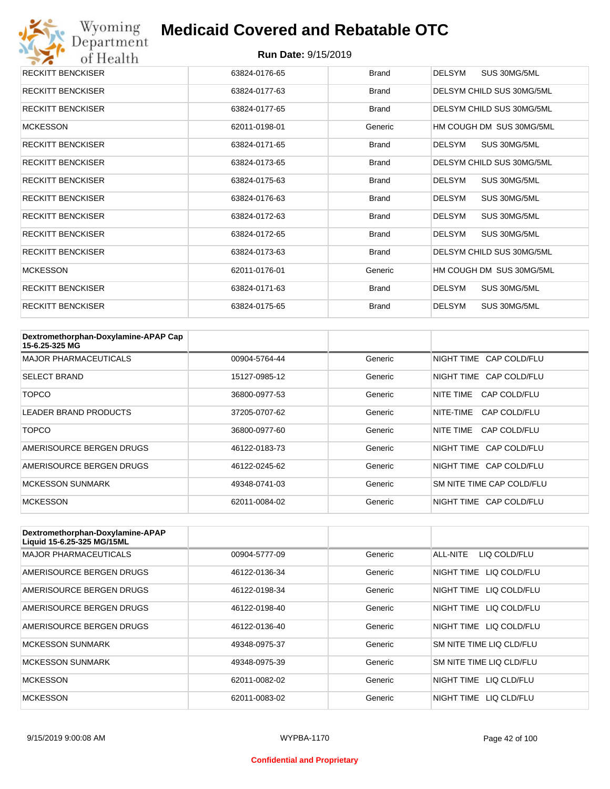

| <b>RECKITT BENCKISER</b> | 63824-0176-65 | <b>Brand</b> | <b>DELSYM</b><br>SUS 30MG/5ML |
|--------------------------|---------------|--------------|-------------------------------|
| <b>RECKITT BENCKISER</b> | 63824-0177-63 | <b>Brand</b> | DELSYM CHILD SUS 30MG/5ML     |
| <b>RECKITT BENCKISER</b> | 63824-0177-65 | <b>Brand</b> | DELSYM CHILD SUS 30MG/5ML     |
| <b>MCKESSON</b>          | 62011-0198-01 | Generic      | HM COUGH DM SUS 30MG/5ML      |
| <b>RECKITT BENCKISER</b> | 63824-0171-65 | <b>Brand</b> | <b>DELSYM</b><br>SUS 30MG/5ML |
| <b>RECKITT BENCKISER</b> | 63824-0173-65 | <b>Brand</b> | DELSYM CHILD SUS 30MG/5ML     |
| <b>RECKITT BENCKISER</b> | 63824-0175-63 | <b>Brand</b> | <b>DELSYM</b><br>SUS 30MG/5ML |
| <b>RECKITT BENCKISER</b> | 63824-0176-63 | <b>Brand</b> | <b>DELSYM</b><br>SUS 30MG/5ML |
| <b>RECKITT BENCKISER</b> | 63824-0172-63 | <b>Brand</b> | <b>DELSYM</b><br>SUS 30MG/5ML |
| <b>RECKITT BENCKISER</b> | 63824-0172-65 | <b>Brand</b> | <b>DELSYM</b><br>SUS 30MG/5ML |
| <b>RECKITT BENCKISER</b> | 63824-0173-63 | <b>Brand</b> | DELSYM CHILD SUS 30MG/5ML     |
| <b>MCKESSON</b>          | 62011-0176-01 | Generic      | HM COUGH DM SUS 30MG/5ML      |
| <b>RECKITT BENCKISER</b> | 63824-0171-63 | <b>Brand</b> | <b>DELSYM</b><br>SUS 30MG/5ML |
| <b>RECKITT BENCKISER</b> | 63824-0175-65 | <b>Brand</b> | <b>DELSYM</b><br>SUS 30MG/5ML |

| Dextromethorphan-Doxylamine-APAP Cap<br>15-6.25-325 MG |               |         |                           |
|--------------------------------------------------------|---------------|---------|---------------------------|
| <b>MAJOR PHARMACEUTICALS</b>                           | 00904-5764-44 | Generic | NIGHT TIME CAP COLD/FLU   |
| <b>SELECT BRAND</b>                                    | 15127-0985-12 | Generic | NIGHT TIME CAP COLD/FLU   |
| TOPCO                                                  | 36800-0977-53 | Generic | CAP COLD/FLU<br>NITE TIME |
| <b>LEADER BRAND PRODUCTS</b>                           | 37205-0707-62 | Generic | CAP COLD/FLU<br>NITE-TIME |
| TOPCO                                                  | 36800-0977-60 | Generic | NITE TIME<br>CAP COLD/FLU |
| AMERISOURCE BERGEN DRUGS                               | 46122-0183-73 | Generic | NIGHT TIME CAP COLD/FLU   |
| AMERISOURCE BERGEN DRUGS                               | 46122-0245-62 | Generic | NIGHT TIME CAP COLD/FLU   |
| <b>MCKESSON SUNMARK</b>                                | 49348-0741-03 | Generic | SM NITE TIME CAP COLD/FLU |
| <b>MCKESSON</b>                                        | 62011-0084-02 | Generic | NIGHT TIME CAP COLD/FLU   |

| Dextromethorphan-Doxylamine-APAP<br>Liquid 15-6.25-325 MG/15ML |               |         |                            |
|----------------------------------------------------------------|---------------|---------|----------------------------|
| <b>MAJOR PHARMACEUTICALS</b>                                   | 00904-5777-09 | Generic | ALL-NITE<br>LIQ COLD/FLU   |
| AMERISOURCE BERGEN DRUGS                                       | 46122-0136-34 | Generic | NIGHT TIME<br>LIQ COLD/FLU |
| AMERISOURCE BERGEN DRUGS                                       | 46122-0198-34 | Generic | NIGHT TIME<br>LIQ COLD/FLU |
| AMERISOURCE BERGEN DRUGS                                       | 46122-0198-40 | Generic | NIGHT TIME<br>LIQ COLD/FLU |
| AMERISOURCE BERGEN DRUGS                                       | 46122-0136-40 | Generic | NIGHT TIME LIQ COLD/FLU    |
| <b>MCKESSON SUNMARK</b>                                        | 49348-0975-37 | Generic | SM NITE TIME LIQ CLD/FLU   |
| <b>MCKESSON SUNMARK</b>                                        | 49348-0975-39 | Generic | SM NITE TIME LIQ CLD/FLU   |
| <b>MCKESSON</b>                                                | 62011-0082-02 | Generic | NIGHT TIME<br>LIQ CLD/FLU  |
| <b>MCKESSON</b>                                                | 62011-0083-02 | Generic | NIGHT TIME<br>LIO CLD/FLU  |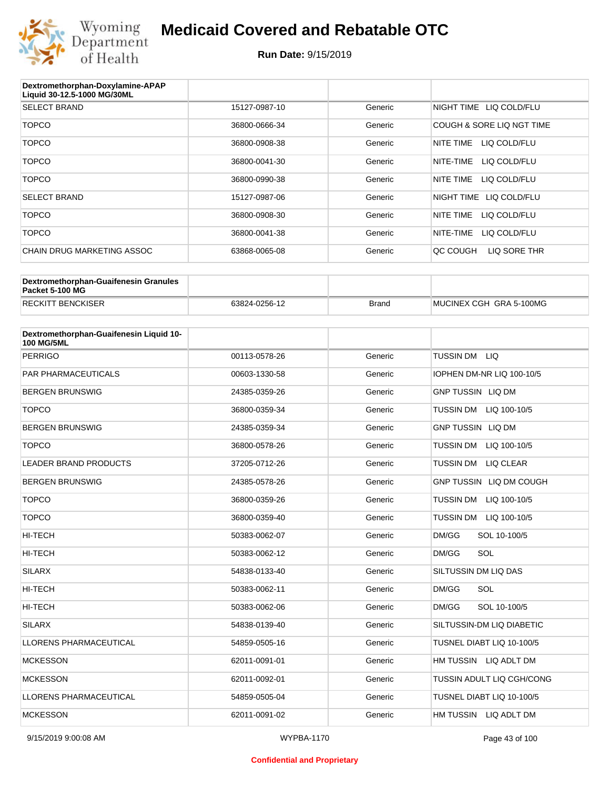

#### **Run Date:** 9/15/2019

| Dextromethorphan-Doxylamine-APAP<br>Liquid 30-12.5-1000 MG/30ML |               |         |                           |
|-----------------------------------------------------------------|---------------|---------|---------------------------|
| <b>SELECT BRAND</b>                                             | 15127-0987-10 | Generic | NIGHT TIME LIQ COLD/FLU   |
| <b>TOPCO</b>                                                    | 36800-0666-34 | Generic | COUGH & SORE LIQ NGT TIME |
| <b>TOPCO</b>                                                    | 36800-0908-38 | Generic | NITE TIME<br>LIQ COLD/FLU |
| <b>TOPCO</b>                                                    | 36800-0041-30 | Generic | NITE-TIME<br>LIQ COLD/FLU |
| <b>TOPCO</b>                                                    | 36800-0990-38 | Generic | NITE TIME<br>LIQ COLD/FLU |
| <b>SELECT BRAND</b>                                             | 15127-0987-06 | Generic | NIGHT TIME LIQ COLD/FLU   |
| <b>TOPCO</b>                                                    | 36800-0908-30 | Generic | LIQ COLD/FLU<br>NITE TIME |
| <b>TOPCO</b>                                                    | 36800-0041-38 | Generic | NITE-TIME<br>LIQ COLD/FLU |
| CHAIN DRUG MARKETING ASSOC                                      | 63868-0065-08 | Generic | LIQ SORE THR<br>OC COUGH  |

| Dextromethorphan-Guaifenesin Granules<br>Packet 5-100 MG |               |              |                         |
|----------------------------------------------------------|---------------|--------------|-------------------------|
| <b>RECKITT BENCKISER</b>                                 | 63824-0256-12 | <b>Brand</b> | MUCINEX CGH GRA 5-100MG |

| Dextromethorphan-Guaifenesin Liquid 10-<br><b>100 MG/5ML</b> |               |         |                                  |
|--------------------------------------------------------------|---------------|---------|----------------------------------|
| <b>PERRIGO</b>                                               | 00113-0578-26 | Generic | TUSSIN DM LIQ                    |
| <b>PAR PHARMACEUTICALS</b>                                   | 00603-1330-58 | Generic | IOPHEN DM-NR LIQ 100-10/5        |
| <b>BERGEN BRUNSWIG</b>                                       | 24385-0359-26 | Generic | <b>GNP TUSSIN LIQ DM</b>         |
| <b>TOPCO</b>                                                 | 36800-0359-34 | Generic | <b>TUSSIN DM</b><br>LIQ 100-10/5 |
| <b>BERGEN BRUNSWIG</b>                                       | 24385-0359-34 | Generic | <b>GNP TUSSIN LIQ DM</b>         |
| <b>TOPCO</b>                                                 | 36800-0578-26 | Generic | <b>TUSSIN DM</b><br>LIQ 100-10/5 |
| <b>LEADER BRAND PRODUCTS</b>                                 | 37205-0712-26 | Generic | <b>TUSSIN DM</b><br>LIQ CLEAR    |
| <b>BERGEN BRUNSWIG</b>                                       | 24385-0578-26 | Generic | GNP TUSSIN LIQ DM COUGH          |
| <b>TOPCO</b>                                                 | 36800-0359-26 | Generic | <b>TUSSIN DM</b><br>LIQ 100-10/5 |
| <b>TOPCO</b>                                                 | 36800-0359-40 | Generic | <b>TUSSIN DM</b><br>LIQ 100-10/5 |
| <b>HI-TECH</b>                                               | 50383-0062-07 | Generic | DM/GG<br>SOL 10-100/5            |
| <b>HI-TECH</b>                                               | 50383-0062-12 | Generic | SOL<br>DM/GG                     |
| <b>SILARX</b>                                                | 54838-0133-40 | Generic | SILTUSSIN DM LIQ DAS             |
| HI-TECH                                                      | 50383-0062-11 | Generic | SOL<br>DM/GG                     |
| <b>HI-TECH</b>                                               | 50383-0062-06 | Generic | DM/GG<br>SOL 10-100/5            |
| <b>SILARX</b>                                                | 54838-0139-40 | Generic | SILTUSSIN-DM LIQ DIABETIC        |
| <b>LLORENS PHARMACEUTICAL</b>                                | 54859-0505-16 | Generic | TUSNEL DIABT LIQ 10-100/5        |
| <b>MCKESSON</b>                                              | 62011-0091-01 | Generic | HM TUSSIN LIQ ADLT DM            |
| <b>MCKESSON</b>                                              | 62011-0092-01 | Generic | TUSSIN ADULT LIQ CGH/CONG        |
| <b>LLORENS PHARMACEUTICAL</b>                                | 54859-0505-04 | Generic | TUSNEL DIABT LIQ 10-100/5        |
| <b>MCKESSON</b>                                              | 62011-0091-02 | Generic | HM TUSSIN LIQ ADLT DM            |

#### **Confidential and Proprietary**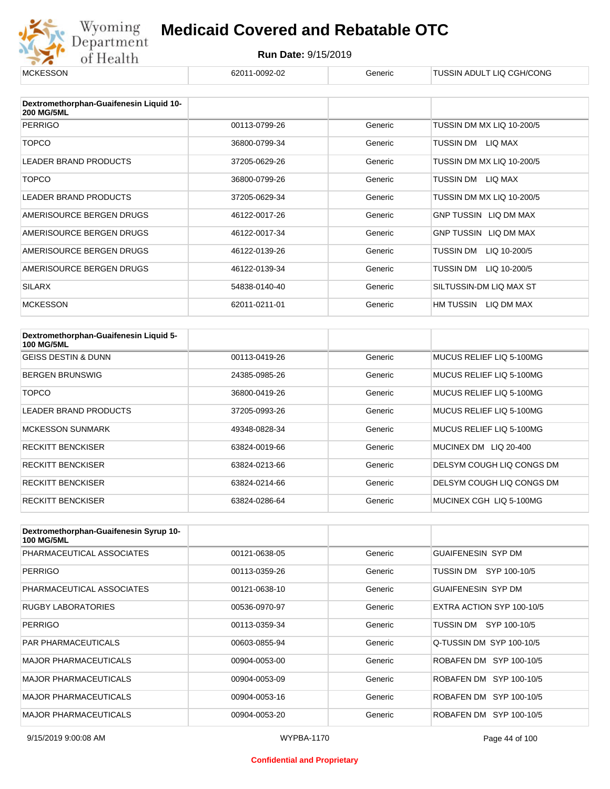

| <b>MCKESSON</b>                                              | 62011-0092-02 | Generic | TUSSIN ADULT LIQ CGH/CONG    |
|--------------------------------------------------------------|---------------|---------|------------------------------|
|                                                              |               |         |                              |
| Dextromethorphan-Guaifenesin Liquid 10-<br><b>200 MG/5ML</b> |               |         |                              |
| <b>PERRIGO</b>                                               | 00113-0799-26 | Generic | TUSSIN DM MX LIQ 10-200/5    |
| <b>TOPCO</b>                                                 | 36800-0799-34 | Generic | TUSSIN DM<br>LIQ MAX         |
| <b>LEADER BRAND PRODUCTS</b>                                 | 37205-0629-26 | Generic | TUSSIN DM MX LIQ 10-200/5    |
| <b>TOPCO</b>                                                 | 36800-0799-26 | Generic | TUSSIN DM<br>LIQ MAX         |
| LEADER BRAND PRODUCTS                                        | 37205-0629-34 | Generic | TUSSIN DM MX LIQ 10-200/5    |
| AMERISOURCE BERGEN DRUGS                                     | 46122-0017-26 | Generic | <b>GNP TUSSIN LIQ DM MAX</b> |
| AMERISOURCE BERGEN DRUGS                                     | 46122-0017-34 | Generic | GNP TUSSIN LIQ DM MAX        |
| AMERISOURCE BERGEN DRUGS                                     | 46122-0139-26 | Generic | LIQ 10-200/5<br>TUSSIN DM    |
| AMERISOURCE BERGEN DRUGS                                     | 46122-0139-34 | Generic | TUSSIN DM<br>LIQ 10-200/5    |
| <b>SILARX</b>                                                | 54838-0140-40 | Generic | SILTUSSIN-DM LIQ MAX ST      |
| <b>MCKESSON</b>                                              | 62011-0211-01 | Generic | HM TUSSIN<br>LIQ DM MAX      |

| Dextromethorphan-Guaifenesin Liquid 5-<br><b>100 MG/5ML</b> |               |         |                           |
|-------------------------------------------------------------|---------------|---------|---------------------------|
| <b>GEISS DESTIN &amp; DUNN</b>                              | 00113-0419-26 | Generic | MUCUS RELIEF LIQ 5-100MG  |
| <b>BERGEN BRUNSWIG</b>                                      | 24385-0985-26 | Generic | MUCUS RELIEF LIQ 5-100MG  |
| TOPCO                                                       | 36800-0419-26 | Generic | MUCUS RELIEF LIQ 5-100MG  |
| <b>LEADER BRAND PRODUCTS</b>                                | 37205-0993-26 | Generic | MUCUS RELIEF LIQ 5-100MG  |
| <b>MCKESSON SUNMARK</b>                                     | 49348-0828-34 | Generic | MUCUS RELIEF LIQ 5-100MG  |
| <b>RECKITT BENCKISER</b>                                    | 63824-0019-66 | Generic | MUCINEX DM LIQ 20-400     |
| <b>RECKITT BENCKISER</b>                                    | 63824-0213-66 | Generic | DELSYM COUGH LIQ CONGS DM |
| <b>RECKITT BENCKISER</b>                                    | 63824-0214-66 | Generic | DELSYM COUGH LIQ CONGS DM |
| <b>RECKITT BENCKISER</b>                                    | 63824-0286-64 | Generic | MUCINEX CGH LIQ 5-100MG   |

| Dextromethorphan-Guaifenesin Syrup 10-<br><b>100 MG/5ML</b> |               |         |                           |
|-------------------------------------------------------------|---------------|---------|---------------------------|
| PHARMACEUTICAL ASSOCIATES                                   | 00121-0638-05 | Generic | GUAIFENESIN SYP DM        |
| <b>PERRIGO</b>                                              | 00113-0359-26 | Generic | TUSSIN DM SYP 100-10/5    |
| PHARMACEUTICAL ASSOCIATES                                   | 00121-0638-10 | Generic | <b>GUAIFENESIN SYP DM</b> |
| <b>RUGBY LABORATORIES</b>                                   | 00536-0970-97 | Generic | EXTRA ACTION SYP 100-10/5 |
| <b>PERRIGO</b>                                              | 00113-0359-34 | Generic | TUSSIN DM SYP 100-10/5    |
| <b>PAR PHARMACEUTICALS</b>                                  | 00603-0855-94 | Generic | Q-TUSSIN DM SYP 100-10/5  |
| <b>MAJOR PHARMACEUTICALS</b>                                | 00904-0053-00 | Generic | ROBAFEN DM SYP 100-10/5   |
| <b>MAJOR PHARMACEUTICALS</b>                                | 00904-0053-09 | Generic | ROBAFEN DM SYP 100-10/5   |
| <b>MAJOR PHARMACEUTICALS</b>                                | 00904-0053-16 | Generic | ROBAFEN DM SYP 100-10/5   |
| <b>MAJOR PHARMACEUTICALS</b>                                | 00904-0053-20 | Generic | ROBAFEN DM SYP 100-10/5   |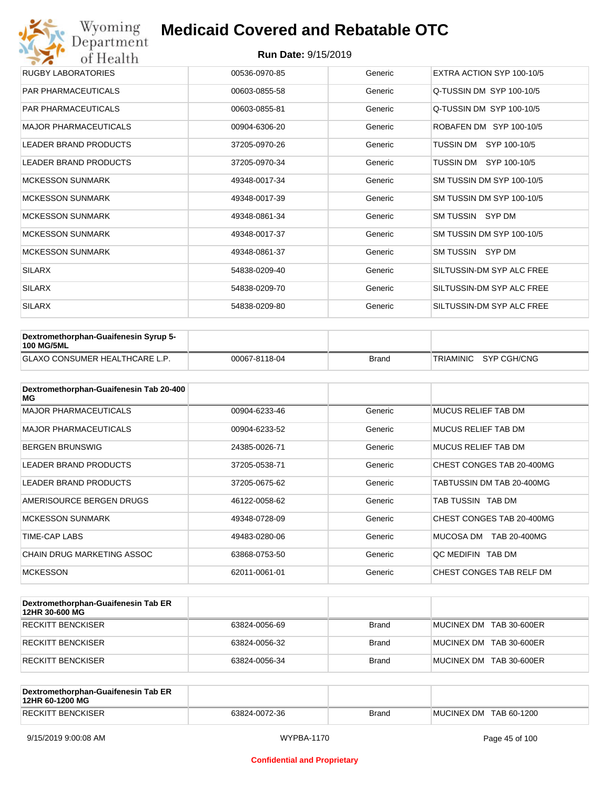## Wyoming<br>Department<br>of Health **Medicaid Covered and Rebatable OTC**

| <b>RUGBY LABORATORIES</b>    | 00536-0970-85 | Generic | EXTRA ACTION SYP 100-10/5 |
|------------------------------|---------------|---------|---------------------------|
| <b>PAR PHARMACEUTICALS</b>   | 00603-0855-58 | Generic | Q-TUSSIN DM SYP 100-10/5  |
| <b>PAR PHARMACEUTICALS</b>   | 00603-0855-81 | Generic | Q-TUSSIN DM SYP 100-10/5  |
| <b>MAJOR PHARMACEUTICALS</b> | 00904-6306-20 | Generic | ROBAFEN DM SYP 100-10/5   |
| <b>LEADER BRAND PRODUCTS</b> | 37205-0970-26 | Generic | TUSSIN DM SYP 100-10/5    |
| <b>LEADER BRAND PRODUCTS</b> | 37205-0970-34 | Generic | TUSSIN DM SYP 100-10/5    |
| <b>MCKESSON SUNMARK</b>      | 49348-0017-34 | Generic | SM TUSSIN DM SYP 100-10/5 |
| <b>MCKESSON SUNMARK</b>      | 49348-0017-39 | Generic | SM TUSSIN DM SYP 100-10/5 |
| <b>MCKESSON SUNMARK</b>      | 49348-0861-34 | Generic | SM TUSSIN SYP DM          |
| <b>MCKESSON SUNMARK</b>      | 49348-0017-37 | Generic | SM TUSSIN DM SYP 100-10/5 |
| <b>MCKESSON SUNMARK</b>      | 49348-0861-37 | Generic | SM TUSSIN SYP DM          |
| <b>SILARX</b>                | 54838-0209-40 | Generic | SILTUSSIN-DM SYP ALC FREE |
| <b>SILARX</b>                | 54838-0209-70 | Generic | SILTUSSIN-DM SYP ALC FREE |
| <b>SILARX</b>                | 54838-0209-80 | Generic | SILTUSSIN-DM SYP ALC FREE |

| Dextromethorphan-Guaifenesin Syrup 5-<br><b>100 MG/5ML</b> |               |              |                       |
|------------------------------------------------------------|---------------|--------------|-----------------------|
| <b>GLAXO CONSUMER HEALTHCARE L.P.</b>                      | 00067-8118-04 | <b>Brand</b> | TRIAMINIC SYP CGH/CNG |

| Dextromethorphan-Guaifenesin Tab 20-400<br>MG |               |         |                           |
|-----------------------------------------------|---------------|---------|---------------------------|
| <b>MAJOR PHARMACEUTICALS</b>                  | 00904-6233-46 | Generic | MUCUS RELIEF TAB DM       |
| <b>MAJOR PHARMACEUTICALS</b>                  | 00904-6233-52 | Generic | MUCUS RELIEF TAB DM       |
| <b>BERGEN BRUNSWIG</b>                        | 24385-0026-71 | Generic | MUCUS RELIEF TAB DM       |
| <b>LEADER BRAND PRODUCTS</b>                  | 37205-0538-71 | Generic | CHEST CONGES TAB 20-400MG |
| LEADER BRAND PRODUCTS                         | 37205-0675-62 | Generic | TABTUSSIN DM TAB 20-400MG |
| AMERISOURCE BERGEN DRUGS                      | 46122-0058-62 | Generic | TAB TUSSIN TAB DM         |
| <b>MCKESSON SUNMARK</b>                       | 49348-0728-09 | Generic | CHEST CONGES TAB 20-400MG |
| <b>TIME-CAP LABS</b>                          | 49483-0280-06 | Generic | MUCOSA DM<br>TAB 20-400MG |
| CHAIN DRUG MARKETING ASSOC                    | 63868-0753-50 | Generic | OC MEDIFIN TAB DM         |
| <b>MCKESSON</b>                               | 62011-0061-01 | Generic | CHEST CONGES TAB RELF DM  |

| Dextromethorphan-Guaifenesin Tab ER<br>12HR 30-600 MG |               |              |                         |
|-------------------------------------------------------|---------------|--------------|-------------------------|
| RECKITT BENCKISER                                     | 63824-0056-69 | <b>Brand</b> | MUCINEX DM TAB 30-600ER |
| RECKITT BENCKISER                                     | 63824-0056-32 | <b>Brand</b> | MUCINEX DM TAB 30-600ER |
| RECKITT BENCKISER                                     | 63824-0056-34 | <b>Brand</b> | MUCINEX DM TAB 30-600ER |

| Dextromethorphan-Guaifenesin Tab ER<br>12HR 60-1200 MG |               |       |                        |
|--------------------------------------------------------|---------------|-------|------------------------|
| <b>RECKITT BENCKISER</b>                               | 63824-0072-36 | Brand | MUCINEX DM TAB 60-1200 |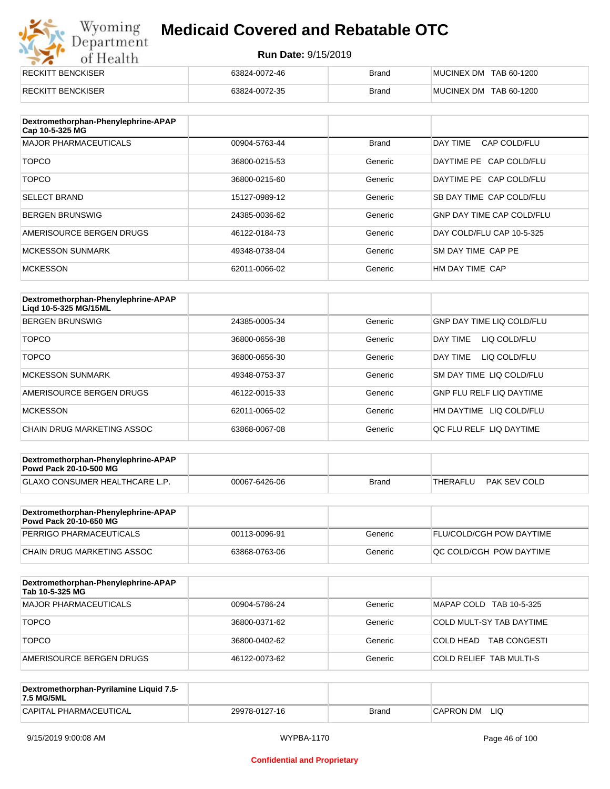## Wyoming<br>Department<br>of Health **Medicaid Covered and Rebatable OTC**

| <b>RECKITT BENCKISER</b> | 63824-0072-46 | <b>Brand</b> | MUCINEX DM TAB 60-1200 |
|--------------------------|---------------|--------------|------------------------|
| <b>RECKITT BENCKISER</b> | 63824-0072-35 | <b>Brand</b> | MUCINEX DM TAB 60-1200 |

| Dextromethorphan-Phenylephrine-APAP<br>Cap 10-5-325 MG |               |              |                                  |
|--------------------------------------------------------|---------------|--------------|----------------------------------|
| <b>MAJOR PHARMACEUTICALS</b>                           | 00904-5763-44 | <b>Brand</b> | DAY TIME<br>CAP COLD/FLU         |
| <b>TOPCO</b>                                           | 36800-0215-53 | Generic      | DAYTIME PE CAP COLD/FLU          |
| <b>TOPCO</b>                                           | 36800-0215-60 | Generic      | DAYTIME PE CAP COLD/FLU          |
| <b>SELECT BRAND</b>                                    | 15127-0989-12 | Generic      | SB DAY TIME CAP COLD/FLU         |
| <b>BERGEN BRUNSWIG</b>                                 | 24385-0036-62 | Generic      | <b>GNP DAY TIME CAP COLD/FLU</b> |
| AMERISOURCE BERGEN DRUGS                               | 46122-0184-73 | Generic      | DAY COLD/FLU CAP 10-5-325        |
| <b>MCKESSON SUNMARK</b>                                | 49348-0738-04 | Generic      | SM DAY TIME CAP PE               |
| <b>MCKESSON</b>                                        | 62011-0066-02 | Generic      | HM DAY TIME CAP                  |

| Dextromethorphan-Phenylephrine-APAP<br>Ligd 10-5-325 MG/15ML |               |         |                                  |
|--------------------------------------------------------------|---------------|---------|----------------------------------|
| <b>BERGEN BRUNSWIG</b>                                       | 24385-0005-34 | Generic | <b>GNP DAY TIME LIQ COLD/FLU</b> |
| <b>TOPCO</b>                                                 | 36800-0656-38 | Generic | LIQ COLD/FLU<br>DAY TIME         |
| <b>TOPCO</b>                                                 | 36800-0656-30 | Generic | DAY TIME<br>LIQ COLD/FLU         |
| <b>MCKESSON SUNMARK</b>                                      | 49348-0753-37 | Generic | SM DAY TIME LIQ COLD/FLU         |
| AMERISOURCE BERGEN DRUGS                                     | 46122-0015-33 | Generic | <b>GNP FLU RELF LIQ DAYTIME</b>  |
| <b>MCKESSON</b>                                              | 62011-0065-02 | Generic | HM DAYTIME<br>LIQ COLD/FLU       |
| CHAIN DRUG MARKETING ASSOC                                   | 63868-0067-08 | Generic | OC FLU RELF LIQ DAYTIME          |

| Dextromethorphan-Phenylephrine-APAP<br><b>Powd Pack 20-10-500 MG</b> |               |       |          |              |
|----------------------------------------------------------------------|---------------|-------|----------|--------------|
| <b>GLAXO CONSUMER HEALTHCARE L.P.</b>                                | 00067-6426-06 | Brand | THERAFLU | PAK SEV COLD |
|                                                                      |               |       |          |              |

| Dextromethorphan-Phenylephrine-APAP<br>Powd Pack 20-10-650 MG |               |         |                                 |
|---------------------------------------------------------------|---------------|---------|---------------------------------|
| PERRIGO PHARMACEUTICALS                                       | 00113-0096-91 | Generic | <b>FLU/COLD/CGH POW DAYTIME</b> |
| CHAIN DRUG MARKETING ASSOC                                    | 63868-0763-06 | Generic | <b>OC COLD/CGH POW DAYTIME</b>  |

| Dextromethorphan-Phenylephrine-APAP<br>Tab 10-5-325 MG |               |         |                                  |
|--------------------------------------------------------|---------------|---------|----------------------------------|
| MAJOR PHARMACEUTICALS                                  | 00904-5786-24 | Generic | MAPAP COLD TAB 10-5-325          |
| <b>TOPCO</b>                                           | 36800-0371-62 | Generic | COLD MULT-SY TAB DAYTIME         |
| <b>TOPCO</b>                                           | 36800-0402-62 | Generic | COLD HEAD<br><b>TAB CONGESTI</b> |
| AMERISOURCE BERGEN DRUGS                               | 46122-0073-62 | Generic | COLD RELIEF TAB MULTI-S          |

| Dextromethorphan-Pyrilamine Liquid 7.5-<br>7.5 MG/5ML |               |       |                  |
|-------------------------------------------------------|---------------|-------|------------------|
| CAPITAL PHARMACEUTICAL                                | 29978-0127-16 | Brand | LIQ<br>CAPRON DM |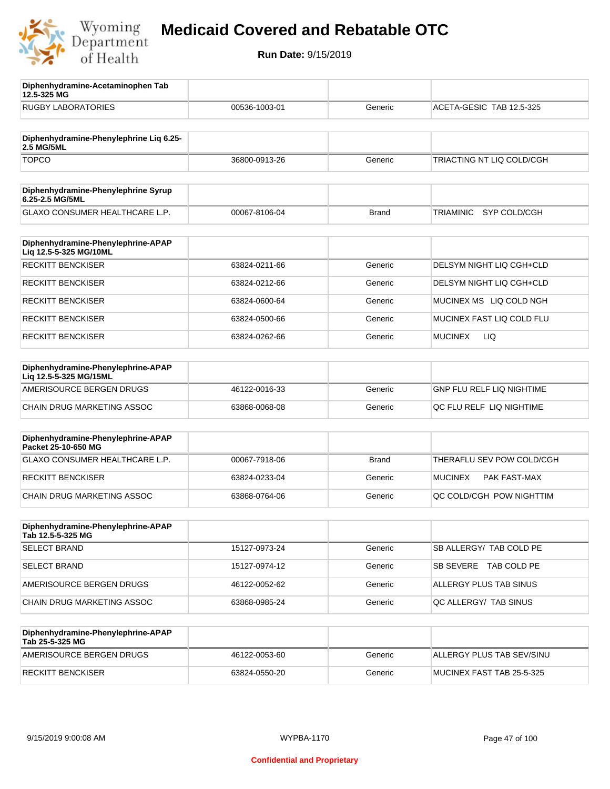

**12.5-325 MG**

**Diphenhydramine-Acetaminophen Tab** 

## **Medicaid Covered and Rebatable OTC**

| <b>RUGBY LABORATORIES</b>                                    | 00536-1003-01 | Generic      | ACETA-GESIC TAB 12.5-325  |
|--------------------------------------------------------------|---------------|--------------|---------------------------|
| Diphenhydramine-Phenylephrine Liq 6.25-<br>2.5 MG/5ML        |               |              |                           |
| <b>TOPCO</b>                                                 | 36800-0913-26 | Generic      | TRIACTING NT LIQ COLD/CGH |
| Diphenhydramine-Phenylephrine Syrup<br>6.25-2.5 MG/5ML       |               |              |                           |
| GLAXO CONSUMER HEALTHCARE L.P.                               | 00067-8106-04 | <b>Brand</b> | SYP COLD/CGH<br>TRIAMINIC |
| Diphenhydramine-Phenylephrine-APAP<br>Liq 12.5-5-325 MG/10ML |               |              |                           |
| <b>RECKITT BENCKISER</b>                                     | 63824-0211-66 | Generic      | DELSYM NIGHT LIQ CGH+CLD  |
| <b>RECKITT BENCKISER</b>                                     | 63824-0212-66 | Generic      | DELSYM NIGHT LIQ CGH+CLD  |
| <b>RECKITT BENCKISER</b>                                     | 63824-0600-64 | Generic      | MUCINEX MS LIQ COLD NGH   |
| <b>RECKITT BENCKISER</b>                                     | 63824-0500-66 | Generic      | MUCINEX FAST LIQ COLD FLU |
| <b>RECKITT BENCKISER</b>                                     | 63824-0262-66 | Generic      | LIQ<br><b>MUCINEX</b>     |
| Diphenhydramine-Phenylephrine-APAP<br>Lig 12.5-5-325 MG/15ML |               |              |                           |
| AMERISOURCE BERGEN DRUGS                                     | 46122-0016-33 | Generic      | GNP FLU RELF LIQ NIGHTIME |
| CHAIN DRUG MARKETING ASSOC                                   | 63868-0068-08 | Generic      | QC FLU RELF LIQ NIGHTIME  |
| Diphenhydramine-Phenylephrine-APAP<br>Packet 25-10-650 MG    |               |              |                           |
| GLAXO CONSUMER HEALTHCARE L.P.                               | 00067-7918-06 | <b>Brand</b> | THERAFLU SEV POW COLD/CGH |
| <b>RECKITT BENCKISER</b>                                     | 63824-0233-04 | Generic      | MUCINEX<br>PAK FAST-MAX   |
| CHAIN DRUG MARKETING ASSOC                                   | 63868-0764-06 | Generic      | QC COLD/CGH POW NIGHTTIM  |
| Diphenhydramine-Phenylephrine-APAP<br>Tab 12.5-5-325 MG      |               |              |                           |
| <b>SELECT BRAND</b>                                          | 15127-0973-24 | Generic      | SB ALLERGY/ TAB COLD PE   |
| <b>SELECT BRAND</b>                                          | 15127-0974-12 | Generic      | SB SEVERE TAB COLD PE     |
| AMERISOURCE BERGEN DRUGS                                     | 46122-0052-62 | Generic      | ALLERGY PLUS TAB SINUS    |
| CHAIN DRUG MARKETING ASSOC                                   | 63868-0985-24 | Generic      | QC ALLERGY/ TAB SINUS     |
| Diphenhydramine-Phenylephrine-APAP<br>Tab 25-5-325 MG        |               |              |                           |
| AMERISOURCE BERGEN DRUGS                                     | 46122-0053-60 | Generic      | ALLERGY PLUS TAB SEV/SINU |
| <b>RECKITT BENCKISER</b>                                     | 63824-0550-20 | Generic      | MUCINEX FAST TAB 25-5-325 |
|                                                              |               |              |                           |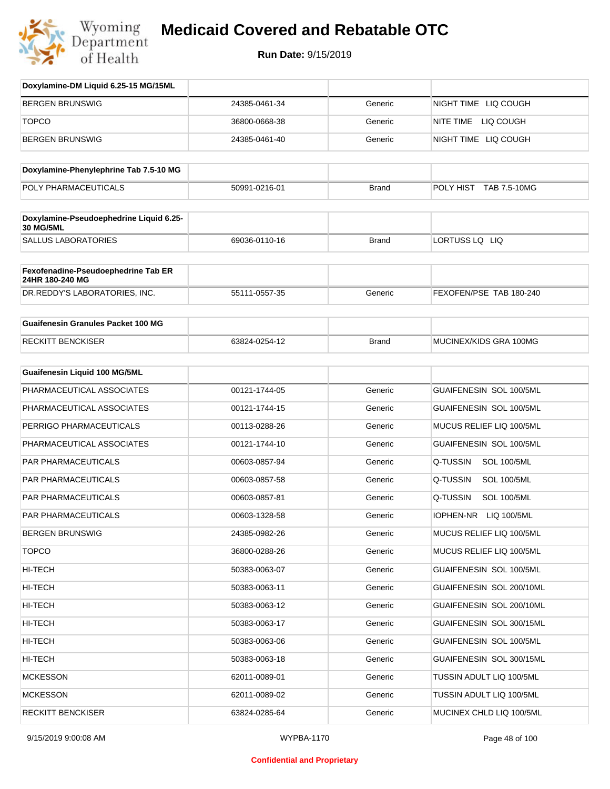

| Doxylamine-DM Liquid 6.25-15 MG/15ML                        |               |              |                                 |
|-------------------------------------------------------------|---------------|--------------|---------------------------------|
| <b>BERGEN BRUNSWIG</b>                                      | 24385-0461-34 | Generic      | NIGHT TIME LIQ COUGH            |
| <b>TOPCO</b>                                                | 36800-0668-38 | Generic      | NITE TIME LIQ COUGH             |
| <b>BERGEN BRUNSWIG</b>                                      | 24385-0461-40 | Generic      | NIGHT TIME LIQ COUGH            |
| Doxylamine-Phenylephrine Tab 7.5-10 MG                      |               |              |                                 |
| POLY PHARMACEUTICALS                                        | 50991-0216-01 | <b>Brand</b> | POLY HIST TAB 7.5-10MG          |
| Doxylamine-Pseudoephedrine Liquid 6.25-<br><b>30 MG/5ML</b> |               |              |                                 |
| <b>SALLUS LABORATORIES</b>                                  | 69036-0110-16 | <b>Brand</b> | LORTUSS LQ LIQ                  |
| Fexofenadine-Pseudoephedrine Tab ER<br>24HR 180-240 MG      |               |              |                                 |
| DR.REDDY'S LABORATORIES, INC.                               | 55111-0557-35 | Generic      | FEXOFEN/PSE TAB 180-240         |
| <b>Guaifenesin Granules Packet 100 MG</b>                   |               |              |                                 |
| <b>RECKITT BENCKISER</b>                                    | 63824-0254-12 | <b>Brand</b> | MUCINEX/KIDS GRA 100MG          |
| Guaifenesin Liquid 100 MG/5ML                               |               |              |                                 |
| PHARMACEUTICAL ASSOCIATES                                   | 00121-1744-05 | Generic      | GUAIFENESIN SOL 100/5ML         |
| PHARMACEUTICAL ASSOCIATES                                   | 00121-1744-15 | Generic      | GUAIFENESIN SOL 100/5ML         |
| PERRIGO PHARMACEUTICALS                                     | 00113-0288-26 | Generic      | MUCUS RELIEF LIQ 100/5ML        |
| PHARMACEUTICAL ASSOCIATES                                   | 00121-1744-10 | Generic      | GUAIFENESIN SOL 100/5ML         |
| <b>PAR PHARMACEUTICALS</b>                                  | 00603-0857-94 | Generic      | Q-TUSSIN<br><b>SOL 100/5ML</b>  |
| PAR PHARMACEUTICALS                                         | 00603-0857-58 | Generic      | Q-TUSSIN<br><b>SOL 100/5ML</b>  |
| PAR PHARMACEUTICALS                                         | 00603-0857-81 | Generic      | Q-TUSSIN<br><b>SOL 100/5ML</b>  |
| PAR PHARMACEUTICALS                                         | 00603-1328-58 | Generic      | <b>IOPHEN-NR</b><br>LIQ 100/5ML |
| <b>BERGEN BRUNSWIG</b>                                      | 24385-0982-26 | Generic      | MUCUS RELIEF LIQ 100/5ML        |
| <b>TOPCO</b>                                                | 36800-0288-26 | Generic      | MUCUS RELIEF LIQ 100/5ML        |
| HI-TECH                                                     | 50383-0063-07 | Generic      | GUAIFENESIN SOL 100/5ML         |
| HI-TECH                                                     | 50383-0063-11 | Generic      | GUAIFENESIN SOL 200/10ML        |
| HI-TECH                                                     | 50383-0063-12 | Generic      | GUAIFENESIN SOL 200/10ML        |
| HI-TECH                                                     | 50383-0063-17 | Generic      | GUAIFENESIN SOL 300/15ML        |
| HI-TECH                                                     | 50383-0063-06 | Generic      | GUAIFENESIN SOL 100/5ML         |
| HI-TECH                                                     | 50383-0063-18 | Generic      | GUAIFENESIN SOL 300/15ML        |
| <b>MCKESSON</b>                                             | 62011-0089-01 | Generic      | TUSSIN ADULT LIQ 100/5ML        |
| <b>MCKESSON</b>                                             | 62011-0089-02 | Generic      | TUSSIN ADULT LIQ 100/5ML        |
| <b>RECKITT BENCKISER</b>                                    | 63824-0285-64 | Generic      | MUCINEX CHLD LIQ 100/5ML        |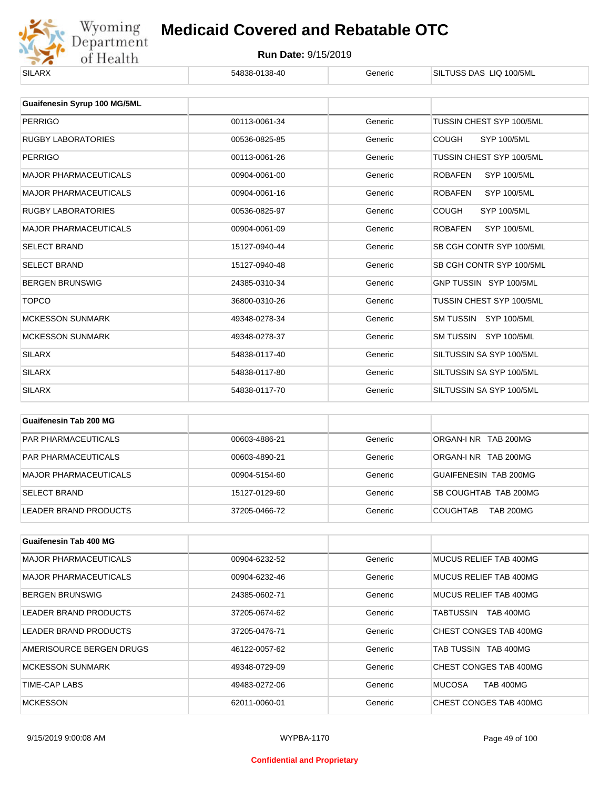

| <b>SILARX</b>                       | 54838-0138-40 | Generic | SILTUSS DAS LIQ 100/5ML              |
|-------------------------------------|---------------|---------|--------------------------------------|
|                                     |               |         |                                      |
| <b>Guaifenesin Syrup 100 MG/5ML</b> |               |         |                                      |
| <b>PERRIGO</b>                      | 00113-0061-34 | Generic | TUSSIN CHEST SYP 100/5ML             |
| <b>RUGBY LABORATORIES</b>           | 00536-0825-85 | Generic | <b>COUGH</b><br>SYP 100/5ML          |
| <b>PERRIGO</b>                      | 00113-0061-26 | Generic | TUSSIN CHEST SYP 100/5ML             |
| <b>MAJOR PHARMACEUTICALS</b>        | 00904-0061-00 | Generic | <b>ROBAFEN</b><br><b>SYP 100/5ML</b> |
| <b>MAJOR PHARMACEUTICALS</b>        | 00904-0061-16 | Generic | <b>SYP 100/5ML</b><br><b>ROBAFEN</b> |
| <b>RUGBY LABORATORIES</b>           | 00536-0825-97 | Generic | <b>COUGH</b><br><b>SYP 100/5ML</b>   |
| <b>MAJOR PHARMACEUTICALS</b>        | 00904-0061-09 | Generic | <b>ROBAFEN</b><br><b>SYP 100/5ML</b> |
| <b>SELECT BRAND</b>                 | 15127-0940-44 | Generic | SB CGH CONTR SYP 100/5ML             |
| <b>SELECT BRAND</b>                 | 15127-0940-48 | Generic | SB CGH CONTR SYP 100/5ML             |
| <b>BERGEN BRUNSWIG</b>              | 24385-0310-34 | Generic | GNP TUSSIN SYP 100/5ML               |
| <b>TOPCO</b>                        | 36800-0310-26 | Generic | TUSSIN CHEST SYP 100/5ML             |
| <b>MCKESSON SUNMARK</b>             | 49348-0278-34 | Generic | SM TUSSIN SYP 100/5ML                |
| <b>MCKESSON SUNMARK</b>             | 49348-0278-37 | Generic | SM TUSSIN SYP 100/5ML                |
| <b>SILARX</b>                       | 54838-0117-40 | Generic | SILTUSSIN SA SYP 100/5ML             |
| <b>SILARX</b>                       | 54838-0117-80 | Generic | SILTUSSIN SA SYP 100/5ML             |
| <b>SILARX</b>                       | 54838-0117-70 | Generic | SILTUSSIN SA SYP 100/5ML             |
|                                     |               |         |                                      |

| Guaifenesin Tab 200 MG       |               |         |                                     |
|------------------------------|---------------|---------|-------------------------------------|
| <b>PAR PHARMACEUTICALS</b>   | 00603-4886-21 | Generic | ORGAN-INR TAB 200MG                 |
| <b>PAR PHARMACEUTICALS</b>   | 00603-4890-21 | Generic | ORGAN-INR TAB 200MG                 |
| <b>MAJOR PHARMACEUTICALS</b> | 00904-5154-60 | Generic | GUAIFENESIN TAB 200MG               |
| <b>SELECT BRAND</b>          | 15127-0129-60 | Generic | SB COUGHTAB TAB 200MG               |
| LEADER BRAND PRODUCTS        | 37205-0466-72 | Generic | <b>TAB 200MG</b><br><b>COUGHTAB</b> |

| Guaifenesin Tab 400 MG       |               |         |                               |
|------------------------------|---------------|---------|-------------------------------|
| <b>MAJOR PHARMACEUTICALS</b> | 00904-6232-52 | Generic | MUCUS RELIEF TAB 400MG        |
| <b>MAJOR PHARMACEUTICALS</b> | 00904-6232-46 | Generic | MUCUS RELIEF TAB 400MG        |
| <b>BERGEN BRUNSWIG</b>       | 24385-0602-71 | Generic | MUCUS RELIEF TAB 400MG        |
| LEADER BRAND PRODUCTS        | 37205-0674-62 | Generic | <b>TAB 400MG</b><br>TABTUSSIN |
| LEADER BRAND PRODUCTS        | 37205-0476-71 | Generic | CHEST CONGES TAB 400MG        |
| AMERISOURCE BERGEN DRUGS     | 46122-0057-62 | Generic | TAB TUSSIN TAB 400MG          |
| <b>MCKESSON SUNMARK</b>      | 49348-0729-09 | Generic | CHEST CONGES TAB 400MG        |
| TIME-CAP LABS                | 49483-0272-06 | Generic | <b>MUCOSA</b><br>TAB 400MG    |
| <b>MCKESSON</b>              | 62011-0060-01 | Generic | CHEST CONGES TAB 400MG        |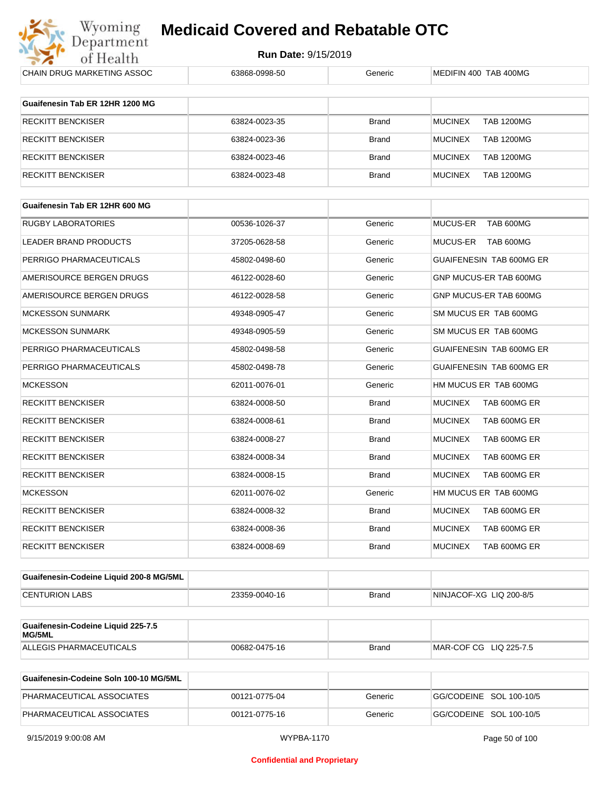

**Run Date:** 9/15/2019

| CHAIN DRUG MARKETING ASSOC                   | 63868-0998-50 | Generic      | MEDIFIN 400 TAB 400MG               |
|----------------------------------------------|---------------|--------------|-------------------------------------|
| Guaifenesin Tab ER 12HR 1200 MG              |               |              |                                     |
|                                              |               |              |                                     |
| <b>RECKITT BENCKISER</b>                     | 63824-0023-35 | Brand        | <b>MUCINEX</b><br><b>TAB 1200MG</b> |
| <b>RECKITT BENCKISER</b>                     | 63824-0023-36 | Brand        | <b>MUCINEX</b><br><b>TAB 1200MG</b> |
| <b>RECKITT BENCKISER</b>                     | 63824-0023-46 | Brand        | <b>MUCINEX</b><br><b>TAB 1200MG</b> |
| <b>RECKITT BENCKISER</b>                     | 63824-0023-48 | Brand        | <b>MUCINEX</b><br><b>TAB 1200MG</b> |
| Guaifenesin Tab ER 12HR 600 MG               |               |              |                                     |
| RUGBY LABORATORIES                           | 00536-1026-37 | Generic      | MUCUS-ER<br>TAB 600MG               |
| LEADER BRAND PRODUCTS                        | 37205-0628-58 | Generic      | <b>MUCUS-ER</b><br>TAB 600MG        |
| PERRIGO PHARMACEUTICALS                      | 45802-0498-60 | Generic      | GUAIFENESIN TAB 600MG ER            |
| AMERISOURCE BERGEN DRUGS                     | 46122-0028-60 | Generic      | GNP MUCUS-ER TAB 600MG              |
| AMERISOURCE BERGEN DRUGS                     | 46122-0028-58 | Generic      | GNP MUCUS-ER TAB 600MG              |
| <b>MCKESSON SUNMARK</b>                      | 49348-0905-47 | Generic      | SM MUCUS ER TAB 600MG               |
| <b>MCKESSON SUNMARK</b>                      | 49348-0905-59 | Generic      | SM MUCUS ER TAB 600MG               |
| PERRIGO PHARMACEUTICALS                      | 45802-0498-58 | Generic      | GUAIFENESIN TAB 600MG ER            |
| PERRIGO PHARMACEUTICALS                      | 45802-0498-78 | Generic      | GUAIFENESIN TAB 600MG ER            |
| <b>MCKESSON</b>                              | 62011-0076-01 | Generic      | HM MUCUS ER TAB 600MG               |
| <b>RECKITT BENCKISER</b>                     | 63824-0008-50 | <b>Brand</b> | <b>MUCINEX</b><br>TAB 600MG ER      |
| <b>RECKITT BENCKISER</b>                     | 63824-0008-61 | Brand        | <b>MUCINEX</b><br>TAB 600MG ER      |
| <b>RECKITT BENCKISER</b>                     | 63824-0008-27 | Brand        | <b>MUCINEX</b><br>TAB 600MG ER      |
| <b>RECKITT BENCKISER</b>                     | 63824-0008-34 | Brand        | <b>MUCINEX</b><br>TAB 600MG ER      |
| RECKITT BENCKISER                            | 63824-0008-15 | <b>Brand</b> | <b>MUCINEX</b><br>TAB 600MG ER      |
| <b>MCKESSON</b>                              | 62011-0076-02 | Generic      | HM MUCUS ER TAB 600MG               |
| RECKITT BENCKISER                            | 63824-0008-32 | Brand        | <b>MUCINEX</b><br>TAB 600MG ER      |
| <b>RECKITT BENCKISER</b>                     | 63824-0008-36 | Brand        | <b>MUCINEX</b><br>TAB 600MG ER      |
| <b>RECKITT BENCKISER</b>                     | 63824-0008-69 | Brand        | <b>MUCINEX</b><br>TAB 600MG ER      |
| Guaifenesin-Codeine Liquid 200-8 MG/5ML      |               |              |                                     |
| <b>CENTURION LABS</b>                        | 23359-0040-16 | Brand        | NINJACOF-XG LIQ 200-8/5             |
|                                              |               |              |                                     |
| Guaifenesin-Codeine Liquid 225-7.5<br>MG/5ML |               |              |                                     |
| ALLEGIS PHARMACEUTICALS                      | 00682-0475-16 | Brand        | MAR-COF CG LIQ 225-7.5              |
| Guaifenesin-Codeine Soln 100-10 MG/5ML       |               |              |                                     |
| PHARMACEUTICAL ASSOCIATES                    | 00121-0775-04 | Generic      | GG/CODEINE SOL 100-10/5             |

PHARMACEUTICAL ASSOCIATES 00121-0775-16 Generic Generic GG/CODEINE SOL 100-10/5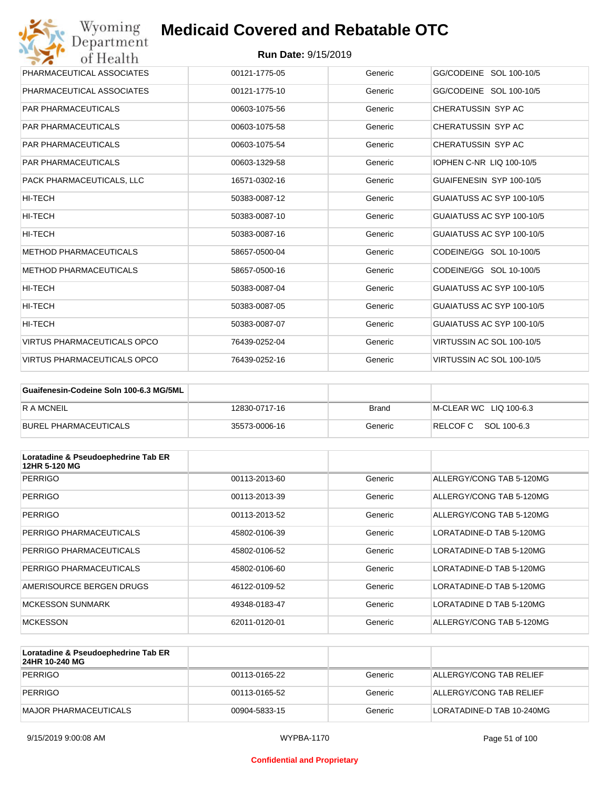| Wyoming<br><b>Medicaid Covered and Rebatable OTC</b><br>Department |                            |         |                           |  |
|--------------------------------------------------------------------|----------------------------|---------|---------------------------|--|
| of Health                                                          | <b>Run Date: 9/15/2019</b> |         |                           |  |
| PHARMACEUTICAL ASSOCIATES                                          | 00121-1775-05              | Generic | GG/CODEINE SOL 100-10/5   |  |
| PHARMACEUTICAL ASSOCIATES                                          | 00121-1775-10              | Generic | GG/CODEINE SOL 100-10/5   |  |
| <b>PAR PHARMACEUTICALS</b>                                         | 00603-1075-56              | Generic | CHERATUSSIN SYP AC        |  |
| <b>PAR PHARMACEUTICALS</b>                                         | 00603-1075-58              | Generic | CHERATUSSIN SYP AC        |  |
| <b>PAR PHARMACEUTICALS</b>                                         | 00603-1075-54              | Generic | CHERATUSSIN SYP AC        |  |
| <b>PAR PHARMACEUTICALS</b>                                         | 00603-1329-58              | Generic | IOPHEN C-NR LIQ 100-10/5  |  |
| PACK PHARMACEUTICALS, LLC                                          | 16571-0302-16              | Generic | GUAIFENESIN SYP 100-10/5  |  |
| HI-TECH                                                            | 50383-0087-12              | Generic | GUAIATUSS AC SYP 100-10/5 |  |
| <b>HI-TECH</b>                                                     | 50383-0087-10              | Generic | GUAIATUSS AC SYP 100-10/5 |  |
| HI-TECH                                                            | 50383-0087-16              | Generic | GUAIATUSS AC SYP 100-10/5 |  |
| <b>METHOD PHARMACEUTICALS</b>                                      | 58657-0500-04              | Generic | CODEINE/GG SOL 10-100/5   |  |
| <b>METHOD PHARMACEUTICALS</b>                                      | 58657-0500-16              | Generic | CODEINE/GG SOL 10-100/5   |  |
| <b>HI-TECH</b>                                                     | 50383-0087-04              | Generic | GUAIATUSS AC SYP 100-10/5 |  |
| <b>HI-TECH</b>                                                     | 50383-0087-05              | Generic | GUAIATUSS AC SYP 100-10/5 |  |
| HI-TECH                                                            | 50383-0087-07              | Generic | GUAIATUSS AC SYP 100-10/5 |  |
| VIRTUS PHARMACEUTICALS OPCO                                        | 76439-0252-04              | Generic | VIRTUSSIN AC SOL 100-10/5 |  |
| <b>VIRTUS PHARMACEUTICALS OPCO</b>                                 | 76439-0252-16              | Generic | VIRTUSSIN AC SOL 100-10/5 |  |

| Guaifenesin-Codeine Soln 100-6.3 MG/5ML |               |         |                        |
|-----------------------------------------|---------------|---------|------------------------|
| <b>R A MCNEIL</b>                       | 12830-0717-16 | Brand   | M-CLEAR WC LIQ 100-6.3 |
| BUREL PHARMACEUTICALS                   | 35573-0006-16 | Generic | RELCOFC SOL 100-6.3    |

| Loratadine & Pseudoephedrine Tab ER<br>12HR 5-120 MG |               |         |                          |
|------------------------------------------------------|---------------|---------|--------------------------|
| <b>PERRIGO</b>                                       | 00113-2013-60 | Generic | ALLERGY/CONG TAB 5-120MG |
| <b>PERRIGO</b>                                       | 00113-2013-39 | Generic | ALLERGY/CONG TAB 5-120MG |
| <b>PERRIGO</b>                                       | 00113-2013-52 | Generic | ALLERGY/CONG TAB 5-120MG |
| PERRIGO PHARMACEUTICALS                              | 45802-0106-39 | Generic | LORATADINE-D TAB 5-120MG |
| PERRIGO PHARMACEUTICALS                              | 45802-0106-52 | Generic | LORATADINE-D TAB 5-120MG |
| PERRIGO PHARMACEUTICALS                              | 45802-0106-60 | Generic | LORATADINE-D TAB 5-120MG |
| AMERISOURCE BERGEN DRUGS                             | 46122-0109-52 | Generic | LORATADINE-D TAB 5-120MG |
| <b>MCKESSON SUNMARK</b>                              | 49348-0183-47 | Generic | LORATADINE D TAB 5-120MG |
| <b>MCKESSON</b>                                      | 62011-0120-01 | Generic | ALLERGY/CONG TAB 5-120MG |

| Loratadine & Pseudoephedrine Tab ER<br>24HR 10-240 MG |               |         |                           |
|-------------------------------------------------------|---------------|---------|---------------------------|
| PERRIGO                                               | 00113-0165-22 | Generic | ALLERGY/CONG TAB RELIEF   |
| PERRIGO                                               | 00113-0165-52 | Generic | ALLERGY/CONG TAB RELIEF   |
| MAJOR PHARMACEUTICALS                                 | 00904-5833-15 | Generic | LORATADINE-D TAB 10-240MG |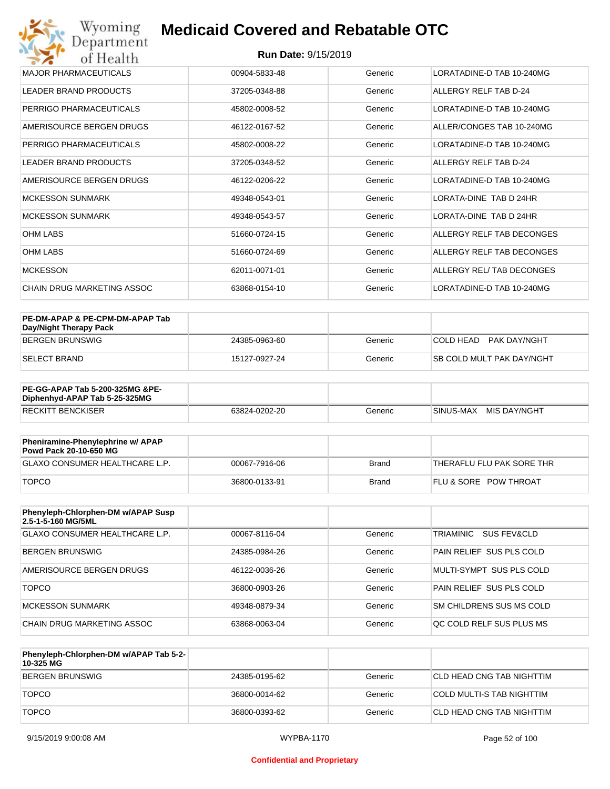| MAJOR PHARMACEUTICALS      | 00904-5833-48 | Generic | LORATADINE-D TAB 10-240MG |
|----------------------------|---------------|---------|---------------------------|
| LEADER BRAND PRODUCTS      | 37205-0348-88 | Generic | ALLERGY RELF TAB D-24     |
| PERRIGO PHARMACEUTICALS    | 45802-0008-52 | Generic | LORATADINE-D TAB 10-240MG |
| AMERISOURCE BERGEN DRUGS   | 46122-0167-52 | Generic | ALLER/CONGES TAB 10-240MG |
| PERRIGO PHARMACEUTICALS    | 45802-0008-22 | Generic | LORATADINE-D TAB 10-240MG |
| LEADER BRAND PRODUCTS      | 37205-0348-52 | Generic | ALLERGY RELF TAB D-24     |
| AMERISOURCE BERGEN DRUGS   | 46122-0206-22 | Generic | LORATADINE-D TAB 10-240MG |
| <b>MCKESSON SUNMARK</b>    | 49348-0543-01 | Generic | LORATA-DINE TAB D 24HR    |
| <b>MCKESSON SUNMARK</b>    | 49348-0543-57 | Generic | LORATA-DINE TAB D 24HR    |
| <b>OHM LABS</b>            | 51660-0724-15 | Generic | ALLERGY RELF TAB DECONGES |
| <b>OHM LABS</b>            | 51660-0724-69 | Generic | ALLERGY RELF TAB DECONGES |
| <b>MCKESSON</b>            | 62011-0071-01 | Generic | ALLERGY REL/ TAB DECONGES |
| CHAIN DRUG MARKETING ASSOC | 63868-0154-10 | Generic | LORATADINE-D TAB 10-240MG |

| PE-DM-APAP & PE-CPM-DM-APAP Tab<br>Day/Night Therapy Pack |               |         |                                  |
|-----------------------------------------------------------|---------------|---------|----------------------------------|
| BERGEN BRUNSWIG                                           | 24385-0963-60 | Generic | COLD HEAD<br>PAK DAY/NGHT        |
| ISELECT BRAND                                             | 15127-0927-24 | Generic | <b>SB COLD MULT PAK DAY/NGHT</b> |

| <b>PE-GG-APAP Tab 5-200-325MG &amp;PE-</b><br>Diphenhyd-APAP Tab 5-25-325MG |               |         |                           |
|-----------------------------------------------------------------------------|---------------|---------|---------------------------|
| <b>RECKITT BENCKISER</b>                                                    | 63824-0202-20 | Generic | MIS DAY/NGHT<br>SINUS-MAX |

| Pheniramine-Phenylephrine w/ APAP<br>Powd Pack 20-10-650 MG |               |       |                                  |
|-------------------------------------------------------------|---------------|-------|----------------------------------|
| GLAXO CONSUMER HEALTHCARE L.P.                              | 00067-7916-06 | Brand | 'THERAFLU FLU PAK SORE THR       |
| <b>TOPCO</b>                                                | 36800-0133-91 | Brand | <b>FLU &amp; SORE POW THROAT</b> |

| Phenyleph-Chlorphen-DM w/APAP Susp<br>2.5-1-5-160 MG/5ML |               |         |                                 |
|----------------------------------------------------------|---------------|---------|---------------------------------|
| <b>GLAXO CONSUMER HEALTHCARE L.P.</b>                    | 00067-8116-04 | Generic | TRIAMINIC<br>SUS FEV&CLD        |
| BERGEN BRUNSWIG                                          | 24385-0984-26 | Generic | <b>PAIN RELIEF SUS PLS COLD</b> |
| AMERISOURCE BERGEN DRUGS                                 | 46122-0036-26 | Generic | MULTI-SYMPT SUS PLS COLD        |
| <b>TOPCO</b>                                             | 36800-0903-26 | Generic | PAIN RELIEF SUS PLS COLD        |
| <b>MCKESSON SUNMARK</b>                                  | 49348-0879-34 | Generic | SM CHILDRENS SUS MS COLD        |
| CHAIN DRUG MARKETING ASSOC                               | 63868-0063-04 | Generic | OC COLD RELF SUS PLUS MS        |

| Phenyleph-Chlorphen-DM w/APAP Tab 5-2-<br>10-325 MG |               |         |                            |
|-----------------------------------------------------|---------------|---------|----------------------------|
| BERGEN BRUNSWIG                                     | 24385-0195-62 | Generic | ICLD HEAD CNG TAB NIGHTTIM |
| <b>TOPCO</b>                                        | 36800-0014-62 | Generic | COLD MULTI-S TAB NIGHTTIM  |
| <b>TOPCO</b>                                        | 36800-0393-62 | Generic | CLD HEAD CNG TAB NIGHTTIM  |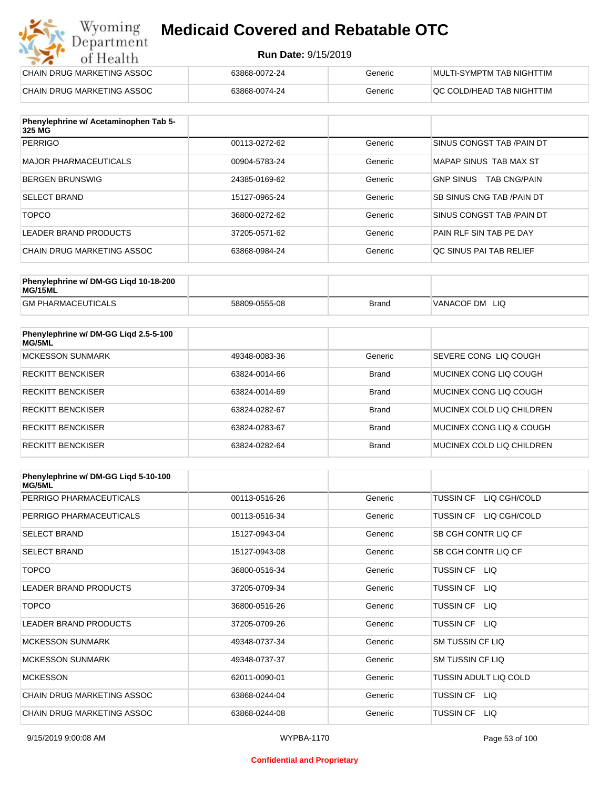#### **Run Date:** 9/15/2019

| Wyoming<br><b>Medicaid Covered and Rebatable OTC</b><br>Department |                            |         |                           |  |
|--------------------------------------------------------------------|----------------------------|---------|---------------------------|--|
| of Health                                                          | <b>Run Date: 9/15/2019</b> |         |                           |  |
| CHAIN DRUG MARKETING ASSOC                                         | 63868-0072-24              | Generic | MULTI-SYMPTM TAB NIGHTTIM |  |
| CHAIN DRUG MARKETING ASSOC                                         | 63868-0074-24              | Generic | QC COLD/HEAD TAB NIGHTTIM |  |

| Phenylephrine w/ Acetaminophen Tab 5-<br>325 MG |               |         |                                         |
|-------------------------------------------------|---------------|---------|-----------------------------------------|
| <b>PERRIGO</b>                                  | 00113-0272-62 | Generic | SINUS CONGST TAB / PAIN DT              |
| MAJOR PHARMACEUTICALS                           | 00904-5783-24 | Generic | MAPAP SINUS TAB MAX ST                  |
| <b>BERGEN BRUNSWIG</b>                          | 24385-0169-62 | Generic | <b>GNP SINUS</b><br><b>TAB CNG/PAIN</b> |
| <b>SELECT BRAND</b>                             | 15127-0965-24 | Generic | SB SINUS CNG TAB / PAIN DT              |
| <b>TOPCO</b>                                    | 36800-0272-62 | Generic | SINUS CONGST TAB /PAIN DT               |
| LEADER BRAND PRODUCTS                           | 37205-0571-62 | Generic | PAIN RLF SIN TAB PE DAY                 |
| CHAIN DRUG MARKETING ASSOC                      | 63868-0984-24 | Generic | OC SINUS PAI TAB RELIEF                 |

| Phenylephrine w/ DM-GG Ligd 10-18-200<br>MG/15ML |               |              |                |
|--------------------------------------------------|---------------|--------------|----------------|
| <b>GM PHARMACEUTICALS</b>                        | 58809-0555-08 | <b>Brand</b> | VANACOF DM LIQ |

| Phenylephrine w/ DM-GG Ligd 2.5-5-100<br>MG/5ML |               |              |                           |
|-------------------------------------------------|---------------|--------------|---------------------------|
| <b>MCKESSON SUNMARK</b>                         | 49348-0083-36 | Generic      | SEVERE CONG LIO COUGH     |
| <b>RECKITT BENCKISER</b>                        | 63824-0014-66 | <b>Brand</b> | MUCINEX CONG LIO COUGH    |
| <b>RECKITT BENCKISER</b>                        | 63824-0014-69 | <b>Brand</b> | MUCINEX CONG LIO COUGH    |
| <b>RECKITT BENCKISER</b>                        | 63824-0282-67 | <b>Brand</b> | MUCINEX COLD LIQ CHILDREN |
| <b>RECKITT BENCKISER</b>                        | 63824-0283-67 | <b>Brand</b> | MUCINEX CONG LIO & COUGH  |
| <b>RECKITT BENCKISER</b>                        | 63824-0282-64 | <b>Brand</b> | MUCINEX COLD LIQ CHILDREN |

| Phenylephrine w/ DM-GG Ligd 5-10-100<br><b>MG/5ML</b> |               |         |                                  |
|-------------------------------------------------------|---------------|---------|----------------------------------|
| PERRIGO PHARMACEUTICALS                               | 00113-0516-26 | Generic | LIQ CGH/COLD<br><b>TUSSIN CF</b> |
| PERRIGO PHARMACEUTICALS                               | 00113-0516-34 | Generic | LIQ CGH/COLD<br><b>TUSSIN CF</b> |
| <b>SELECT BRAND</b>                                   | 15127-0943-04 | Generic | SB CGH CONTR LIQ CF              |
| <b>SELECT BRAND</b>                                   | 15127-0943-08 | Generic | SB CGH CONTR LIQ CF              |
| <b>TOPCO</b>                                          | 36800-0516-34 | Generic | TUSSIN CF LIQ                    |
| <b>LEADER BRAND PRODUCTS</b>                          | 37205-0709-34 | Generic | <b>TUSSIN CF</b><br>LIQ.         |
| <b>TOPCO</b>                                          | 36800-0516-26 | Generic | <b>TUSSIN CF</b><br>LIQ.         |
| <b>LEADER BRAND PRODUCTS</b>                          | 37205-0709-26 | Generic | <b>TUSSIN CF</b><br>LIQ          |
| <b>MCKESSON SUNMARK</b>                               | 49348-0737-34 | Generic | <b>SM TUSSIN CF LIQ</b>          |
| <b>MCKESSON SUNMARK</b>                               | 49348-0737-37 | Generic | SM TUSSIN CF LIQ                 |
| <b>MCKESSON</b>                                       | 62011-0090-01 | Generic | TUSSIN ADULT LIQ COLD            |
| CHAIN DRUG MARKETING ASSOC                            | 63868-0244-04 | Generic | TUSSIN CF LIQ                    |
| CHAIN DRUG MARKETING ASSOC                            | 63868-0244-08 | Generic | <b>TUSSIN CF</b><br>LIQ.         |

#### **Confidential and Proprietary**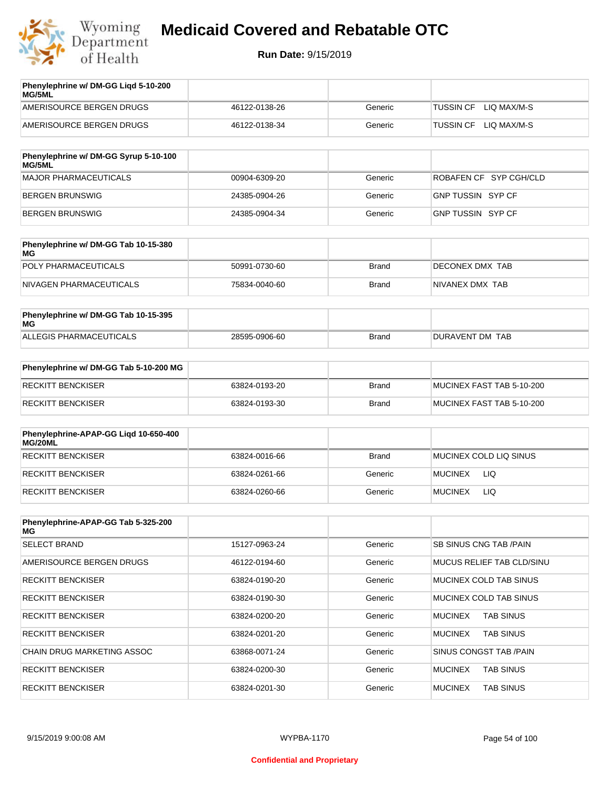

| Phenylephrine w/ DM-GG Ligd 5-10-200<br><b>MG/5ML</b> |               |         |                                 |
|-------------------------------------------------------|---------------|---------|---------------------------------|
| AMERISOURCE BERGEN DRUGS                              | 46122-0138-26 | Generic | LIO MAX/M-S<br>TUSSIN CF        |
| AMERISOURCE BERGEN DRUGS                              | 46122-0138-34 | Generic | LIO MAX/M-S<br><b>TUSSIN CF</b> |

| Phenylephrine w/ DM-GG Syrup 5-10-100<br><b>MG/5ML</b> |               |         |                        |
|--------------------------------------------------------|---------------|---------|------------------------|
| MAJOR PHARMACEUTICALS                                  | 00904-6309-20 | Generic | ROBAFEN CF SYP CGH/CLD |
| BERGEN BRUNSWIG                                        | 24385-0904-26 | Generic | GNP TUSSIN SYP CF      |
| BERGEN BRUNSWIG                                        | 24385-0904-34 | Generic | GNP TUSSIN SYP CF      |

| Phenylephrine w/ DM-GG Tab 10-15-380<br>MG |               |              |                         |
|--------------------------------------------|---------------|--------------|-------------------------|
| POLY PHARMACEUTICALS                       | 50991-0730-60 | <b>Brand</b> | <b>IDECONEX DMX TAB</b> |
| NIVAGEN PHARMACEUTICALS                    | 75834-0040-60 | Brand        | NIVANEX DMX TAB         |

| Phenylephrine w/ DM-GG Tab 10-15-395<br>MG |               |       |                 |
|--------------------------------------------|---------------|-------|-----------------|
| ALLEGIS PHARMACEUTICALS                    | 28595-0906-60 | Brand | DURAVENT DM TAB |

| Phenylephrine w/ DM-GG Tab 5-10-200 MG |               |       |                           |
|----------------------------------------|---------------|-------|---------------------------|
| RECKITT BENCKISER                      | 63824-0193-20 | Brand | MUCINEX FAST TAB 5-10-200 |
| RECKITT BENCKISER                      | 63824-0193-30 | Brand | MUCINEX FAST TAB 5-10-200 |

| Phenylephrine-APAP-GG Ligd 10-650-400<br>MG/20ML |               |              |                        |
|--------------------------------------------------|---------------|--------------|------------------------|
| RECKITT BENCKISER                                | 63824-0016-66 | <b>Brand</b> | MUCINEX COLD LIQ SINUS |
| RECKITT BENCKISER                                | 63824-0261-66 | Generic      | <b>MUCINEX</b><br>LIQ  |
| RECKITT BENCKISER                                | 63824-0260-66 | Generic      | LIQ<br><b>MUCINEX</b>  |

| Phenylephrine-APAP-GG Tab 5-325-200<br>MG |               |         |                                    |
|-------------------------------------------|---------------|---------|------------------------------------|
| <b>SELECT BRAND</b>                       | 15127-0963-24 | Generic | SB SINUS CNG TAB /PAIN             |
| AMERISOURCE BERGEN DRUGS                  | 46122-0194-60 | Generic | <b>MUCUS RELIEF TAB CLD/SINU</b>   |
| <b>RECKITT BENCKISER</b>                  | 63824-0190-20 | Generic | MUCINEX COLD TAB SINUS             |
| <b>RECKITT BENCKISER</b>                  | 63824-0190-30 | Generic | MUCINEX COLD TAB SINUS             |
| <b>RECKITT BENCKISER</b>                  | 63824-0200-20 | Generic | <b>TAB SINUS</b><br><b>MUCINEX</b> |
| <b>RECKITT BENCKISER</b>                  | 63824-0201-20 | Generic | <b>TAB SINUS</b><br><b>MUCINEX</b> |
| <b>CHAIN DRUG MARKETING ASSOC</b>         | 63868-0071-24 | Generic | SINUS CONGST TAB /PAIN             |
| <b>RECKITT BENCKISER</b>                  | 63824-0200-30 | Generic | <b>MUCINEX</b><br><b>TAB SINUS</b> |
| <b>RECKITT BENCKISER</b>                  | 63824-0201-30 | Generic | <b>MUCINEX</b><br><b>TAB SINUS</b> |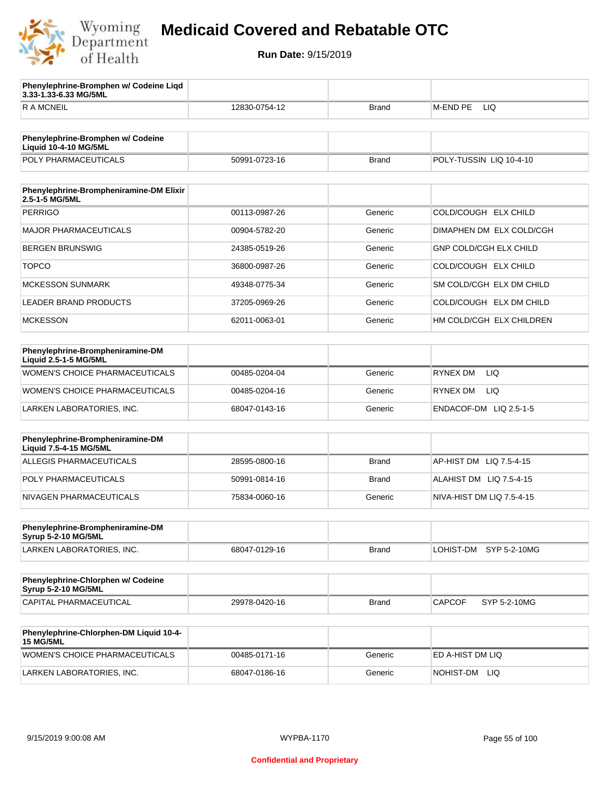

**3.33-1.33-6.33 MG/5ML**

**Phenylephrine-Bromphen w/ Codeine Liqd** 

## **Medicaid Covered and Rebatable OTC**

| <b>RAMCNEIL</b>                                                   | 12830-0754-12 | <b>Brand</b> | M-END PE<br>LIQ               |
|-------------------------------------------------------------------|---------------|--------------|-------------------------------|
|                                                                   |               |              |                               |
| Phenylephrine-Bromphen w/ Codeine<br><b>Liquid 10-4-10 MG/5ML</b> |               |              |                               |
| POLY PHARMACEUTICALS                                              | 50991-0723-16 | <b>Brand</b> | POLY-TUSSIN LIQ 10-4-10       |
|                                                                   |               |              |                               |
| Phenylephrine-Brompheniramine-DM Elixir<br>2.5-1-5 MG/5ML         |               |              |                               |
| <b>PERRIGO</b>                                                    | 00113-0987-26 | Generic      | COLD/COUGH ELX CHILD          |
| <b>MAJOR PHARMACEUTICALS</b>                                      | 00904-5782-20 | Generic      | DIMAPHEN DM ELX COLD/CGH      |
| <b>BERGEN BRUNSWIG</b>                                            | 24385-0519-26 | Generic      | <b>GNP COLD/CGH ELX CHILD</b> |
| <b>TOPCO</b>                                                      | 36800-0987-26 | Generic      | COLD/COUGH ELX CHILD          |
| <b>MCKESSON SUNMARK</b>                                           | 49348-0775-34 | Generic      | SM COLD/CGH ELX DM CHILD      |
| LEADER BRAND PRODUCTS                                             | 37205-0969-26 | Generic      | COLD/COUGH ELX DM CHILD       |
| <b>MCKESSON</b>                                                   | 62011-0063-01 | Generic      | HM COLD/CGH ELX CHILDREN      |
|                                                                   |               |              |                               |
| Phenylephrine-Brompheniramine-DM<br>Liquid 2.5-1-5 MG/5ML         |               |              |                               |
| WOMEN'S CHOICE PHARMACEUTICALS                                    | 00485-0204-04 | Generic      | <b>LIQ</b><br>RYNEX DM        |
| WOMEN'S CHOICE PHARMACEUTICALS                                    | 00485-0204-16 | Generic      | RYNEX DM<br>LIQ.              |
| LARKEN LABORATORIES, INC.                                         | 68047-0143-16 | Generic      | ENDACOF-DM LIQ 2.5-1-5        |
|                                                                   |               |              |                               |
| Phenylephrine-Brompheniramine-DM<br>Liquid 7.5-4-15 MG/5ML        |               |              |                               |
| <b>ALLEGIS PHARMACEUTICALS</b>                                    | 28595-0800-16 | <b>Brand</b> | AP-HIST DM<br>LIQ 7.5-4-15    |
| POLY PHARMACEUTICALS                                              | 50991-0814-16 | <b>Brand</b> | ALAHIST DM LIQ 7.5-4-15       |
| NIVAGEN PHARMACEUTICALS                                           | 75834-0060-16 | Generic      | NIVA-HIST DM LIQ 7.5-4-15     |
|                                                                   |               |              |                               |
| Phenylephrine-Brompheniramine-DM<br><b>Syrup 5-2-10 MG/5ML</b>    |               |              |                               |
| LARKEN LABORATORIES, INC.                                         | 68047-0129-16 | <b>Brand</b> | LOHIST-DM<br>SYP 5-2-10MG     |
|                                                                   |               |              |                               |
| Phenylephrine-Chlorphen w/ Codeine<br>Syrup 5-2-10 MG/5ML         |               |              |                               |
| <b>CAPITAL PHARMACEUTICAL</b>                                     | 29978-0420-16 | <b>Brand</b> | <b>CAPCOF</b><br>SYP 5-2-10MG |
| Phenylephrine-Chlorphen-DM Liquid 10-4-                           |               |              |                               |
| <b>15 MG/5ML</b>                                                  |               |              |                               |
| WOMEN'S CHOICE PHARMACEUTICALS                                    | 00485-0171-16 | Generic      | ED A-HIST DM LIQ              |
| LARKEN LABORATORIES, INC.                                         | 68047-0186-16 | Generic      | NOHIST-DM LIQ                 |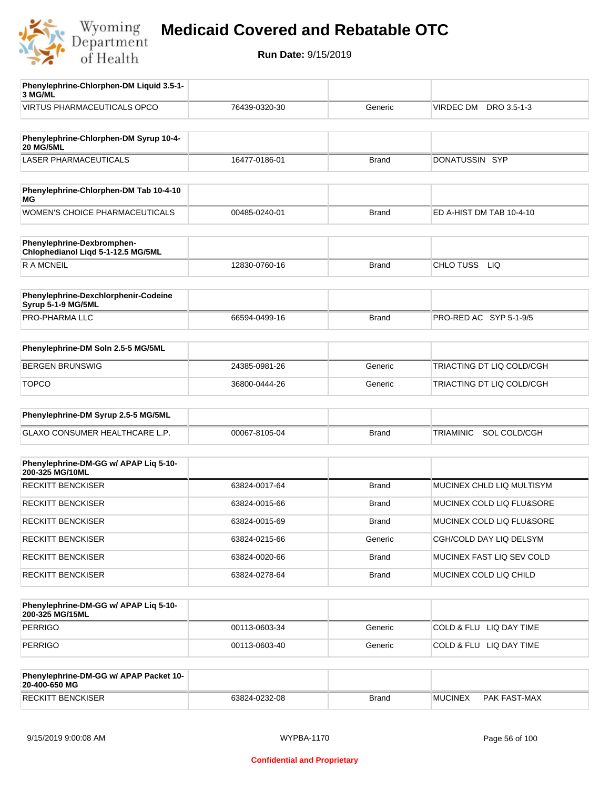

**Run Date:** 9/15/2019

| Phenylephrine-Chlorphen-DM Liquid 3.5-1-<br>3 MG/ML              |               |              |                           |
|------------------------------------------------------------------|---------------|--------------|---------------------------|
| <b>VIRTUS PHARMACEUTICALS OPCO</b>                               | 76439-0320-30 | Generic      | VIRDEC DM<br>DRO 3.5-1-3  |
|                                                                  |               |              |                           |
| Phenylephrine-Chlorphen-DM Syrup 10-4-<br><b>20 MG/5ML</b>       |               |              |                           |
| <b>LASER PHARMACEUTICALS</b>                                     | 16477-0186-01 | <b>Brand</b> | DONATUSSIN SYP            |
| Phenylephrine-Chlorphen-DM Tab 10-4-10                           |               |              |                           |
| МG                                                               |               |              |                           |
| WOMEN'S CHOICE PHARMACEUTICALS                                   | 00485-0240-01 | <b>Brand</b> | ED A-HIST DM TAB 10-4-10  |
| Phenylephrine-Dexbromphen-<br>Chlophedianol Liqd 5-1-12.5 MG/5ML |               |              |                           |
| <b>RAMCNEIL</b>                                                  | 12830-0760-16 | <b>Brand</b> | CHLO TUSS<br><b>LIQ</b>   |
|                                                                  |               |              |                           |
| Phenylephrine-Dexchlorphenir-Codeine<br>Syrup 5-1-9 MG/5ML       |               |              |                           |
| PRO-PHARMA LLC                                                   | 66594-0499-16 | <b>Brand</b> | PRO-RED AC SYP 5-1-9/5    |
| Phenylephrine-DM Soln 2.5-5 MG/5ML                               |               |              |                           |
| <b>BERGEN BRUNSWIG</b>                                           | 24385-0981-26 | Generic      | TRIACTING DT LIQ COLD/CGH |
| <b>TOPCO</b>                                                     | 36800-0444-26 | Generic      | TRIACTING DT LIQ COLD/CGH |
|                                                                  |               |              |                           |
| Phenylephrine-DM Syrup 2.5-5 MG/5ML                              |               |              |                           |
| GLAXO CONSUMER HEALTHCARE L.P.                                   | 00067-8105-04 | <b>Brand</b> | SOL COLD/CGH<br>TRIAMINIC |
| Phenylephrine-DM-GG w/ APAP Lig 5-10-<br>200-325 MG/10ML         |               |              |                           |
| <b>RECKITT BENCKISER</b>                                         | 63824-0017-64 | <b>Brand</b> | MUCINEX CHLD LIQ MULTISYM |
| <b>RECKITT BENCKISER</b>                                         | 63824-0015-66 | <b>Brand</b> | MUCINEX COLD LIQ FLU&SORE |
| <b>RECKITT BENCKISER</b>                                         | 63824-0015-69 | <b>Brand</b> | MUCINEX COLD LIQ FLU&SORE |
| <b>RECKITT BENCKISER</b>                                         | 63824-0215-66 | Generic      | CGH/COLD DAY LIQ DELSYM   |
| <b>RECKITT BENCKISER</b>                                         | 63824-0020-66 | <b>Brand</b> | MUCINEX FAST LIQ SEV COLD |
| <b>RECKITT BENCKISER</b>                                         | 63824-0278-64 | Brand        | MUCINEX COLD LIQ CHILD    |
|                                                                  |               |              |                           |
| Phenylephrine-DM-GG w/ APAP Liq 5-10-<br>200-325 MG/15ML         |               |              |                           |
| <b>PERRIGO</b>                                                   | 00113-0603-34 | Generic      | COLD & FLU LIQ DAY TIME   |
| PERRIGO                                                          | 00113-0603-40 | Generic      | COLD & FLU LIQ DAY TIME   |
| Phenylephrine-DM-GG w/ APAP Packet 10-<br>20-400-650 MG          |               |              |                           |

RECKITT BENCKISER 63824-0232-08 Brand MUCINEX PAK FAST-MAX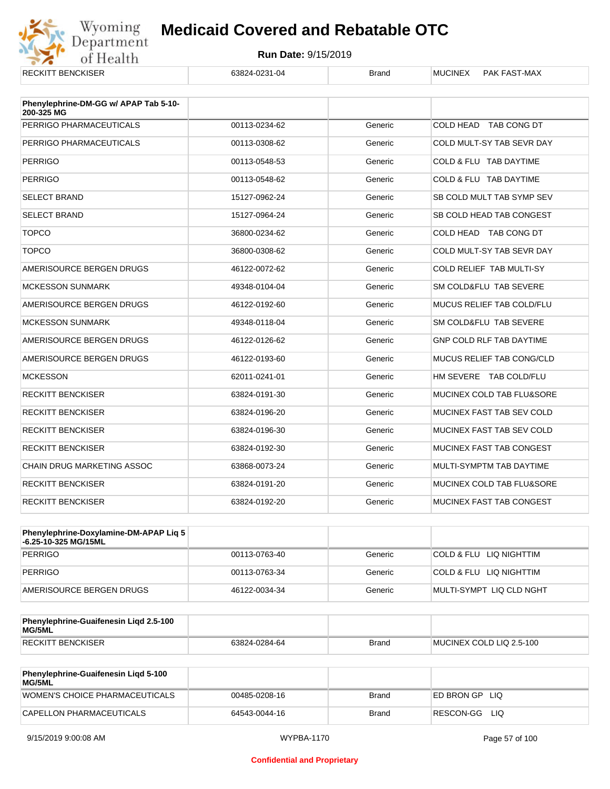

| <b>RECKITT BENCKISER</b>                            | 63824-0231-04 | <b>Brand</b> | <b>MUCINEX</b><br>PAK FAST-MAX  |
|-----------------------------------------------------|---------------|--------------|---------------------------------|
|                                                     |               |              |                                 |
| Phenylephrine-DM-GG w/ APAP Tab 5-10-<br>200-325 MG |               |              |                                 |
| PERRIGO PHARMACEUTICALS                             | 00113-0234-62 | Generic      | COLD HEAD TAB CONG DT           |
| PERRIGO PHARMACEUTICALS                             | 00113-0308-62 | Generic      | COLD MULT-SY TAB SEVR DAY       |
| <b>PERRIGO</b>                                      | 00113-0548-53 | Generic      | COLD & FLU TAB DAYTIME          |
| <b>PERRIGO</b>                                      | 00113-0548-62 | Generic      | COLD & FLU TAB DAYTIME          |
| <b>SELECT BRAND</b>                                 | 15127-0962-24 | Generic      | SB COLD MULT TAB SYMP SEV       |
| <b>SELECT BRAND</b>                                 | 15127-0964-24 | Generic      | SB COLD HEAD TAB CONGEST        |
| <b>TOPCO</b>                                        | 36800-0234-62 | Generic      | COLD HEAD TAB CONG DT           |
| <b>TOPCO</b>                                        | 36800-0308-62 | Generic      | COLD MULT-SY TAB SEVR DAY       |
| AMERISOURCE BERGEN DRUGS                            | 46122-0072-62 | Generic      | COLD RELIEF TAB MULTI-SY        |
| <b>MCKESSON SUNMARK</b>                             | 49348-0104-04 | Generic      | SM COLD&FLU TAB SEVERE          |
| AMERISOURCE BERGEN DRUGS                            | 46122-0192-60 | Generic      | MUCUS RELIEF TAB COLD/FLU       |
| <b>MCKESSON SUNMARK</b>                             | 49348-0118-04 | Generic      | SM COLD&FLU TAB SEVERE          |
| AMERISOURCE BERGEN DRUGS                            | 46122-0126-62 | Generic      | <b>GNP COLD RLF TAB DAYTIME</b> |
| AMERISOURCE BERGEN DRUGS                            | 46122-0193-60 | Generic      | MUCUS RELIEF TAB CONG/CLD       |
| <b>MCKESSON</b>                                     | 62011-0241-01 | Generic      | HM SEVERE TAB COLD/FLU          |
| <b>RECKITT BENCKISER</b>                            | 63824-0191-30 | Generic      | MUCINEX COLD TAB FLU&SORE       |
| <b>RECKITT BENCKISER</b>                            | 63824-0196-20 | Generic      | MUCINEX FAST TAB SEV COLD       |
| <b>RECKITT BENCKISER</b>                            | 63824-0196-30 | Generic      | MUCINEX FAST TAB SEV COLD       |
| <b>RECKITT BENCKISER</b>                            | 63824-0192-30 | Generic      | MUCINEX FAST TAB CONGEST        |
| <b>CHAIN DRUG MARKETING ASSOC</b>                   | 63868-0073-24 | Generic      | MULTI-SYMPTM TAB DAYTIME        |
| <b>RECKITT BENCKISER</b>                            | 63824-0191-20 | Generic      | MUCINEX COLD TAB FLU&SORE       |
| <b>RECKITT BENCKISER</b>                            | 63824-0192-20 | Generic      | MUCINEX FAST TAB CONGEST        |

| <b>Phenylephrine-Doxylamine-DM-APAP Lig 5</b><br>-6.25-10-325 MG/15ML |               |         |                          |
|-----------------------------------------------------------------------|---------------|---------|--------------------------|
| PERRIGO                                                               | 00113-0763-40 | Generic | COLD & FLU LIQ NIGHTTIM  |
| PERRIGO                                                               | 00113-0763-34 | Generic | COLD & FLU LIQ NIGHTTIM  |
| AMERISOURCE BERGEN DRUGS                                              | 46122-0034-34 | Generic | MULTI-SYMPT LIQ CLD NGHT |

| Phenylephrine-Guaifenesin Ligd 2.5-100<br>MG/5ML |               |       |                          |
|--------------------------------------------------|---------------|-------|--------------------------|
| <b>RECKITT BENCKISER</b>                         | 63824-0284-64 | Brand | MUCINEX COLD LIQ 2.5-100 |

| <b>Phenylephrine-Guaifenesin Ligd 5-100</b><br><b>MG/5ML</b> |               |       |                    |
|--------------------------------------------------------------|---------------|-------|--------------------|
| WOMEN'S CHOICE PHARMACEUTICALS                               | 00485-0208-16 | Brand | ED BRON GPLIO      |
| CAPELLON PHARMACEUTICALS                                     | 64543-0044-16 | Brand | RESCON-GG<br>- LIQ |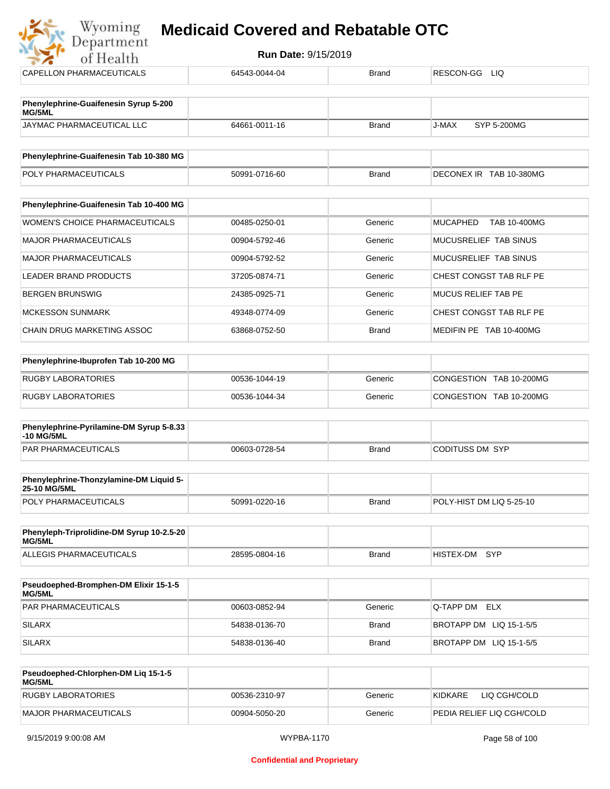## **Myoming Medicaid Covered and Rebatable OTC**

| Department                                             | <b>Run Date: 9/15/2019</b> |              |                                 |
|--------------------------------------------------------|----------------------------|--------------|---------------------------------|
| of Health                                              |                            |              |                                 |
| <b>CAPELLON PHARMACEUTICALS</b>                        | 64543-0044-04              | <b>Brand</b> | RESCON-GG LIQ                   |
| Phenylephrine-Guaifenesin Syrup 5-200<br>MG/5ML        |                            |              |                                 |
| JAYMAC PHARMACEUTICAL LLC                              | 64661-0011-16              | <b>Brand</b> | J-MAX<br><b>SYP 5-200MG</b>     |
| Phenylephrine-Guaifenesin Tab 10-380 MG                |                            |              |                                 |
| POLY PHARMACEUTICALS                                   | 50991-0716-60              | <b>Brand</b> | DECONEX IR TAB 10-380MG         |
| Phenylephrine-Guaifenesin Tab 10-400 MG                |                            |              |                                 |
| <b>WOMEN'S CHOICE PHARMACEUTICALS</b>                  | 00485-0250-01              | Generic      | <b>MUCAPHED</b><br>TAB 10-400MG |
| <b>MAJOR PHARMACEUTICALS</b>                           | 00904-5792-46              | Generic      | MUCUSRELIEF TAB SINUS           |
| <b>MAJOR PHARMACEUTICALS</b>                           | 00904-5792-52              | Generic      | MUCUSRELIEF TAB SINUS           |
| <b>LEADER BRAND PRODUCTS</b>                           | 37205-0874-71              | Generic      | CHEST CONGST TAB RLF PE         |
| <b>BERGEN BRUNSWIG</b>                                 | 24385-0925-71              | Generic      | <b>MUCUS RELIEF TAB PE</b>      |
| <b>MCKESSON SUNMARK</b>                                | 49348-0774-09              | Generic      | CHEST CONGST TAB RLF PE         |
| <b>CHAIN DRUG MARKETING ASSOC</b>                      | 63868-0752-50              | <b>Brand</b> | MEDIFIN PE TAB 10-400MG         |
| Phenylephrine-Ibuprofen Tab 10-200 MG                  |                            |              |                                 |
| <b>RUGBY LABORATORIES</b>                              | 00536-1044-19              | Generic      | CONGESTION TAB 10-200MG         |
| <b>RUGBY LABORATORIES</b>                              | 00536-1044-34              | Generic      | CONGESTION TAB 10-200MG         |
| Phenylephrine-Pyrilamine-DM Syrup 5-8.33<br>-10 MG/5ML |                            |              |                                 |

| Phenylephrine-Thonzylamine-DM Liquid 5-<br><b>25-10 MG/5ML</b> |               |       |                          |
|----------------------------------------------------------------|---------------|-------|--------------------------|
| <b>POLY PHARMACEUTICALS</b>                                    | 50991-0220-16 | Brand | POLY-HIST DM LIQ 5-25-10 |

PAR PHARMACEUTICALS 00603-0728-54 Brand CODITUSS DM SYP

| Phenyleph-Triprolidine-DM Syrup 10-2.5-20<br>MG/5ML |               |       |               |  |
|-----------------------------------------------------|---------------|-------|---------------|--|
| ALLEGIS PHARMACEUTICALS                             | 28595-0804-16 | Brand | HISTEX-DM SYP |  |

| <b>Pseudoephed-Bromphen-DM Elixir 15-1-5</b><br>MG/5ML |               |         |                         |
|--------------------------------------------------------|---------------|---------|-------------------------|
| <b>PAR PHARMACEUTICALS</b>                             | 00603-0852-94 | Generic | <b>Q-TAPP DM ELX</b>    |
| SILARX                                                 | 54838-0136-70 | Brand   | BROTAPP DM LIQ 15-1-5/5 |
| SILARX                                                 | 54838-0136-40 | Brand   | BROTAPP DM LIQ 15-1-5/5 |

| Pseudoephed-Chlorphen-DM Lig 15-1-5<br><b>MG/5ML</b> |               |         |                            |
|------------------------------------------------------|---------------|---------|----------------------------|
| RUGBY LABORATORIES                                   | 00536-2310-97 | Generic | LIQ CGH/COLD<br>KIDKARF    |
| MAJOR PHARMACEUTICALS                                | 00904-5050-20 | Generic | IPEDIA RELIEF LIQ CGH/COLD |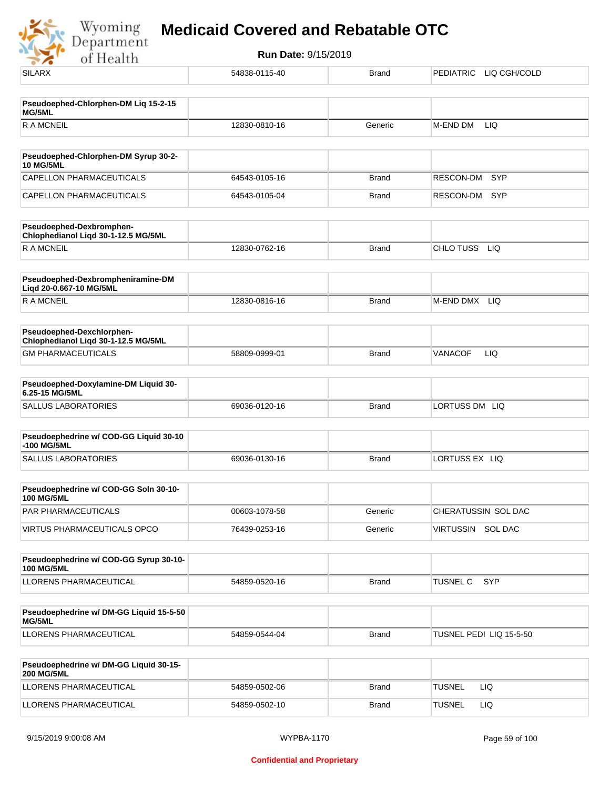Wyoming<br>Department<br>of Health

| <b>SILARX</b>                                                    | 54838-0115-40 | <b>Brand</b> | PEDIATRIC LIQ CGH/COLD        |
|------------------------------------------------------------------|---------------|--------------|-------------------------------|
|                                                                  |               |              |                               |
| Pseudoephed-Chlorphen-DM Liq 15-2-15<br>MG/5ML                   |               |              |                               |
| <b>RAMCNEIL</b>                                                  | 12830-0810-16 | Generic      | M-END DM<br>LIQ               |
|                                                                  |               |              |                               |
| Pseudoephed-Chlorphen-DM Syrup 30-2-<br><b>10 MG/5ML</b>         |               |              |                               |
| <b>CAPELLON PHARMACEUTICALS</b>                                  | 64543-0105-16 | <b>Brand</b> | RESCON-DM<br><b>SYP</b>       |
| <b>CAPELLON PHARMACEUTICALS</b>                                  | 64543-0105-04 | <b>Brand</b> | RESCON-DM<br><b>SYP</b>       |
| Pseudoephed-Dexbromphen-<br>Chlophedianol Liqd 30-1-12.5 MG/5ML  |               |              |                               |
| <b>RAMCNEIL</b>                                                  | 12830-0762-16 | <b>Brand</b> | CHLO TUSS LIQ                 |
| Pseudoephed-Dexbrompheniramine-DM<br>Liqd 20-0.667-10 MG/5ML     |               |              |                               |
| <b>RAMCNEIL</b>                                                  | 12830-0816-16 | <b>Brand</b> | M-END DMX<br>LIQ              |
| Pseudoephed-Dexchlorphen-<br>Chlophedianol Liqd 30-1-12.5 MG/5ML |               |              |                               |
| <b>GM PHARMACEUTICALS</b>                                        | 58809-0999-01 | <b>Brand</b> | LIQ<br>VANACOF                |
| Pseudoephed-Doxylamine-DM Liquid 30-<br>6.25-15 MG/5ML           |               |              |                               |
| <b>SALLUS LABORATORIES</b>                                       | 69036-0120-16 | <b>Brand</b> | LORTUSS DM LIQ                |
| Pseudoephedrine w/ COD-GG Liquid 30-10                           |               |              |                               |
| -100 MG/5ML                                                      |               |              |                               |
| <b>SALLUS LABORATORIES</b>                                       | 69036-0130-16 | <b>Brand</b> | LORTUSS EX LIQ                |
| Pseudoephedrine w/ COD-GG Soln 30-10-                            |               |              |                               |
| <b>100 MG/5ML</b><br>PAR PHARMACEUTICALS                         | 00603-1078-58 | Generic      | CHERATUSSIN SOL DAC           |
| <b>VIRTUS PHARMACEUTICALS OPCO</b>                               | 76439-0253-16 | Generic      | VIRTUSSIN SOL DAC             |
|                                                                  |               |              |                               |
| Pseudoephedrine w/ COD-GG Syrup 30-10-<br><b>100 MG/5ML</b>      |               |              |                               |
| LLORENS PHARMACEUTICAL                                           | 54859-0520-16 | <b>Brand</b> | <b>TUSNEL C</b><br><b>SYP</b> |
|                                                                  |               |              |                               |
| Pseudoephedrine w/ DM-GG Liquid 15-5-50<br>MG/5ML                |               |              |                               |
| LLORENS PHARMACEUTICAL                                           | 54859-0544-04 | <b>Brand</b> | TUSNEL PEDI LIQ 15-5-50       |
| Pseudoephedrine w/ DM-GG Liquid 30-15-                           |               |              |                               |
| <b>200 MG/5ML</b>                                                |               |              |                               |
| LLORENS PHARMACEUTICAL                                           | 54859-0502-06 | <b>Brand</b> | <b>TUSNEL</b><br>LIQ.         |
| LLORENS PHARMACEUTICAL                                           | 54859-0502-10 | <b>Brand</b> | <b>TUSNEL</b><br>LIQ          |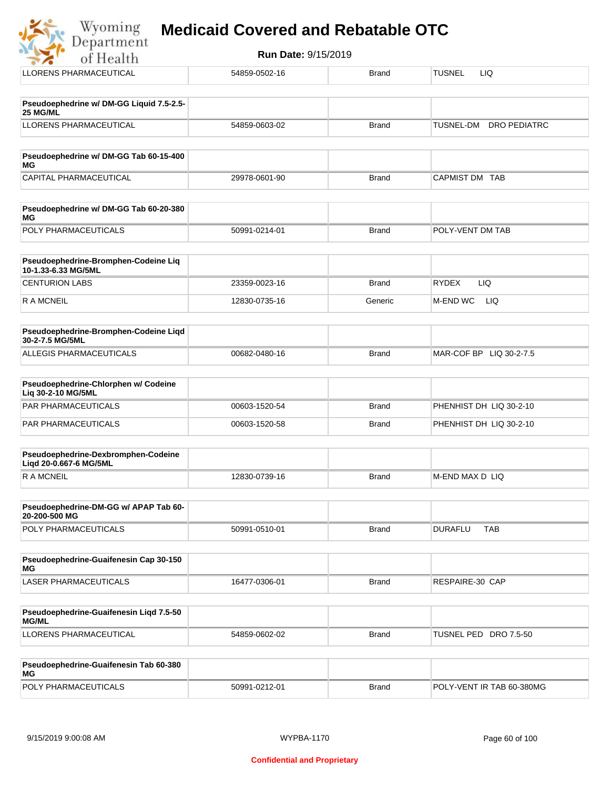| of Health                                                   | <b>Run Date: 9/15/2019</b> |              |                                         |  |
|-------------------------------------------------------------|----------------------------|--------------|-----------------------------------------|--|
| LLORENS PHARMACEUTICAL                                      | 54859-0502-16              | <b>Brand</b> | <b>TUSNEL</b><br>LIQ.                   |  |
| Pseudoephedrine w/ DM-GG Liquid 7.5-2.5-<br>25 MG/ML        |                            |              |                                         |  |
| <b>LLORENS PHARMACEUTICAL</b>                               | 54859-0603-02              | <b>Brand</b> | <b>DRO PEDIATRC</b><br><b>TUSNEL-DM</b> |  |
| Pseudoephedrine w/ DM-GG Tab 60-15-400<br><b>MG</b>         |                            |              |                                         |  |
| <b>CAPITAL PHARMACEUTICAL</b>                               | 29978-0601-90              | <b>Brand</b> | CAPMIST DM TAB                          |  |
| Pseudoephedrine w/ DM-GG Tab 60-20-380<br>MG                |                            |              |                                         |  |
| POLY PHARMACEUTICALS                                        | 50991-0214-01              | <b>Brand</b> | POLY-VENT DM TAB                        |  |
| Pseudoephedrine-Bromphen-Codeine Liq<br>10-1.33-6.33 MG/5ML |                            |              |                                         |  |
| <b>CENTURION LABS</b>                                       | 23359-0023-16              | <b>Brand</b> | <b>RYDEX</b><br>LIQ                     |  |
| <b>RAMCNEIL</b>                                             | 12830-0735-16              | Generic      | LIQ<br><b>M-END WC</b>                  |  |
| Pseudoephedrine-Bromphen-Codeine Liqd<br>30-2-7.5 MG/5ML    |                            |              |                                         |  |
| <b>ALLEGIS PHARMACEUTICALS</b>                              | 00682-0480-16              | <b>Brand</b> | MAR-COF BP LIQ 30-2-7.5                 |  |

| <b>Pseudoephedrine-Chlorphen w/ Codeine</b><br>Lig 30-2-10 MG/5ML |               |              |                         |
|-------------------------------------------------------------------|---------------|--------------|-------------------------|
| <b>PAR PHARMACEUTICALS</b>                                        | 00603-1520-54 | Brand        | PHENHIST DH LIQ 30-2-10 |
| <b>PAR PHARMACEUTICALS</b>                                        | 00603-1520-58 | <b>Brand</b> | PHENHIST DH LIQ 30-2-10 |

| <b>Pseudoephedrine-Dexbromphen-Codeine</b><br>Ligd 20-0.667-6 MG/5ML |               |       |                  |
|----------------------------------------------------------------------|---------------|-------|------------------|
| IR A MCNEII                                                          | 12830-0739-16 | Brand | IM-END MAX D LIQ |

| <b>Pseudoephedrine-DM-GG w/ APAP Tab 60-</b><br>20-200-500 MG |               |       |                |     |
|---------------------------------------------------------------|---------------|-------|----------------|-----|
| <b>POLY PHARMACEUTICALS</b>                                   | 50991-0510-01 | Brand | <b>DURAFLU</b> | TAB |

| Pseudoephedrine-Guaifenesin Cap 30-150<br>MG |               |       |                 |
|----------------------------------------------|---------------|-------|-----------------|
| LASER PHARMACEUTICALS                        | 16477-0306-01 | Brand | RESPAIRE-30 CAP |

| <b>Pseudoephedrine-Guaifenesin Ligd 7.5-50</b><br><b>MG/ML</b> |               |       |                       |
|----------------------------------------------------------------|---------------|-------|-----------------------|
| LLORENS PHARMACEUTICAL                                         | 54859-0602-02 | Brand | TUSNEL PED DRO 7.5-50 |

| Pseudoephedrine-Guaifenesin Tab 60-380<br>MG |               |              |                           |
|----------------------------------------------|---------------|--------------|---------------------------|
| <b>POLY PHARMACEUTICALS</b>                  | 50991-0212-01 | <b>Brand</b> | POLY-VENT IR TAB 60-380MG |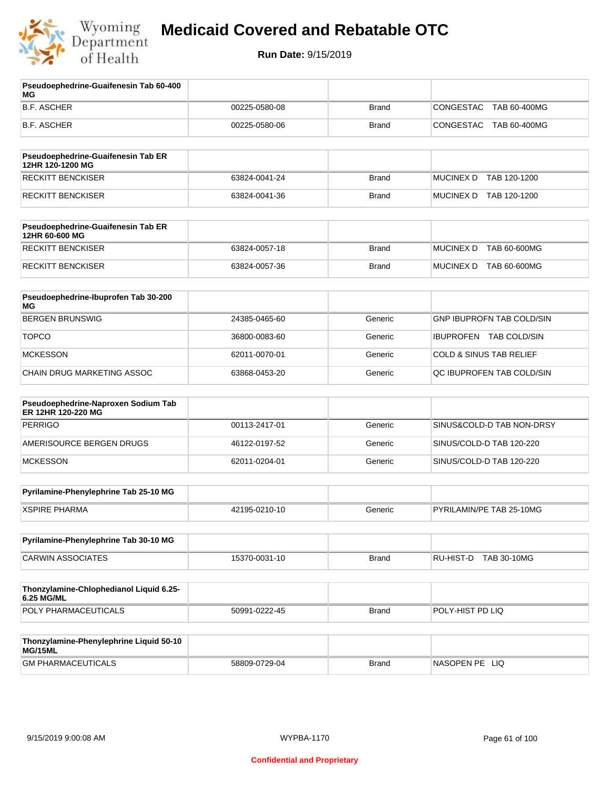

| Pseudoephedrine-Guaifenesin Tab 60-400<br>МG              |               |              |                                    |
|-----------------------------------------------------------|---------------|--------------|------------------------------------|
| <b>B.F. ASCHER</b>                                        | 00225-0580-08 | <b>Brand</b> | CONGESTAC<br>TAB 60-400MG          |
| B.F. ASCHER                                               | 00225-0580-06 | <b>Brand</b> | CONGESTAC<br>TAB 60-400MG          |
| Pseudoephedrine-Guaifenesin Tab ER<br>12HR 120-1200 MG    |               |              |                                    |
| <b>RECKITT BENCKISER</b>                                  | 63824-0041-24 | <b>Brand</b> | MUCINEX D TAB 120-1200             |
| <b>RECKITT BENCKISER</b>                                  | 63824-0041-36 | <b>Brand</b> | MUCINEX D TAB 120-1200             |
| Pseudoephedrine-Guaifenesin Tab ER<br>12HR 60-600 MG      |               |              |                                    |
| <b>RECKITT BENCKISER</b>                                  | 63824-0057-18 | <b>Brand</b> | <b>MUCINEX D</b><br>TAB 60-600MG   |
| RECKITT BENCKISER                                         | 63824-0057-36 | <b>Brand</b> | MUCINEX D TAB 60-600MG             |
| Pseudoephedrine-Ibuprofen Tab 30-200<br>ΜG                |               |              |                                    |
| <b>BERGEN BRUNSWIG</b>                                    | 24385-0465-60 | Generic      | <b>GNP IBUPROFN TAB COLD/SIN</b>   |
| <b>TOPCO</b>                                              | 36800-0083-60 | Generic      | IBUPROFEN TAB COLD/SIN             |
| <b>MCKESSON</b>                                           | 62011-0070-01 | Generic      | <b>COLD &amp; SINUS TAB RELIEF</b> |
| CHAIN DRUG MARKETING ASSOC                                | 63868-0453-20 | Generic      | QC IBUPROFEN TAB COLD/SIN          |
| Pseudoephedrine-Naproxen Sodium Tab<br>ER 12HR 120-220 MG |               |              |                                    |
| <b>PERRIGO</b>                                            | 00113-2417-01 | Generic      | SINUS&COLD-D TAB NON-DRSY          |
| AMERISOURCE BERGEN DRUGS                                  | 46122-0197-52 | Generic      | SINUS/COLD-D TAB 120-220           |
| <b>MCKESSON</b>                                           | 62011-0204-01 | Generic      | SINUS/COLD-D TAB 120-220           |
| Pyrilamine-Phenylephrine Tab 25-10 MG                     |               |              |                                    |
| <b>XSPIRE PHARMA</b>                                      | 42195-0210-10 | Generic      | PYRILAMIN/PE TAB 25-10MG           |
| Pyrilamine-Phenylephrine Tab 30-10 MG                     |               |              |                                    |
| <b>CARWIN ASSOCIATES</b>                                  | 15370-0031-10 | <b>Brand</b> | RU-HIST-D TAB 30-10MG              |
| Thonzylamine-Chlophedianol Liquid 6.25-<br>6.25 MG/ML     |               |              |                                    |
| POLY PHARMACEUTICALS                                      | 50991-0222-45 | <b>Brand</b> | POLY-HIST PD LIQ                   |
| Thonzylamine-Phenylephrine Liquid 50-10<br>MG/15ML        |               |              |                                    |
| <b>GM PHARMACEUTICALS</b>                                 | 58809-0729-04 | <b>Brand</b> | NASOPEN PE LIQ                     |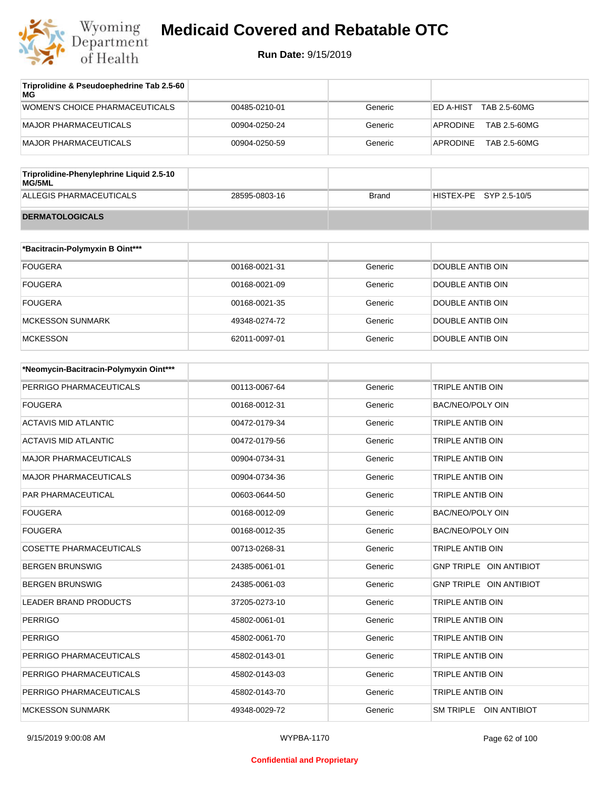

| Triprolidine & Pseudoephedrine Tab 2.5-60<br>MG |               |         |                           |
|-------------------------------------------------|---------------|---------|---------------------------|
| WOMEN'S CHOICE PHARMACEUTICALS                  | 00485-0210-01 | Generic | TAB 2.5-60MG<br>ED A-HIST |
| MAJOR PHARMACEUTICALS                           | 00904-0250-24 | Generic | TAB 2.5-60MG<br>APRODINE  |
| MAJOR PHARMACEUTICALS                           | 00904-0250-59 | Generic | TAB 2.5-60MG<br>APRODINE  |
|                                                 |               |         |                           |

| Triprolidine-Phenylephrine Liquid 2.5-10<br>MG/5ML |               |       |                        |
|----------------------------------------------------|---------------|-------|------------------------|
| ALLEGIS PHARMACEUTICALS                            | 28595-0803-16 | Brand | HISTEX-PE SYP 2.5-10/5 |
| <b>DERMATOLOGICALS</b>                             |               |       |                        |

| *Bacitracin-Polymyxin B Oint*** |               |         |                  |
|---------------------------------|---------------|---------|------------------|
| <b>FOUGERA</b>                  | 00168-0021-31 | Generic | DOUBLE ANTIB OIN |
| <b>FOUGERA</b>                  | 00168-0021-09 | Generic | DOUBLE ANTIB OIN |
| <b>FOUGERA</b>                  | 00168-0021-35 | Generic | DOUBLE ANTIB OIN |
| <b>MCKESSON SUNMARK</b>         | 49348-0274-72 | Generic | DOUBLE ANTIB OIN |
| <b>MCKESSON</b>                 | 62011-0097-01 | Generic | DOUBLE ANTIB OIN |

| *Neomycin-Bacitracin-Polymyxin Oint*** |               |         |                                |
|----------------------------------------|---------------|---------|--------------------------------|
| PERRIGO PHARMACEUTICALS                | 00113-0067-64 | Generic | TRIPLE ANTIB OIN               |
| <b>FOUGERA</b>                         | 00168-0012-31 | Generic | <b>BAC/NEO/POLY OIN</b>        |
| <b>ACTAVIS MID ATLANTIC</b>            | 00472-0179-34 | Generic | <b>TRIPLE ANTIB OIN</b>        |
| <b>ACTAVIS MID ATLANTIC</b>            | 00472-0179-56 | Generic | TRIPLE ANTIB OIN               |
| <b>MAJOR PHARMACEUTICALS</b>           | 00904-0734-31 | Generic | TRIPLE ANTIB OIN               |
| <b>MAJOR PHARMACEUTICALS</b>           | 00904-0734-36 | Generic | <b>TRIPLE ANTIB OIN</b>        |
| PAR PHARMACEUTICAL                     | 00603-0644-50 | Generic | <b>TRIPLE ANTIB OIN</b>        |
| <b>FOUGERA</b>                         | 00168-0012-09 | Generic | <b>BAC/NEO/POLY OIN</b>        |
| <b>FOUGERA</b>                         | 00168-0012-35 | Generic | <b>BAC/NEO/POLY OIN</b>        |
| <b>COSETTE PHARMACEUTICALS</b>         | 00713-0268-31 | Generic | TRIPLE ANTIB OIN               |
| <b>BERGEN BRUNSWIG</b>                 | 24385-0061-01 | Generic | <b>GNP TRIPLE OIN ANTIBIOT</b> |
| <b>BERGEN BRUNSWIG</b>                 | 24385-0061-03 | Generic | <b>GNP TRIPLE OIN ANTIBIOT</b> |
| <b>LEADER BRAND PRODUCTS</b>           | 37205-0273-10 | Generic | <b>TRIPLE ANTIB OIN</b>        |
| <b>PERRIGO</b>                         | 45802-0061-01 | Generic | TRIPLE ANTIB OIN               |
| <b>PERRIGO</b>                         | 45802-0061-70 | Generic | <b>TRIPLE ANTIB OIN</b>        |
| PERRIGO PHARMACEUTICALS                | 45802-0143-01 | Generic | <b>TRIPLE ANTIB OIN</b>        |
| PERRIGO PHARMACEUTICALS                | 45802-0143-03 | Generic | <b>TRIPLE ANTIB OIN</b>        |
| PERRIGO PHARMACEUTICALS                | 45802-0143-70 | Generic | <b>TRIPLE ANTIB OIN</b>        |
| <b>MCKESSON SUNMARK</b>                | 49348-0029-72 | Generic | SM TRIPLE OIN ANTIBIOT         |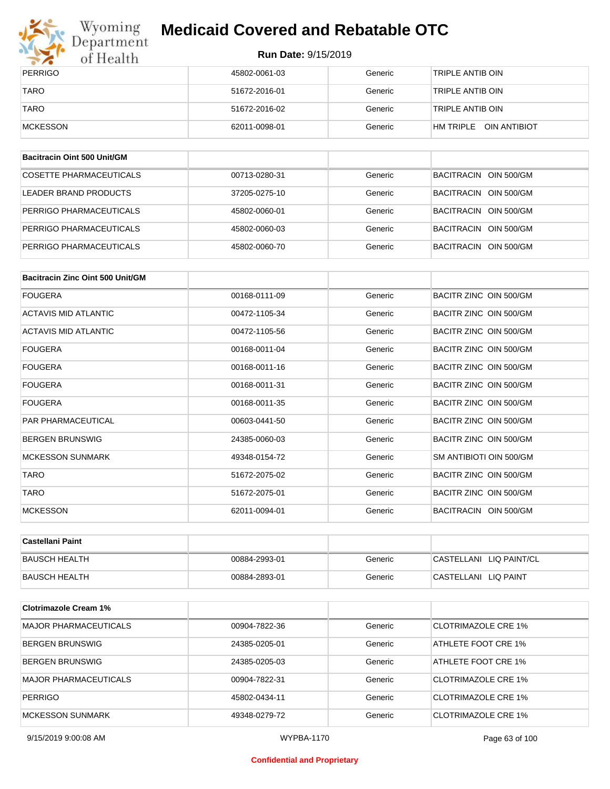

# Wyoming<br>Department<br>of Health

## **Medicaid Covered and Rebatable OTC**

#### **Run Date:** 9/15/2019

| PERRIGO     | 45802-0061-03 | Generic | 'TRIPLE ANTIB OIN         |
|-------------|---------------|---------|---------------------------|
| <b>TARO</b> | 51672-2016-01 | Generic | 'TRIPLE ANTIB OIN         |
| <b>TARO</b> | 51672-2016-02 | Generic | 'TRIPLE ANTIB OIN         |
| MCKESSON    | 62011-0098-01 | Generic | OIN ANTIBIOT<br>HM TRIPLE |

| Bacitracin Oint 500 Unit/GM |               |         |                       |
|-----------------------------|---------------|---------|-----------------------|
| COSETTE PHARMACEUTICALS     | 00713-0280-31 | Generic | BACITRACIN OIN 500/GM |
| LEADER BRAND PRODUCTS       | 37205-0275-10 | Generic | BACITRACIN OIN 500/GM |
| PERRIGO PHARMACEUTICALS     | 45802-0060-01 | Generic | BACITRACIN OIN 500/GM |
| PERRIGO PHARMACEUTICALS     | 45802-0060-03 | Generic | BACITRACIN OIN 500/GM |
| PERRIGO PHARMACEUTICALS     | 45802-0060-70 | Generic | BACITRACIN OIN 500/GM |

| Bacitracin Zinc Oint 500 Unit/GM |               |         |                         |
|----------------------------------|---------------|---------|-------------------------|
| <b>FOUGERA</b>                   | 00168-0111-09 | Generic | BACITR ZINC OIN 500/GM  |
| <b>ACTAVIS MID ATLANTIC</b>      | 00472-1105-34 | Generic | BACITR ZINC OIN 500/GM  |
| <b>ACTAVIS MID ATLANTIC</b>      | 00472-1105-56 | Generic | BACITR ZINC OIN 500/GM  |
| <b>FOUGERA</b>                   | 00168-0011-04 | Generic | BACITR ZINC OIN 500/GM  |
| <b>FOUGERA</b>                   | 00168-0011-16 | Generic | BACITR ZINC OIN 500/GM  |
| <b>FOUGERA</b>                   | 00168-0011-31 | Generic | BACITR ZINC OIN 500/GM  |
| <b>FOUGERA</b>                   | 00168-0011-35 | Generic | BACITR ZINC OIN 500/GM  |
| <b>PAR PHARMACEUTICAL</b>        | 00603-0441-50 | Generic | BACITR ZINC OIN 500/GM  |
| <b>BERGEN BRUNSWIG</b>           | 24385-0060-03 | Generic | BACITR ZINC OIN 500/GM  |
| <b>MCKESSON SUNMARK</b>          | 49348-0154-72 | Generic | SM ANTIBIOTI OIN 500/GM |
| <b>TARO</b>                      | 51672-2075-02 | Generic | BACITR ZINC OIN 500/GM  |
| <b>TARO</b>                      | 51672-2075-01 | Generic | BACITR ZINC OIN 500/GM  |
| <b>MCKESSON</b>                  | 62011-0094-01 | Generic | BACITRACIN OIN 500/GM   |

| ∣Castellani Paint    |               |         |                         |
|----------------------|---------------|---------|-------------------------|
| <b>BAUSCH HEALTH</b> | 00884-2993-01 | Generic | CASTELLANI LIQ PAINT/CL |
| <b>BAUSCH HEALTH</b> | 00884-2893-01 | Generic | CASTELLANI LIQ PAINT    |

| <b>Clotrimazole Cream 1%</b> |               |         |                            |
|------------------------------|---------------|---------|----------------------------|
| <b>MAJOR PHARMACEUTICALS</b> | 00904-7822-36 | Generic | CLOTRIMAZOLE CRE 1%        |
| <b>BERGEN BRUNSWIG</b>       | 24385-0205-01 | Generic | ATHLETE FOOT CRE 1%        |
| <b>BERGEN BRUNSWIG</b>       | 24385-0205-03 | Generic | ATHLETE FOOT CRE 1%        |
| <b>MAJOR PHARMACEUTICALS</b> | 00904-7822-31 | Generic | CLOTRIMAZOLE CRE 1%        |
| <b>PERRIGO</b>               | 45802-0434-11 | Generic | CLOTRIMAZOLE CRE 1%        |
| <b>MCKESSON SUNMARK</b>      | 49348-0279-72 | Generic | <b>CLOTRIMAZOLE CRE 1%</b> |

9/15/2019 9:00:08 AM WYPBA-1170 Page 63 of 100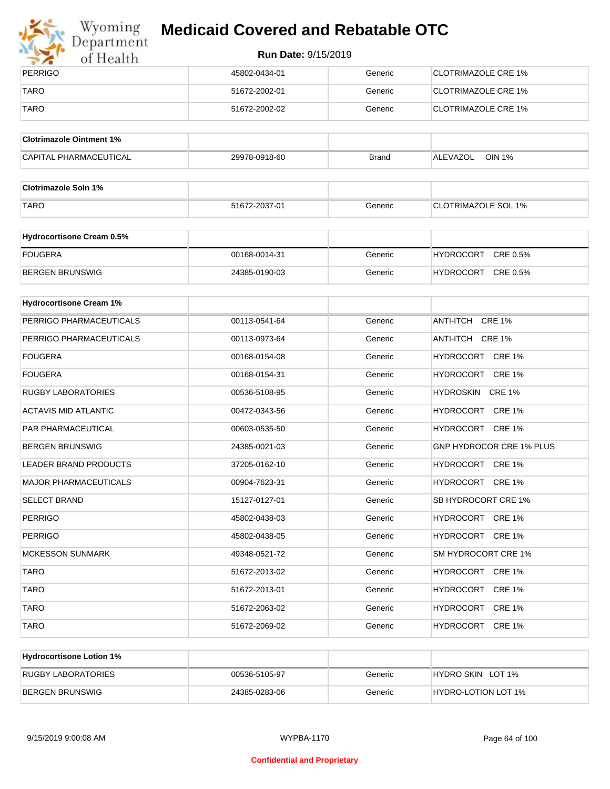

# Wyoming<br>Department<br>of Health

## **Medicaid Covered and Rebatable OTC**

| PERRIGO     | 45802-0434-01 | Generic | <b>ICLOTRIMAZOLE CRE 1%</b> |
|-------------|---------------|---------|-----------------------------|
| <b>TARO</b> | 51672-2002-01 | Generic | CLOTRIMAZOLE CRE 1%         |
| <b>TARO</b> | 51672-2002-02 | Generic | <b>CLOTRIMAZOLE CRE 1%</b>  |

| <b>Clotrimazole Ointment 1%</b> |               |              |                           |
|---------------------------------|---------------|--------------|---------------------------|
| <b>CAPITAL PHARMACEUTICAL</b>   | 29978-0918-60 | <b>Brand</b> | <b>OIN 1%</b><br>ALEVAZOL |

| <b>Clotrimazole Soln 1%</b> |               |         |                            |
|-----------------------------|---------------|---------|----------------------------|
| <b>TARO</b>                 | 51672-2037-01 | Generic | <b>CLOTRIMAZOLE SOL 1%</b> |

| <b>Hydrocortisone Cream 0.5%</b> |               |         |                              |
|----------------------------------|---------------|---------|------------------------------|
| FOUGERA                          | 00168-0014-31 | Generic | CRE 0.5%<br><b>HYDROCORT</b> |
| BERGEN BRUNSWIG                  | 24385-0190-03 | Generic | CRE 0.5%<br><b>HYDROCORT</b> |

| <b>Hydrocortisone Cream 1%</b> |               |         |                                 |
|--------------------------------|---------------|---------|---------------------------------|
| PERRIGO PHARMACEUTICALS        | 00113-0541-64 | Generic | ANTI-ITCH CRE 1%                |
| PERRIGO PHARMACEUTICALS        | 00113-0973-64 | Generic | ANTI-ITCH CRE 1%                |
| <b>FOUGERA</b>                 | 00168-0154-08 | Generic | HYDROCORT CRE 1%                |
| <b>FOUGERA</b>                 | 00168-0154-31 | Generic | HYDROCORT CRE 1%                |
| <b>RUGBY LABORATORIES</b>      | 00536-5108-95 | Generic | HYDROSKIN CRE 1%                |
| <b>ACTAVIS MID ATLANTIC</b>    | 00472-0343-56 | Generic | HYDROCORT CRE 1%                |
| PAR PHARMACEUTICAL             | 00603-0535-50 | Generic | HYDROCORT CRE 1%                |
| <b>BERGEN BRUNSWIG</b>         | 24385-0021-03 | Generic | <b>GNP HYDROCOR CRE 1% PLUS</b> |
| <b>LEADER BRAND PRODUCTS</b>   | 37205-0162-10 | Generic | HYDROCORT CRE 1%                |
| <b>MAJOR PHARMACEUTICALS</b>   | 00904-7623-31 | Generic | HYDROCORT CRE 1%                |
| <b>SELECT BRAND</b>            | 15127-0127-01 | Generic | SB HYDROCORT CRE 1%             |
| <b>PERRIGO</b>                 | 45802-0438-03 | Generic | HYDROCORT CRE 1%                |
| <b>PERRIGO</b>                 | 45802-0438-05 | Generic | HYDROCORT CRE 1%                |
| <b>MCKESSON SUNMARK</b>        | 49348-0521-72 | Generic | SM HYDROCORT CRE 1%             |
| <b>TARO</b>                    | 51672-2013-02 | Generic | HYDROCORT CRE 1%                |
| <b>TARO</b>                    | 51672-2013-01 | Generic | HYDROCORT CRE 1%                |
| <b>TARO</b>                    | 51672-2063-02 | Generic | HYDROCORT CRE 1%                |
| <b>TARO</b>                    | 51672-2069-02 | Generic | HYDROCORT CRE 1%                |

| <b>Hydrocortisone Lotion 1%</b> |               |         |                            |
|---------------------------------|---------------|---------|----------------------------|
| <b>RUGBY LABORATORIES</b>       | 00536-5105-97 | Generic | HYDRO SKIN LOT 1%          |
| BERGEN BRUNSWIG                 | 24385-0283-06 | Generic | <b>HYDRO-LOTION LOT 1%</b> |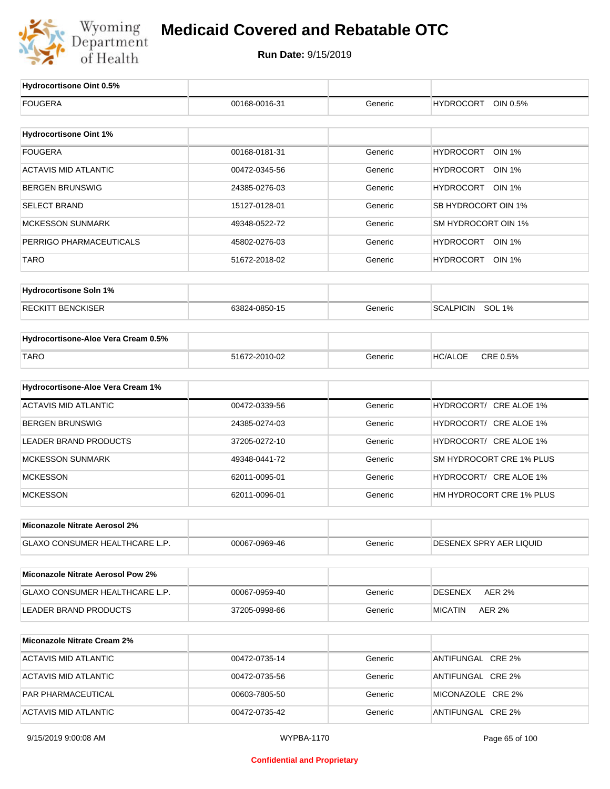

**Run Date:** 9/15/2019

T

| Hydrocortisone Oint 0.5%                 |                   |         |                                   |
|------------------------------------------|-------------------|---------|-----------------------------------|
| <b>FOUGERA</b>                           | 00168-0016-31     | Generic | <b>HYDROCORT</b><br>OIN 0.5%      |
|                                          |                   |         |                                   |
| <b>Hydrocortisone Oint 1%</b>            |                   |         |                                   |
| <b>FOUGERA</b>                           | 00168-0181-31     | Generic | <b>HYDROCORT</b><br><b>OIN 1%</b> |
| <b>ACTAVIS MID ATLANTIC</b>              | 00472-0345-56     | Generic | HYDROCORT<br>OIN 1%               |
| <b>BERGEN BRUNSWIG</b>                   | 24385-0276-03     | Generic | HYDROCORT OIN 1%                  |
| <b>SELECT BRAND</b>                      | 15127-0128-01     | Generic | SB HYDROCORT OIN 1%               |
| <b>MCKESSON SUNMARK</b>                  | 49348-0522-72     | Generic | SM HYDROCORT OIN 1%               |
| PERRIGO PHARMACEUTICALS                  | 45802-0276-03     | Generic | HYDROCORT OIN 1%                  |
| TARO                                     | 51672-2018-02     | Generic | HYDROCORT<br>OIN 1%               |
| <b>Hydrocortisone Soln 1%</b>            |                   |         |                                   |
| <b>RECKITT BENCKISER</b>                 | 63824-0850-15     | Generic | SCALPICIN SOL 1%                  |
| Hydrocortisone-Aloe Vera Cream 0.5%      |                   |         |                                   |
| <b>TARO</b>                              | 51672-2010-02     | Generic | CRE 0.5%<br><b>HC/ALOE</b>        |
|                                          |                   |         |                                   |
| Hydrocortisone-Aloe Vera Cream 1%        |                   |         |                                   |
| <b>ACTAVIS MID ATLANTIC</b>              | 00472-0339-56     | Generic | HYDROCORT/ CRE ALOE 1%            |
| <b>BERGEN BRUNSWIG</b>                   | 24385-0274-03     | Generic | HYDROCORT/ CRE ALOE 1%            |
| <b>LEADER BRAND PRODUCTS</b>             | 37205-0272-10     | Generic | HYDROCORT/ CRE ALOE 1%            |
| <b>MCKESSON SUNMARK</b>                  | 49348-0441-72     | Generic | SM HYDROCORT CRE 1% PLUS          |
| <b>MCKESSON</b>                          | 62011-0095-01     | Generic | HYDROCORT/ CRE ALOE 1%            |
| <b>MCKESSON</b>                          | 62011-0096-01     | Generic | HM HYDROCORT CRE 1% PLUS          |
| Miconazole Nitrate Aerosol 2%            |                   |         |                                   |
| GLAXO CONSUMER HEALTHCARE L.P.           | 00067-0969-46     | Generic | DESENEX SPRY AER LIQUID           |
| <b>Miconazole Nitrate Aerosol Pow 2%</b> |                   |         |                                   |
| GLAXO CONSUMER HEALTHCARE L.P.           | 00067-0959-40     | Generic | <b>AER 2%</b><br><b>DESENEX</b>   |
| <b>LEADER BRAND PRODUCTS</b>             | 37205-0998-66     | Generic | <b>MICATIN</b><br><b>AER 2%</b>   |
| <b>Miconazole Nitrate Cream 2%</b>       |                   |         |                                   |
| <b>ACTAVIS MID ATLANTIC</b>              | 00472-0735-14     | Generic | ANTIFUNGAL CRE 2%                 |
| <b>ACTAVIS MID ATLANTIC</b>              | 00472-0735-56     | Generic | ANTIFUNGAL CRE 2%                 |
| PAR PHARMACEUTICAL                       | 00603-7805-50     | Generic | MICONAZOLE CRE 2%                 |
| <b>ACTAVIS MID ATLANTIC</b>              | 00472-0735-42     | Generic | ANTIFUNGAL CRE 2%                 |
| 9/15/2019 9:00:08 AM                     | <b>WYPBA-1170</b> |         | Page 65 of 100                    |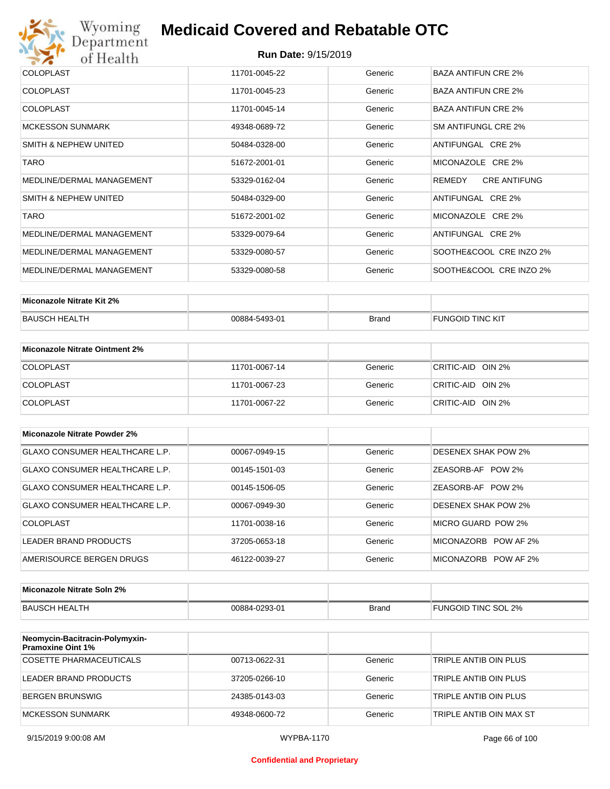

| <b>COLOPLAST</b>          | 11701-0045-22 | Generic | BAZA ANTIFUN CRE 2%           |
|---------------------------|---------------|---------|-------------------------------|
| <b>COLOPLAST</b>          | 11701-0045-23 | Generic | <b>BAZA ANTIFUN CRE 2%</b>    |
| <b>COLOPLAST</b>          | 11701-0045-14 | Generic | <b>BAZA ANTIFUN CRE 2%</b>    |
| <b>MCKESSON SUNMARK</b>   | 49348-0689-72 | Generic | SM ANTIFUNGL CRE 2%           |
| SMITH & NEPHEW UNITED     | 50484-0328-00 | Generic | ANTIFUNGAL CRE 2%             |
| <b>TARO</b>               | 51672-2001-01 | Generic | MICONAZOLE CRE 2%             |
| MEDLINE/DERMAL MANAGEMENT | 53329-0162-04 | Generic | <b>CRE ANTIFUNG</b><br>REMEDY |
| SMITH & NEPHEW UNITED     | 50484-0329-00 | Generic | ANTIFUNGAL CRE 2%             |
| <b>TARO</b>               | 51672-2001-02 | Generic | MICONAZOLE CRE 2%             |
| MEDLINE/DERMAL MANAGEMENT | 53329-0079-64 | Generic | ANTIFUNGAL CRE 2%             |
| MEDLINE/DERMAL MANAGEMENT | 53329-0080-57 | Generic | SOOTHE&COOL CRE INZO 2%       |
| MEDLINE/DERMAL MANAGEMENT | 53329-0080-58 | Generic | SOOTHE&COOL CRE INZO 2%       |

| Miconazole Nitrate Kit 2% |               |              |                  |
|---------------------------|---------------|--------------|------------------|
| BAUSCH HEALTH             | 00884-5493-01 | <b>Brand</b> | FUNGOID TINC KIT |

| Miconazole Nitrate Ointment 2% |               |         |                   |
|--------------------------------|---------------|---------|-------------------|
| <b>COLOPLAST</b>               | 11701-0067-14 | Generic | CRITIC-AID OIN 2% |
| <b>COLOPLAST</b>               | 11701-0067-23 | Generic | CRITIC-AID OIN 2% |
| <b>COLOPLAST</b>               | 11701-0067-22 | Generic | CRITIC-AID OIN 2% |

| Miconazole Nitrate Powder 2%          |               |         |                            |
|---------------------------------------|---------------|---------|----------------------------|
| <b>GLAXO CONSUMER HEALTHCARE L.P.</b> | 00067-0949-15 | Generic | DESENEX SHAK POW 2%        |
| GLAXO CONSUMER HEALTHCARE L.P.        | 00145-1501-03 | Generic | ZEASORB-AF POW 2%          |
| GLAXO CONSUMER HEALTHCARE L.P.        | 00145-1506-05 | Generic | ZEASORB-AF POW 2%          |
| GLAXO CONSUMER HEALTHCARE L.P.        | 00067-0949-30 | Generic | <b>DESENEX SHAK POW 2%</b> |
| COLOPLAST                             | 11701-0038-16 | Generic | MICRO GUARD POW 2%         |
| LEADER BRAND PRODUCTS                 | 37205-0653-18 | Generic | MICONAZORB POW AF 2%       |
| AMERISOURCE BERGEN DRUGS              | 46122-0039-27 | Generic | MICONAZORB POW AF 2%       |

| Miconazole Nitrate Soln 2% |               |       |                     |
|----------------------------|---------------|-------|---------------------|
| BAUSCH HEALTH              | 00884-0293-01 | Brand | FUNGOID TINC SOL 2% |

| Neomycin-Bacitracin-Polymyxin-<br><b>Pramoxine Oint 1%</b> |               |         |                         |
|------------------------------------------------------------|---------------|---------|-------------------------|
| COSETTE PHARMACEUTICALS                                    | 00713-0622-31 | Generic | TRIPLE ANTIB OIN PLUS   |
| LEADER BRAND PRODUCTS                                      | 37205-0266-10 | Generic | TRIPLE ANTIB OIN PLUS   |
| BERGEN BRUNSWIG                                            | 24385-0143-03 | Generic | TRIPLE ANTIB OIN PLUS   |
| MCKESSON SUNMARK                                           | 49348-0600-72 | Generic | TRIPLE ANTIB OIN MAX ST |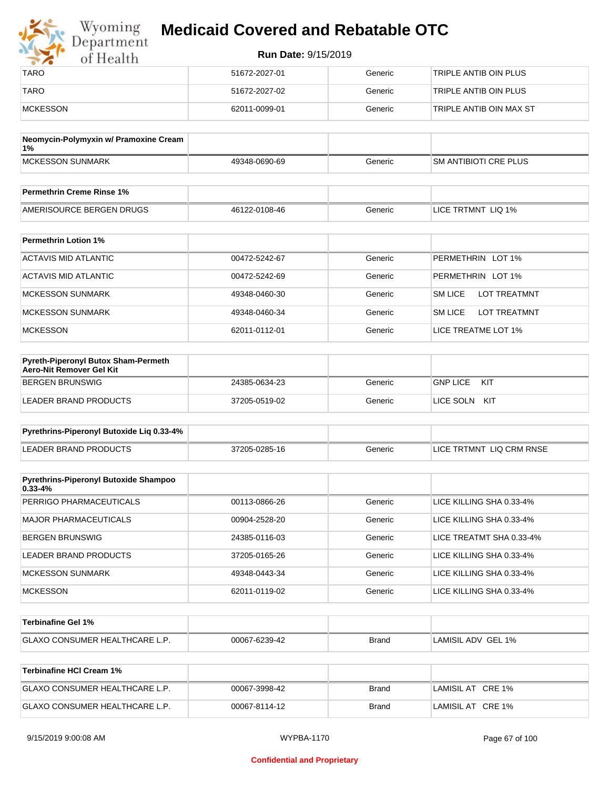| Wyoming<br>Department | <b>Medicaid Covered and Rebatable OTC</b> |         |                         |  |
|-----------------------|-------------------------------------------|---------|-------------------------|--|
| of Health             | <b>Run Date: 9/15/2019</b>                |         |                         |  |
| <b>TARO</b>           | 51672-2027-01                             | Generic | TRIPLE ANTIB OIN PLUS   |  |
| <b>TARO</b>           | 51672-2027-02                             | Generic | TRIPLE ANTIB OIN PLUS   |  |
| MCKESSON              | 62011-0099-01                             | Generic | TRIPLE ANTIB OIN MAX ST |  |

| Neomycin-Polymyxin w/ Pramoxine Cream<br>$1\%$ |               |         |                              |
|------------------------------------------------|---------------|---------|------------------------------|
| MCKESSON SUNMARK                               | 49348-0690-69 | Generic | <b>SM ANTIBIOTI CRE PLUS</b> |
|                                                |               |         |                              |
| <b>Permethrin Creme Rinse 1%</b>               |               |         |                              |

| Fermeurin Creme Rinse T%                               |               |              |                                 |
|--------------------------------------------------------|---------------|--------------|---------------------------------|
| <b>DRUGS</b><br><b>AMFR</b><br>URCE BERGEN I<br>∴ סופי | 46122-0108-46 | ieneric<br>. | LIQ 1%<br><b>TRTMNT</b><br>∟ICE |

| <b>Permethrin Lotion 1%</b> |               |         |                                       |
|-----------------------------|---------------|---------|---------------------------------------|
| ACTAVIS MID ATLANTIC        | 00472-5242-67 | Generic | PERMETHRIN LOT 1%                     |
| ACTAVIS MID ATLANTIC        | 00472-5242-69 | Generic | PERMETHRIN LOT 1%                     |
| <b>MCKESSON SUNMARK</b>     | 49348-0460-30 | Generic | <b>LOT TREATMNT</b><br><b>SM LICE</b> |
| <b>MCKESSON SUNMARK</b>     | 49348-0460-34 | Generic | <b>SM LICE</b><br><b>LOT TREATMNT</b> |
| <b>MCKESSON</b>             | 62011-0112-01 | Generic | LICE TREATME LOT 1%                   |

| <b>Pyreth-Piperonyl Butox Sham-Permeth</b><br>Aero-Nit Remover Gel Kit |               |         |                        |
|------------------------------------------------------------------------|---------------|---------|------------------------|
| BERGEN BRUNSWIG                                                        | 24385-0634-23 | Generic | <b>GNP LICE</b><br>KIT |
| LEADER BRAND PRODUCTS                                                  | 37205-0519-02 | Generic | LICE SOLN<br>KIT       |

| Pyrethrins-Piperonyl Butoxide Lig 0.33-4% |               |         |                          |
|-------------------------------------------|---------------|---------|--------------------------|
| LEADER BRAND PRODUCTS                     | 37205-0285-16 | Generic | LICE TRTMNT LIQ CRM RNSE |

| <b>Pyrethrins-Piperonyl Butoxide Shampoo</b><br>$0.33 - 4%$ |               |         |                          |
|-------------------------------------------------------------|---------------|---------|--------------------------|
| PERRIGO PHARMACEUTICALS                                     | 00113-0866-26 | Generic | LICE KILLING SHA 0.33-4% |
| MAJOR PHARMACEUTICALS                                       | 00904-2528-20 | Generic | LICE KILLING SHA 0.33-4% |
| BERGEN BRUNSWIG                                             | 24385-0116-03 | Generic | LICE TREATMT SHA 0.33-4% |
| LEADER BRAND PRODUCTS                                       | 37205-0165-26 | Generic | LICE KILLING SHA 0.33-4% |
| MCKESSON SUNMARK                                            | 49348-0443-34 | Generic | LICE KILLING SHA 0.33-4% |
| <b>MCKESSON</b>                                             | 62011-0119-02 | Generic | LICE KILLING SHA 0.33-4% |

| <b>⊺Terbinafine Gel 1%</b>           |               |              |                    |
|--------------------------------------|---------------|--------------|--------------------|
| <b>GLAXO CONSUMER HEALTHCARE L.P</b> | 00067-6239-42 | <b>Brand</b> | LAMISIL ADV GEL 1% |

| Terbinafine HCI Cream 1%              |               |              |                   |
|---------------------------------------|---------------|--------------|-------------------|
| <b>GLAXO CONSUMER HEALTHCARE L.P.</b> | 00067-3998-42 | <b>Brand</b> | LAMISIL AT CRE 1% |
| <b>GLAXO CONSUMER HEALTHCARE L.P.</b> | 00067-8114-12 | Brand        | LAMISIL AT CRE 1% |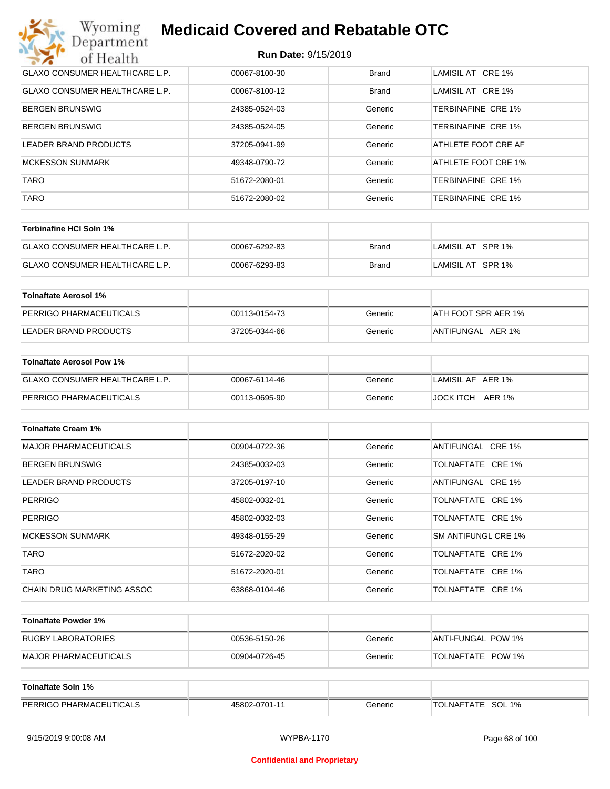| Wyoming<br><b>Medicaid Covered and Rebatable OTC</b><br>Department |                            |              |                     |  |
|--------------------------------------------------------------------|----------------------------|--------------|---------------------|--|
| of Health                                                          | <b>Run Date: 9/15/2019</b> |              |                     |  |
| <b>GLAXO CONSUMER HEALTHCARE L.P.</b>                              | 00067-8100-30              | <b>Brand</b> | LAMISIL AT CRE 1%   |  |
| <b>GLAXO CONSUMER HEALTHCARE L.P.</b>                              | 00067-8100-12              | <b>Brand</b> | LAMISIL AT CRE 1%   |  |
| <b>BERGEN BRUNSWIG</b>                                             | 24385-0524-03              | Generic      | TERBINAFINE CRE 1%  |  |
| <b>BERGEN BRUNSWIG</b>                                             | 24385-0524-05              | Generic      | TERBINAFINE CRE 1%  |  |
| LEADER BRAND PRODUCTS                                              | 37205-0941-99              | Generic      | ATHLETE FOOT CRE AF |  |
| <b>MCKESSON SUNMARK</b>                                            | 49348-0790-72              | Generic      | ATHLETE FOOT CRE 1% |  |
| <b>TARO</b>                                                        | 51672-2080-01              | Generic      | TERBINAFINE CRE 1%  |  |
| <b>TARO</b>                                                        | 51672-2080-02              | Generic      | TERBINAFINE CRE 1%  |  |

| Terbinafine HCI Soln 1%               |               |       |                   |
|---------------------------------------|---------------|-------|-------------------|
| <b>GLAXO CONSUMER HEALTHCARE L.P.</b> | 00067-6292-83 | Brand | LAMISIL AT SPR 1% |
| GLAXO CONSUMER HEALTHCARE L.P.        | 00067-6293-83 | Brand | LAMISIL AT SPR 1% |

| Tolnaftate Aerosol 1%   |               |         |                     |
|-------------------------|---------------|---------|---------------------|
| PERRIGO PHARMACEUTICALS | 00113-0154-73 | Generic | ATH FOOT SPR AER 1% |
| LEADER BRAND PRODUCTS   | 37205-0344-66 | Generic | ANTIFUNGAL AER 1%   |

| Tolnaftate Aerosol Pow 1%      |               |         |                     |
|--------------------------------|---------------|---------|---------------------|
| GLAXO CONSUMER HEALTHCARE L.P. | 00067-6114-46 | Generic | LAMISIL AF AER 1%   |
| PERRIGO PHARMACEUTICALS        | 00113-0695-90 | Generic | JOCK ITCH<br>AER 1% |

| <b>Tolnaftate Cream 1%</b>   |               |         |                     |
|------------------------------|---------------|---------|---------------------|
| <b>MAJOR PHARMACEUTICALS</b> | 00904-0722-36 | Generic | ANTIFUNGAL CRE 1%   |
| <b>BERGEN BRUNSWIG</b>       | 24385-0032-03 | Generic | TOLNAFTATE CRE 1%   |
| <b>LEADER BRAND PRODUCTS</b> | 37205-0197-10 | Generic | ANTIFUNGAL CRE 1%   |
| <b>PERRIGO</b>               | 45802-0032-01 | Generic | TOLNAFTATE CRE 1%   |
| <b>PERRIGO</b>               | 45802-0032-03 | Generic | TOLNAFTATE CRE 1%   |
| <b>MCKESSON SUNMARK</b>      | 49348-0155-29 | Generic | SM ANTIFUNGL CRE 1% |
| <b>TARO</b>                  | 51672-2020-02 | Generic | TOLNAFTATE CRE 1%   |
| <b>TARO</b>                  | 51672-2020-01 | Generic | TOLNAFTATE CRE 1%   |
| CHAIN DRUG MARKETING ASSOC   | 63868-0104-46 | Generic | TOLNAFTATE CRE 1%   |

| Tolnaftate Powder 1%  |               |         |                     |
|-----------------------|---------------|---------|---------------------|
| RUGBY LABORATORIES    | 00536-5150-26 | Generic | IANTI-FUNGAL POW 1% |
| MAJOR PHARMACEUTICALS | 00904-0726-45 | Generic | TOLNAFTATE POW 1%   |

| Tolnaftate Soln 1%             |               |         |                      |
|--------------------------------|---------------|---------|----------------------|
| <b>PERRIGO PHARMACEUTICALS</b> | 45802-0701-11 | Generic | SOL 1%<br>TOLNAFTATE |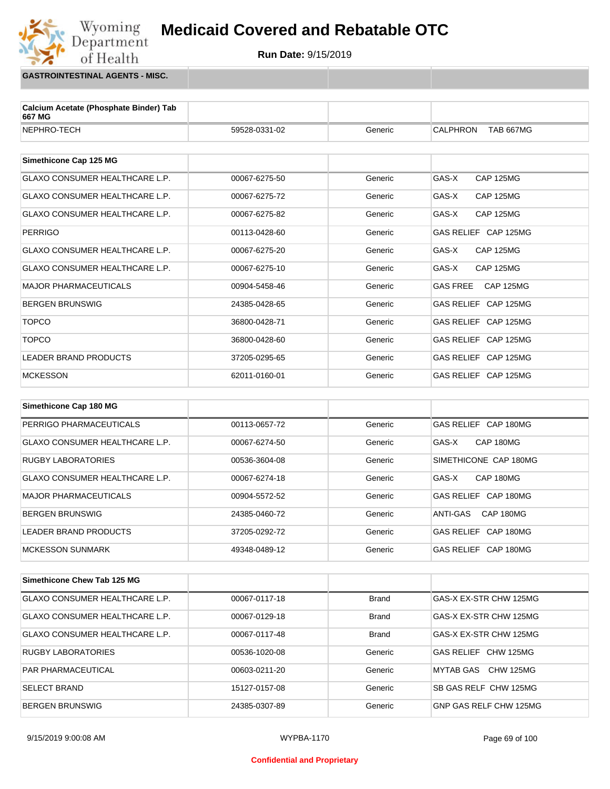

**GASTROINTESTINAL AGENTS - MISC.**

Wyoming<br>Department

of Health

| Calcium Acetate (Phosphate Binder) Tab<br>667 MG |               |              |                                     |
|--------------------------------------------------|---------------|--------------|-------------------------------------|
| NEPHRO-TECH                                      | 59528-0331-02 | Generic      | <b>CALPHRON</b><br><b>TAB 667MG</b> |
| Simethicone Cap 125 MG                           |               |              |                                     |
|                                                  |               |              |                                     |
| <b>GLAXO CONSUMER HEALTHCARE L.P.</b>            | 00067-6275-50 | Generic      | GAS-X<br><b>CAP 125MG</b>           |
| GLAXO CONSUMER HEALTHCARE L.P.                   | 00067-6275-72 | Generic      | GAS-X<br><b>CAP 125MG</b>           |
| <b>GLAXO CONSUMER HEALTHCARE L.P.</b>            | 00067-6275-82 | Generic      | GAS-X<br><b>CAP 125MG</b>           |
| <b>PERRIGO</b>                                   | 00113-0428-60 | Generic      | GAS RELIEF CAP 125MG                |
| <b>GLAXO CONSUMER HEALTHCARE L.P.</b>            | 00067-6275-20 | Generic      | GAS-X<br><b>CAP 125MG</b>           |
| GLAXO CONSUMER HEALTHCARE L.P.                   | 00067-6275-10 | Generic      | <b>CAP 125MG</b><br>GAS-X           |
| <b>MAJOR PHARMACEUTICALS</b>                     | 00904-5458-46 | Generic      | <b>GAS FREE</b><br><b>CAP 125MG</b> |
| <b>BERGEN BRUNSWIG</b>                           | 24385-0428-65 | Generic      | GAS RELIEF CAP 125MG                |
| <b>TOPCO</b>                                     | 36800-0428-71 | Generic      | GAS RELIEF CAP 125MG                |
| <b>TOPCO</b>                                     | 36800-0428-60 | Generic      | GAS RELIEF CAP 125MG                |
| LEADER BRAND PRODUCTS                            | 37205-0295-65 | Generic      | GAS RELIEF CAP 125MG                |
| <b>MCKESSON</b>                                  | 62011-0160-01 | Generic      | GAS RELIEF CAP 125MG                |
|                                                  |               |              |                                     |
| Simethicone Cap 180 MG                           |               |              |                                     |
| PERRIGO PHARMACEUTICALS                          | 00113-0657-72 | Generic      | GAS RELIEF CAP 180MG                |
| GLAXO CONSUMER HEALTHCARE L.P.                   | 00067-6274-50 | Generic      | GAS-X<br>CAP 180MG                  |
| <b>RUGBY LABORATORIES</b>                        | 00536-3604-08 | Generic      | SIMETHICONE CAP 180MG               |
| GLAXO CONSUMER HEALTHCARE L.P.                   | 00067-6274-18 | Generic      | GAS-X<br>CAP 180MG                  |
| <b>MAJOR PHARMACEUTICALS</b>                     | 00904-5572-52 | Generic      | GAS RELIEF CAP 180MG                |
| <b>BERGEN BRUNSWIG</b>                           | 24385-0460-72 | Generic      | CAP 180MG<br>ANTI-GAS               |
| LEADER BRAND PRODUCTS                            | 37205-0292-72 | Generic      | GAS RELIEF CAP 180MG                |
| <b>MCKESSON SUNMARK</b>                          | 49348-0489-12 | Generic      | GAS RELIEF CAP 180MG                |
|                                                  |               |              |                                     |
| Simethicone Chew Tab 125 MG                      |               |              |                                     |
| GLAXO CONSUMER HEALTHCARE L.P.                   | 00067-0117-18 | <b>Brand</b> | GAS-X EX-STR CHW 125MG              |
| GLAXO CONSUMER HEALTHCARE L.P.                   | 00067-0129-18 | <b>Brand</b> | GAS-X EX-STR CHW 125MG              |
| GLAXO CONSUMER HEALTHCARE L.P.                   | 00067-0117-48 | <b>Brand</b> | GAS-X EX-STR CHW 125MG              |

RUGBY LABORATORIES 
and the oots36-1020-08 (Case Gas RELIEF CHW 125MG PAR PHARMACEUTICAL **COMBUS 200603-0211-20** O0603-0211-20 Generic MYTAB GAS CHW 125MG SELECT BRAND **15127-0157-08** Generic SB GAS RELF CHW 125MG BERGEN BRUNSWIG <br>24385-0307-89 Generic GNP GAS RELF CHW 125MG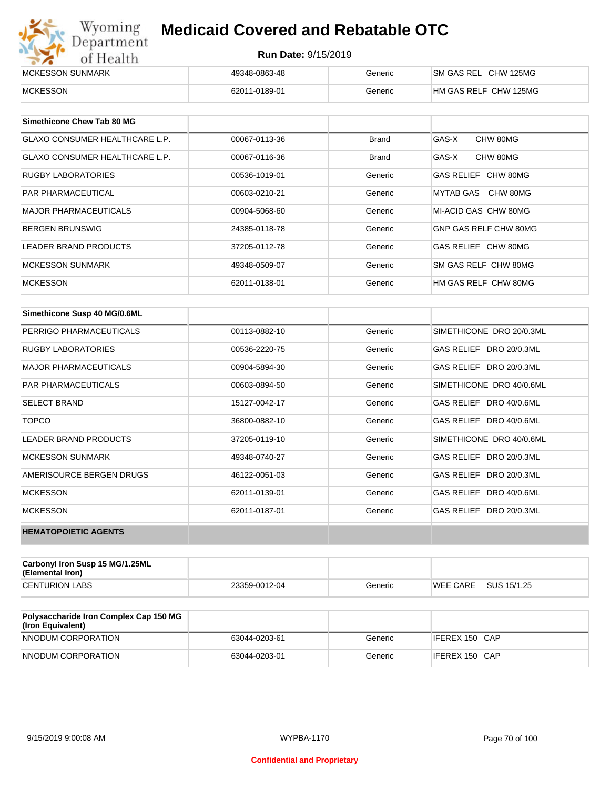| Wyoming<br><b>Medicaid Covered and Rebatable OTC</b><br>Department |                            |         |                       |  |
|--------------------------------------------------------------------|----------------------------|---------|-----------------------|--|
| of Health                                                          | <b>Run Date: 9/15/2019</b> |         |                       |  |
| MCKESSON SUNMARK                                                   | 49348-0863-48              | Generic | SM GAS REL CHW 125MG  |  |
| <b>MCKESSON</b>                                                    | 62011-0189-01              | Generic | HM GAS RELF CHW 125MG |  |

| Simethicone Chew Tab 80 MG     |               |              |                       |
|--------------------------------|---------------|--------------|-----------------------|
| GLAXO CONSUMER HEALTHCARE L.P. | 00067-0113-36 | <b>Brand</b> | GAS-X<br>CHW 80MG     |
| GLAXO CONSUMER HEALTHCARE L.P. | 00067-0116-36 | <b>Brand</b> | GAS-X<br>CHW 80MG     |
| <b>RUGBY LABORATORIES</b>      | 00536-1019-01 | Generic      | GAS RELIEF CHW 80MG   |
| <b>PAR PHARMACEUTICAL</b>      | 00603-0210-21 | Generic      | MYTAB GAS CHW 80MG    |
| <b>MAJOR PHARMACEUTICALS</b>   | 00904-5068-60 | Generic      | MI-ACID GAS CHW 80MG  |
| <b>BERGEN BRUNSWIG</b>         | 24385-0118-78 | Generic      | GNP GAS RELF CHW 80MG |
| <b>LEADER BRAND PRODUCTS</b>   | 37205-0112-78 | Generic      | GAS RELIEF CHW 80MG   |
| MCKESSON SUNMARK               | 49348-0509-07 | Generic      | SM GAS RELF CHW 80MG  |
| <b>MCKESSON</b>                | 62011-0138-01 | Generic      | HM GAS RELF CHW 80MG  |

| Simethicone Susp 40 MG/0.6ML |               |         |                          |
|------------------------------|---------------|---------|--------------------------|
| PERRIGO PHARMACEUTICALS      | 00113-0882-10 | Generic | SIMETHICONE DRO 20/0.3ML |
| <b>RUGBY LABORATORIES</b>    | 00536-2220-75 | Generic | GAS RELIEF DRO 20/0.3ML  |
| <b>MAJOR PHARMACEUTICALS</b> | 00904-5894-30 | Generic | GAS RELIEF DRO 20/0.3ML  |
| <b>PAR PHARMACEUTICALS</b>   | 00603-0894-50 | Generic | SIMETHICONE DRO 40/0.6ML |
| <b>SELECT BRAND</b>          | 15127-0042-17 | Generic | GAS RELIEF DRO 40/0.6ML  |
| <b>TOPCO</b>                 | 36800-0882-10 | Generic | GAS RELIEF DRO 40/0.6ML  |
| <b>LEADER BRAND PRODUCTS</b> | 37205-0119-10 | Generic | SIMETHICONE DRO 40/0.6ML |
| <b>MCKESSON SUNMARK</b>      | 49348-0740-27 | Generic | GAS RELIEF DRO 20/0.3ML  |
| AMERISOURCE BERGEN DRUGS     | 46122-0051-03 | Generic | GAS RELIEF DRO 20/0.3ML  |
| <b>MCKESSON</b>              | 62011-0139-01 | Generic | GAS RELIEF DRO 40/0.6ML  |
| <b>MCKESSON</b>              | 62011-0187-01 | Generic | GAS RELIEF DRO 20/0.3ML  |
| <b>HEMATOPOIETIC AGENTS</b>  |               |         |                          |

| Carbonyl Iron Susp 15 MG/1.25ML<br>(Elemental Iron) |               |         |                 |             |
|-----------------------------------------------------|---------------|---------|-----------------|-------------|
| <b>CENTURION LABS</b>                               | 23359-0012-04 | Generic | <b>WEE CARE</b> | SUS 15/1.25 |

| <b>Polysaccharide Iron Complex Cap 150 MG</b><br>(Iron Equivalent) |               |         |                |
|--------------------------------------------------------------------|---------------|---------|----------------|
| NNODUM CORPORATION                                                 | 63044-0203-61 | Generic | IFEREX 150 CAP |
| NNODUM CORPORATION                                                 | 63044-0203-01 | Generic | IFEREX 150 CAP |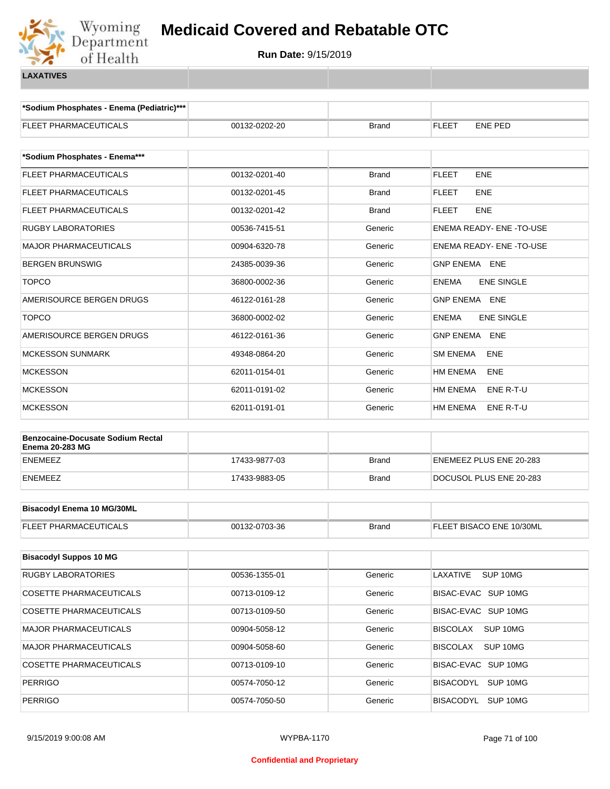

**\*Sodium Phosphates - Enema (Pediatric)\*\*\***

| FLEET PHARMACEUTICALS                                              | 00132-0202-20 | <b>Brand</b> | <b>FLEET</b><br>ENE PED           |  |  |
|--------------------------------------------------------------------|---------------|--------------|-----------------------------------|--|--|
| *Sodium Phosphates - Enema***                                      |               |              |                                   |  |  |
| FLEET PHARMACEUTICALS                                              | 00132-0201-40 | <b>Brand</b> | ENE<br><b>FLEET</b>               |  |  |
| FLEET PHARMACEUTICALS                                              | 00132-0201-45 | Brand        | ENE<br>FLEET                      |  |  |
| FLEET PHARMACEUTICALS                                              | 00132-0201-42 | <b>Brand</b> | <b>FLEET</b><br>ENE               |  |  |
| <b>RUGBY LABORATORIES</b>                                          | 00536-7415-51 | Generic      | <b>ENEMA READY- ENE -TO-USE</b>   |  |  |
| MAJOR PHARMACEUTICALS                                              | 00904-6320-78 | Generic      | ENEMA READY- ENE -TO-USE          |  |  |
| <b>BERGEN BRUNSWIG</b>                                             | 24385-0039-36 | Generic      | GNP ENEMA ENE                     |  |  |
| <b>TOPCO</b>                                                       | 36800-0002-36 | Generic      | <b>ENE SINGLE</b><br><b>ENEMA</b> |  |  |
| AMERISOURCE BERGEN DRUGS                                           | 46122-0161-28 | Generic      | <b>GNP ENEMA ENE</b>              |  |  |
| <b>TOPCO</b>                                                       | 36800-0002-02 | Generic      | <b>ENE SINGLE</b><br><b>ENEMA</b> |  |  |
| AMERISOURCE BERGEN DRUGS                                           | 46122-0161-36 | Generic      | <b>GNP ENEMA</b><br><b>ENE</b>    |  |  |
| <b>MCKESSON SUNMARK</b>                                            | 49348-0864-20 | Generic      | <b>SM ENEMA</b><br>ENE            |  |  |
| <b>MCKESSON</b>                                                    | 62011-0154-01 | Generic      | <b>HM ENEMA</b><br>ENE            |  |  |
| MCKESSON                                                           | 62011-0191-02 | Generic      | <b>HM ENEMA</b><br>ENE R-T-U      |  |  |
| <b>MCKESSON</b>                                                    | 62011-0191-01 | Generic      | HM ENEMA<br>ENE R-T-U             |  |  |
|                                                                    |               |              |                                   |  |  |
| <b>Benzocaine-Docusate Sodium Rectal</b><br><b>Enema 20-283 MG</b> |               |              |                                   |  |  |
| <b>ENEMEEZ</b>                                                     | 17433-9877-03 | <b>Brand</b> | ENEMEEZ PLUS ENE 20-283           |  |  |
| <b>ENEMEEZ</b>                                                     | 17433-9883-05 | <b>Brand</b> | DOCUSOL PLUS ENE 20-283           |  |  |
| <b>Bisacodyl Enema 10 MG/30ML</b>                                  |               |              |                                   |  |  |
|                                                                    | 00132-0703-36 |              |                                   |  |  |
| FLEET PHARMACEUTICALS                                              |               | <b>Brand</b> | FLEET BISACO ENE 10/30ML          |  |  |
| <b>Bisacodyl Suppos 10 MG</b>                                      |               |              |                                   |  |  |
| RUGBY LABORATORIES                                                 | 00536-1355-01 | Generic      | LAXATIVE<br>SUP 10MG              |  |  |
| <b>COSETTE PHARMACEUTICALS</b>                                     | 00713-0109-12 | Generic      | BISAC-EVAC SUP 10MG               |  |  |
| <b>COSETTE PHARMACEUTICALS</b>                                     | 00713-0109-50 | Generic      | BISAC-EVAC SUP 10MG               |  |  |
| MAJOR PHARMACEUTICALS                                              | 00904-5058-12 | Generic      | <b>BISCOLAX</b><br>SUP 10MG       |  |  |
| MAJOR PHARMACEUTICALS                                              | 00904-5058-60 | Generic      | <b>BISCOLAX</b><br>SUP 10MG       |  |  |
| COSETTE PHARMACEUTICALS                                            | 00713-0109-10 | Generic      | BISAC-EVAC SUP 10MG               |  |  |
| <b>PERRIGO</b>                                                     | 00574-7050-12 | Generic      | BISACODYL<br>SUP 10MG             |  |  |
| <b>PERRIGO</b>                                                     | 00574-7050-50 | Generic      | BISACODYL SUP 10MG                |  |  |
|                                                                    |               |              |                                   |  |  |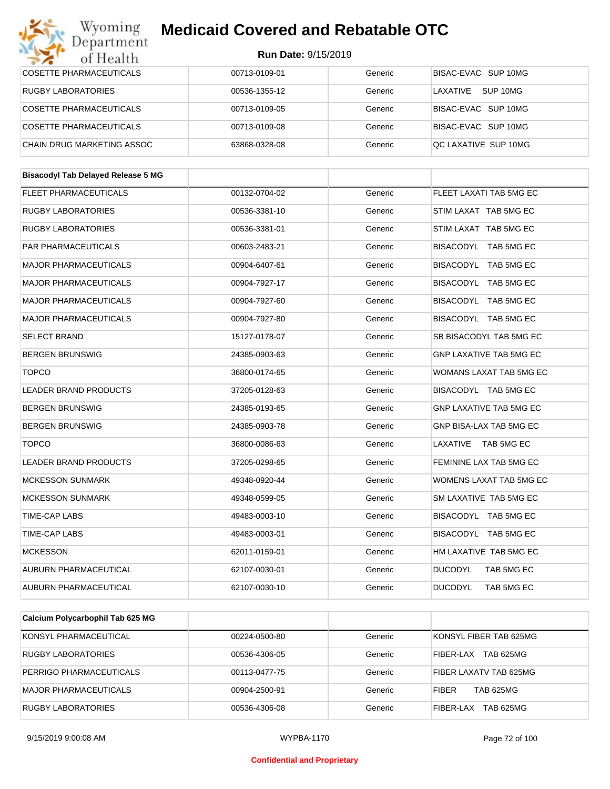#### Wyoming<br>Department **Medicaid Covered and Rebatable OTC**

| of Health                                 | Run Date: 9/15/2019 |         |                                |  |
|-------------------------------------------|---------------------|---------|--------------------------------|--|
| <b>COSETTE PHARMACEUTICALS</b>            | 00713-0109-01       | Generic | BISAC-EVAC SUP 10MG            |  |
| <b>RUGBY LABORATORIES</b>                 | 00536-1355-12       | Generic | LAXATIVE SUP 10MG              |  |
| COSETTE PHARMACEUTICALS                   | 00713-0109-05       | Generic | BISAC-EVAC SUP 10MG            |  |
| COSETTE PHARMACEUTICALS                   | 00713-0109-08       | Generic | BISAC-EVAC SUP 10MG            |  |
| CHAIN DRUG MARKETING ASSOC                | 63868-0328-08       | Generic | QC LAXATIVE SUP 10MG           |  |
|                                           |                     |         |                                |  |
| <b>Bisacodyl Tab Delayed Release 5 MG</b> |                     |         |                                |  |
| <b>FLEET PHARMACEUTICALS</b>              | 00132-0704-02       | Generic | FLEET LAXATI TAB 5MG EC        |  |
| <b>RUGBY LABORATORIES</b>                 | 00536-3381-10       | Generic | STIM LAXAT TAB 5MG EC          |  |
| <b>RUGBY LABORATORIES</b>                 | 00536-3381-01       | Generic | STIM LAXAT TAB 5MG EC          |  |
| <b>PAR PHARMACEUTICALS</b>                | 00603-2483-21       | Generic | BISACODYL TAB 5MG EC           |  |
| <b>MAJOR PHARMACEUTICALS</b>              | 00904-6407-61       | Generic | BISACODYL TAB 5MG EC           |  |
| <b>MAJOR PHARMACEUTICALS</b>              | 00904-7927-17       | Generic | BISACODYL TAB 5MG EC           |  |
| <b>MAJOR PHARMACEUTICALS</b>              | 00904-7927-60       | Generic | BISACODYL TAB 5MG EC           |  |
| <b>MAJOR PHARMACEUTICALS</b>              | 00904-7927-80       | Generic | BISACODYL TAB 5MG EC           |  |
| <b>SELECT BRAND</b>                       | 15127-0178-07       | Generic | SB BISACODYL TAB 5MG EC        |  |
| <b>BERGEN BRUNSWIG</b>                    | 24385-0903-63       | Generic | <b>GNP LAXATIVE TAB 5MG EC</b> |  |
| <b>TOPCO</b>                              | 36800-0174-65       | Generic | WOMANS LAXAT TAB 5MG EC        |  |
| <b>LEADER BRAND PRODUCTS</b>              | 37205-0128-63       | Generic | BISACODYL TAB 5MG EC           |  |
| <b>BERGEN BRUNSWIG</b>                    | 24385-0193-65       | Generic | <b>GNP LAXATIVE TAB 5MG EC</b> |  |
| <b>BERGEN BRUNSWIG</b>                    | 24385-0903-78       | Generic | GNP BISA-LAX TAB 5MG EC        |  |
| <b>TOPCO</b>                              | 36800-0086-63       | Generic | LAXATIVE TAB 5MG EC            |  |
| LEADER BRAND PRODUCTS                     | 37205-0298-65       | Generic | FEMININE LAX TAB 5MG EC        |  |
| <b>MCKESSON SUNMARK</b>                   | 49348-0920-44       | Generic | WOMENS LAXAT TAB 5MG EC        |  |
| MCKESSON SUNMARK                          | 49348-0599-05       | Generic | SM LAXATIVE TAB 5MG EC         |  |
| <b>TIME-CAP LABS</b>                      | 49483-0003-10       | Generic | BISACODYL TAB 5MG EC           |  |
| TIME-CAP LABS                             | 49483-0003-01       | Generic | BISACODYL TAB 5MG EC           |  |
| <b>MCKESSON</b>                           | 62011-0159-01       | Generic | HM LAXATIVE TAB 5MG EC         |  |
| AUBURN PHARMACEUTICAL                     | 62107-0030-01       | Generic | <b>DUCODYL</b><br>TAB 5MG EC   |  |
| AUBURN PHARMACEUTICAL                     | 62107-0030-10       | Generic | <b>DUCODYL</b><br>TAB 5MG EC   |  |
|                                           |                     |         |                                |  |
| Calcium Polycarbophil Tab 625 MG          |                     |         |                                |  |
| KONSYL PHARMACEUTICAL                     | 00224-0500-80       | Generic | KONSYL FIBER TAB 625MG         |  |

| KONSYL PHARMACEUTICAL     | 00224-0500-80 | Generic | KONSYL FIBER TAB 625MG           |
|---------------------------|---------------|---------|----------------------------------|
| RUGBY LABORATORIES        | 00536-4306-05 | Generic | <b>TAB 625MG</b><br>FIBER-LAX    |
| PERRIGO PHARMACEUTICALS   | 00113-0477-75 | Generic | FIBER LAXATV TAB 625MG           |
| MAJOR PHARMACEUTICALS     | 00904-2500-91 | Generic | <b>TAB 625MG</b><br><b>FIBER</b> |
| <b>RUGBY LABORATORIES</b> | 00536-4306-08 | Generic | TAB 625MG<br>FIBER-LAX           |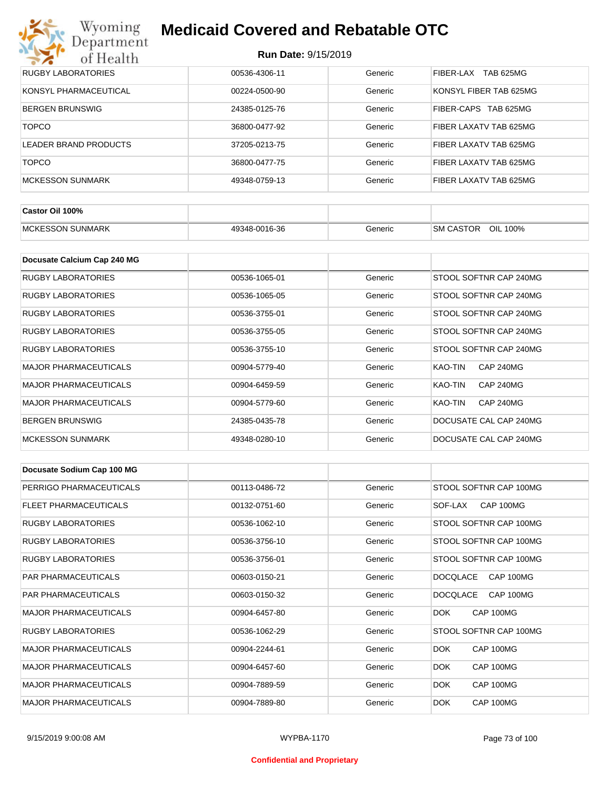# Wyoming<br>Department<br>of Health

## **Medicaid Covered and Rebatable OTC**

| <b>RUGBY LABORATORIES</b> | 00536-4306-11 | Generic | TAB 625MG<br>FIBER-LAX |
|---------------------------|---------------|---------|------------------------|
| KONSYL PHARMACEUTICAL     | 00224-0500-90 | Generic | KONSYL FIBER TAB 625MG |
| <b>BERGEN BRUNSWIG</b>    | 24385-0125-76 | Generic | FIBER-CAPS TAB 625MG   |
| <b>TOPCO</b>              | 36800-0477-92 | Generic | FIBER LAXATV TAB 625MG |
| LEADER BRAND PRODUCTS     | 37205-0213-75 | Generic | FIBER LAXATV TAB 625MG |
| <b>TOPCO</b>              | 36800-0477-75 | Generic | FIBER LAXATV TAB 625MG |
| <b>MCKESSON SUNMARK</b>   | 49348-0759-13 | Generic | FIBER LAXATV TAB 625MG |

| Castor Oil 100%         |               |         |                                 |
|-------------------------|---------------|---------|---------------------------------|
| <b>MCKESSON SUNMARK</b> | 49348-0016-36 | Generic | OIL<br><b>SM CASTOR</b><br>100% |

| Docusate Calcium Cap 240 MG  |               |         |                             |
|------------------------------|---------------|---------|-----------------------------|
| RUGBY LABORATORIES           | 00536-1065-01 | Generic | STOOL SOFTNR CAP 240MG      |
| RUGBY LABORATORIES           | 00536-1065-05 | Generic | STOOL SOFTNR CAP 240MG      |
| RUGBY LABORATORIES           | 00536-3755-01 | Generic | STOOL SOFTNR CAP 240MG      |
| <b>RUGBY LABORATORIES</b>    | 00536-3755-05 | Generic | STOOL SOFTNR CAP 240MG      |
| RUGBY LABORATORIES           | 00536-3755-10 | Generic | STOOL SOFTNR CAP 240MG      |
| <b>MAJOR PHARMACEUTICALS</b> | 00904-5779-40 | Generic | <b>CAP 240MG</b><br>KAO-TIN |
| <b>MAJOR PHARMACEUTICALS</b> | 00904-6459-59 | Generic | KAO-TIN<br><b>CAP 240MG</b> |
| <b>MAJOR PHARMACEUTICALS</b> | 00904-5779-60 | Generic | <b>CAP 240MG</b><br>KAO-TIN |
| <b>BERGEN BRUNSWIG</b>       | 24385-0435-78 | Generic | DOCUSATE CAL CAP 240MG      |
| <b>MCKESSON SUNMARK</b>      | 49348-0280-10 | Generic | DOCUSATE CAL CAP 240MG      |

| Docusate Sodium Cap 100 MG   |               |         |                              |
|------------------------------|---------------|---------|------------------------------|
| PERRIGO PHARMACEUTICALS      | 00113-0486-72 | Generic | STOOL SOFTNR CAP 100MG       |
| <b>FLEET PHARMACEUTICALS</b> | 00132-0751-60 | Generic | CAP 100MG<br>SOF-LAX         |
| <b>RUGBY LABORATORIES</b>    | 00536-1062-10 | Generic | STOOL SOFTNR CAP 100MG       |
| <b>RUGBY LABORATORIES</b>    | 00536-3756-10 | Generic | STOOL SOFTNR CAP 100MG       |
| <b>RUGBY LABORATORIES</b>    | 00536-3756-01 | Generic | STOOL SOFTNR CAP 100MG       |
| <b>PAR PHARMACEUTICALS</b>   | 00603-0150-21 | Generic | <b>DOCQLACE</b><br>CAP 100MG |
| <b>PAR PHARMACEUTICALS</b>   | 00603-0150-32 | Generic | CAP 100MG<br><b>DOCQLACE</b> |
| <b>MAJOR PHARMACEUTICALS</b> | 00904-6457-80 | Generic | DOK.<br>CAP 100MG            |
| <b>RUGBY LABORATORIES</b>    | 00536-1062-29 | Generic | STOOL SOFTNR CAP 100MG       |
| <b>MAJOR PHARMACEUTICALS</b> | 00904-2244-61 | Generic | DOK.<br>CAP 100MG            |
| <b>MAJOR PHARMACEUTICALS</b> | 00904-6457-60 | Generic | CAP 100MG<br>DOK.            |
| <b>MAJOR PHARMACEUTICALS</b> | 00904-7889-59 | Generic | DOK.<br>CAP 100MG            |
| <b>MAJOR PHARMACEUTICALS</b> | 00904-7889-80 | Generic | DOK.<br>CAP 100MG            |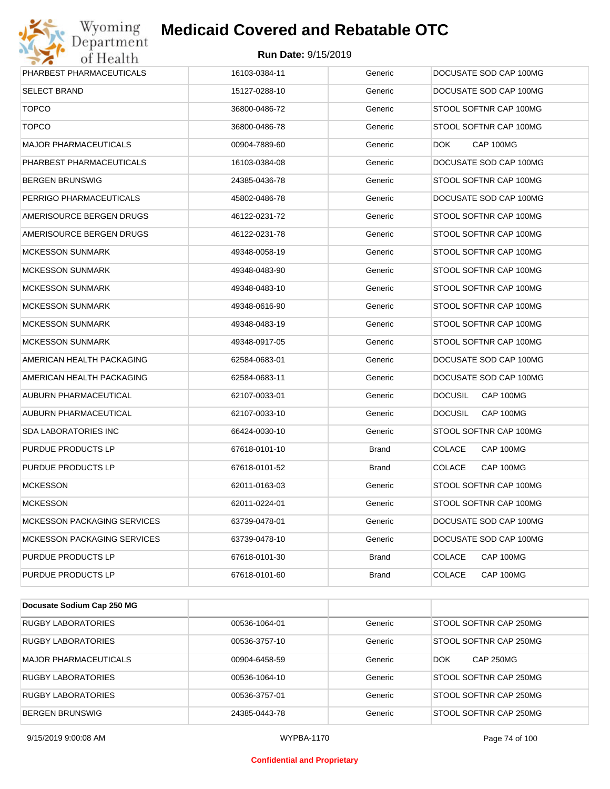

| PHARBEST PHARMACEUTICALS           | 16103-0384-11 | Generic      | DOCUSATE SOD CAP 100MG      |
|------------------------------------|---------------|--------------|-----------------------------|
| <b>SELECT BRAND</b>                | 15127-0288-10 | Generic      | DOCUSATE SOD CAP 100MG      |
| <b>TOPCO</b>                       | 36800-0486-72 | Generic      | STOOL SOFTNR CAP 100MG      |
| <b>TOPCO</b>                       | 36800-0486-78 | Generic      | STOOL SOFTNR CAP 100MG      |
| <b>MAJOR PHARMACEUTICALS</b>       | 00904-7889-60 | Generic      | DOK.<br>CAP 100MG           |
| PHARBEST PHARMACEUTICALS           | 16103-0384-08 | Generic      | DOCUSATE SOD CAP 100MG      |
| <b>BERGEN BRUNSWIG</b>             | 24385-0436-78 | Generic      | STOOL SOFTNR CAP 100MG      |
| PERRIGO PHARMACEUTICALS            | 45802-0486-78 | Generic      | DOCUSATE SOD CAP 100MG      |
| AMERISOURCE BERGEN DRUGS           | 46122-0231-72 | Generic      | STOOL SOFTNR CAP 100MG      |
| AMERISOURCE BERGEN DRUGS           | 46122-0231-78 | Generic      | STOOL SOFTNR CAP 100MG      |
| <b>MCKESSON SUNMARK</b>            | 49348-0058-19 | Generic      | STOOL SOFTNR CAP 100MG      |
| <b>MCKESSON SUNMARK</b>            | 49348-0483-90 | Generic      | STOOL SOFTNR CAP 100MG      |
| <b>MCKESSON SUNMARK</b>            | 49348-0483-10 | Generic      | STOOL SOFTNR CAP 100MG      |
| <b>MCKESSON SUNMARK</b>            | 49348-0616-90 | Generic      | STOOL SOFTNR CAP 100MG      |
| <b>MCKESSON SUNMARK</b>            | 49348-0483-19 | Generic      | STOOL SOFTNR CAP 100MG      |
| <b>MCKESSON SUNMARK</b>            | 49348-0917-05 | Generic      | STOOL SOFTNR CAP 100MG      |
| AMERICAN HEALTH PACKAGING          | 62584-0683-01 | Generic      | DOCUSATE SOD CAP 100MG      |
| AMERICAN HEALTH PACKAGING          | 62584-0683-11 | Generic      | DOCUSATE SOD CAP 100MG      |
| AUBURN PHARMACEUTICAL              | 62107-0033-01 | Generic      | CAP 100MG<br><b>DOCUSIL</b> |
| AUBURN PHARMACEUTICAL              | 62107-0033-10 | Generic      | <b>DOCUSIL</b><br>CAP 100MG |
| SDA LABORATORIES INC               | 66424-0030-10 | Generic      | STOOL SOFTNR CAP 100MG      |
| PURDUE PRODUCTS LP                 | 67618-0101-10 | Brand        | <b>COLACE</b><br>CAP 100MG  |
| PURDUE PRODUCTS LP                 | 67618-0101-52 | Brand        | CAP 100MG<br><b>COLACE</b>  |
| <b>MCKESSON</b>                    | 62011-0163-03 | Generic      | STOOL SOFTNR CAP 100MG      |
| <b>MCKESSON</b>                    | 62011-0224-01 | Generic      | STOOL SOFTNR CAP 100MG      |
| <b>MCKESSON PACKAGING SERVICES</b> | 63739-0478-01 | Generic      | DOCUSATE SOD CAP 100MG      |
| <b>MCKESSON PACKAGING SERVICES</b> | 63739-0478-10 | Generic      | DOCUSATE SOD CAP 100MG      |
| PURDUE PRODUCTS LP                 | 67618-0101-30 | <b>Brand</b> | <b>COLACE</b><br>CAP 100MG  |
| PURDUE PRODUCTS LP                 | 67618-0101-60 | <b>Brand</b> | <b>COLACE</b><br>CAP 100MG  |

| Docusate Sodium Cap 250 MG |               |         |                                |
|----------------------------|---------------|---------|--------------------------------|
| RUGBY LABORATORIES         | 00536-1064-01 | Generic | STOOL SOFTNR CAP 250MG         |
| RUGBY LABORATORIES         | 00536-3757-10 | Generic | STOOL SOFTNR CAP 250MG         |
| MAJOR PHARMACEUTICALS      | 00904-6458-59 | Generic | <b>CAP 250MG</b><br><b>DOK</b> |
| <b>RUGBY LABORATORIES</b>  | 00536-1064-10 | Generic | STOOL SOFTNR CAP 250MG         |
| <b>RUGBY LABORATORIES</b>  | 00536-3757-01 | Generic | STOOL SOFTNR CAP 250MG         |
| <b>BERGEN BRUNSWIG</b>     | 24385-0443-78 | Generic | STOOL SOFTNR CAP 250MG         |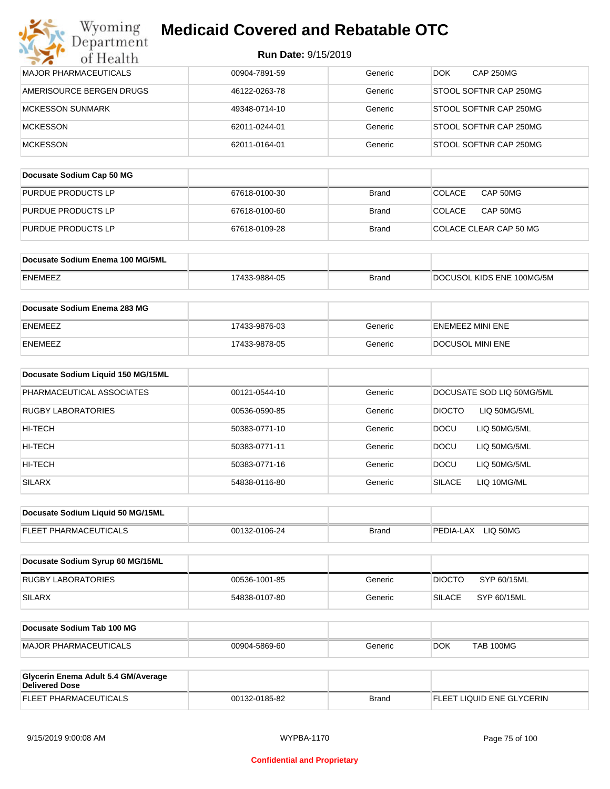| Wyoming                                                      | <b>Medicaid Covered and Rebatable OTC</b> |              |                               |
|--------------------------------------------------------------|-------------------------------------------|--------------|-------------------------------|
| Department<br>of Health                                      | Run Date: 9/15/2019                       |              |                               |
| <b>MAJOR PHARMACEUTICALS</b>                                 | 00904-7891-59                             | Generic      | <b>CAP 250MG</b><br>DOK.      |
| AMERISOURCE BERGEN DRUGS                                     | 46122-0263-78                             | Generic      | STOOL SOFTNR CAP 250MG        |
| <b>MCKESSON SUNMARK</b>                                      | 49348-0714-10                             | Generic      | STOOL SOFTNR CAP 250MG        |
| <b>MCKESSON</b>                                              | 62011-0244-01                             | Generic      | STOOL SOFTNR CAP 250MG        |
| <b>MCKESSON</b>                                              | 62011-0164-01                             | Generic      | STOOL SOFTNR CAP 250MG        |
| Docusate Sodium Cap 50 MG                                    |                                           |              |                               |
| PURDUE PRODUCTS LP                                           | 67618-0100-30                             | <b>Brand</b> | <b>COLACE</b><br>CAP 50MG     |
| PURDUE PRODUCTS LP                                           | 67618-0100-60                             | <b>Brand</b> | <b>COLACE</b><br>CAP 50MG     |
| PURDUE PRODUCTS LP                                           | 67618-0109-28                             | <b>Brand</b> | COLACE CLEAR CAP 50 MG        |
| Docusate Sodium Enema 100 MG/5ML                             |                                           |              |                               |
| <b>ENEMEEZ</b>                                               | 17433-9884-05                             | <b>Brand</b> | DOCUSOL KIDS ENE 100MG/5M     |
|                                                              |                                           |              |                               |
| Docusate Sodium Enema 283 MG                                 |                                           |              |                               |
| <b>ENEMEEZ</b>                                               | 17433-9876-03                             | Generic      | ENEMEEZ MINI ENE              |
| <b>ENEMEEZ</b>                                               | 17433-9878-05                             | Generic      | DOCUSOL MINI ENE              |
| Docusate Sodium Liquid 150 MG/15ML                           |                                           |              |                               |
| PHARMACEUTICAL ASSOCIATES                                    | 00121-0544-10                             | Generic      | DOCUSATE SOD LIQ 50MG/5ML     |
| <b>RUGBY LABORATORIES</b>                                    | 00536-0590-85                             | Generic      | <b>DIOCTO</b><br>LIQ 50MG/5ML |
| HI-TECH                                                      | 50383-0771-10                             | Generic      | <b>DOCU</b><br>LIQ 50MG/5ML   |
| HI-TECH                                                      | 50383-0771-11                             | Generic      | <b>DOCU</b><br>LIQ 50MG/5ML   |
| HI-TECH                                                      | 50383-0771-16                             | Generic      | DOCU<br>LIQ 50MG/5ML          |
| <b>SILARX</b>                                                | 54838-0116-80                             | Generic      | <b>SILACE</b><br>LIQ 10MG/ML  |
| Docusate Sodium Liquid 50 MG/15ML                            |                                           |              |                               |
| FLEET PHARMACEUTICALS                                        | 00132-0106-24                             | <b>Brand</b> | PEDIA-LAX LIQ 50MG            |
|                                                              |                                           |              |                               |
| Docusate Sodium Syrup 60 MG/15ML                             |                                           |              |                               |
| <b>RUGBY LABORATORIES</b>                                    | 00536-1001-85                             | Generic      | <b>DIOCTO</b><br>SYP 60/15ML  |
| <b>SILARX</b>                                                | 54838-0107-80                             | Generic      | <b>SILACE</b><br>SYP 60/15ML  |
| Docusate Sodium Tab 100 MG                                   |                                           |              |                               |
| <b>MAJOR PHARMACEUTICALS</b>                                 | 00904-5869-60                             | Generic      | DOK.<br>TAB 100MG             |
|                                                              |                                           |              |                               |
| Glycerin Enema Adult 5.4 GM/Average<br><b>Delivered Dose</b> |                                           |              |                               |

| <b>Delivered Dose</b>        |               |       |                           |
|------------------------------|---------------|-------|---------------------------|
| <b>FLEET PHARMACEUTICALS</b> | 00132-0185-82 | Brand | FLEET LIQUID ENE GLYCERIN |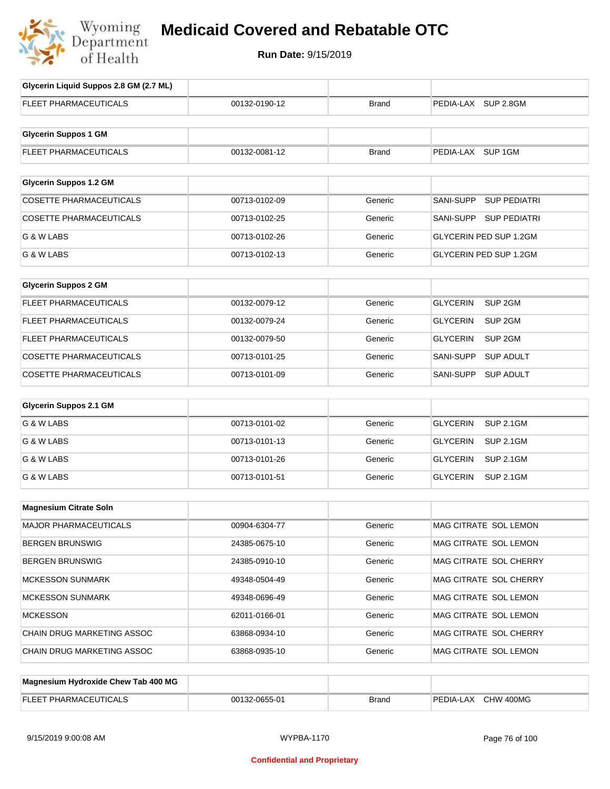

# **Medicaid Covered and Rebatable OTC**

**Run Date:** 9/15/2019

| Glycerin Liquid Suppos 2.8 GM (2.7 ML) |               |              |                                       |
|----------------------------------------|---------------|--------------|---------------------------------------|
| FLEET PHARMACEUTICALS                  | 00132-0190-12 | <b>Brand</b> | PEDIA-LAX SUP 2.8GM                   |
| <b>Glycerin Suppos 1 GM</b>            |               |              |                                       |
| FLEET PHARMACEUTICALS                  | 00132-0081-12 | <b>Brand</b> | PEDIA-LAX SUP 1GM                     |
| <b>Glycerin Suppos 1.2 GM</b>          |               |              |                                       |
| <b>COSETTE PHARMACEUTICALS</b>         | 00713-0102-09 |              | <b>SUP PEDIATRI</b><br>SANI-SUPP      |
|                                        |               | Generic      |                                       |
| <b>COSETTE PHARMACEUTICALS</b>         | 00713-0102-25 | Generic      | SANI-SUPP SUP PEDIATRI                |
| G & W LABS                             | 00713-0102-26 | Generic      | <b>GLYCERIN PED SUP 1.2GM</b>         |
| G & W LABS                             | 00713-0102-13 | Generic      | GLYCERIN PED SUP 1.2GM                |
| <b>Glycerin Suppos 2 GM</b>            |               |              |                                       |
| FLEET PHARMACEUTICALS                  | 00132-0079-12 | Generic      | SUP <sub>2GM</sub><br><b>GLYCERIN</b> |
| FLEET PHARMACEUTICALS                  | 00132-0079-24 | Generic      | SUP <sub>2GM</sub><br><b>GLYCERIN</b> |
| FLEET PHARMACEUTICALS                  | 00132-0079-50 | Generic      | <b>GLYCERIN</b><br>SUP <sub>2GM</sub> |
| COSETTE PHARMACEUTICALS                | 00713-0101-25 | Generic      | SANI-SUPP<br><b>SUP ADULT</b>         |
| <b>COSETTE PHARMACEUTICALS</b>         | 00713-0101-09 | Generic      | SANI-SUPP<br><b>SUP ADULT</b>         |
| <b>Glycerin Suppos 2.1 GM</b>          |               |              |                                       |
| G & W LABS                             | 00713-0101-02 | Generic      | <b>SUP 2.1GM</b><br><b>GLYCERIN</b>   |
| G & W LABS                             | 00713-0101-13 | Generic      | <b>GLYCERIN</b><br><b>SUP 2.1GM</b>   |
| G & W LABS                             | 00713-0101-26 | Generic      | <b>GLYCERIN</b><br><b>SUP 2.1GM</b>   |
| G & W LABS                             | 00713-0101-51 | Generic      | <b>GLYCERIN</b><br><b>SUP 2.1GM</b>   |
| <b>Magnesium Citrate Soln</b>          |               |              |                                       |
| MAJOR PHARMACEUTICALS                  | 00904-6304-77 | Generic      | MAG CITRATE SOL LEMON                 |
| <b>BERGEN BRUNSWIG</b>                 | 24385-0675-10 | Generic      | MAG CITRATE SOL LEMON                 |
| <b>BERGEN BRUNSWIG</b>                 | 24385-0910-10 | Generic      | MAG CITRATE SOL CHERRY                |
| <b>MCKESSON SUNMARK</b>                | 49348-0504-49 | Generic      | MAG CITRATE SOL CHERRY                |
| <b>MCKESSON SUNMARK</b>                | 49348-0696-49 | Generic      | MAG CITRATE SOL LEMON                 |
| <b>MCKESSON</b>                        | 62011-0166-01 | Generic      | MAG CITRATE SOL LEMON                 |
| CHAIN DRUG MARKETING ASSOC             | 63868-0934-10 | Generic      | MAG CITRATE SOL CHERRY                |
| CHAIN DRUG MARKETING ASSOC             | 63868-0935-10 | Generic      | MAG CITRATE SOL LEMON                 |
|                                        |               |              |                                       |
| Magnesium Hydroxide Chew Tab 400 MG    |               |              |                                       |

| FLEE <sup>1</sup><br>PHARMAC<br>JI II : AI | 32-0655-01<br>00132 | Brand | 400MG<br>PEDIA-L<br>CHW<br>.AX |
|--------------------------------------------|---------------------|-------|--------------------------------|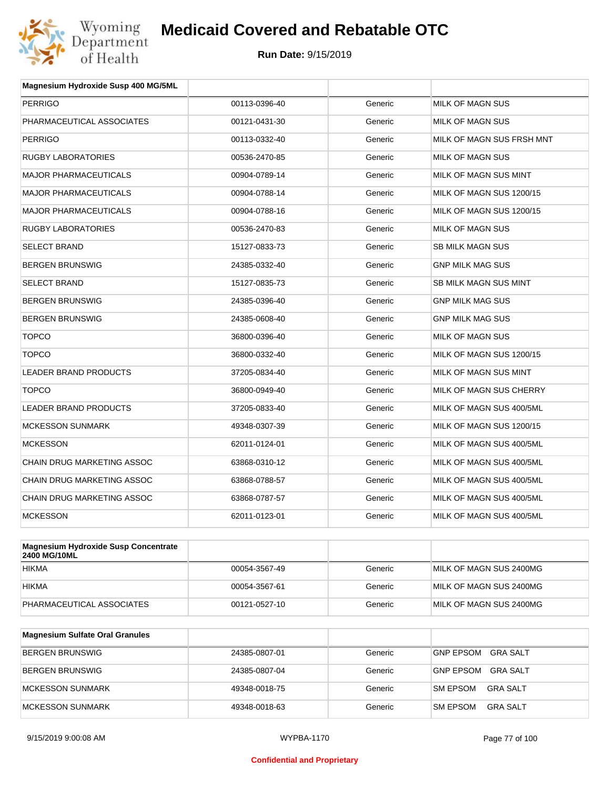

| Magnesium Hydroxide Susp 400 MG/5ML |               |         |                           |
|-------------------------------------|---------------|---------|---------------------------|
| <b>PERRIGO</b>                      | 00113-0396-40 | Generic | <b>MILK OF MAGN SUS</b>   |
| PHARMACEUTICAL ASSOCIATES           | 00121-0431-30 | Generic | MILK OF MAGN SUS          |
| <b>PERRIGO</b>                      | 00113-0332-40 | Generic | MILK OF MAGN SUS FRSH MNT |
| <b>RUGBY LABORATORIES</b>           | 00536-2470-85 | Generic | MILK OF MAGN SUS          |
| <b>MAJOR PHARMACEUTICALS</b>        | 00904-0789-14 | Generic | MILK OF MAGN SUS MINT     |
| <b>MAJOR PHARMACEUTICALS</b>        | 00904-0788-14 | Generic | MILK OF MAGN SUS 1200/15  |
| <b>MAJOR PHARMACEUTICALS</b>        | 00904-0788-16 | Generic | MILK OF MAGN SUS 1200/15  |
| <b>RUGBY LABORATORIES</b>           | 00536-2470-83 | Generic | MILK OF MAGN SUS          |
| <b>SELECT BRAND</b>                 | 15127-0833-73 | Generic | <b>SB MILK MAGN SUS</b>   |
| <b>BERGEN BRUNSWIG</b>              | 24385-0332-40 | Generic | <b>GNP MILK MAG SUS</b>   |
| <b>SELECT BRAND</b>                 | 15127-0835-73 | Generic | SB MILK MAGN SUS MINT     |
| <b>BERGEN BRUNSWIG</b>              | 24385-0396-40 | Generic | <b>GNP MILK MAG SUS</b>   |
| <b>BERGEN BRUNSWIG</b>              | 24385-0608-40 | Generic | <b>GNP MILK MAG SUS</b>   |
| <b>TOPCO</b>                        | 36800-0396-40 | Generic | MILK OF MAGN SUS          |
| <b>TOPCO</b>                        | 36800-0332-40 | Generic | MILK OF MAGN SUS 1200/15  |
| <b>LEADER BRAND PRODUCTS</b>        | 37205-0834-40 | Generic | MILK OF MAGN SUS MINT     |
| <b>TOPCO</b>                        | 36800-0949-40 | Generic | MILK OF MAGN SUS CHERRY   |
| <b>LEADER BRAND PRODUCTS</b>        | 37205-0833-40 | Generic | MILK OF MAGN SUS 400/5ML  |
| <b>MCKESSON SUNMARK</b>             | 49348-0307-39 | Generic | MILK OF MAGN SUS 1200/15  |
| <b>MCKESSON</b>                     | 62011-0124-01 | Generic | MILK OF MAGN SUS 400/5ML  |
| CHAIN DRUG MARKETING ASSOC          | 63868-0310-12 | Generic | MILK OF MAGN SUS 400/5ML  |
| <b>CHAIN DRUG MARKETING ASSOC</b>   | 63868-0788-57 | Generic | MILK OF MAGN SUS 400/5ML  |
| <b>CHAIN DRUG MARKETING ASSOC</b>   | 63868-0787-57 | Generic | MILK OF MAGN SUS 400/5ML  |
| <b>MCKESSON</b>                     | 62011-0123-01 | Generic | MILK OF MAGN SUS 400/5ML  |
|                                     |               |         |                           |

| <b>Magnesium Hydroxide Susp Concentrate</b><br>2400 MG/10ML |               |         |                         |
|-------------------------------------------------------------|---------------|---------|-------------------------|
| <b>HIKMA</b>                                                | 00054-3567-49 | Generic | MILK OF MAGN SUS 2400MG |
| <b>HIKMA</b>                                                | 00054-3567-61 | Generic | MILK OF MAGN SUS 2400MG |
| PHARMACEUTICAL ASSOCIATES                                   | 00121-0527-10 | Generic | MILK OF MAGN SUS 2400MG |

| Magnesium Sulfate Oral Granules |               |         |                                    |
|---------------------------------|---------------|---------|------------------------------------|
| <b>BERGEN BRUNSWIG</b>          | 24385-0807-01 | Generic | GNP EPSOM<br>GRA SALT              |
| BERGEN BRUNSWIG                 | 24385-0807-04 | Generic | GRA SALT<br><b>GNP EPSOM</b>       |
| <b>IMCKESSON SUNMARK</b>        | 49348-0018-75 | Generic | <b>SM EPSOM</b><br>GRA SALT        |
| MCKESSON SUNMARK                | 49348-0018-63 | Generic | <b>SM EPSOM</b><br><b>GRA SALT</b> |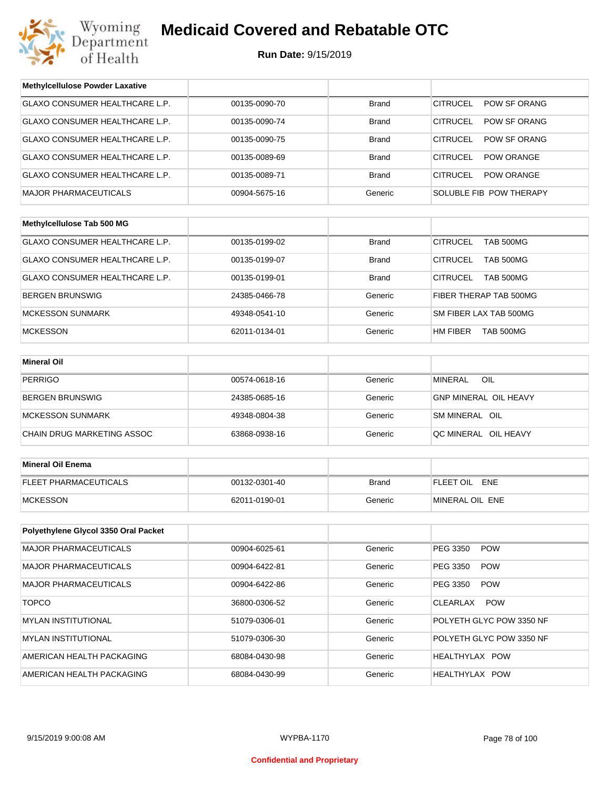

| <b>Methylcellulose Powder Laxative</b> |               |              |                                      |  |
|----------------------------------------|---------------|--------------|--------------------------------------|--|
| GLAXO CONSUMER HEALTHCARE L.P.         | 00135-0090-70 | <b>Brand</b> | <b>CITRUCEL</b><br>POW SF ORANG      |  |
| GLAXO CONSUMER HEALTHCARE L.P.         | 00135-0090-74 | <b>Brand</b> | <b>CITRUCEL</b><br>POW SF ORANG      |  |
| <b>GLAXO CONSUMER HEALTHCARE L.P.</b>  | 00135-0090-75 | <b>Brand</b> | POW SF ORANG<br><b>CITRUCEL</b>      |  |
| GLAXO CONSUMER HEALTHCARE L.P.         | 00135-0089-69 | <b>Brand</b> | <b>CITRUCEL</b><br><b>POW ORANGE</b> |  |
| GLAXO CONSUMER HEALTHCARE L.P.         | 00135-0089-71 | <b>Brand</b> | <b>CITRUCEL</b><br><b>POW ORANGE</b> |  |
| <b>MAJOR PHARMACEUTICALS</b>           | 00904-5675-16 | Generic      | SOLUBLE FIB POW THERAPY              |  |
|                                        |               |              |                                      |  |
| Methylcellulose Tab 500 MG             |               |              |                                      |  |
| GLAXO CONSUMER HEALTHCARE L.P.         | 00135-0199-02 | <b>Brand</b> | <b>CITRUCEL</b><br><b>TAB 500MG</b>  |  |
| GLAXO CONSUMER HEALTHCARE L.P.         | 00135-0199-07 | Brand        | <b>CITRUCEL</b><br><b>TAB 500MG</b>  |  |
| GLAXO CONSUMER HEALTHCARE L.P.         | 00135-0199-01 | Brand        | <b>CITRUCEL</b><br><b>TAB 500MG</b>  |  |
| <b>BERGEN BRUNSWIG</b>                 | 24385-0466-78 | Generic      | FIBER THERAP TAB 500MG               |  |
| <b>MCKESSON SUNMARK</b>                | 49348-0541-10 | Generic      | SM FIBER LAX TAB 500MG               |  |
| <b>MCKESSON</b>                        | 62011-0134-01 | Generic      | HM FIBER<br><b>TAB 500MG</b>         |  |
|                                        |               |              |                                      |  |
| <b>Mineral Oil</b>                     |               |              |                                      |  |
| <b>PERRIGO</b>                         | 00574-0618-16 | Generic      | OIL<br><b>MINERAL</b>                |  |
| <b>BERGEN BRUNSWIG</b>                 | 24385-0685-16 | Generic      | <b>GNP MINERAL OIL HEAVY</b>         |  |
| <b>MCKESSON SUNMARK</b>                | 49348-0804-38 | Generic      | SM MINERAL OIL                       |  |
| CHAIN DRUG MARKETING ASSOC             | 63868-0938-16 | Generic      | QC MINERAL OIL HEAVY                 |  |
|                                        |               |              |                                      |  |
| <b>Mineral Oil Enema</b>               |               |              |                                      |  |
| FLEET PHARMACEUTICALS                  | 00132-0301-40 | <b>Brand</b> | FLEET OIL ENE                        |  |
| <b>MCKESSON</b>                        | 62011-0190-01 | Generic      | MINERAL OIL ENE                      |  |
|                                        |               |              |                                      |  |
| Polyethylene Glycol 3350 Oral Packet   |               |              |                                      |  |
| <b>MAJOR PHARMACEUTICALS</b>           | 00904-6025-61 | Generic      | PEG 3350<br><b>POW</b>               |  |
| <b>MAJOR PHARMACEUTICALS</b>           | 00904-6422-81 | Generic      | PEG 3350<br><b>POW</b>               |  |
| <b>MAJOR PHARMACEUTICALS</b>           | 00904-6422-86 | Generic      | PEG 3350<br><b>POW</b>               |  |
| <b>TOPCO</b>                           | 36800-0306-52 | Generic      | CLEARLAX<br><b>POW</b>               |  |
| <b>MYLAN INSTITUTIONAL</b>             | 51079-0306-01 | Generic      | POLYETH GLYC POW 3350 NF             |  |
| <b>MYLAN INSTITUTIONAL</b>             | 51079-0306-30 | Generic      | POLYETH GLYC POW 3350 NF             |  |
| AMERICAN HEALTH PACKAGING              | 68084-0430-98 | Generic      | HEALTHYLAX POW                       |  |
| AMERICAN HEALTH PACKAGING              | 68084-0430-99 | Generic      | HEALTHYLAX POW                       |  |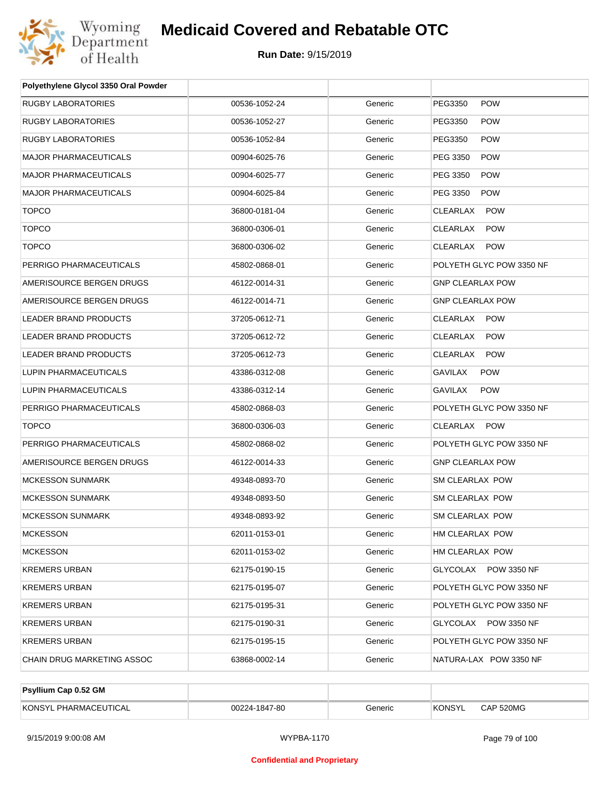

| Polyethylene Glycol 3350 Oral Powder |               |         |                          |
|--------------------------------------|---------------|---------|--------------------------|
| RUGBY LABORATORIES                   | 00536-1052-24 | Generic | PEG3350<br><b>POW</b>    |
| RUGBY LABORATORIES                   | 00536-1052-27 | Generic | PEG3350<br><b>POW</b>    |
| <b>RUGBY LABORATORIES</b>            | 00536-1052-84 | Generic | PEG3350<br><b>POW</b>    |
| MAJOR PHARMACEUTICALS                | 00904-6025-76 | Generic | <b>POW</b><br>PEG 3350   |
| <b>MAJOR PHARMACEUTICALS</b>         | 00904-6025-77 | Generic | PEG 3350<br><b>POW</b>   |
| <b>MAJOR PHARMACEUTICALS</b>         | 00904-6025-84 | Generic | PEG 3350<br><b>POW</b>   |
| <b>TOPCO</b>                         | 36800-0181-04 | Generic | CLEARLAX<br><b>POW</b>   |
| <b>TOPCO</b>                         | 36800-0306-01 | Generic | CLEARLAX<br><b>POW</b>   |
| <b>TOPCO</b>                         | 36800-0306-02 | Generic | CLEARLAX<br><b>POW</b>   |
| PERRIGO PHARMACEUTICALS              | 45802-0868-01 | Generic | POLYETH GLYC POW 3350 NF |
| AMERISOURCE BERGEN DRUGS             | 46122-0014-31 | Generic | <b>GNP CLEARLAX POW</b>  |
| AMERISOURCE BERGEN DRUGS             | 46122-0014-71 | Generic | <b>GNP CLEARLAX POW</b>  |
| <b>LEADER BRAND PRODUCTS</b>         | 37205-0612-71 | Generic | <b>POW</b><br>CLEARLAX   |
| LEADER BRAND PRODUCTS                | 37205-0612-72 | Generic | CLEARLAX<br><b>POW</b>   |
| <b>LEADER BRAND PRODUCTS</b>         | 37205-0612-73 | Generic | CLEARLAX<br><b>POW</b>   |
| LUPIN PHARMACEUTICALS                | 43386-0312-08 | Generic | GAVILAX<br><b>POW</b>    |
| LUPIN PHARMACEUTICALS                | 43386-0312-14 | Generic | GAVILAX<br><b>POW</b>    |
| PERRIGO PHARMACEUTICALS              | 45802-0868-03 | Generic | POLYETH GLYC POW 3350 NF |
| <b>TOPCO</b>                         | 36800-0306-03 | Generic | CLEARLAX POW             |
| PERRIGO PHARMACEUTICALS              | 45802-0868-02 | Generic | POLYETH GLYC POW 3350 NF |
| AMERISOURCE BERGEN DRUGS             | 46122-0014-33 | Generic | <b>GNP CLEARLAX POW</b>  |
| <b>MCKESSON SUNMARK</b>              | 49348-0893-70 | Generic | SM CLEARLAX POW          |
| <b>MCKESSON SUNMARK</b>              | 49348-0893-50 | Generic | SM CLEARLAX POW          |
| MCKESSON SUNMARK                     | 49348-0893-92 | Generic | <b>SM CLEARLAX POW</b>   |
| MCKESSON                             | 62011-0153-01 | Generic | HM CLEARLAX POW          |
| <b>MCKESSON</b>                      | 62011-0153-02 | Generic | HM CLEARLAX POW          |
| KREMERS URBAN                        | 62175-0190-15 | Generic | GLYCOLAX POW 3350 NF     |
| KREMERS URBAN                        | 62175-0195-07 | Generic | POLYETH GLYC POW 3350 NF |
| KREMERS URBAN                        | 62175-0195-31 | Generic | POLYETH GLYC POW 3350 NF |
| KREMERS URBAN                        | 62175-0190-31 | Generic | GLYCOLAX POW 3350 NF     |
| KREMERS URBAN                        | 62175-0195-15 | Generic | POLYETH GLYC POW 3350 NF |
| CHAIN DRUG MARKETING ASSOC           | 63868-0002-14 | Generic | NATURA-LAX POW 3350 NF   |

| Psyllium Cap 0.52 GM  |               |         |               |           |
|-----------------------|---------------|---------|---------------|-----------|
| KONSYL PHARMACEUTICAL | 00224-1847-80 | Generic | <b>KONSYL</b> | CAP 520MG |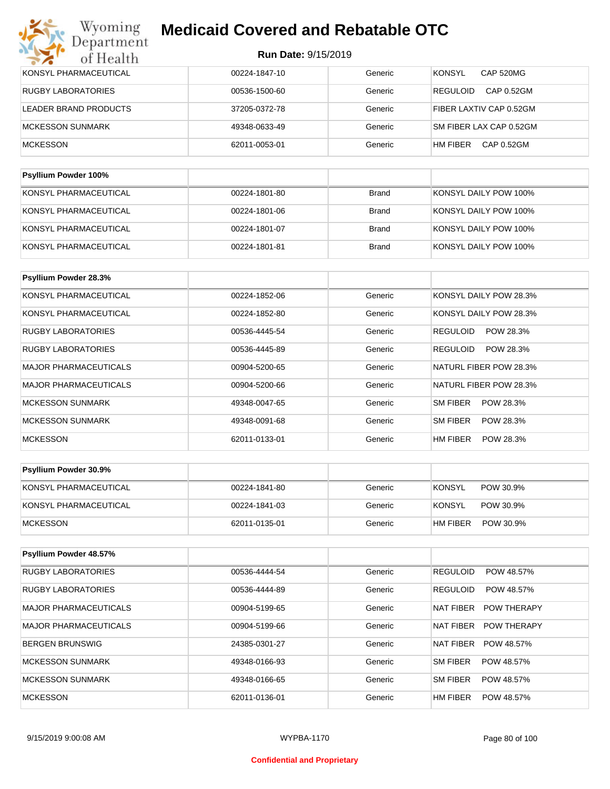| KONSYL PHARMACEUTICAL       | 00224-1847-10 | Generic | <b>KONSYL</b><br>CAP 520MG    |
|-----------------------------|---------------|---------|-------------------------------|
| RUGBY LABORATORIES          | 00536-1500-60 | Generic | CAP 0.52GM<br><b>REGULOID</b> |
| LEADER BRAND PRODUCTS       | 37205-0372-78 | Generic | FIBER LAXTIV CAP 0.52GM       |
| <b>MCKESSON SUNMARK</b>     | 49348-0633-49 | Generic | SM FIBER LAX CAP 0.52GM       |
| <b>MCKESSON</b>             | 62011-0053-01 | Generic | HM FIBER<br>CAP 0.52GM        |
|                             |               |         |                               |
| <b>Psyllium Powder 100%</b> |               |         |                               |

| KONSYL PHARMACEUTICAL | 00224-1801-80 | Brand        | KONSYL DAILY POW 100% |
|-----------------------|---------------|--------------|-----------------------|
| KONSYL PHARMACEUTICAL | 00224-1801-06 | Brand        | KONSYL DAILY POW 100% |
| KONSYL PHARMACEUTICAL | 00224-1801-07 | <b>Brand</b> | KONSYL DAILY POW 100% |
| KONSYL PHARMACEUTICAL | 00224-1801-81 | <b>Brand</b> | KONSYL DAILY POW 100% |

| Psyllium Powder 28.3%        |               |         |                        |
|------------------------------|---------------|---------|------------------------|
| KONSYL PHARMACEUTICAL        | 00224-1852-06 | Generic | KONSYL DAILY POW 28.3% |
| KONSYL PHARMACEUTICAL        | 00224-1852-80 | Generic | KONSYL DAILY POW 28.3% |
| <b>RUGBY LABORATORIES</b>    | 00536-4445-54 | Generic | POW 28.3%<br>REGULOID  |
| <b>RUGBY LABORATORIES</b>    | 00536-4445-89 | Generic | REGULOID<br>POW 28.3%  |
| <b>MAJOR PHARMACEUTICALS</b> | 00904-5200-65 | Generic | NATURL FIBER POW 28.3% |
| <b>MAJOR PHARMACEUTICALS</b> | 00904-5200-66 | Generic | NATURL FIBER POW 28.3% |
| <b>MCKESSON SUNMARK</b>      | 49348-0047-65 | Generic | SM FIBER<br>POW 28.3%  |
| <b>MCKESSON SUNMARK</b>      | 49348-0091-68 | Generic | SM FIBER<br>POW 28.3%  |
| <b>MCKESSON</b>              | 62011-0133-01 | Generic | HM FIBER<br>POW 28.3%  |

| <b>Psyllium Powder 30.9%</b> |               |         |                            |
|------------------------------|---------------|---------|----------------------------|
| KONSYL PHARMACEUTICAL        | 00224-1841-80 | Generic | <b>KONSYL</b><br>POW 30.9% |
| KONSYL PHARMACEUTICAL        | 00224-1841-03 | Generic | KONSYL<br>POW 30.9%        |
| <b>IMCKESSON</b>             | 62011-0135-01 | Generic | HM FIBER<br>POW 30.9%      |

| Psyllium Powder 48.57%       |               |         |                                 |
|------------------------------|---------------|---------|---------------------------------|
| <b>RUGBY LABORATORIES</b>    | 00536-4444-54 | Generic | <b>REGULOID</b><br>POW 48.57%   |
| <b>RUGBY LABORATORIES</b>    | 00536-4444-89 | Generic | <b>REGULOID</b><br>POW 48.57%   |
| <b>MAJOR PHARMACEUTICALS</b> | 00904-5199-65 | Generic | <b>POW THERAPY</b><br>NAT FIBER |
| MAJOR PHARMACEUTICALS        | 00904-5199-66 | Generic | NAT FIBER<br><b>POW THERAPY</b> |
| BERGEN BRUNSWIG              | 24385-0301-27 | Generic | NAT FIBER<br>POW 48.57%         |
| MCKESSON SUNMARK             | 49348-0166-93 | Generic | SM FIBER<br>POW 48.57%          |
| MCKESSON SUNMARK             | 49348-0166-65 | Generic | SM FIBER<br>POW 48.57%          |
| <b>MCKESSON</b>              | 62011-0136-01 | Generic | HM FIBER<br>POW 48.57%          |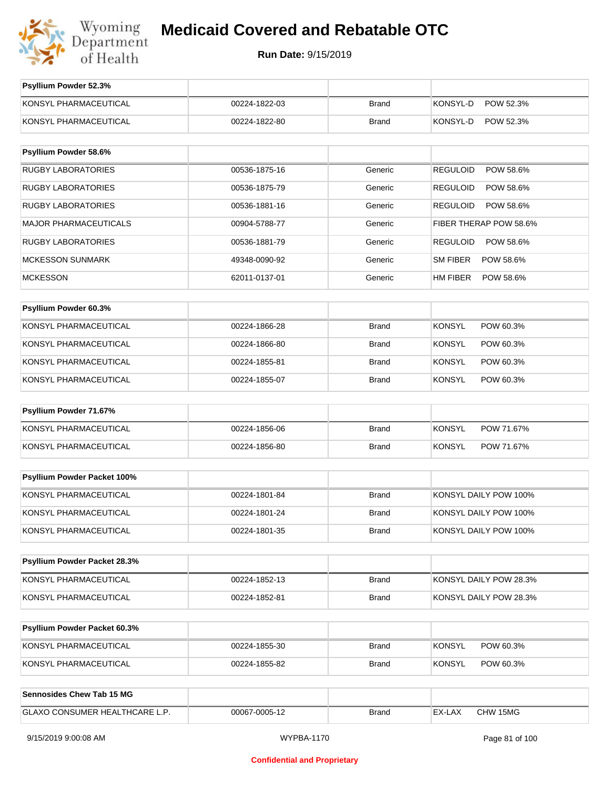

**Run Date:** 9/15/2019

| Psyllium Powder 52.3%          |               |              |                              |
|--------------------------------|---------------|--------------|------------------------------|
| KONSYL PHARMACEUTICAL          | 00224-1822-03 | <b>Brand</b> | KONSYL-D<br>POW 52.3%        |
| KONSYL PHARMACEUTICAL          | 00224-1822-80 | <b>Brand</b> | KONSYL-D<br>POW 52.3%        |
|                                |               |              |                              |
| Psyllium Powder 58.6%          |               |              |                              |
| <b>RUGBY LABORATORIES</b>      | 00536-1875-16 | Generic      | <b>REGULOID</b><br>POW 58.6% |
| <b>RUGBY LABORATORIES</b>      | 00536-1875-79 | Generic      | REGULOID<br>POW 58.6%        |
| <b>RUGBY LABORATORIES</b>      | 00536-1881-16 | Generic      | <b>REGULOID</b><br>POW 58.6% |
| <b>MAJOR PHARMACEUTICALS</b>   | 00904-5788-77 | Generic      | FIBER THERAP POW 58.6%       |
| <b>RUGBY LABORATORIES</b>      | 00536-1881-79 | Generic      | REGULOID<br>POW 58.6%        |
| <b>MCKESSON SUNMARK</b>        | 49348-0090-92 | Generic      | SM FIBER<br>POW 58.6%        |
| <b>MCKESSON</b>                | 62011-0137-01 | Generic      | HM FIBER<br>POW 58.6%        |
|                                |               |              |                              |
| Psyllium Powder 60.3%          |               |              |                              |
| KONSYL PHARMACEUTICAL          | 00224-1866-28 | <b>Brand</b> | <b>KONSYL</b><br>POW 60.3%   |
| KONSYL PHARMACEUTICAL          | 00224-1866-80 | <b>Brand</b> | KONSYL<br>POW 60.3%          |
| KONSYL PHARMACEUTICAL          | 00224-1855-81 | <b>Brand</b> | <b>KONSYL</b><br>POW 60.3%   |
| KONSYL PHARMACEUTICAL          | 00224-1855-07 | <b>Brand</b> | KONSYL<br>POW 60.3%          |
| Psyllium Powder 71.67%         |               |              |                              |
| KONSYL PHARMACEUTICAL          |               |              | <b>KONSYL</b><br>POW 71.67%  |
|                                | 00224-1856-06 | <b>Brand</b> |                              |
| KONSYL PHARMACEUTICAL          | 00224-1856-80 | <b>Brand</b> | <b>KONSYL</b><br>POW 71.67%  |
| Psyllium Powder Packet 100%    |               |              |                              |
| KONSYL PHARMACEUTICAL          | 00224-1801-84 | <b>Brand</b> | KONSYL DAILY POW 100%        |
| KONSYL PHARMACEUTICAL          | 00224-1801-24 | <b>Brand</b> | KONSYL DAILY POW 100%        |
| KONSYL PHARMACEUTICAL          | 00224-1801-35 | <b>Brand</b> | KONSYL DAILY POW 100%        |
|                                |               |              |                              |
| Psyllium Powder Packet 28.3%   |               |              |                              |
| KONSYL PHARMACEUTICAL          | 00224-1852-13 | <b>Brand</b> | KONSYL DAILY POW 28.3%       |
| KONSYL PHARMACEUTICAL          | 00224-1852-81 | <b>Brand</b> | KONSYL DAILY POW 28.3%       |
|                                |               |              |                              |
| Psyllium Powder Packet 60.3%   |               |              |                              |
| KONSYL PHARMACEUTICAL          | 00224-1855-30 | Brand        | <b>KONSYL</b><br>POW 60.3%   |
| KONSYL PHARMACEUTICAL          | 00224-1855-82 | <b>Brand</b> | <b>KONSYL</b><br>POW 60.3%   |
|                                |               |              |                              |
| Sennosides Chew Tab 15 MG      |               |              |                              |
| GLAXO CONSUMER HEALTHCARE L.P. | 00067-0005-12 | <b>Brand</b> | EX-LAX<br>CHW 15MG           |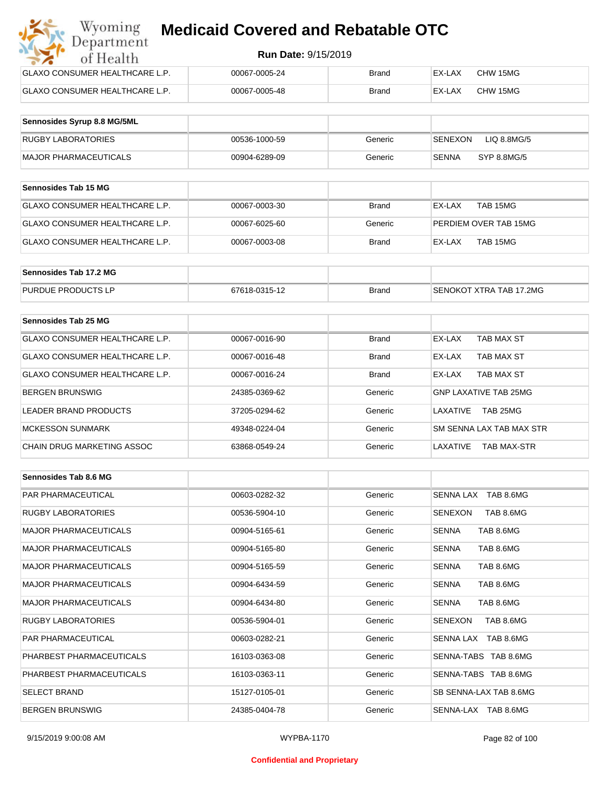#### **Run Date:** 9/15/2019

| Wyoming<br><b>Medicaid Covered and Rebatable OTC</b><br>Department |                            |       |        |          |  |
|--------------------------------------------------------------------|----------------------------|-------|--------|----------|--|
| of Health                                                          | <b>Run Date: 9/15/2019</b> |       |        |          |  |
| <b>GLAXO CONSUMER HEALTHCARE L.P.</b>                              | 00067-0005-24              | Brand | EX-LAX | CHW 15MG |  |
| <b>GLAXO CONSUMER HEALTHCARE L.P.</b>                              | 00067-0005-48              | Brand | EX-LAX | CHW 15MG |  |

| Sennosides Syrup 8.8 MG/5ML |               |         |                                |
|-----------------------------|---------------|---------|--------------------------------|
| <b>RUGBY LABORATORIES</b>   | 00536-1000-59 | Generic | LIQ 8.8MG/5<br><b>ISENEXON</b> |
| MAJOR PHARMACEUTICALS       | 00904-6289-09 | Generic | SYP 8.8MG/5<br>SENNA           |

| <b>Sennosides Tab 15 MG</b>    |               |         |                       |
|--------------------------------|---------------|---------|-----------------------|
| GLAXO CONSUMER HEALTHCARE L.P. | 00067-0003-30 | Brand   | TAB 15MG<br>EX-LAX    |
| GLAXO CONSUMER HEALTHCARE L.P. | 00067-6025-60 | Generic | PERDIEM OVER TAB 15MG |
| GLAXO CONSUMER HEALTHCARE L.P. | 00067-0003-08 | Brand   | TAB 15MG<br>EX-LAX    |

| Sennosides Tab 17.2 MG    |               |              |                         |
|---------------------------|---------------|--------------|-------------------------|
| <b>PURDUE PRODUCTS LP</b> | 67618-0315-12 | <b>Brand</b> | SENOKOT XTRA TAB 17.2MG |

| Sennosides Tab 25 MG           |               |              |                                |
|--------------------------------|---------------|--------------|--------------------------------|
| GLAXO CONSUMER HEALTHCARE L.P. | 00067-0016-90 | <b>Brand</b> | EX-LAX<br>TAB MAX ST           |
| GLAXO CONSUMER HEALTHCARE L.P. | 00067-0016-48 | <b>Brand</b> | TAB MAX ST<br>EX-LAX           |
| GLAXO CONSUMER HEALTHCARE L.P. | 00067-0016-24 | <b>Brand</b> | TAB MAX ST<br>EX-LAX           |
| <b>BERGEN BRUNSWIG</b>         | 24385-0369-62 | Generic      | <b>GNP LAXATIVE TAB 25MG</b>   |
| LEADER BRAND PRODUCTS          | 37205-0294-62 | Generic      | TAB 25MG<br>LAXATIVE           |
| <b>MCKESSON SUNMARK</b>        | 49348-0224-04 | Generic      | SM SENNA LAX TAB MAX STR       |
| CHAIN DRUG MARKETING ASSOC     | 63868-0549-24 | Generic      | LAXATIVE<br><b>TAB MAX-STR</b> |

| Sennosides Tab 8.6 MG        |               |         |                             |
|------------------------------|---------------|---------|-----------------------------|
| <b>PAR PHARMACEUTICAL</b>    | 00603-0282-32 | Generic | SENNA LAX TAB 8.6MG         |
| <b>RUGBY LABORATORIES</b>    | 00536-5904-10 | Generic | SENEXON<br>TAB 8.6MG        |
| <b>MAJOR PHARMACEUTICALS</b> | 00904-5165-61 | Generic | TAB 8.6MG<br><b>SENNA</b>   |
| <b>MAJOR PHARMACEUTICALS</b> | 00904-5165-80 | Generic | TAB 8.6MG<br><b>SENNA</b>   |
| <b>MAJOR PHARMACEUTICALS</b> | 00904-5165-59 | Generic | <b>SENNA</b><br>TAB 8.6MG   |
| <b>MAJOR PHARMACEUTICALS</b> | 00904-6434-59 | Generic | TAB 8.6MG<br><b>SENNA</b>   |
| <b>MAJOR PHARMACEUTICALS</b> | 00904-6434-80 | Generic | TAB 8.6MG<br><b>SENNA</b>   |
| <b>RUGBY LABORATORIES</b>    | 00536-5904-01 | Generic | <b>SENEXON</b><br>TAB 8.6MG |
| <b>PAR PHARMACEUTICAL</b>    | 00603-0282-21 | Generic | SENNA LAX TAB 8.6MG         |
| PHARBEST PHARMACEUTICALS     | 16103-0363-08 | Generic | SENNA-TABS TAB 8.6MG        |
| PHARBEST PHARMACEUTICALS     | 16103-0363-11 | Generic | SENNA-TABS TAB 8.6MG        |
| <b>SELECT BRAND</b>          | 15127-0105-01 | Generic | SB SENNA-LAX TAB 8.6MG      |
| <b>BERGEN BRUNSWIG</b>       | 24385-0404-78 | Generic | SENNA-LAX TAB 8.6MG         |

#### **Confidential and Proprietary**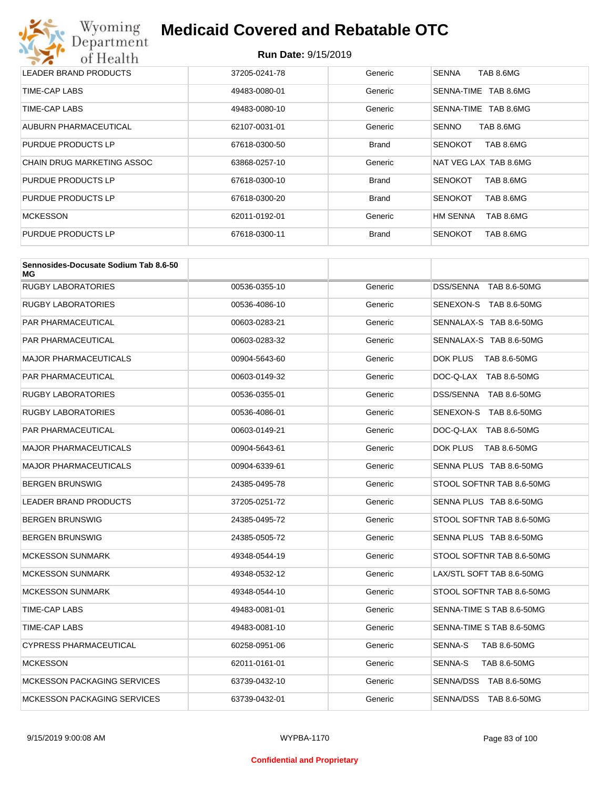

| LEADER BRAND PRODUCTS             | 37205-0241-78 | Generic      | TAB 8.6MG<br><b>SENNA</b>    |
|-----------------------------------|---------------|--------------|------------------------------|
| TIME-CAP LABS                     | 49483-0080-01 | Generic      | TAB 8.6MG<br>SENNA-TIME      |
| TIME-CAP LABS                     | 49483-0080-10 | Generic      | TAB 8.6MG<br>SENNA-TIME      |
| AUBURN PHARMACEUTICAL             | 62107-0031-01 | Generic      | TAB 8.6MG<br><b>SENNO</b>    |
| PURDUE PRODUCTS LP                | 67618-0300-50 | <b>Brand</b> | TAB 8.6MG<br><b>SENOKOT</b>  |
| <b>CHAIN DRUG MARKETING ASSOC</b> | 63868-0257-10 | Generic      | NAT VEG LAX TAB 8.6MG        |
| PURDUE PRODUCTS LP                | 67618-0300-10 | <b>Brand</b> | TAB 8.6MG<br><b>SENOKOT</b>  |
| PURDUE PRODUCTS LP                | 67618-0300-20 | <b>Brand</b> | <b>SENOKOT</b><br>TAB 8.6MG  |
| <b>MCKESSON</b>                   | 62011-0192-01 | Generic      | <b>HM SENNA</b><br>TAB 8.6MG |
| PURDUE PRODUCTS LP                | 67618-0300-11 | <b>Brand</b> | <b>SENOKOT</b><br>TAB 8.6MG  |

| Sennosides-Docusate Sodium Tab 8.6-50<br>МG |               |         |                           |
|---------------------------------------------|---------------|---------|---------------------------|
| <b>RUGBY LABORATORIES</b>                   | 00536-0355-10 | Generic | DSS/SENNA TAB 8.6-50MG    |
| RUGBY LABORATORIES                          | 00536-4086-10 | Generic | SENEXON-S TAB 8.6-50MG    |
| PAR PHARMACEUTICAL                          | 00603-0283-21 | Generic | SENNALAX-S TAB 8.6-50MG   |
| PAR PHARMACEUTICAL                          | 00603-0283-32 | Generic | SENNALAX-S TAB 8.6-50MG   |
| <b>MAJOR PHARMACEUTICALS</b>                | 00904-5643-60 | Generic | DOK PLUS<br>TAB 8.6-50MG  |
| PAR PHARMACEUTICAL                          | 00603-0149-32 | Generic | DOC-Q-LAX TAB 8.6-50MG    |
| RUGBY LABORATORIES                          | 00536-0355-01 | Generic | DSS/SENNA TAB 8.6-50MG    |
| RUGBY LABORATORIES                          | 00536-4086-01 | Generic | SENEXON-S TAB 8.6-50MG    |
| PAR PHARMACEUTICAL                          | 00603-0149-21 | Generic | DOC-Q-LAX TAB 8.6-50MG    |
| <b>MAJOR PHARMACEUTICALS</b>                | 00904-5643-61 | Generic | DOK PLUS<br>TAB 8.6-50MG  |
| MAJOR PHARMACEUTICALS                       | 00904-6339-61 | Generic | SENNA PLUS TAB 8.6-50MG   |
| BERGEN BRUNSWIG                             | 24385-0495-78 | Generic | STOOL SOFTNR TAB 8.6-50MG |
| <b>LEADER BRAND PRODUCTS</b>                | 37205-0251-72 | Generic | SENNA PLUS TAB 8.6-50MG   |
| BERGEN BRUNSWIG                             | 24385-0495-72 | Generic | STOOL SOFTNR TAB 8.6-50MG |
| BERGEN BRUNSWIG                             | 24385-0505-72 | Generic | SENNA PLUS TAB 8.6-50MG   |
| <b>MCKESSON SUNMARK</b>                     | 49348-0544-19 | Generic | STOOL SOFTNR TAB 8.6-50MG |
| <b>MCKESSON SUNMARK</b>                     | 49348-0532-12 | Generic | LAX/STL SOFT TAB 8.6-50MG |
| <b>MCKESSON SUNMARK</b>                     | 49348-0544-10 | Generic | STOOL SOFTNR TAB 8.6-50MG |
| TIME-CAP LABS                               | 49483-0081-01 | Generic | SENNA-TIME S TAB 8.6-50MG |
| TIME-CAP LABS                               | 49483-0081-10 | Generic | SENNA-TIME S TAB 8.6-50MG |
| <b>CYPRESS PHARMACEUTICAL</b>               | 60258-0951-06 | Generic | SENNA-S<br>TAB 8.6-50MG   |
| <b>MCKESSON</b>                             | 62011-0161-01 | Generic | SENNA-S<br>TAB 8.6-50MG   |
| <b>MCKESSON PACKAGING SERVICES</b>          | 63739-0432-10 | Generic | SENNA/DSS TAB 8.6-50MG    |
| <b>MCKESSON PACKAGING SERVICES</b>          | 63739-0432-01 | Generic | SENNA/DSS TAB 8.6-50MG    |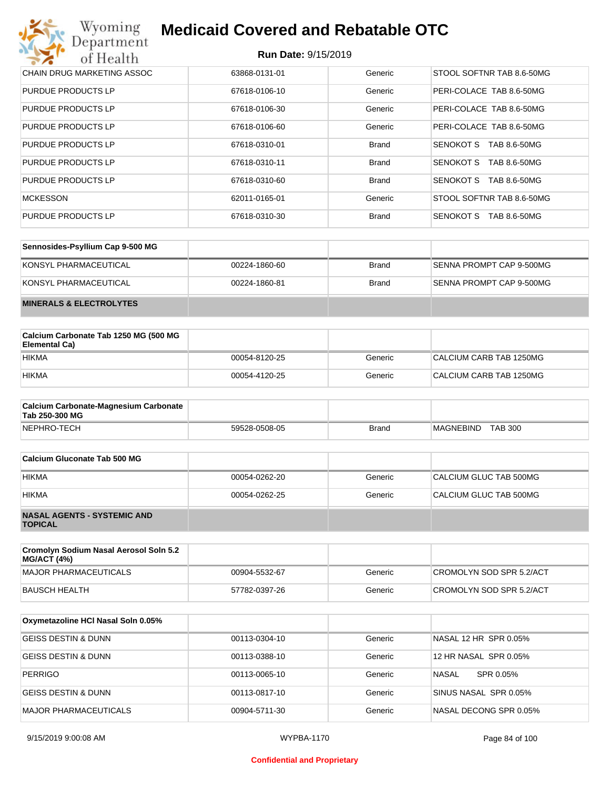#### **Run Date:** 9/15/2019

| Wyoming<br><b>Medicaid Covered and Rebatable OTC</b><br>Department |                            |              |                           |  |
|--------------------------------------------------------------------|----------------------------|--------------|---------------------------|--|
| of Health                                                          | <b>Run Date: 9/15/2019</b> |              |                           |  |
| CHAIN DRUG MARKETING ASSOC                                         | 63868-0131-01              | Generic      | STOOL SOFTNR TAB 8.6-50MG |  |
| PURDUE PRODUCTS LP                                                 | 67618-0106-10              | Generic      | PERI-COLACE TAB 8.6-50MG  |  |
| <b>PURDUE PRODUCTS LP</b>                                          | 67618-0106-30              | Generic      | PERI-COLACE TAB 8.6-50MG  |  |
| <b>PURDUE PRODUCTS LP</b>                                          | 67618-0106-60              | Generic      | PERI-COLACE TAB 8.6-50MG  |  |
| <b>PURDUE PRODUCTS LP</b>                                          | 67618-0310-01              | <b>Brand</b> | SENOKOT S<br>TAB 8.6-50MG |  |
| PURDUE PRODUCTS LP                                                 | 67618-0310-11              | <b>Brand</b> | SENOKOT S<br>TAB 8.6-50MG |  |
| PURDUE PRODUCTS LP                                                 | 67618-0310-60              | <b>Brand</b> | SENOKOT S<br>TAB 8.6-50MG |  |
| <b>MCKESSON</b>                                                    | 62011-0165-01              | Generic      | STOOL SOFTNR TAB 8.6-50MG |  |
| <b>PURDUE PRODUCTS LP</b>                                          | 67618-0310-30              | <b>Brand</b> | SENOKOT S<br>TAB 8.6-50MG |  |

| Sennosides-Psyllium Cap 9-500 MG   |               |              |                          |
|------------------------------------|---------------|--------------|--------------------------|
| KONSYL PHARMACEUTICAL              | 00224-1860-60 | <b>Brand</b> | SENNA PROMPT CAP 9-500MG |
| KONSYL PHARMACEUTICAL              | 00224-1860-81 | <b>Brand</b> | SENNA PROMPT CAP 9-500MG |
| <b>MINERALS &amp; ELECTROLYTES</b> |               |              |                          |

| Calcium Carbonate Tab 1250 MG (500 MG<br>Elemental Ca) |               |         |                         |
|--------------------------------------------------------|---------------|---------|-------------------------|
| <b>HIKMA</b>                                           | 00054-8120-25 | Generic | CALCIUM CARB TAB 1250MG |
| <b>HIKMA</b>                                           | 00054-4120-25 | Generic | CALCIUM CARB TAB 1250MG |

| <b>Calcium Carbonate-Magnesium Carbonate</b><br>Tab 250-300 MG |               |              |                                    |
|----------------------------------------------------------------|---------------|--------------|------------------------------------|
| NEPHRO-TECH                                                    | 59528-0508-05 | <b>Brand</b> | <b>TAB 300</b><br><b>MAGNEBIND</b> |

| Calcium Gluconate Tab 500 MG                         |               |         |                        |
|------------------------------------------------------|---------------|---------|------------------------|
| <b>HIKMA</b>                                         | 00054-0262-20 | Generic | CALCIUM GLUC TAB 500MG |
| <b>HIKMA</b>                                         | 00054-0262-25 | Generic | CALCIUM GLUC TAB 500MG |
| <b>NASAL AGENTS - SYSTEMIC AND</b><br><b>TOPICAL</b> |               |         |                        |

| Cromolyn Sodium Nasal Aerosol Soln 5.2<br><b>MG/ACT (4%)</b> |               |         |                          |
|--------------------------------------------------------------|---------------|---------|--------------------------|
| MAJOR PHARMACEUTICALS                                        | 00904-5532-67 | Generic | CROMOLYN SOD SPR 5.2/ACT |
| BAUSCH HEALTH                                                | 57782-0397-26 | Generic | CROMOLYN SOD SPR 5.2/ACT |

| Oxymetazoline HCI Nasal Soln 0.05% |               |         |                        |
|------------------------------------|---------------|---------|------------------------|
| <b>GEISS DESTIN &amp; DUNN</b>     | 00113-0304-10 | Generic | NASAL 12 HR SPR 0.05%  |
| <b>GEISS DESTIN &amp; DUNN</b>     | 00113-0388-10 | Generic | 12 HR NASAL SPR 0.05%  |
| <b>PERRIGO</b>                     | 00113-0065-10 | Generic | NASAL<br>SPR 0.05%     |
| GEISS DESTIN & DUNN                | 00113-0817-10 | Generic | SINUS NASAL SPR 0.05%  |
| <b>MAJOR PHARMACEUTICALS</b>       | 00904-5711-30 | Generic | NASAL DECONG SPR 0.05% |

#### **Confidential and Proprietary**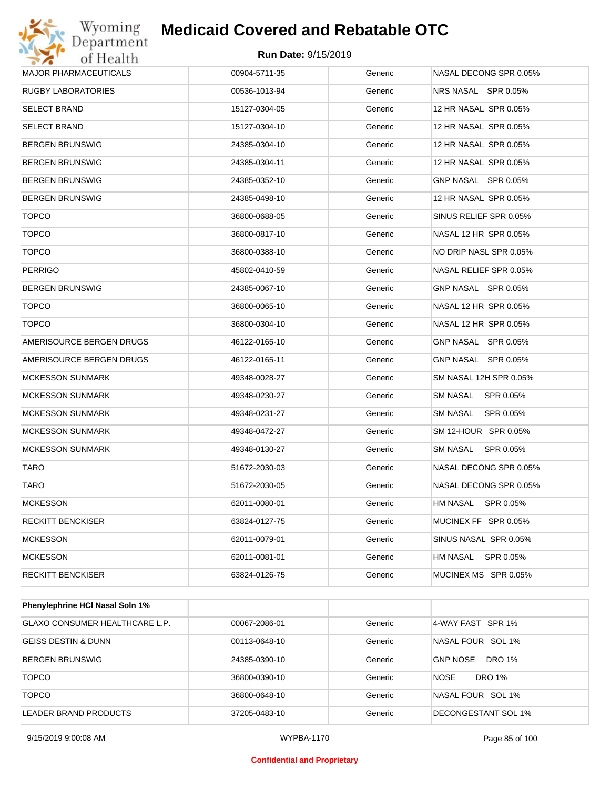#### **Run Date:** 9/15/2019

| Wyoming<br>Department        | <b>Medicaid Covered and Rebatable OTC</b> |         |                        |
|------------------------------|-------------------------------------------|---------|------------------------|
| of Health                    | Run Date: 9/15/2019                       |         |                        |
| <b>MAJOR PHARMACEUTICALS</b> | 00904-5711-35                             | Generic | NASAL DECONG SPR 0.05% |
| <b>RUGBY LABORATORIES</b>    | 00536-1013-94                             | Generic | NRS NASAL SPR 0.05%    |
| <b>SELECT BRAND</b>          | 15127-0304-05                             | Generic | 12 HR NASAL SPR 0.05%  |
| <b>SELECT BRAND</b>          | 15127-0304-10                             | Generic | 12 HR NASAL SPR 0.05%  |
| <b>BERGEN BRUNSWIG</b>       | 24385-0304-10                             | Generic | 12 HR NASAL SPR 0.05%  |
| <b>BERGEN BRUNSWIG</b>       | 24385-0304-11                             | Generic | 12 HR NASAL SPR 0.05%  |
| <b>BERGEN BRUNSWIG</b>       | 24385-0352-10                             | Generic | GNP NASAL SPR 0.05%    |
| <b>BERGEN BRUNSWIG</b>       | 24385-0498-10                             | Generic | 12 HR NASAL SPR 0.05%  |
| <b>TOPCO</b>                 | 36800-0688-05                             | Generic | SINUS RELIEF SPR 0.05% |
| <b>TOPCO</b>                 | 36800-0817-10                             | Generic | NASAL 12 HR SPR 0.05%  |
| <b>TOPCO</b>                 | 36800-0388-10                             | Generic | NO DRIP NASL SPR 0.05% |
| <b>PERRIGO</b>               | 45802-0410-59                             | Generic | NASAL RELIEF SPR 0.05% |
| <b>BERGEN BRUNSWIG</b>       | 24385-0067-10                             | Generic | GNP NASAL SPR 0.05%    |
| <b>TOPCO</b>                 | 36800-0065-10                             | Generic | NASAL 12 HR SPR 0.05%  |
| <b>TOPCO</b>                 | 36800-0304-10                             | Generic | NASAL 12 HR SPR 0.05%  |
| AMERISOURCE BERGEN DRUGS     | 46122-0165-10                             | Generic | GNP NASAL SPR 0.05%    |
| AMERISOURCE BERGEN DRUGS     | 46122-0165-11                             | Generic | GNP NASAL SPR 0.05%    |
| <b>MCKESSON SUNMARK</b>      | 49348-0028-27                             | Generic | SM NASAL 12H SPR 0.05% |
| <b>MCKESSON SUNMARK</b>      | 49348-0230-27                             | Generic | SM NASAL<br>SPR 0.05%  |
| <b>MCKESSON SUNMARK</b>      | 49348-0231-27                             | Generic | SM NASAL<br>SPR 0.05%  |
| <b>MCKESSON SUNMARK</b>      | 49348-0472-27                             | Generic | SM 12-HOUR SPR 0.05%   |
| <b>MCKESSON SUNMARK</b>      | 49348-0130-27                             | Generic | SM NASAL<br>SPR 0.05%  |
| TARO                         | 51672-2030-03                             | Generic | NASAL DECONG SPR 0.05% |
| TARO                         | 51672-2030-05                             | Generic | NASAL DECONG SPR 0.05% |
| <b>MCKESSON</b>              | 62011-0080-01                             | Generic | HM NASAL<br>SPR 0.05%  |
| <b>RECKITT BENCKISER</b>     | 63824-0127-75                             | Generic | MUCINEX FF SPR 0.05%   |
| <b>MCKESSON</b>              | 62011-0079-01                             | Generic | SINUS NASAL SPR 0.05%  |
| <b>MCKESSON</b>              | 62011-0081-01                             | Generic | SPR 0.05%<br>HM NASAL  |
| RECKITT BENCKISER            | 63824-0126-75                             | Generic | MUCINEX MS SPR 0.05%   |

| <b>Phenylephrine HCI Nasal Soln 1%</b> |               |         |                                  |
|----------------------------------------|---------------|---------|----------------------------------|
| GLAXO CONSUMER HEALTHCARE L.P.         | 00067-2086-01 | Generic | 4-WAY FAST SPR 1%                |
| <b>GEISS DESTIN &amp; DUNN</b>         | 00113-0648-10 | Generic | NASAL FOUR SOL 1%                |
| <b>BERGEN BRUNSWIG</b>                 | 24385-0390-10 | Generic | <b>GNP NOSE</b><br><b>DRO 1%</b> |
| <b>TOPCO</b>                           | 36800-0390-10 | Generic | DRO 1%<br><b>NOSE</b>            |
| <b>TOPCO</b>                           | 36800-0648-10 | Generic | NASAL FOUR SOL 1%                |
| LEADER BRAND PRODUCTS                  | 37205-0483-10 | Generic | DECONGESTANT SOL 1%              |

9/15/2019 9:00:08 AM WYPBA-1170 Page 85 of 100

#### **Confidential and Proprietary**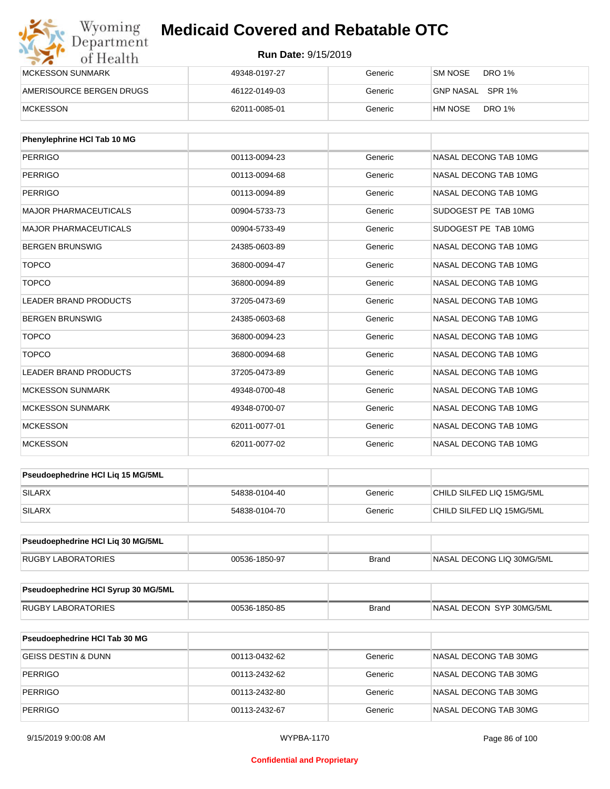| Wyoming<br>Department    | <b>Medicaid Covered and Rebatable OTC</b> |         |                          |
|--------------------------|-------------------------------------------|---------|--------------------------|
| of Health                | <b>Run Date: 9/15/2019</b>                |         |                          |
| <b>MCKESSON SUNMARK</b>  | 49348-0197-27                             | Generic | SM NOSE<br>DRO 1%        |
| AMERISOURCE BERGEN DRUGS | 46122-0149-03                             | Generic | GNP NASAL SPR 1%         |
| <b>MCKESSON</b>          | 62011-0085-01                             | Generic | <b>DRO 1%</b><br>HM NOSE |

| Phenylephrine HCI Tab 10 MG  |               |         |                       |
|------------------------------|---------------|---------|-----------------------|
| <b>PERRIGO</b>               | 00113-0094-23 | Generic | NASAL DECONG TAB 10MG |
| PERRIGO                      | 00113-0094-68 | Generic | NASAL DECONG TAB 10MG |
| <b>PERRIGO</b>               | 00113-0094-89 | Generic | NASAL DECONG TAB 10MG |
| <b>MAJOR PHARMACEUTICALS</b> | 00904-5733-73 | Generic | SUDOGEST PE TAB 10MG  |
| <b>MAJOR PHARMACEUTICALS</b> | 00904-5733-49 | Generic | SUDOGEST PE TAB 10MG  |
| <b>BERGEN BRUNSWIG</b>       | 24385-0603-89 | Generic | NASAL DECONG TAB 10MG |
| <b>TOPCO</b>                 | 36800-0094-47 | Generic | NASAL DECONG TAB 10MG |
| <b>TOPCO</b>                 | 36800-0094-89 | Generic | NASAL DECONG TAB 10MG |
| <b>LEADER BRAND PRODUCTS</b> | 37205-0473-69 | Generic | NASAL DECONG TAB 10MG |
| <b>BERGEN BRUNSWIG</b>       | 24385-0603-68 | Generic | NASAL DECONG TAB 10MG |
| <b>TOPCO</b>                 | 36800-0094-23 | Generic | NASAL DECONG TAB 10MG |
| <b>TOPCO</b>                 | 36800-0094-68 | Generic | NASAL DECONG TAB 10MG |
| <b>LEADER BRAND PRODUCTS</b> | 37205-0473-89 | Generic | NASAL DECONG TAB 10MG |
| <b>MCKESSON SUNMARK</b>      | 49348-0700-48 | Generic | NASAL DECONG TAB 10MG |
| <b>MCKESSON SUNMARK</b>      | 49348-0700-07 | Generic | NASAL DECONG TAB 10MG |
| <b>MCKESSON</b>              | 62011-0077-01 | Generic | NASAL DECONG TAB 10MG |
| <b>MCKESSON</b>              | 62011-0077-02 | Generic | NASAL DECONG TAB 10MG |

| <b>Pseudoephedrine HCI Lig 15 MG/5ML</b> |               |         |                           |
|------------------------------------------|---------------|---------|---------------------------|
| SILARX                                   | 54838-0104-40 | Generic | CHILD SILFED LIQ 15MG/5ML |
| SILARX                                   | 54838-0104-70 | Generic | CHILD SILFED LIQ 15MG/5ML |

| Pseudoephedrine HCI Lig 30 MG/5ML |               |       |                           |
|-----------------------------------|---------------|-------|---------------------------|
| <b>RUGBY LABORATORIES</b>         | 00536-1850-97 | Brand | NASAL DECONG LIQ 30MG/5ML |

| <b>Pseudoephedrine HCI Syrup 30 MG/5ML</b> |               |       |                           |
|--------------------------------------------|---------------|-------|---------------------------|
| RUGBY LABORATORIES                         | 00536-1850-85 | Brand | INASAL DECON SYP 30MG/5ML |

| <b>Pseudoephedrine HCI Tab 30 MG</b> |               |         |                       |
|--------------------------------------|---------------|---------|-----------------------|
| <b>GEISS DESTIN &amp; DUNN</b>       | 00113-0432-62 | Generic | NASAL DECONG TAB 30MG |
| <b>PERRIGO</b>                       | 00113-2432-62 | Generic | NASAL DECONG TAB 30MG |
| PERRIGO                              | 00113-2432-80 | Generic | NASAL DECONG TAB 30MG |
| <b>PERRIGO</b>                       | 00113-2432-67 | Generic | NASAL DECONG TAB 30MG |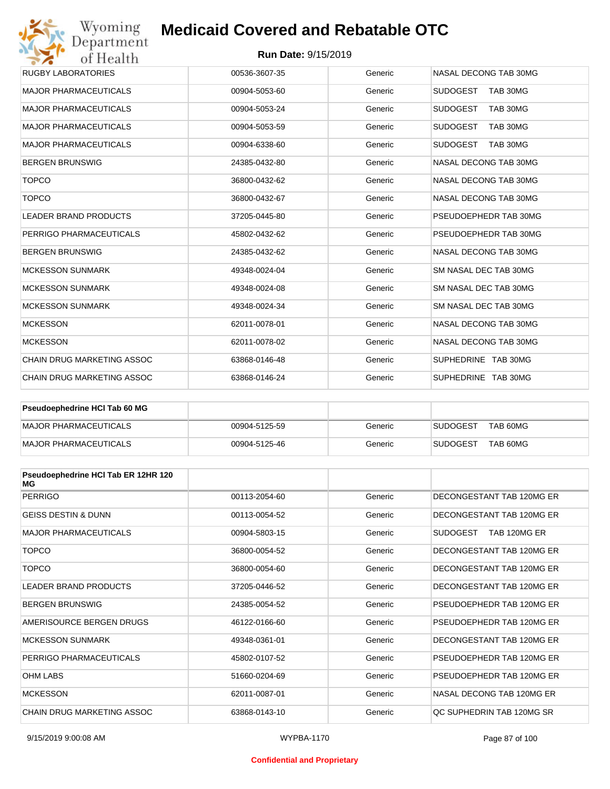#### **Run Date:** 9/15/2019

| Wyoming                           | <b>Medicaid Covered and Rebatable OTC</b> |         |                             |
|-----------------------------------|-------------------------------------------|---------|-----------------------------|
| Department<br>of Health           | <b>Run Date: 9/15/2019</b>                |         |                             |
| <b>RUGBY LABORATORIES</b>         | 00536-3607-35                             | Generic | NASAL DECONG TAB 30MG       |
| <b>MAJOR PHARMACEUTICALS</b>      | 00904-5053-60                             | Generic | <b>SUDOGEST</b><br>TAB 30MG |
| <b>MAJOR PHARMACEUTICALS</b>      | 00904-5053-24                             | Generic | <b>SUDOGEST</b><br>TAB 30MG |
| <b>MAJOR PHARMACEUTICALS</b>      | 00904-5053-59                             | Generic | <b>SUDOGEST</b><br>TAB 30MG |
| <b>MAJOR PHARMACEUTICALS</b>      | 00904-6338-60                             | Generic | <b>SUDOGEST</b><br>TAB 30MG |
| <b>BERGEN BRUNSWIG</b>            | 24385-0432-80                             | Generic | NASAL DECONG TAB 30MG       |
| <b>TOPCO</b>                      | 36800-0432-62                             | Generic | NASAL DECONG TAB 30MG       |
| <b>TOPCO</b>                      | 36800-0432-67                             | Generic | NASAL DECONG TAB 30MG       |
| <b>LEADER BRAND PRODUCTS</b>      | 37205-0445-80                             | Generic | PSEUDOEPHEDR TAB 30MG       |
| PERRIGO PHARMACEUTICALS           | 45802-0432-62                             | Generic | PSEUDOEPHEDR TAB 30MG       |
| <b>BERGEN BRUNSWIG</b>            | 24385-0432-62                             | Generic | NASAL DECONG TAB 30MG       |
| <b>MCKESSON SUNMARK</b>           | 49348-0024-04                             | Generic | SM NASAL DEC TAB 30MG       |
| <b>MCKESSON SUNMARK</b>           | 49348-0024-08                             | Generic | SM NASAL DEC TAB 30MG       |
| <b>MCKESSON SUNMARK</b>           | 49348-0024-34                             | Generic | SM NASAL DEC TAB 30MG       |
| <b>MCKESSON</b>                   | 62011-0078-01                             | Generic | NASAL DECONG TAB 30MG       |
| <b>MCKESSON</b>                   | 62011-0078-02                             | Generic | NASAL DECONG TAB 30MG       |
| <b>CHAIN DRUG MARKETING ASSOC</b> | 63868-0146-48                             | Generic | SUPHEDRINE TAB 30MG         |
| <b>CHAIN DRUG MARKETING ASSOC</b> | 63868-0146-24                             | Generic | SUPHEDRINE TAB 30MG         |

| <b>Pseudoephedrine HCI Tab 60 MG</b> |               |         |                             |
|--------------------------------------|---------------|---------|-----------------------------|
| MAJOR PHARMACEUTICALS                | 00904-5125-59 | Generic | TAB 60MG<br><b>SUDOGEST</b> |
| MAJOR PHARMACEUTICALS                | 00904-5125-46 | Generic | TAB 60MG<br><b>SUDOGEST</b> |

| Pseudoephedrine HCI Tab ER 12HR 120<br>МG |               |         |                                 |
|-------------------------------------------|---------------|---------|---------------------------------|
| <b>PERRIGO</b>                            | 00113-2054-60 | Generic | DECONGESTANT TAB 120MG ER       |
| <b>GEISS DESTIN &amp; DUNN</b>            | 00113-0054-52 | Generic | DECONGESTANT TAB 120MG ER       |
| <b>MAJOR PHARMACEUTICALS</b>              | 00904-5803-15 | Generic | <b>SUDOGEST</b><br>TAB 120MG ER |
| <b>TOPCO</b>                              | 36800-0054-52 | Generic | DECONGESTANT TAB 120MG ER       |
| <b>TOPCO</b>                              | 36800-0054-60 | Generic | DECONGESTANT TAB 120MG ER       |
| <b>LEADER BRAND PRODUCTS</b>              | 37205-0446-52 | Generic | DECONGESTANT TAB 120MG ER       |
| <b>BERGEN BRUNSWIG</b>                    | 24385-0054-52 | Generic | PSEUDOEPHEDR TAB 120MG ER       |
| AMERISOURCE BERGEN DRUGS                  | 46122-0166-60 | Generic | PSEUDOEPHEDR TAB 120MG ER       |
| <b>MCKESSON SUNMARK</b>                   | 49348-0361-01 | Generic | DECONGESTANT TAB 120MG ER       |
| PERRIGO PHARMACEUTICALS                   | 45802-0107-52 | Generic | PSEUDOEPHEDR TAB 120MG ER       |
| <b>OHM LABS</b>                           | 51660-0204-69 | Generic | PSEUDOEPHEDR TAB 120MG ER       |
| <b>MCKESSON</b>                           | 62011-0087-01 | Generic | NASAL DECONG TAB 120MG ER       |
| <b>CHAIN DRUG MARKETING ASSOC</b>         | 63868-0143-10 | Generic | OC SUPHEDRIN TAB 120MG SR       |

#### **Confidential and Proprietary**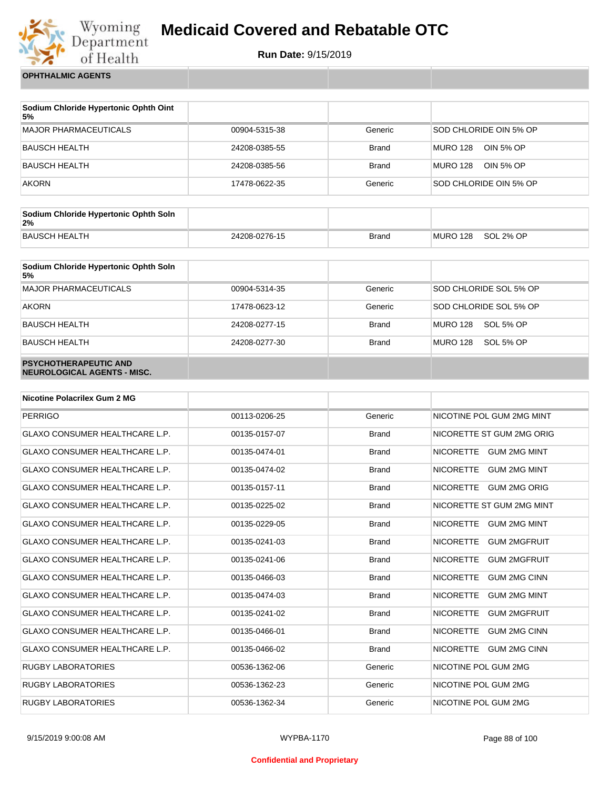

**Run Date:** 9/15/2019

**OPHTHALMIC AGENTS**

| Sodium Chloride Hypertonic Ophth Oint<br>5% |               |              |                              |
|---------------------------------------------|---------------|--------------|------------------------------|
| <b>MAJOR PHARMACEUTICALS</b>                | 00904-5315-38 | Generic      | SOD CHLORIDE OIN 5% OP       |
| <b>BAUSCH HEALTH</b>                        | 24208-0385-55 | <b>Brand</b> | <b>MURO 128</b><br>OIN 5% OP |
| <b>BAUSCH HEALTH</b>                        | 24208-0385-56 | <b>Brand</b> | <b>MURO 128</b><br>OIN 5% OP |
| <b>AKORN</b>                                | 17478-0622-35 | Generic      | SOD CHLORIDE OIN 5% OP       |

| Sodium Chloride Hypertonic Ophth Soln<br>2% |               |              |          |           |
|---------------------------------------------|---------------|--------------|----------|-----------|
| <b>BAUSCH HEALTH</b>                        | 24208-0276-15 | <b>Brand</b> | MURO 128 | SOL 2% OP |

| Sodium Chloride Hypertonic Ophth Soln<br>5%                 |               |              |                              |
|-------------------------------------------------------------|---------------|--------------|------------------------------|
| <b>MAJOR PHARMACEUTICALS</b>                                | 00904-5314-35 | Generic      | SOD CHLORIDE SOL 5% OP       |
| <b>AKORN</b>                                                | 17478-0623-12 | Generic      | SOD CHLORIDE SOL 5% OP       |
| <b>BAUSCH HEALTH</b>                                        | 24208-0277-15 | <b>Brand</b> | <b>MURO 128</b><br>SOL 5% OP |
| <b>BAUSCH HEALTH</b>                                        | 24208-0277-30 | <b>Brand</b> | <b>MURO 128</b><br>SOL 5% OP |
| <b>PSYCHOTHERAPEUTIC AND</b><br>NEUROLOGICAL AGENTS - MISC. |               |              |                              |

| <b>Nicotine Polacrilex Gum 2 MG</b>   |               |              |                                         |
|---------------------------------------|---------------|--------------|-----------------------------------------|
| <b>PERRIGO</b>                        | 00113-0206-25 | Generic      | NICOTINE POL GUM 2MG MINT               |
| <b>GLAXO CONSUMER HEALTHCARE L.P.</b> | 00135-0157-07 | <b>Brand</b> | NICORETTE ST GUM 2MG ORIG               |
| <b>GLAXO CONSUMER HEALTHCARE L.P.</b> | 00135-0474-01 | <b>Brand</b> | NICORETTE GUM 2MG MINT                  |
| <b>GLAXO CONSUMER HEALTHCARE L.P.</b> | 00135-0474-02 | <b>Brand</b> | NICORETTE GUM 2MG MINT                  |
| <b>GLAXO CONSUMER HEALTHCARE L.P.</b> | 00135-0157-11 | <b>Brand</b> | NICORETTE GUM 2MG ORIG                  |
| <b>GLAXO CONSUMER HEALTHCARE L.P.</b> | 00135-0225-02 | <b>Brand</b> | NICORETTE ST GUM 2MG MINT               |
| <b>GLAXO CONSUMER HEALTHCARE L.P.</b> | 00135-0229-05 | <b>Brand</b> | <b>NICORETTE</b><br><b>GUM 2MG MINT</b> |
| <b>GLAXO CONSUMER HEALTHCARE L.P.</b> | 00135-0241-03 | <b>Brand</b> | <b>NICORETTE</b><br><b>GUM 2MGFRUIT</b> |
| <b>GLAXO CONSUMER HEALTHCARE L.P.</b> | 00135-0241-06 | <b>Brand</b> | <b>NICORETTE</b><br><b>GUM 2MGFRUIT</b> |
| <b>GLAXO CONSUMER HEALTHCARE L.P.</b> | 00135-0466-03 | <b>Brand</b> | <b>NICORETTE</b><br><b>GUM 2MG CINN</b> |
| <b>GLAXO CONSUMER HEALTHCARE L.P.</b> | 00135-0474-03 | <b>Brand</b> | <b>NICORETTE</b><br><b>GUM 2MG MINT</b> |
| <b>GLAXO CONSUMER HEALTHCARE L.P.</b> | 00135-0241-02 | <b>Brand</b> | <b>NICORETTE</b><br><b>GUM 2MGFRUIT</b> |
| <b>GLAXO CONSUMER HEALTHCARE L.P.</b> | 00135-0466-01 | <b>Brand</b> | <b>NICORETTE</b><br><b>GUM 2MG CINN</b> |
| <b>GLAXO CONSUMER HEALTHCARE L.P.</b> | 00135-0466-02 | <b>Brand</b> | <b>NICORETTE</b><br><b>GUM 2MG CINN</b> |
| <b>RUGBY LABORATORIES</b>             | 00536-1362-06 | Generic      | NICOTINE POL GUM 2MG                    |
| <b>RUGBY LABORATORIES</b>             | 00536-1362-23 | Generic      | NICOTINE POL GUM 2MG                    |
| <b>RUGBY LABORATORIES</b>             | 00536-1362-34 | Generic      | NICOTINE POL GUM 2MG                    |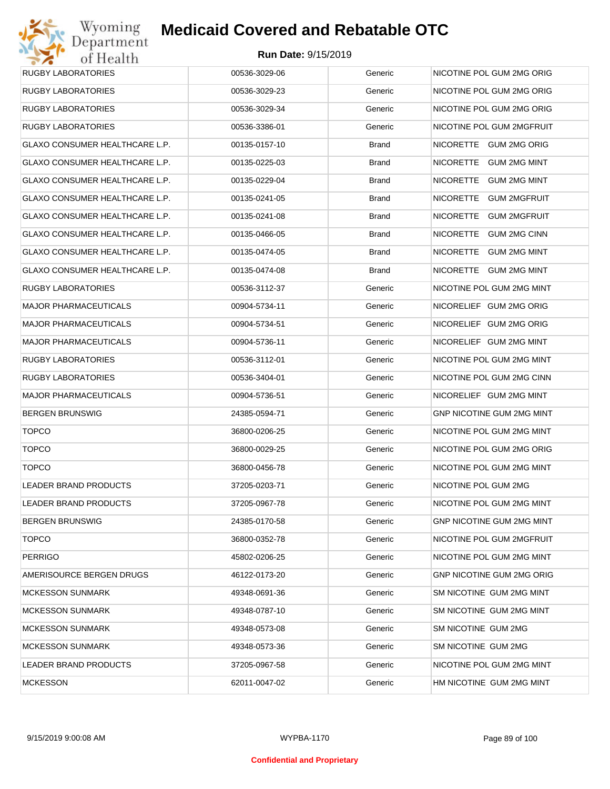| RUGBY LABORATORIES             | 00536-3029-06 | Generic      | NICOTINE POL GUM 2MG ORIG        |
|--------------------------------|---------------|--------------|----------------------------------|
| RUGBY LABORATORIES             | 00536-3029-23 | Generic      | NICOTINE POL GUM 2MG ORIG        |
| RUGBY LABORATORIES             | 00536-3029-34 | Generic      | NICOTINE POL GUM 2MG ORIG        |
| <b>RUGBY LABORATORIES</b>      | 00536-3386-01 | Generic      | NICOTINE POL GUM 2MGFRUIT        |
| GLAXO CONSUMER HEALTHCARE L.P. | 00135-0157-10 | <b>Brand</b> | NICORETTE GUM 2MG ORIG           |
| GLAXO CONSUMER HEALTHCARE L.P. | 00135-0225-03 | <b>Brand</b> | NICORETTE GUM 2MG MINT           |
| GLAXO CONSUMER HEALTHCARE L.P. | 00135-0229-04 | <b>Brand</b> | NICORETTE GUM 2MG MINT           |
| GLAXO CONSUMER HEALTHCARE L.P. | 00135-0241-05 | <b>Brand</b> | NICORETTE<br><b>GUM 2MGFRUIT</b> |
| GLAXO CONSUMER HEALTHCARE L.P. | 00135-0241-08 | <b>Brand</b> | NICORETTE<br><b>GUM 2MGFRUIT</b> |
| GLAXO CONSUMER HEALTHCARE L.P. | 00135-0466-05 | <b>Brand</b> | NICORETTE<br><b>GUM 2MG CINN</b> |
| GLAXO CONSUMER HEALTHCARE L.P. | 00135-0474-05 | Brand        | NICORETTE GUM 2MG MINT           |
| GLAXO CONSUMER HEALTHCARE L.P. | 00135-0474-08 | Brand        | NICORETTE GUM 2MG MINT           |
| RUGBY LABORATORIES             | 00536-3112-37 | Generic      | NICOTINE POL GUM 2MG MINT        |
| <b>MAJOR PHARMACEUTICALS</b>   | 00904-5734-11 | Generic      | NICORELIEF GUM 2MG ORIG          |
| <b>MAJOR PHARMACEUTICALS</b>   | 00904-5734-51 | Generic      | NICORELIEF GUM 2MG ORIG          |
| <b>MAJOR PHARMACEUTICALS</b>   | 00904-5736-11 | Generic      | NICORELIEF GUM 2MG MINT          |
| RUGBY LABORATORIES             | 00536-3112-01 | Generic      | NICOTINE POL GUM 2MG MINT        |
| RUGBY LABORATORIES             | 00536-3404-01 | Generic      | NICOTINE POL GUM 2MG CINN        |
| <b>MAJOR PHARMACEUTICALS</b>   | 00904-5736-51 | Generic      | NICORELIEF GUM 2MG MINT          |
| <b>BERGEN BRUNSWIG</b>         | 24385-0594-71 | Generic      | GNP NICOTINE GUM 2MG MINT        |
| <b>TOPCO</b>                   | 36800-0206-25 | Generic      | NICOTINE POL GUM 2MG MINT        |
| <b>TOPCO</b>                   | 36800-0029-25 | Generic      | NICOTINE POL GUM 2MG ORIG        |
| <b>TOPCO</b>                   | 36800-0456-78 | Generic      | NICOTINE POL GUM 2MG MINT        |
| LEADER BRAND PRODUCTS          | 37205-0203-71 | Generic      | NICOTINE POL GUM 2MG             |
| LEADER BRAND PRODUCTS          | 37205-0967-78 | Generic      | NICOTINE POL GUM 2MG MINT        |
| <b>BERGEN BRUNSWIG</b>         | 24385-0170-58 | Generic      | <b>GNP NICOTINE GUM 2MG MINT</b> |
| <b>TOPCO</b>                   | 36800-0352-78 | Generic      | NICOTINE POL GUM 2MGFRUIT        |
| <b>PERRIGO</b>                 | 45802-0206-25 | Generic      | NICOTINE POL GUM 2MG MINT        |
| AMERISOURCE BERGEN DRUGS       | 46122-0173-20 | Generic      | <b>GNP NICOTINE GUM 2MG ORIG</b> |
| <b>MCKESSON SUNMARK</b>        | 49348-0691-36 | Generic      | SM NICOTINE GUM 2MG MINT         |
| <b>MCKESSON SUNMARK</b>        | 49348-0787-10 | Generic      | SM NICOTINE GUM 2MG MINT         |
| <b>MCKESSON SUNMARK</b>        | 49348-0573-08 | Generic      | SM NICOTINE GUM 2MG              |
| <b>MCKESSON SUNMARK</b>        | 49348-0573-36 | Generic      | SM NICOTINE GUM 2MG              |
| LEADER BRAND PRODUCTS          | 37205-0967-58 | Generic      | NICOTINE POL GUM 2MG MINT        |
| MCKESSON                       | 62011-0047-02 | Generic      | HM NICOTINE GUM 2MG MINT         |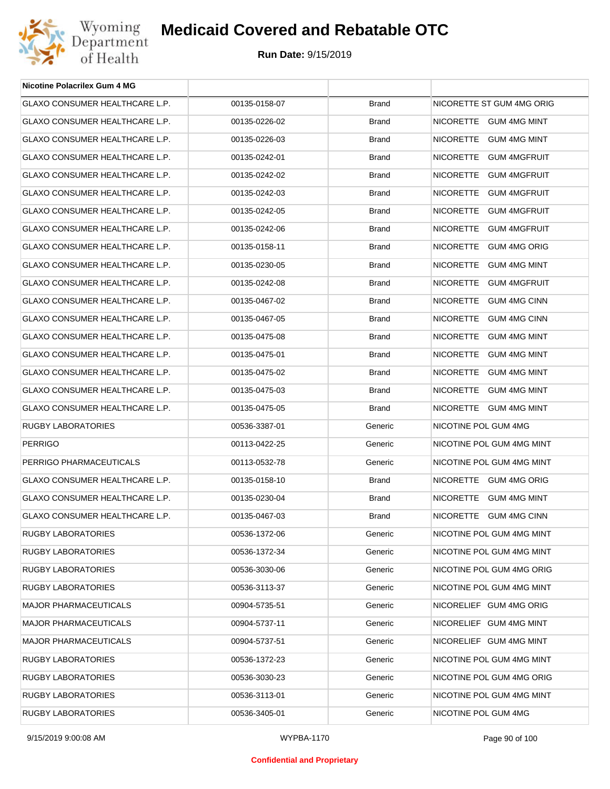

| <b>Nicotine Polacrilex Gum 4 MG</b>   |               |              |                           |
|---------------------------------------|---------------|--------------|---------------------------|
| GLAXO CONSUMER HEALTHCARE L.P.        | 00135-0158-07 | <b>Brand</b> | NICORETTE ST GUM 4MG ORIG |
| GLAXO CONSUMER HEALTHCARE L.P.        | 00135-0226-02 | <b>Brand</b> | NICORETTE GUM 4MG MINT    |
| GLAXO CONSUMER HEALTHCARE L.P.        | 00135-0226-03 | <b>Brand</b> | NICORETTE GUM 4MG MINT    |
| GLAXO CONSUMER HEALTHCARE L.P.        | 00135-0242-01 | <b>Brand</b> | NICORETTE GUM 4MGFRUIT    |
| GLAXO CONSUMER HEALTHCARE L.P.        | 00135-0242-02 | <b>Brand</b> | NICORETTE GUM 4MGFRUIT    |
| GLAXO CONSUMER HEALTHCARE L.P.        | 00135-0242-03 | <b>Brand</b> | NICORETTE GUM 4MGFRUIT    |
| <b>GLAXO CONSUMER HEALTHCARE L.P.</b> | 00135-0242-05 | <b>Brand</b> | NICORETTE GUM 4MGFRUIT    |
| GLAXO CONSUMER HEALTHCARE L.P.        | 00135-0242-06 | <b>Brand</b> | NICORETTE GUM 4MGFRUIT    |
| GLAXO CONSUMER HEALTHCARE L.P.        | 00135-0158-11 | <b>Brand</b> | NICORETTE GUM 4MG ORIG    |
| GLAXO CONSUMER HEALTHCARE L.P.        | 00135-0230-05 | <b>Brand</b> | NICORETTE GUM 4MG MINT    |
| <b>GLAXO CONSUMER HEALTHCARE L.P.</b> | 00135-0242-08 | <b>Brand</b> | NICORETTE GUM 4MGFRUIT    |
| GLAXO CONSUMER HEALTHCARE L.P.        | 00135-0467-02 | <b>Brand</b> | NICORETTE GUM 4MG CINN    |
| <b>GLAXO CONSUMER HEALTHCARE L.P.</b> | 00135-0467-05 | <b>Brand</b> | NICORETTE GUM 4MG CINN    |
| GLAXO CONSUMER HEALTHCARE L.P.        | 00135-0475-08 | <b>Brand</b> | NICORETTE GUM 4MG MINT    |
| <b>GLAXO CONSUMER HEALTHCARE L.P.</b> | 00135-0475-01 | <b>Brand</b> | NICORETTE GUM 4MG MINT    |
| GLAXO CONSUMER HEALTHCARE L.P.        | 00135-0475-02 | <b>Brand</b> | NICORETTE GUM 4MG MINT    |
| GLAXO CONSUMER HEALTHCARE L.P.        | 00135-0475-03 | <b>Brand</b> | NICORETTE GUM 4MG MINT    |
| GLAXO CONSUMER HEALTHCARE L.P.        | 00135-0475-05 | <b>Brand</b> | NICORETTE GUM 4MG MINT    |
| RUGBY LABORATORIES                    | 00536-3387-01 | Generic      | NICOTINE POL GUM 4MG      |
| <b>PERRIGO</b>                        | 00113-0422-25 | Generic      | NICOTINE POL GUM 4MG MINT |
| PERRIGO PHARMACEUTICALS               | 00113-0532-78 | Generic      | NICOTINE POL GUM 4MG MINT |
| GLAXO CONSUMER HEALTHCARE L.P.        | 00135-0158-10 | <b>Brand</b> | NICORETTE GUM 4MG ORIG    |
| GLAXO CONSUMER HEALTHCARE L.P.        | 00135-0230-04 | <b>Brand</b> | NICORETTE GUM 4MG MINT    |
| GLAXO CONSUMER HEALTHCARE L.P.        | 00135-0467-03 | <b>Brand</b> | NICORETTE GUM 4MG CINN    |
| RUGBY LABORATORIES                    | 00536-1372-06 | Generic      | NICOTINE POL GUM 4MG MINT |
| <b>RUGBY LABORATORIES</b>             | 00536-1372-34 | Generic      | NICOTINE POL GUM 4MG MINT |
| <b>RUGBY LABORATORIES</b>             | 00536-3030-06 | Generic      | NICOTINE POL GUM 4MG ORIG |
| <b>RUGBY LABORATORIES</b>             | 00536-3113-37 | Generic      | NICOTINE POL GUM 4MG MINT |
| <b>MAJOR PHARMACEUTICALS</b>          | 00904-5735-51 | Generic      | NICORELIEF GUM 4MG ORIG   |
| <b>MAJOR PHARMACEUTICALS</b>          | 00904-5737-11 | Generic      | NICORELIEF GUM 4MG MINT   |
| <b>MAJOR PHARMACEUTICALS</b>          | 00904-5737-51 | Generic      | NICORELIEF GUM 4MG MINT   |
| <b>RUGBY LABORATORIES</b>             | 00536-1372-23 | Generic      | NICOTINE POL GUM 4MG MINT |
| <b>RUGBY LABORATORIES</b>             | 00536-3030-23 | Generic      | NICOTINE POL GUM 4MG ORIG |
| <b>RUGBY LABORATORIES</b>             | 00536-3113-01 | Generic      | NICOTINE POL GUM 4MG MINT |
| RUGBY LABORATORIES                    | 00536-3405-01 | Generic      | NICOTINE POL GUM 4MG      |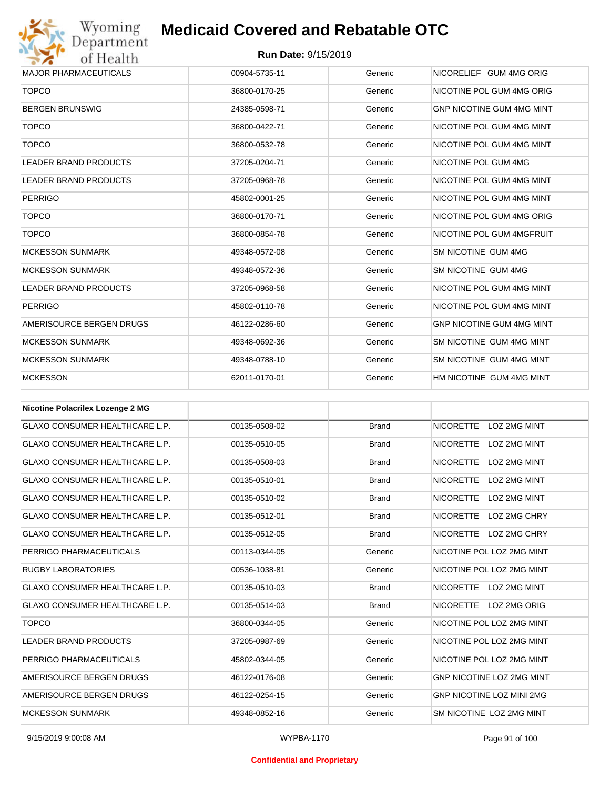

| <b>MAJOR PHARMACEUTICALS</b>     | 00904-5735-11 | Generic | NICORELIEF GUM 4MG ORIG          |
|----------------------------------|---------------|---------|----------------------------------|
| <b>TOPCO</b>                     | 36800-0170-25 | Generic | NICOTINE POL GUM 4MG ORIG        |
| <b>BERGEN BRUNSWIG</b>           | 24385-0598-71 | Generic | <b>GNP NICOTINE GUM 4MG MINT</b> |
| <b>TOPCO</b>                     | 36800-0422-71 | Generic | NICOTINE POL GUM 4MG MINT        |
| <b>TOPCO</b>                     | 36800-0532-78 | Generic | NICOTINE POL GUM 4MG MINT        |
| <b>LEADER BRAND PRODUCTS</b>     | 37205-0204-71 | Generic | NICOTINE POL GUM 4MG             |
| <b>LEADER BRAND PRODUCTS</b>     | 37205-0968-78 | Generic | NICOTINE POL GUM 4MG MINT        |
| <b>PERRIGO</b>                   | 45802-0001-25 | Generic | NICOTINE POL GUM 4MG MINT        |
| <b>TOPCO</b>                     | 36800-0170-71 | Generic | NICOTINE POL GUM 4MG ORIG        |
| <b>TOPCO</b>                     | 36800-0854-78 | Generic | NICOTINE POL GUM 4MGFRUIT        |
| <b>MCKESSON SUNMARK</b>          | 49348-0572-08 | Generic | SM NICOTINE GUM 4MG              |
| <b>MCKESSON SUNMARK</b>          | 49348-0572-36 | Generic | SM NICOTINE GUM 4MG              |
| LEADER BRAND PRODUCTS            | 37205-0968-58 | Generic | NICOTINE POL GUM 4MG MINT        |
| <b>PERRIGO</b>                   | 45802-0110-78 | Generic | NICOTINE POL GUM 4MG MINT        |
| AMERISOURCE BERGEN DRUGS         | 46122-0286-60 | Generic | <b>GNP NICOTINE GUM 4MG MINT</b> |
| <b>MCKESSON SUNMARK</b>          | 49348-0692-36 | Generic | SM NICOTINE GUM 4MG MINT         |
| <b>MCKESSON SUNMARK</b>          | 49348-0788-10 | Generic | SM NICOTINE GUM 4MG MINT         |
| <b>MCKESSON</b>                  | 62011-0170-01 | Generic | HM NICOTINE GUM 4MG MINT         |
|                                  |               |         |                                  |
| Nicotine Polacrilex Lozenge 2 MG |               |         |                                  |

| <b>NICOUTIG LORGITIEY FOREITY E MIG</b> |               |              |                                         |
|-----------------------------------------|---------------|--------------|-----------------------------------------|
| <b>GLAXO CONSUMER HEALTHCARE L.P.</b>   | 00135-0508-02 | <b>Brand</b> | NICORETTE LOZ 2MG MINT                  |
| <b>GLAXO CONSUMER HEALTHCARE L.P.</b>   | 00135-0510-05 | <b>Brand</b> | <b>NICORETTE</b><br><b>LOZ 2MG MINT</b> |
| <b>GLAXO CONSUMER HEALTHCARE L.P.</b>   | 00135-0508-03 | <b>Brand</b> | <b>NICORETTE</b><br><b>LOZ 2MG MINT</b> |
| <b>GLAXO CONSUMER HEALTHCARE L.P.</b>   | 00135-0510-01 | <b>Brand</b> | <b>NICORETTE</b><br><b>LOZ 2MG MINT</b> |
| <b>GLAXO CONSUMER HEALTHCARE L.P.</b>   | 00135-0510-02 | <b>Brand</b> | <b>NICORETTE</b><br><b>LOZ 2MG MINT</b> |
| <b>GLAXO CONSUMER HEALTHCARE L.P.</b>   | 00135-0512-01 | <b>Brand</b> | <b>NICORETTE</b><br>LOZ 2MG CHRY        |
| <b>GLAXO CONSUMER HEALTHCARE L.P.</b>   | 00135-0512-05 | <b>Brand</b> | NICORETTE LOZ 2MG CHRY                  |
| PERRIGO PHARMACEUTICALS                 | 00113-0344-05 | Generic      | NICOTINE POL LOZ 2MG MINT               |
| <b>RUGBY LABORATORIES</b>               | 00536-1038-81 | Generic      | NICOTINE POL LOZ 2MG MINT               |
| <b>GLAXO CONSUMER HEALTHCARE L.P.</b>   | 00135-0510-03 | <b>Brand</b> | <b>NICORETTE</b><br><b>LOZ 2MG MINT</b> |
| <b>GLAXO CONSUMER HEALTHCARE L.P.</b>   | 00135-0514-03 | <b>Brand</b> | <b>NICORETTE</b><br>LOZ 2MG ORIG        |
| <b>TOPCO</b>                            | 36800-0344-05 | Generic      | NICOTINE POL LOZ 2MG MINT               |
| <b>LEADER BRAND PRODUCTS</b>            | 37205-0987-69 | Generic      | NICOTINE POL LOZ 2MG MINT               |
| PERRIGO PHARMACEUTICALS                 | 45802-0344-05 | Generic      | NICOTINE POL LOZ 2MG MINT               |
| AMERISOURCE BERGEN DRUGS                | 46122-0176-08 | Generic      | <b>GNP NICOTINE LOZ 2MG MINT</b>        |
| AMERISOURCE BERGEN DRUGS                | 46122-0254-15 | Generic      | <b>GNP NICOTINE LOZ MINI 2MG</b>        |
| <b>MCKESSON SUNMARK</b>                 | 49348-0852-16 | Generic      | SM NICOTINE LOZ 2MG MINT                |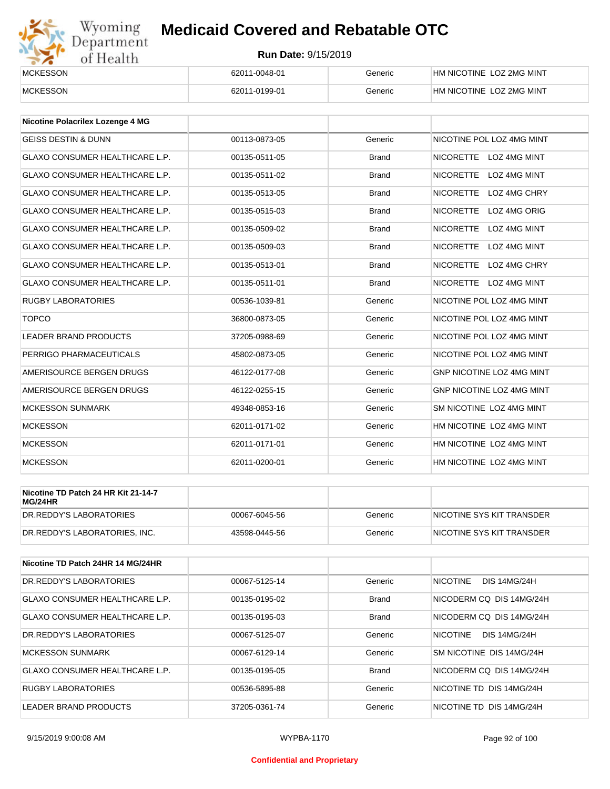# Wyoming<br>Department<br>of Health

## **Medicaid Covered and Rebatable OTC**

| <b>MCKESSON</b> | 62011-0048-01 | Generic | HM NICOTINE LOZ 2MG MINT |
|-----------------|---------------|---------|--------------------------|
| <b>MCKESSON</b> | 62011-0199-01 | Generic | HM NICOTINE LOZ 2MG MINT |

| <b>Nicotine Polacrilex Lozenge 4 MG</b> |               |              |                                         |
|-----------------------------------------|---------------|--------------|-----------------------------------------|
| <b>GEISS DESTIN &amp; DUNN</b>          | 00113-0873-05 | Generic      | NICOTINE POL LOZ 4MG MINT               |
| <b>GLAXO CONSUMER HEALTHCARE L.P.</b>   | 00135-0511-05 | <b>Brand</b> | NICORETTE LOZ 4MG MINT                  |
| <b>GLAXO CONSUMER HEALTHCARE L.P.</b>   | 00135-0511-02 | <b>Brand</b> | <b>NICORETTE</b><br><b>LOZ 4MG MINT</b> |
| <b>GLAXO CONSUMER HEALTHCARE L.P.</b>   | 00135-0513-05 | <b>Brand</b> | <b>NICORETTE</b><br>LOZ 4MG CHRY        |
| <b>GLAXO CONSUMER HEALTHCARE L.P.</b>   | 00135-0515-03 | <b>Brand</b> | <b>NICORETTE</b><br>LOZ 4MG ORIG        |
| <b>GLAXO CONSUMER HEALTHCARE L.P.</b>   | 00135-0509-02 | <b>Brand</b> | <b>NICORETTE</b><br><b>LOZ 4MG MINT</b> |
| <b>GLAXO CONSUMER HEALTHCARE L.P.</b>   | 00135-0509-03 | <b>Brand</b> | <b>NICORETTE</b><br>LOZ 4MG MINT        |
| <b>GLAXO CONSUMER HEALTHCARE L.P.</b>   | 00135-0513-01 | <b>Brand</b> | <b>NICORETTE</b><br>LOZ 4MG CHRY        |
| <b>GLAXO CONSUMER HEALTHCARE L.P.</b>   | 00135-0511-01 | <b>Brand</b> | NICORETTE LOZ 4MG MINT                  |
| <b>RUGBY LABORATORIES</b>               | 00536-1039-81 | Generic      | NICOTINE POL LOZ 4MG MINT               |
| <b>TOPCO</b>                            | 36800-0873-05 | Generic      | NICOTINE POL LOZ 4MG MINT               |
| <b>LEADER BRAND PRODUCTS</b>            | 37205-0988-69 | Generic      | NICOTINE POL LOZ 4MG MINT               |
| PERRIGO PHARMACEUTICALS                 | 45802-0873-05 | Generic      | NICOTINE POL LOZ 4MG MINT               |
| AMERISOURCE BERGEN DRUGS                | 46122-0177-08 | Generic      | <b>GNP NICOTINE LOZ 4MG MINT</b>        |
| AMERISOURCE BERGEN DRUGS                | 46122-0255-15 | Generic      | GNP NICOTINE LOZ 4MG MINT               |
| <b>MCKESSON SUNMARK</b>                 | 49348-0853-16 | Generic      | SM NICOTINE LOZ 4MG MINT                |
| <b>MCKESSON</b>                         | 62011-0171-02 | Generic      | HM NICOTINE LOZ 4MG MINT                |
| <b>MCKESSON</b>                         | 62011-0171-01 | Generic      | HM NICOTINE LOZ 4MG MINT                |
| <b>MCKESSON</b>                         | 62011-0200-01 | Generic      | HM NICOTINE LOZ 4MG MINT                |

| Nicotine TD Patch 24 HR Kit 21-14-7<br>MG/24HR |               |         |                           |
|------------------------------------------------|---------------|---------|---------------------------|
| IDR.REDDY'S LABORATORIES                       | 00067-6045-56 | Generic | NICOTINE SYS KIT TRANSDER |
| DR.REDDY'S LABORATORIES. INC.                  | 43598-0445-56 | Generic | NICOTINE SYS KIT TRANSDER |

| Nicotine TD Patch 24HR 14 MG/24HR |               |              |                                        |
|-----------------------------------|---------------|--------------|----------------------------------------|
| DR.REDDY'S LABORATORIES           | 00067-5125-14 | Generic      | <b>NICOTINE</b><br><b>DIS 14MG/24H</b> |
| GLAXO CONSUMER HEALTHCARE L.P.    | 00135-0195-02 | <b>Brand</b> | NICODERM CO DIS 14MG/24H               |
| GLAXO CONSUMER HEALTHCARE L.P.    | 00135-0195-03 | <b>Brand</b> | NICODERM CO DIS 14MG/24H               |
| DR.REDDY'S LABORATORIES           | 00067-5125-07 | Generic      | <b>NICOTINE</b><br><b>DIS 14MG/24H</b> |
| <b>MCKESSON SUNMARK</b>           | 00067-6129-14 | Generic      | SM NICOTINE DIS 14MG/24H               |
| GLAXO CONSUMER HEALTHCARE L.P.    | 00135-0195-05 | <b>Brand</b> | NICODERM CO DIS 14MG/24H               |
| <b>RUGBY LABORATORIES</b>         | 00536-5895-88 | Generic      | NICOTINE TD DIS 14MG/24H               |
| LEADER BRAND PRODUCTS             | 37205-0361-74 | Generic      | NICOTINE TD DIS 14MG/24H               |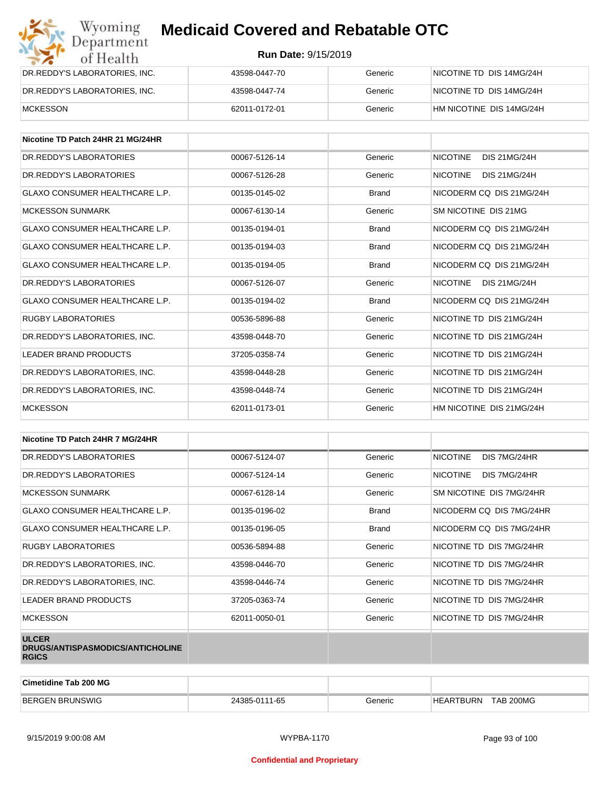| Wyoming<br>Department         | <b>Medicaid Covered and Rebatable OTC</b> |         |                          |  |  |
|-------------------------------|-------------------------------------------|---------|--------------------------|--|--|
| of Health                     | <b>Run Date: 9/15/2019</b>                |         |                          |  |  |
| DR.REDDY'S LABORATORIES, INC. | 43598-0447-70                             | Generic | NICOTINE TD DIS 14MG/24H |  |  |
| DR.REDDY'S LABORATORIES, INC. | 43598-0447-74                             | Generic | NICOTINE TD DIS 14MG/24H |  |  |
| <b>MCKESSON</b>               | 62011-0172-01                             | Generic | HM NICOTINE DIS 14MG/24H |  |  |

| Nicotine TD Patch 24HR 21 MG/24HR     |               |              |                                        |
|---------------------------------------|---------------|--------------|----------------------------------------|
| DR. REDDY'S LABORATORIES              | 00067-5126-14 | Generic      | <b>NICOTINE</b><br><b>DIS 21MG/24H</b> |
| DR. REDDY'S LABORATORIES              | 00067-5126-28 | Generic      | <b>NICOTINE</b><br><b>DIS 21MG/24H</b> |
| <b>GLAXO CONSUMER HEALTHCARE L.P.</b> | 00135-0145-02 | <b>Brand</b> | NICODERM CO DIS 21MG/24H               |
| <b>MCKESSON SUNMARK</b>               | 00067-6130-14 | Generic      | SM NICOTINE DIS 21MG                   |
| <b>GLAXO CONSUMER HEALTHCARE L.P.</b> | 00135-0194-01 | <b>Brand</b> | NICODERM CQ DIS 21MG/24H               |
| GLAXO CONSUMER HEALTHCARE L.P.        | 00135-0194-03 | <b>Brand</b> | NICODERM CO DIS 21MG/24H               |
| <b>GLAXO CONSUMER HEALTHCARE L.P.</b> | 00135-0194-05 | <b>Brand</b> | NICODERM CO DIS 21MG/24H               |
| DR.REDDY'S LABORATORIES               | 00067-5126-07 | Generic      | <b>NICOTINE</b><br><b>DIS 21MG/24H</b> |
| <b>GLAXO CONSUMER HEALTHCARE L.P.</b> | 00135-0194-02 | <b>Brand</b> | NICODERM CO DIS 21MG/24H               |
| <b>RUGBY LABORATORIES</b>             | 00536-5896-88 | Generic      | NICOTINE TD DIS 21MG/24H               |
| DR.REDDY'S LABORATORIES, INC.         | 43598-0448-70 | Generic      | NICOTINE TD DIS 21MG/24H               |
| <b>LEADER BRAND PRODUCTS</b>          | 37205-0358-74 | Generic      | NICOTINE TD DIS 21MG/24H               |
| DR.REDDY'S LABORATORIES, INC.         | 43598-0448-28 | Generic      | NICOTINE TD DIS 21MG/24H               |
| DR.REDDY'S LABORATORIES, INC.         | 43598-0448-74 | Generic      | NICOTINE TD DIS 21MG/24H               |
| <b>MCKESSON</b>                       | 62011-0173-01 | Generic      | HM NICOTINE DIS 21MG/24H               |

| Nicotine TD Patch 24HR 7 MG/24HR                                 |               |              |                                 |
|------------------------------------------------------------------|---------------|--------------|---------------------------------|
| DR. REDDY'S LABORATORIES                                         | 00067-5124-07 | Generic      | <b>NICOTINE</b><br>DIS 7MG/24HR |
| DR. REDDY'S LABORATORIES                                         | 00067-5124-14 | Generic      | <b>NICOTINE</b><br>DIS 7MG/24HR |
| <b>MCKESSON SUNMARK</b>                                          | 00067-6128-14 | Generic      | SM NICOTINE DIS 7MG/24HR        |
| <b>GLAXO CONSUMER HEALTHCARE L.P.</b>                            | 00135-0196-02 | <b>Brand</b> | NICODERM CQ DIS 7MG/24HR        |
| GLAXO CONSUMER HEALTHCARE L.P.                                   | 00135-0196-05 | <b>Brand</b> | NICODERM CO DIS 7MG/24HR        |
| <b>RUGBY LABORATORIES</b>                                        | 00536-5894-88 | Generic      | NICOTINE TD DIS 7MG/24HR        |
| DR.REDDY'S LABORATORIES, INC.                                    | 43598-0446-70 | Generic      | NICOTINE TD DIS 7MG/24HR        |
| DR.REDDY'S LABORATORIES, INC.                                    | 43598-0446-74 | Generic      | NICOTINE TD DIS 7MG/24HR        |
| LEADER BRAND PRODUCTS                                            | 37205-0363-74 | Generic      | NICOTINE TD DIS 7MG/24HR        |
| <b>MCKESSON</b>                                                  | 62011-0050-01 | Generic      | NICOTINE TD DIS 7MG/24HR        |
| <b>ULCER</b><br>DRUGS/ANTISPASMODICS/ANTICHOLINE<br><b>RGICS</b> |               |              |                                 |

| Cimetidine Tab 200 MG  |               |         |                               |  |
|------------------------|---------------|---------|-------------------------------|--|
| <b>BERGEN BRUNSWIG</b> | 24385-0111-65 | Generic | TAB 200MG<br><b>HEARTBURN</b> |  |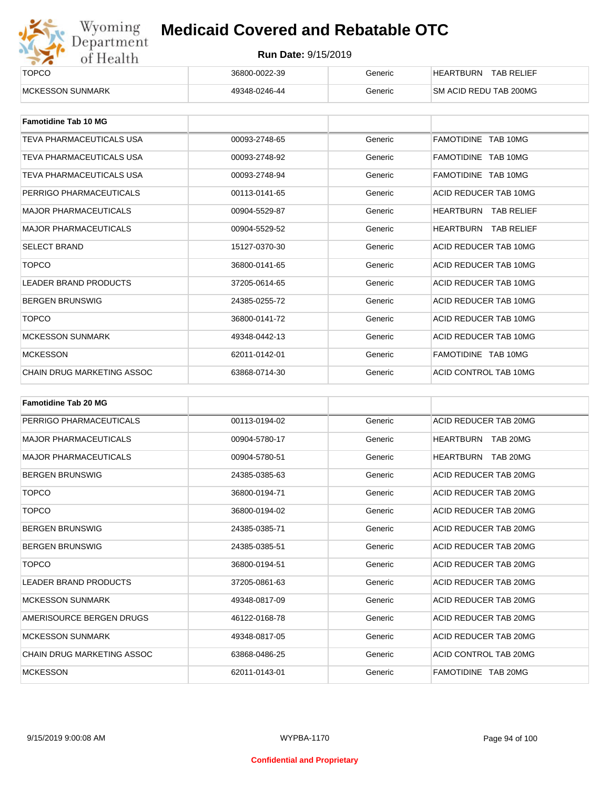

| <b>TOPCO</b>             | 36800-0022-39 | Generic | <b>TAB RELIEF</b><br>HEARTBURN |  |
|--------------------------|---------------|---------|--------------------------------|--|
| <b>IMCKESSON SUNMARK</b> | 49348-0246-44 | Generic | SM ACID REDU TAB 200MG         |  |

| <b>Famotidine Tab 10 MG</b>     |               |         |                             |
|---------------------------------|---------------|---------|-----------------------------|
| <b>TEVA PHARMACEUTICALS USA</b> | 00093-2748-65 | Generic | FAMOTIDINE TAB 10MG         |
| <b>TEVA PHARMACEUTICALS USA</b> | 00093-2748-92 | Generic | FAMOTIDINE TAB 10MG         |
| <b>TEVA PHARMACEUTICALS USA</b> | 00093-2748-94 | Generic | FAMOTIDINE TAB 10MG         |
| PERRIGO PHARMACEUTICALS         | 00113-0141-65 | Generic | ACID REDUCER TAB 10MG       |
| <b>MAJOR PHARMACEUTICALS</b>    | 00904-5529-87 | Generic | <b>HEARTBURN TAB RELIEF</b> |
| <b>MAJOR PHARMACEUTICALS</b>    | 00904-5529-52 | Generic | <b>HEARTBURN TAB RELIEF</b> |
| <b>SELECT BRAND</b>             | 15127-0370-30 | Generic | ACID REDUCER TAB 10MG       |
| <b>TOPCO</b>                    | 36800-0141-65 | Generic | ACID REDUCER TAB 10MG       |
| <b>LEADER BRAND PRODUCTS</b>    | 37205-0614-65 | Generic | ACID REDUCER TAB 10MG       |
| <b>BERGEN BRUNSWIG</b>          | 24385-0255-72 | Generic | ACID REDUCER TAB 10MG       |
| <b>TOPCO</b>                    | 36800-0141-72 | Generic | ACID REDUCER TAB 10MG       |
| <b>MCKESSON SUNMARK</b>         | 49348-0442-13 | Generic | ACID REDUCER TAB 10MG       |
| <b>MCKESSON</b>                 | 62011-0142-01 | Generic | FAMOTIDINE TAB 10MG         |
| CHAIN DRUG MARKETING ASSOC      | 63868-0714-30 | Generic | ACID CONTROL TAB 10MG       |

| <b>Famotidine Tab 20 MG</b>  |               |         |                              |
|------------------------------|---------------|---------|------------------------------|
| PERRIGO PHARMACEUTICALS      | 00113-0194-02 | Generic | ACID REDUCER TAB 20MG        |
| <b>MAJOR PHARMACEUTICALS</b> | 00904-5780-17 | Generic | HEARTBURN TAB 20MG           |
| <b>MAJOR PHARMACEUTICALS</b> | 00904-5780-51 | Generic | <b>HEARTBURN</b><br>TAB 20MG |
| <b>BERGEN BRUNSWIG</b>       | 24385-0385-63 | Generic | ACID REDUCER TAB 20MG        |
| <b>TOPCO</b>                 | 36800-0194-71 | Generic | ACID REDUCER TAB 20MG        |
| <b>TOPCO</b>                 | 36800-0194-02 | Generic | ACID REDUCER TAB 20MG        |
| <b>BERGEN BRUNSWIG</b>       | 24385-0385-71 | Generic | ACID REDUCER TAB 20MG        |
| <b>BERGEN BRUNSWIG</b>       | 24385-0385-51 | Generic | ACID REDUCER TAB 20MG        |
| <b>TOPCO</b>                 | 36800-0194-51 | Generic | ACID REDUCER TAB 20MG        |
| <b>LEADER BRAND PRODUCTS</b> | 37205-0861-63 | Generic | ACID REDUCER TAB 20MG        |
| <b>MCKESSON SUNMARK</b>      | 49348-0817-09 | Generic | ACID REDUCER TAB 20MG        |
| AMERISOURCE BERGEN DRUGS     | 46122-0168-78 | Generic | ACID REDUCER TAB 20MG        |
| <b>MCKESSON SUNMARK</b>      | 49348-0817-05 | Generic | ACID REDUCER TAB 20MG        |
| CHAIN DRUG MARKETING ASSOC   | 63868-0486-25 | Generic | ACID CONTROL TAB 20MG        |
| <b>MCKESSON</b>              | 62011-0143-01 | Generic | FAMOTIDINE TAB 20MG          |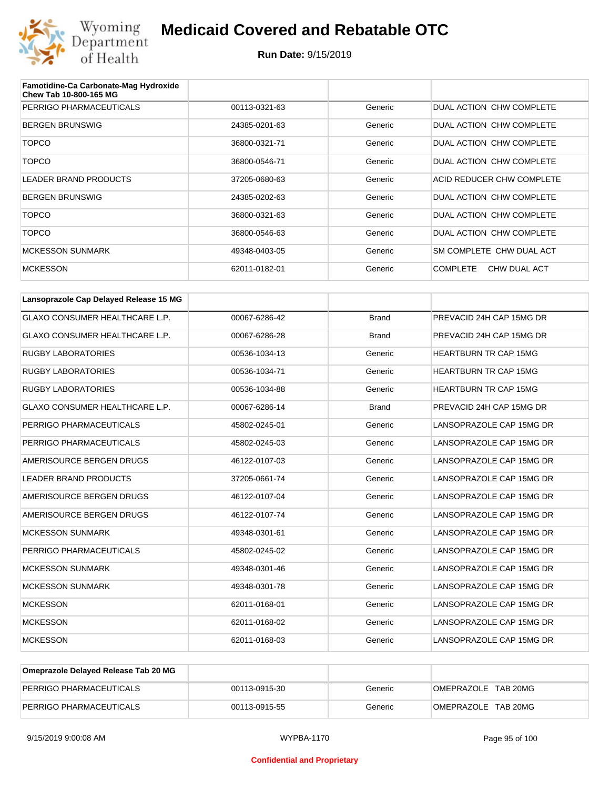

| Famotidine-Ca Carbonate-Mag Hydroxide<br>Chew Tab 10-800-165 MG |               |         |                                 |
|-----------------------------------------------------------------|---------------|---------|---------------------------------|
| PERRIGO PHARMACEUTICALS                                         | 00113-0321-63 | Generic | DUAL ACTION CHW COMPLETE        |
| <b>BERGEN BRUNSWIG</b>                                          | 24385-0201-63 | Generic | DUAL ACTION CHW COMPLETE        |
| <b>TOPCO</b>                                                    | 36800-0321-71 | Generic | DUAL ACTION CHW COMPLETE        |
| <b>TOPCO</b>                                                    | 36800-0546-71 | Generic | DUAL ACTION CHW COMPLETE        |
| LEADER BRAND PRODUCTS                                           | 37205-0680-63 | Generic | ACID REDUCER CHW COMPLETE       |
| <b>BERGEN BRUNSWIG</b>                                          | 24385-0202-63 | Generic | DUAL ACTION CHW COMPLETE        |
| <b>TOPCO</b>                                                    | 36800-0321-63 | Generic | DUAL ACTION CHW COMPLETE        |
| <b>TOPCO</b>                                                    | 36800-0546-63 | Generic | DUAL ACTION CHW COMPLETE        |
| <b>MCKESSON SUNMARK</b>                                         | 49348-0403-05 | Generic | SM COMPLETE CHW DUAL ACT        |
| <b>MCKESSON</b>                                                 | 62011-0182-01 | Generic | <b>COMPLETE</b><br>CHW DUAL ACT |

| Lansoprazole Cap Delayed Release 15 MG |               |              |                              |
|----------------------------------------|---------------|--------------|------------------------------|
| <b>GLAXO CONSUMER HEALTHCARE L.P.</b>  | 00067-6286-42 | <b>Brand</b> | PREVACID 24H CAP 15MG DR     |
| <b>GLAXO CONSUMER HEALTHCARE L.P.</b>  | 00067-6286-28 | <b>Brand</b> | PREVACID 24H CAP 15MG DR     |
| <b>RUGBY LABORATORIES</b>              | 00536-1034-13 | Generic      | <b>HEARTBURN TR CAP 15MG</b> |
| <b>RUGBY LABORATORIES</b>              | 00536-1034-71 | Generic      | <b>HEARTBURN TR CAP 15MG</b> |
| <b>RUGBY LABORATORIES</b>              | 00536-1034-88 | Generic      | <b>HEARTBURN TR CAP 15MG</b> |
| <b>GLAXO CONSUMER HEALTHCARE L.P.</b>  | 00067-6286-14 | <b>Brand</b> | PREVACID 24H CAP 15MG DR     |
| PERRIGO PHARMACEUTICALS                | 45802-0245-01 | Generic      | LANSOPRAZOLE CAP 15MG DR     |
| PERRIGO PHARMACEUTICALS                | 45802-0245-03 | Generic      | LANSOPRAZOLE CAP 15MG DR     |
| AMERISOURCE BERGEN DRUGS               | 46122-0107-03 | Generic      | LANSOPRAZOLE CAP 15MG DR     |
| <b>LEADER BRAND PRODUCTS</b>           | 37205-0661-74 | Generic      | LANSOPRAZOLE CAP 15MG DR     |
| AMERISOURCE BERGEN DRUGS               | 46122-0107-04 | Generic      | LANSOPRAZOLE CAP 15MG DR     |
| AMERISOURCE BERGEN DRUGS               | 46122-0107-74 | Generic      | LANSOPRAZOLE CAP 15MG DR     |
| <b>MCKESSON SUNMARK</b>                | 49348-0301-61 | Generic      | LANSOPRAZOLE CAP 15MG DR     |
| PERRIGO PHARMACEUTICALS                | 45802-0245-02 | Generic      | LANSOPRAZOLE CAP 15MG DR     |
| <b>MCKESSON SUNMARK</b>                | 49348-0301-46 | Generic      | LANSOPRAZOLE CAP 15MG DR     |
| <b>MCKESSON SUNMARK</b>                | 49348-0301-78 | Generic      | LANSOPRAZOLE CAP 15MG DR     |
| <b>MCKESSON</b>                        | 62011-0168-01 | Generic      | LANSOPRAZOLE CAP 15MG DR     |
| <b>MCKESSON</b>                        | 62011-0168-02 | Generic      | LANSOPRAZOLE CAP 15MG DR     |
| <b>MCKESSON</b>                        | 62011-0168-03 | Generic      | LANSOPRAZOLE CAP 15MG DR     |

| Omeprazole Delayed Release Tab 20 MG |               |         |                     |
|--------------------------------------|---------------|---------|---------------------|
| PERRIGO PHARMACEUTICALS              | 00113-0915-30 | Generic | OMEPRAZOLE TAB 20MG |
| PERRIGO PHARMACEUTICALS              | 00113-0915-55 | Generic | OMEPRAZOLE TAB 20MG |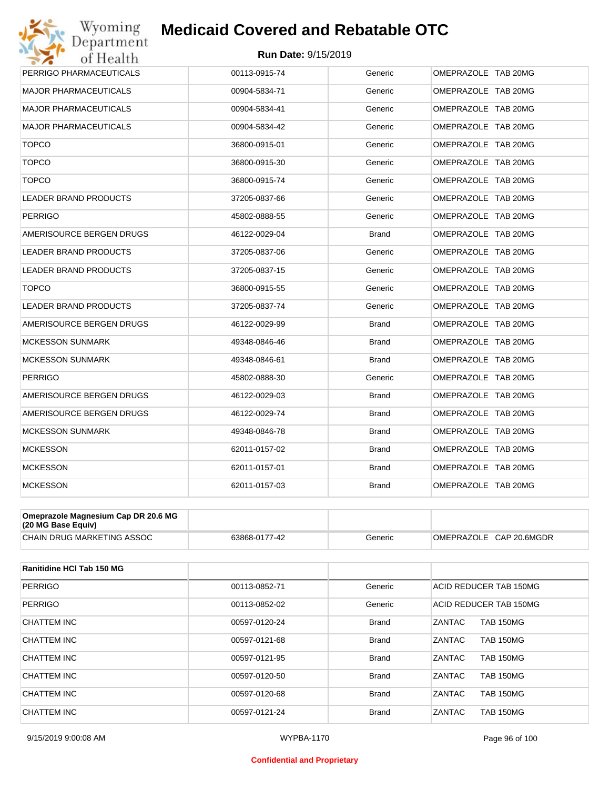#### **Run Date:** 9/15/2019

| Wyoming<br>Department                                     | <b>Medicaid Covered and Rebatable OTC</b> |              |                         |
|-----------------------------------------------------------|-------------------------------------------|--------------|-------------------------|
| of Health                                                 | Run Date: 9/15/2019                       |              |                         |
| PERRIGO PHARMACEUTICALS                                   | 00113-0915-74                             | Generic      | OMEPRAZOLE TAB 20MG     |
| MAJOR PHARMACEUTICALS                                     | 00904-5834-71                             | Generic      | OMEPRAZOLE TAB 20MG     |
| <b>MAJOR PHARMACEUTICALS</b>                              | 00904-5834-41                             | Generic      | OMEPRAZOLE TAB 20MG     |
| MAJOR PHARMACEUTICALS                                     | 00904-5834-42                             | Generic      | OMEPRAZOLE TAB 20MG     |
| <b>TOPCO</b>                                              | 36800-0915-01                             | Generic      | OMEPRAZOLE TAB 20MG     |
| <b>TOPCO</b>                                              | 36800-0915-30                             | Generic      | OMEPRAZOLE TAB 20MG     |
| <b>TOPCO</b>                                              | 36800-0915-74                             | Generic      | OMEPRAZOLE TAB 20MG     |
| LEADER BRAND PRODUCTS                                     | 37205-0837-66                             | Generic      | OMEPRAZOLE TAB 20MG     |
| <b>PERRIGO</b>                                            | 45802-0888-55                             | Generic      | OMEPRAZOLE TAB 20MG     |
| AMERISOURCE BERGEN DRUGS                                  | 46122-0029-04                             | <b>Brand</b> | OMEPRAZOLE TAB 20MG     |
| LEADER BRAND PRODUCTS                                     | 37205-0837-06                             | Generic      | OMEPRAZOLE TAB 20MG     |
| LEADER BRAND PRODUCTS                                     | 37205-0837-15                             | Generic      | OMEPRAZOLE TAB 20MG     |
| <b>TOPCO</b>                                              | 36800-0915-55                             | Generic      | OMEPRAZOLE TAB 20MG     |
| <b>LEADER BRAND PRODUCTS</b>                              | 37205-0837-74                             | Generic      | OMEPRAZOLE TAB 20MG     |
| AMERISOURCE BERGEN DRUGS                                  | 46122-0029-99                             | <b>Brand</b> | OMEPRAZOLE TAB 20MG     |
| <b>MCKESSON SUNMARK</b>                                   | 49348-0846-46                             | <b>Brand</b> | OMEPRAZOLE TAB 20MG     |
| <b>MCKESSON SUNMARK</b>                                   | 49348-0846-61                             | <b>Brand</b> | OMEPRAZOLE TAB 20MG     |
| <b>PERRIGO</b>                                            | 45802-0888-30                             | Generic      | OMEPRAZOLE TAB 20MG     |
| AMERISOURCE BERGEN DRUGS                                  | 46122-0029-03                             | <b>Brand</b> | OMEPRAZOLE TAB 20MG     |
| AMERISOURCE BERGEN DRUGS                                  | 46122-0029-74                             | Brand        | OMEPRAZOLE TAB 20MG     |
| <b>MCKESSON SUNMARK</b>                                   | 49348-0846-78                             | <b>Brand</b> | OMEPRAZOLE TAB 20MG     |
| <b>MCKESSON</b>                                           | 62011-0157-02                             | <b>Brand</b> | OMEPRAZOLE TAB 20MG     |
| <b>MCKESSON</b>                                           | 62011-0157-01                             | <b>Brand</b> | OMEPRAZOLE TAB 20MG     |
| <b>MCKESSON</b>                                           | 62011-0157-03                             | Brand        | OMEPRAZOLE TAB 20MG     |
|                                                           |                                           |              |                         |
| Omeprazole Magnesium Cap DR 20.6 MG<br>(20 MG Base Equiv) |                                           |              |                         |
| CHAIN DRUG MARKETING ASSOC                                | 63868-0177-42                             | Generic      | OMEPRAZOLE CAP 20.6MGDR |

| Ranitidine HCI Tab 150 MG |               |              |                                   |
|---------------------------|---------------|--------------|-----------------------------------|
| PERRIGO                   | 00113-0852-71 | Generic      | <b>ACID REDUCER TAB 150MG</b>     |
| PERRIGO                   | 00113-0852-02 | Generic      | ACID REDUCER TAB 150MG            |
| CHATTEM INC               | 00597-0120-24 | <b>Brand</b> | ZANTAC<br><b>TAB 150MG</b>        |
| CHATTEM INC               | 00597-0121-68 | <b>Brand</b> | <b>ZANTAC</b><br><b>TAB 150MG</b> |
| CHATTEM INC               | 00597-0121-95 | <b>Brand</b> | <b>ZANTAC</b><br><b>TAB 150MG</b> |
| CHATTEM INC               | 00597-0120-50 | <b>Brand</b> | ZANTAC<br><b>TAB 150MG</b>        |
| CHATTEM INC               | 00597-0120-68 | <b>Brand</b> | ZANTAC<br><b>TAB 150MG</b>        |
| CHATTEM INC               | 00597-0121-24 | <b>Brand</b> | ZANTAC<br><b>TAB 150MG</b>        |

#### **Confidential and Proprietary**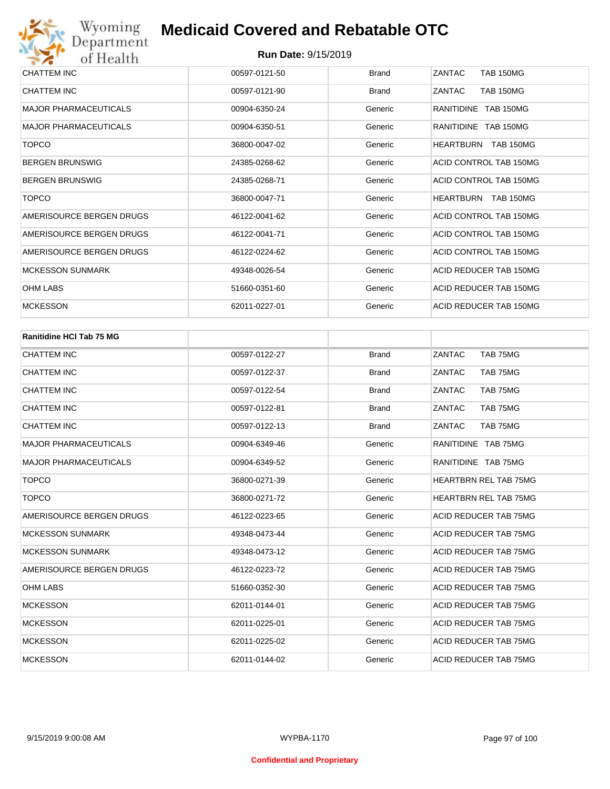| CHATTEM INC                  | 00597-0121-50 | <b>Brand</b> | ZANTAC<br><b>TAB 150MG</b>           |
|------------------------------|---------------|--------------|--------------------------------------|
| <b>CHATTEM INC</b>           | 00597-0121-90 | <b>Brand</b> | <b>TAB 150MG</b><br><b>ZANTAC</b>    |
| <b>MAJOR PHARMACEUTICALS</b> | 00904-6350-24 | Generic      | RANITIDINE TAB 150MG                 |
| <b>MAJOR PHARMACEUTICALS</b> | 00904-6350-51 | Generic      | RANITIDINE TAB 150MG                 |
| <b>TOPCO</b>                 | 36800-0047-02 | Generic      | <b>TAB 150MG</b><br><b>HEARTBURN</b> |
| <b>BERGEN BRUNSWIG</b>       | 24385-0268-62 | Generic      | ACID CONTROL TAB 150MG               |
| <b>BERGEN BRUNSWIG</b>       | 24385-0268-71 | Generic      | ACID CONTROL TAB 150MG               |
| <b>TOPCO</b>                 | 36800-0047-71 | Generic      | HEARTBURN TAB 150MG                  |
| AMERISOURCE BERGEN DRUGS     | 46122-0041-62 | Generic      | ACID CONTROL TAB 150MG               |
| AMERISOURCE BERGEN DRUGS     | 46122-0041-71 | Generic      | ACID CONTROL TAB 150MG               |
| AMERISOURCE BERGEN DRUGS     | 46122-0224-62 | Generic      | ACID CONTROL TAB 150MG               |
| <b>MCKESSON SUNMARK</b>      | 49348-0026-54 | Generic      | ACID REDUCER TAB 150MG               |
| <b>OHM LABS</b>              | 51660-0351-60 | Generic      | ACID REDUCER TAB 150MG               |
| <b>MCKESSON</b>              | 62011-0227-01 | Generic      | ACID REDUCER TAB 150MG               |

| <b>Ranitidine HCI Tab 75 MG</b> |               |              |                              |  |  |
|---------------------------------|---------------|--------------|------------------------------|--|--|
| <b>CHATTEM INC</b>              | 00597-0122-27 | <b>Brand</b> | ZANTAC<br>TAB 75MG           |  |  |
| <b>CHATTEM INC</b>              | 00597-0122-37 | <b>Brand</b> | ZANTAC<br>TAB 75MG           |  |  |
| <b>CHATTEM INC</b>              | 00597-0122-54 | <b>Brand</b> | ZANTAC<br>TAB 75MG           |  |  |
| <b>CHATTEM INC</b>              | 00597-0122-81 | <b>Brand</b> | ZANTAC<br>TAB 75MG           |  |  |
| <b>CHATTEM INC</b>              | 00597-0122-13 | <b>Brand</b> | ZANTAC<br>TAB 75MG           |  |  |
| <b>MAJOR PHARMACEUTICALS</b>    | 00904-6349-46 | Generic      | RANITIDINE TAB 75MG          |  |  |
| <b>MAJOR PHARMACEUTICALS</b>    | 00904-6349-52 | Generic      | RANITIDINE TAB 75MG          |  |  |
| <b>TOPCO</b>                    | 36800-0271-39 | Generic      | <b>HEARTBRN REL TAB 75MG</b> |  |  |
| <b>TOPCO</b>                    | 36800-0271-72 | Generic      | <b>HEARTBRN REL TAB 75MG</b> |  |  |
| AMERISOURCE BERGEN DRUGS        | 46122-0223-65 | Generic      | ACID REDUCER TAB 75MG        |  |  |
| <b>MCKESSON SUNMARK</b>         | 49348-0473-44 | Generic      | ACID REDUCER TAB 75MG        |  |  |
| <b>MCKESSON SUNMARK</b>         | 49348-0473-12 | Generic      | ACID REDUCER TAB 75MG        |  |  |
| AMERISOURCE BERGEN DRUGS        | 46122-0223-72 | Generic      | ACID REDUCER TAB 75MG        |  |  |
| <b>OHM LABS</b>                 | 51660-0352-30 | Generic      | ACID REDUCER TAB 75MG        |  |  |
| <b>MCKESSON</b>                 | 62011-0144-01 | Generic      | ACID REDUCER TAB 75MG        |  |  |
| <b>MCKESSON</b>                 | 62011-0225-01 | Generic      | ACID REDUCER TAB 75MG        |  |  |
| <b>MCKESSON</b>                 | 62011-0225-02 | Generic      | ACID REDUCER TAB 75MG        |  |  |
| <b>MCKESSON</b>                 | 62011-0144-02 | Generic      | ACID REDUCER TAB 75MG        |  |  |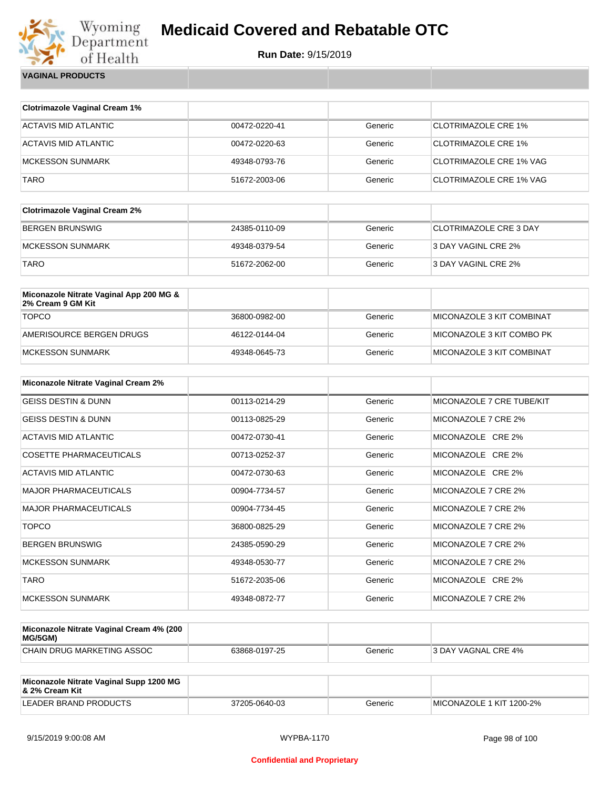

**Run Date:** 9/15/2019

**VAGINAL PRODUCTS**

| <b>Clotrimazole Vaginal Cream 1%</b>                         |               |         |                                |
|--------------------------------------------------------------|---------------|---------|--------------------------------|
|                                                              |               |         |                                |
| <b>ACTAVIS MID ATLANTIC</b>                                  | 00472-0220-41 | Generic | <b>CLOTRIMAZOLE CRE 1%</b>     |
| <b>ACTAVIS MID ATLANTIC</b>                                  | 00472-0220-63 | Generic | <b>CLOTRIMAZOLE CRE 1%</b>     |
| <b>MCKESSON SUNMARK</b>                                      | 49348-0793-76 | Generic | <b>CLOTRIMAZOLE CRE 1% VAG</b> |
| <b>TARO</b>                                                  | 51672-2003-06 | Generic | <b>CLOTRIMAZOLE CRE 1% VAG</b> |
| <b>Clotrimazole Vaginal Cream 2%</b>                         |               |         |                                |
| <b>BERGEN BRUNSWIG</b>                                       | 24385-0110-09 | Generic | <b>CLOTRIMAZOLE CRE 3 DAY</b>  |
| <b>MCKESSON SUNMARK</b>                                      | 49348-0379-54 | Generic | 3 DAY VAGINL CRE 2%            |
| <b>TARO</b>                                                  | 51672-2062-00 | Generic | 3 DAY VAGINL CRE 2%            |
| Miconazole Nitrate Vaginal App 200 MG &<br>2% Cream 9 GM Kit |               |         |                                |
| <b>TOPCO</b>                                                 | 36800-0982-00 | Generic | MICONAZOLE 3 KIT COMBINAT      |
| AMERISOURCE BERGEN DRUGS                                     | 46122-0144-04 | Generic | MICONAZOLE 3 KIT COMBO PK      |
| <b>MCKESSON SUNMARK</b>                                      | 49348-0645-73 | Generic | MICONAZOLE 3 KIT COMBINAT      |
| Miconazole Nitrate Vaginal Cream 2%                          |               |         |                                |
| <b>GEISS DESTIN &amp; DUNN</b>                               | 00113-0214-29 | Generic | MICONAZOLE 7 CRE TUBE/KIT      |
| <b>GEISS DESTIN &amp; DUNN</b>                               | 00113-0825-29 | Generic | MICONAZOLE 7 CRE 2%            |
| <b>ACTAVIS MID ATLANTIC</b>                                  | 00472-0730-41 | Generic | MICONAZOLE CRE 2%              |
| <b>COSETTE PHARMACEUTICALS</b>                               | 00713-0252-37 | Generic | MICONAZOLE CRE 2%              |
| <b>ACTAVIS MID ATLANTIC</b>                                  | 00472-0730-63 | Generic | MICONAZOLE CRE 2%              |
| <b>MAJOR PHARMACEUTICALS</b>                                 | 00904-7734-57 | Generic | MICONAZOLE 7 CRE 2%            |
| <b>MAJOR PHARMACEUTICALS</b>                                 | 00904-7734-45 | Generic | MICONAZOLE 7 CRE 2%            |
| <b>TOPCO</b>                                                 | 36800-0825-29 | Generic | MICONAZOLE 7 CRE 2%            |
| <b>BERGEN BRUNSWIG</b>                                       | 24385-0590-29 | Generic | MICONAZOLE 7 CRE 2%            |
| <b>MCKESSON SUNMARK</b>                                      | 49348-0530-77 | Generic | MICONAZOLE 7 CRE 2%            |
| TARO                                                         | 51672-2035-06 | Generic | MICONAZOLE CRE 2%              |
| <b>MCKESSON SUNMARK</b>                                      | 49348-0872-77 | Generic | MICONAZOLE 7 CRE 2%            |

| Miconazole Nitrate Vaginal Cream 4% (200<br>MG/5GM) |               |         |                            |
|-----------------------------------------------------|---------------|---------|----------------------------|
| CHAIN DRUG MARKETING ASSOC                          | 63868-0197-25 | Generic | <b>3 DAY VAGNAL CRE 4%</b> |

| Miconazole Nitrate Vaginal Supp 1200 MG<br>8. 2% Cream Kit |               |         |                          |
|------------------------------------------------------------|---------------|---------|--------------------------|
| LEADER BRAND PRODUCTS                                      | 37205-0640-03 | Generic | MICONAZOLE 1 KIT 1200-2% |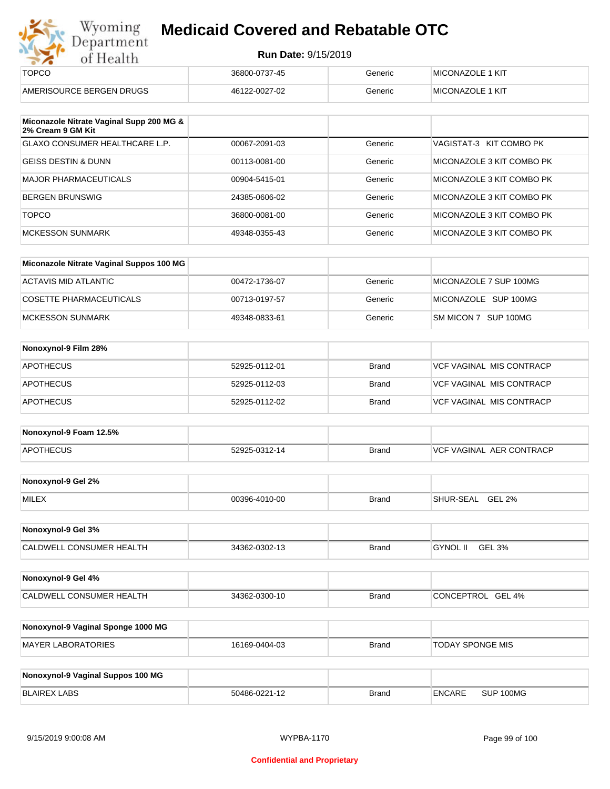| Department<br><b>Run Date: 9/15/2019</b><br>of Health         |               |              |                                 |  |  |  |
|---------------------------------------------------------------|---------------|--------------|---------------------------------|--|--|--|
| <b>TOPCO</b>                                                  | 36800-0737-45 | Generic      | <b>MICONAZOLE 1 KIT</b>         |  |  |  |
| AMERISOURCE BERGEN DRUGS                                      | 46122-0027-02 | Generic      | <b>MICONAZOLE 1 KIT</b>         |  |  |  |
| Miconazole Nitrate Vaginal Supp 200 MG &<br>2% Cream 9 GM Kit |               |              |                                 |  |  |  |
| <b>GLAXO CONSUMER HEALTHCARE L.P.</b>                         | 00067-2091-03 | Generic      | VAGISTAT-3 KIT COMBO PK         |  |  |  |
| <b>GEISS DESTIN &amp; DUNN</b>                                | 00113-0081-00 | Generic      | MICONAZOLE 3 KIT COMBO PK       |  |  |  |
| <b>MAJOR PHARMACEUTICALS</b>                                  | 00904-5415-01 | Generic      | MICONAZOLE 3 KIT COMBO PK       |  |  |  |
| <b>BERGEN BRUNSWIG</b>                                        | 24385-0606-02 | Generic      | MICONAZOLE 3 KIT COMBO PK       |  |  |  |
| <b>TOPCO</b>                                                  | 36800-0081-00 | Generic      | MICONAZOLE 3 KIT COMBO PK       |  |  |  |
| <b>MCKESSON SUNMARK</b>                                       | 49348-0355-43 | Generic      | MICONAZOLE 3 KIT COMBO PK       |  |  |  |
| Miconazole Nitrate Vaginal Suppos 100 MG                      |               |              |                                 |  |  |  |
| <b>ACTAVIS MID ATLANTIC</b>                                   | 00472-1736-07 | Generic      | MICONAZOLE 7 SUP 100MG          |  |  |  |
| <b>COSETTE PHARMACEUTICALS</b>                                | 00713-0197-57 | Generic      | MICONAZOLE SUP 100MG            |  |  |  |
| <b>MCKESSON SUNMARK</b>                                       | 49348-0833-61 | Generic      | SM MICON 7 SUP 100MG            |  |  |  |
| Nonoxynol-9 Film 28%                                          |               |              |                                 |  |  |  |
| <b>APOTHECUS</b>                                              | 52925-0112-01 | <b>Brand</b> | <b>VCF VAGINAL MIS CONTRACP</b> |  |  |  |
|                                                               |               |              |                                 |  |  |  |

| Nonoxynol-9 Foam 12.5% |               |       |                                        |
|------------------------|---------------|-------|----------------------------------------|
| APOTHECUS              | 52925-0312-14 | Brand | AER CONTRACP<br>`VAGINAL<br><b>VCF</b> |

APOTHECUS 52925-0112-02 Brand VCF VAGINAL MIS CONTRACP

| Nonoxynol-9 Gel 2% |               |       |                         |
|--------------------|---------------|-------|-------------------------|
| <b>MILEX</b>       | 00396-4010-00 | Brand | <b>GEL 2%</b><br>२-SEAL |

| Nonoxynol-9 Gel 3%              |               |              |                           |
|---------------------------------|---------------|--------------|---------------------------|
| <b>CALDWELL CONSUMER HEALTH</b> | 34362-0302-13 | <b>Brand</b> | GEL 3%<br><b>GYNOL II</b> |

| Nonoxynol-9 Gel 4%       |               |       |                   |
|--------------------------|---------------|-------|-------------------|
| CALDWELL CONSUMER HEALTH | 34362-0300-10 | Brand | CONCEPTROL GEL 4% |

| Nonoxynol-9 Vaginal Sponge 1000 MG |               |       |                  |
|------------------------------------|---------------|-------|------------------|
| MAYER LABORATORIES                 | 16169-0404-03 | Brand | TODAY SPONGE MIS |

| Nonoxynol-9 Vaginal Suppos 100 MG |               |       |               |           |
|-----------------------------------|---------------|-------|---------------|-----------|
| BLAIREX LABS                      | 50486-0221-12 | Brand | <b>ENCARE</b> | SUP 100MG |